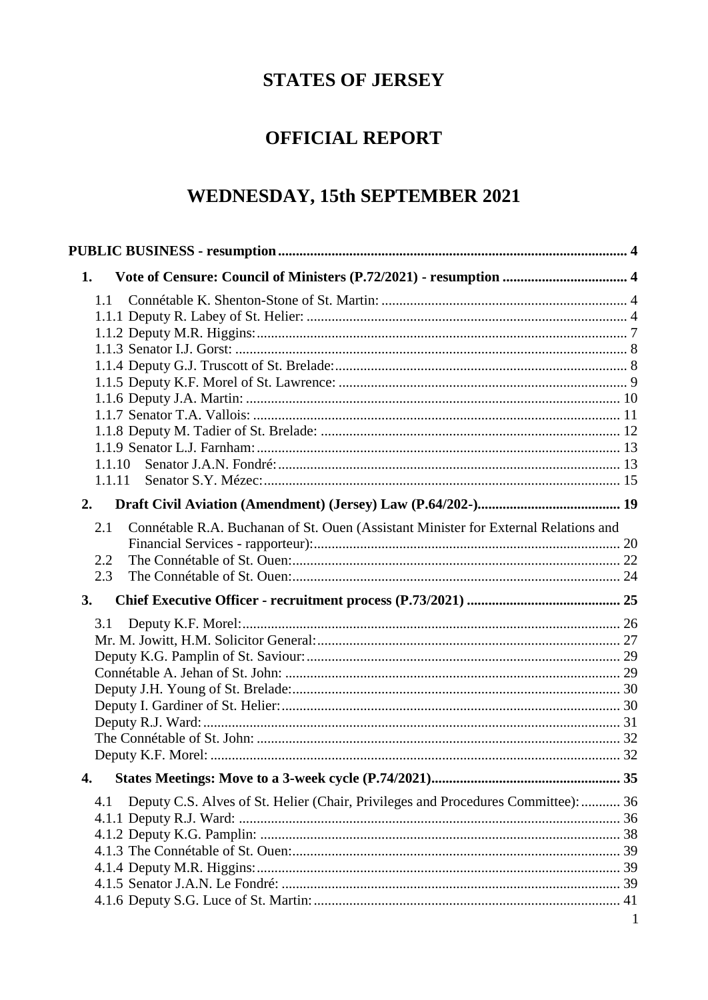# **STATES OF JERSEY**

# **OFFICIAL REPORT**

# WEDNESDAY, 15th SEPTEMBER 2021

| Vote of Censure: Council of Ministers (P.72/2021) - resumption  4<br>1.                    |  |
|--------------------------------------------------------------------------------------------|--|
| 1.1                                                                                        |  |
|                                                                                            |  |
|                                                                                            |  |
|                                                                                            |  |
|                                                                                            |  |
|                                                                                            |  |
|                                                                                            |  |
|                                                                                            |  |
| 1.1.10                                                                                     |  |
| 1.1.11                                                                                     |  |
| 2.                                                                                         |  |
| Connétable R.A. Buchanan of St. Ouen (Assistant Minister for External Relations and<br>2.1 |  |
| 2.2                                                                                        |  |
| 2.3                                                                                        |  |
| 3.                                                                                         |  |
| 3.1                                                                                        |  |
|                                                                                            |  |
|                                                                                            |  |
|                                                                                            |  |
|                                                                                            |  |
|                                                                                            |  |
|                                                                                            |  |
|                                                                                            |  |
|                                                                                            |  |
|                                                                                            |  |
| Deputy C.S. Alves of St. Helier (Chair, Privileges and Procedures Committee):  36<br>4.1   |  |
|                                                                                            |  |
|                                                                                            |  |
|                                                                                            |  |
|                                                                                            |  |
|                                                                                            |  |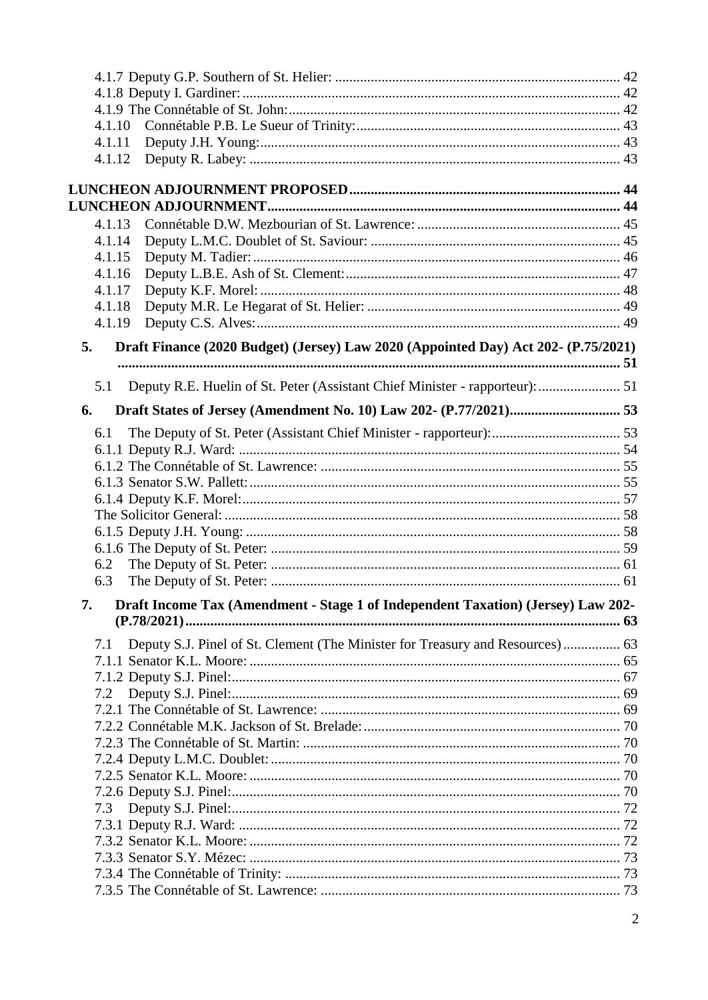| 4.1.10                                                                                   |  |
|------------------------------------------------------------------------------------------|--|
| 4.1.11                                                                                   |  |
| 4.1.12                                                                                   |  |
|                                                                                          |  |
|                                                                                          |  |
| 4.1.13                                                                                   |  |
| 4.1.14                                                                                   |  |
| 4.1.15                                                                                   |  |
| 4.1.16                                                                                   |  |
| 4.1.17                                                                                   |  |
| 4.1.18                                                                                   |  |
| 4.1.19                                                                                   |  |
| Draft Finance (2020 Budget) (Jersey) Law 2020 (Appointed Day) Act 202- (P.75/2021)<br>5. |  |
| 5.1                                                                                      |  |
| 6.                                                                                       |  |
| 6.1                                                                                      |  |
|                                                                                          |  |
|                                                                                          |  |
|                                                                                          |  |
|                                                                                          |  |
|                                                                                          |  |
|                                                                                          |  |
|                                                                                          |  |
| 6.2                                                                                      |  |
| 6.3                                                                                      |  |
| Draft Income Tax (Amendment - Stage 1 of Independent Taxation) (Jersey) Law 202-<br>7.   |  |
|                                                                                          |  |
| Deputy S.J. Pinel of St. Clement (The Minister for Treasury and Resources) 63<br>7.1     |  |
|                                                                                          |  |
|                                                                                          |  |
| 7.2                                                                                      |  |
|                                                                                          |  |
|                                                                                          |  |
|                                                                                          |  |
|                                                                                          |  |
|                                                                                          |  |
|                                                                                          |  |
| 7.3                                                                                      |  |
|                                                                                          |  |
|                                                                                          |  |
|                                                                                          |  |
|                                                                                          |  |
|                                                                                          |  |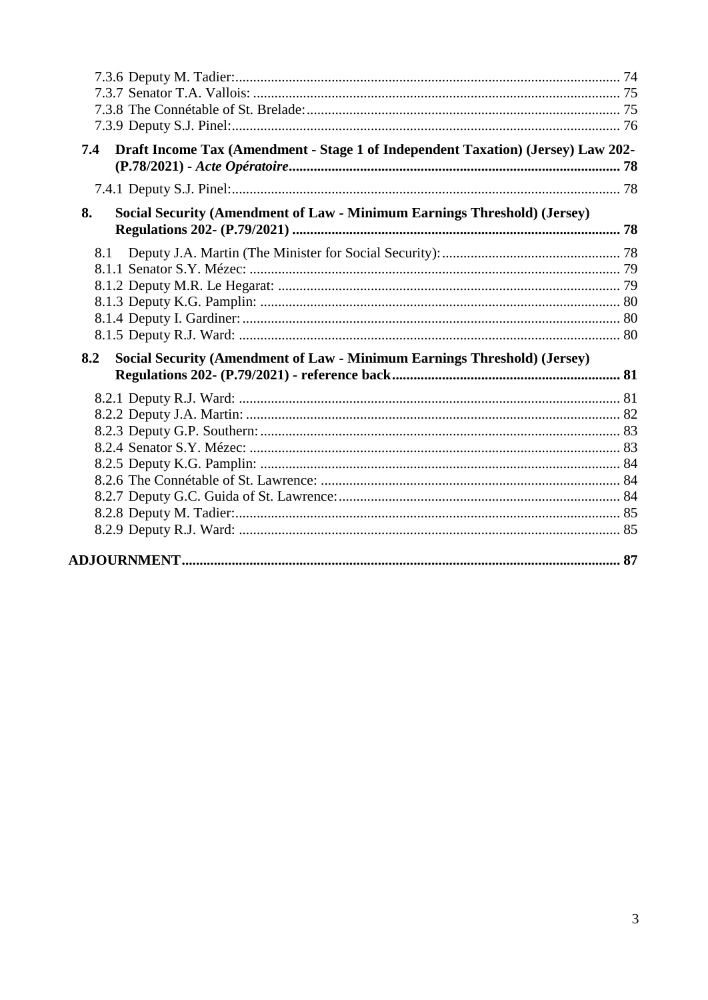| Draft Income Tax (Amendment - Stage 1 of Independent Taxation) (Jersey) Law 202-<br>7.4 |  |
|-----------------------------------------------------------------------------------------|--|
|                                                                                         |  |
| Social Security (Amendment of Law - Minimum Earnings Threshold) (Jersey)<br>8.          |  |
| 8.1                                                                                     |  |
|                                                                                         |  |
|                                                                                         |  |
|                                                                                         |  |
|                                                                                         |  |
|                                                                                         |  |
| 8.2<br>Social Security (Amendment of Law - Minimum Earnings Threshold) (Jersey)         |  |
|                                                                                         |  |
|                                                                                         |  |
|                                                                                         |  |
|                                                                                         |  |
|                                                                                         |  |
|                                                                                         |  |
|                                                                                         |  |
|                                                                                         |  |
|                                                                                         |  |
|                                                                                         |  |
|                                                                                         |  |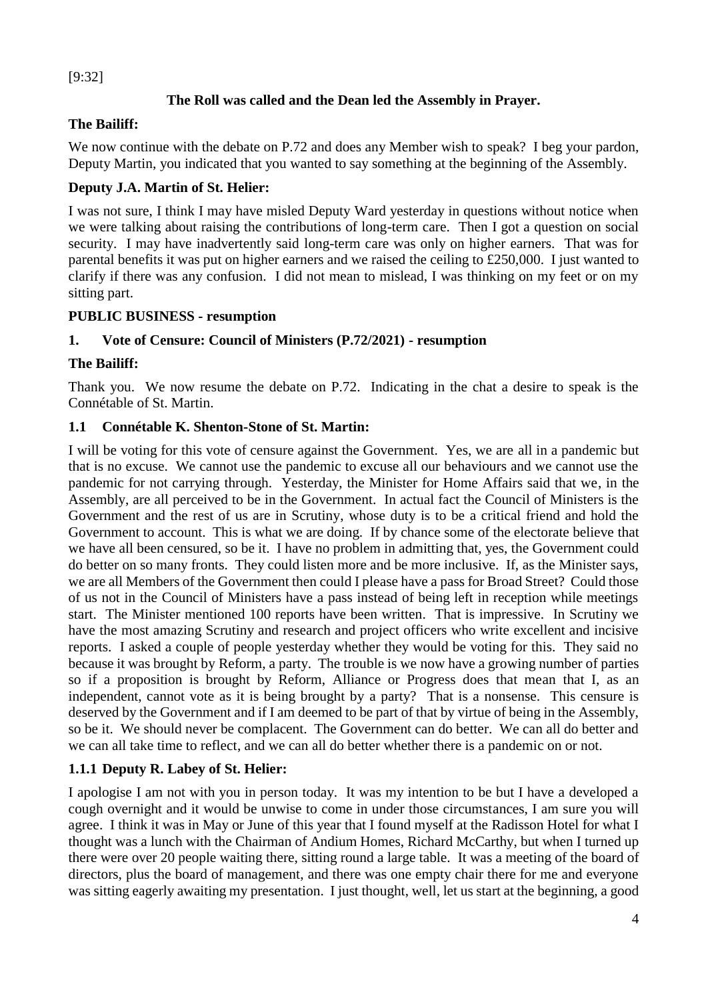[9:32]

## **The Roll was called and the Dean led the Assembly in Prayer.**

### **The Bailiff:**

We now continue with the debate on P.72 and does any Member wish to speak? I beg your pardon, Deputy Martin, you indicated that you wanted to say something at the beginning of the Assembly.

## **Deputy J.A. Martin of St. Helier:**

I was not sure, I think I may have misled Deputy Ward yesterday in questions without notice when we were talking about raising the contributions of long-term care. Then I got a question on social security. I may have inadvertently said long-term care was only on higher earners. That was for parental benefits it was put on higher earners and we raised the ceiling to £250,000. I just wanted to clarify if there was any confusion. I did not mean to mislead, I was thinking on my feet or on my sitting part.

### <span id="page-3-0"></span>**PUBLIC BUSINESS - resumption**

# <span id="page-3-1"></span>**1. Vote of Censure: Council of Ministers (P.72/2021) - resumption**

### **The Bailiff:**

Thank you. We now resume the debate on P.72. Indicating in the chat a desire to speak is the Connétable of St. Martin.

### <span id="page-3-2"></span>**1.1 Connétable K. Shenton-Stone of St. Martin:**

I will be voting for this vote of censure against the Government. Yes, we are all in a pandemic but that is no excuse. We cannot use the pandemic to excuse all our behaviours and we cannot use the pandemic for not carrying through. Yesterday, the Minister for Home Affairs said that we, in the Assembly, are all perceived to be in the Government. In actual fact the Council of Ministers is the Government and the rest of us are in Scrutiny, whose duty is to be a critical friend and hold the Government to account. This is what we are doing. If by chance some of the electorate believe that we have all been censured, so be it. I have no problem in admitting that, yes, the Government could do better on so many fronts. They could listen more and be more inclusive. If, as the Minister says, we are all Members of the Government then could I please have a pass for Broad Street? Could those of us not in the Council of Ministers have a pass instead of being left in reception while meetings start. The Minister mentioned 100 reports have been written. That is impressive. In Scrutiny we have the most amazing Scrutiny and research and project officers who write excellent and incisive reports. I asked a couple of people yesterday whether they would be voting for this. They said no because it was brought by Reform, a party. The trouble is we now have a growing number of parties so if a proposition is brought by Reform, Alliance or Progress does that mean that I, as an independent, cannot vote as it is being brought by a party? That is a nonsense. This censure is deserved by the Government and if I am deemed to be part of that by virtue of being in the Assembly, so be it. We should never be complacent. The Government can do better. We can all do better and we can all take time to reflect, and we can all do better whether there is a pandemic on or not.

### <span id="page-3-3"></span>**1.1.1 Deputy R. Labey of St. Helier:**

I apologise I am not with you in person today. It was my intention to be but I have a developed a cough overnight and it would be unwise to come in under those circumstances, I am sure you will agree. I think it was in May or June of this year that I found myself at the Radisson Hotel for what I thought was a lunch with the Chairman of Andium Homes, Richard McCarthy, but when I turned up there were over 20 people waiting there, sitting round a large table. It was a meeting of the board of directors, plus the board of management, and there was one empty chair there for me and everyone was sitting eagerly awaiting my presentation. I just thought, well, let us start at the beginning, a good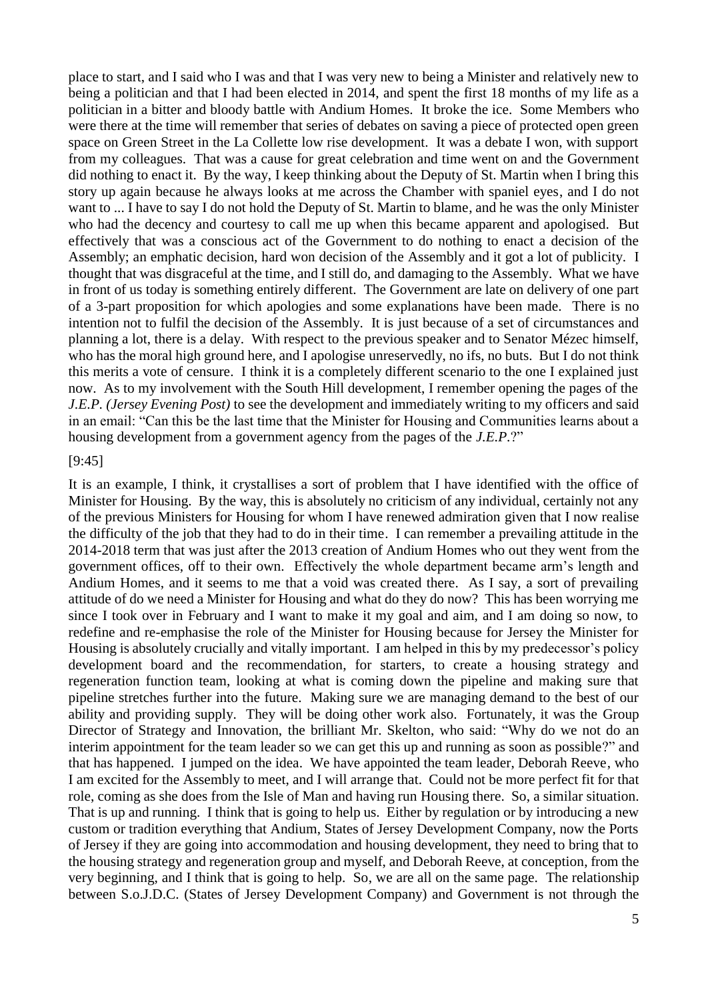place to start, and I said who I was and that I was very new to being a Minister and relatively new to being a politician and that I had been elected in 2014, and spent the first 18 months of my life as a politician in a bitter and bloody battle with Andium Homes. It broke the ice. Some Members who were there at the time will remember that series of debates on saving a piece of protected open green space on Green Street in the La Collette low rise development. It was a debate I won, with support from my colleagues. That was a cause for great celebration and time went on and the Government did nothing to enact it. By the way, I keep thinking about the Deputy of St. Martin when I bring this story up again because he always looks at me across the Chamber with spaniel eyes, and I do not want to ... I have to say I do not hold the Deputy of St. Martin to blame, and he was the only Minister who had the decency and courtesy to call me up when this became apparent and apologised. But effectively that was a conscious act of the Government to do nothing to enact a decision of the Assembly; an emphatic decision, hard won decision of the Assembly and it got a lot of publicity. I thought that was disgraceful at the time, and I still do, and damaging to the Assembly. What we have in front of us today is something entirely different. The Government are late on delivery of one part of a 3-part proposition for which apologies and some explanations have been made. There is no intention not to fulfil the decision of the Assembly. It is just because of a set of circumstances and planning a lot, there is a delay. With respect to the previous speaker and to Senator Mézec himself, who has the moral high ground here, and I apologise unreservedly, no ifs, no buts. But I do not think this merits a vote of censure. I think it is a completely different scenario to the one I explained just now. As to my involvement with the South Hill development, I remember opening the pages of the *J.E.P. (Jersey Evening Post)* to see the development and immediately writing to my officers and said in an email: "Can this be the last time that the Minister for Housing and Communities learns about a housing development from a government agency from the pages of the *J.E.P.*?"

#### [9:45]

It is an example, I think, it crystallises a sort of problem that I have identified with the office of Minister for Housing. By the way, this is absolutely no criticism of any individual, certainly not any of the previous Ministers for Housing for whom I have renewed admiration given that I now realise the difficulty of the job that they had to do in their time. I can remember a prevailing attitude in the 2014-2018 term that was just after the 2013 creation of Andium Homes who out they went from the government offices, off to their own. Effectively the whole department became arm's length and Andium Homes, and it seems to me that a void was created there. As I say, a sort of prevailing attitude of do we need a Minister for Housing and what do they do now? This has been worrying me since I took over in February and I want to make it my goal and aim, and I am doing so now, to redefine and re-emphasise the role of the Minister for Housing because for Jersey the Minister for Housing is absolutely crucially and vitally important. I am helped in this by my predecessor's policy development board and the recommendation, for starters, to create a housing strategy and regeneration function team, looking at what is coming down the pipeline and making sure that pipeline stretches further into the future. Making sure we are managing demand to the best of our ability and providing supply. They will be doing other work also. Fortunately, it was the Group Director of Strategy and Innovation, the brilliant Mr. Skelton, who said: "Why do we not do an interim appointment for the team leader so we can get this up and running as soon as possible?" and that has happened. I jumped on the idea. We have appointed the team leader, Deborah Reeve, who I am excited for the Assembly to meet, and I will arrange that. Could not be more perfect fit for that role, coming as she does from the Isle of Man and having run Housing there. So, a similar situation. That is up and running. I think that is going to help us. Either by regulation or by introducing a new custom or tradition everything that Andium, States of Jersey Development Company, now the Ports of Jersey if they are going into accommodation and housing development, they need to bring that to the housing strategy and regeneration group and myself, and Deborah Reeve, at conception, from the very beginning, and I think that is going to help. So, we are all on the same page. The relationship between S.o.J.D.C. (States of Jersey Development Company) and Government is not through the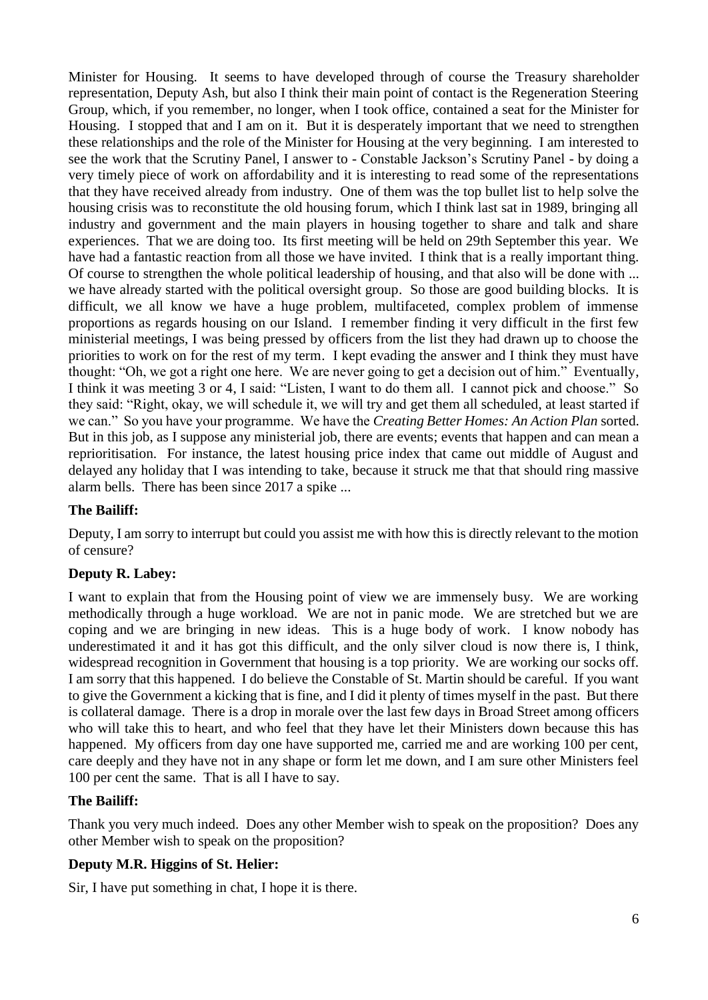Minister for Housing. It seems to have developed through of course the Treasury shareholder representation, Deputy Ash, but also I think their main point of contact is the Regeneration Steering Group, which, if you remember, no longer, when I took office, contained a seat for the Minister for Housing. I stopped that and I am on it. But it is desperately important that we need to strengthen these relationships and the role of the Minister for Housing at the very beginning. I am interested to see the work that the Scrutiny Panel, I answer to - Constable Jackson's Scrutiny Panel - by doing a very timely piece of work on affordability and it is interesting to read some of the representations that they have received already from industry. One of them was the top bullet list to help solve the housing crisis was to reconstitute the old housing forum, which I think last sat in 1989, bringing all industry and government and the main players in housing together to share and talk and share experiences. That we are doing too. Its first meeting will be held on 29th September this year. We have had a fantastic reaction from all those we have invited. I think that is a really important thing. Of course to strengthen the whole political leadership of housing, and that also will be done with ... we have already started with the political oversight group. So those are good building blocks. It is difficult, we all know we have a huge problem, multifaceted, complex problem of immense proportions as regards housing on our Island. I remember finding it very difficult in the first few ministerial meetings, I was being pressed by officers from the list they had drawn up to choose the priorities to work on for the rest of my term. I kept evading the answer and I think they must have thought: "Oh, we got a right one here. We are never going to get a decision out of him." Eventually, I think it was meeting 3 or 4, I said: "Listen, I want to do them all. I cannot pick and choose." So they said: "Right, okay, we will schedule it, we will try and get them all scheduled, at least started if we can." So you have your programme. We have the *Creating Better Homes: An Action Plan* sorted. But in this job, as I suppose any ministerial job, there are events; events that happen and can mean a reprioritisation. For instance, the latest housing price index that came out middle of August and delayed any holiday that I was intending to take, because it struck me that that should ring massive alarm bells. There has been since 2017 a spike ...

### **The Bailiff:**

Deputy, I am sorry to interrupt but could you assist me with how this is directly relevant to the motion of censure?

### **Deputy R. Labey:**

I want to explain that from the Housing point of view we are immensely busy. We are working methodically through a huge workload. We are not in panic mode. We are stretched but we are coping and we are bringing in new ideas. This is a huge body of work. I know nobody has underestimated it and it has got this difficult, and the only silver cloud is now there is, I think, widespread recognition in Government that housing is a top priority. We are working our socks off. I am sorry that this happened. I do believe the Constable of St. Martin should be careful. If you want to give the Government a kicking that is fine, and I did it plenty of times myself in the past. But there is collateral damage. There is a drop in morale over the last few days in Broad Street among officers who will take this to heart, and who feel that they have let their Ministers down because this has happened. My officers from day one have supported me, carried me and are working 100 per cent, care deeply and they have not in any shape or form let me down, and I am sure other Ministers feel 100 per cent the same. That is all I have to say.

### **The Bailiff:**

Thank you very much indeed. Does any other Member wish to speak on the proposition? Does any other Member wish to speak on the proposition?

### **Deputy M.R. Higgins of St. Helier:**

Sir, I have put something in chat, I hope it is there.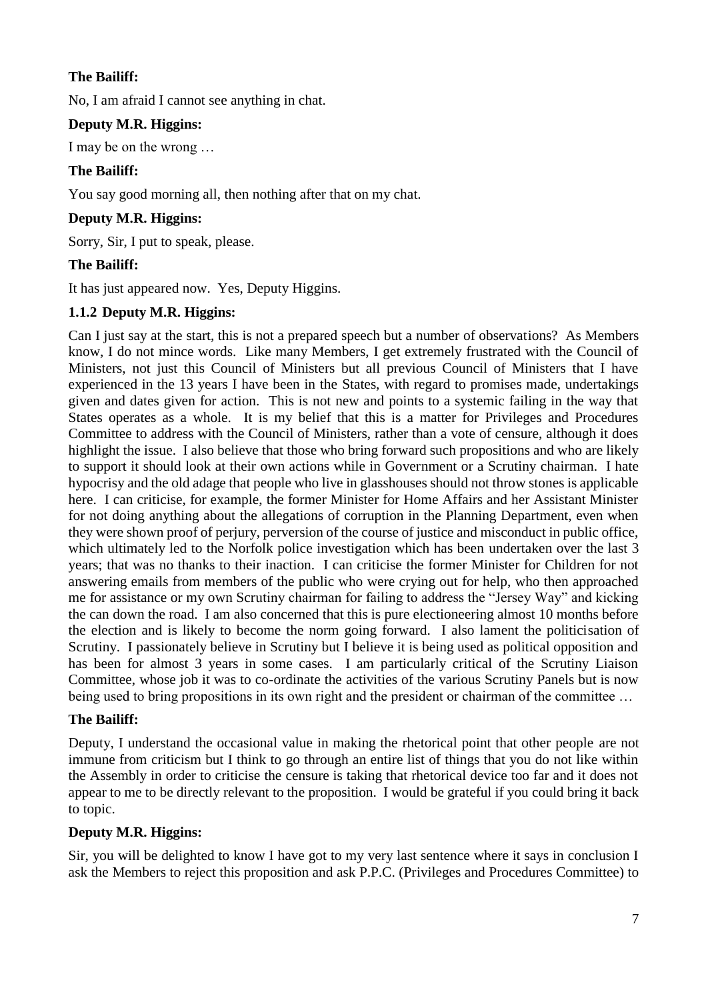### **The Bailiff:**

No, I am afraid I cannot see anything in chat.

# **Deputy M.R. Higgins:**

I may be on the wrong …

# **The Bailiff:**

You say good morning all, then nothing after that on my chat.

### **Deputy M.R. Higgins:**

Sorry, Sir, I put to speak, please.

### **The Bailiff:**

It has just appeared now. Yes, Deputy Higgins.

### <span id="page-6-0"></span>**1.1.2 Deputy M.R. Higgins:**

Can I just say at the start, this is not a prepared speech but a number of observations? As Members know, I do not mince words. Like many Members, I get extremely frustrated with the Council of Ministers, not just this Council of Ministers but all previous Council of Ministers that I have experienced in the 13 years I have been in the States, with regard to promises made, undertakings given and dates given for action. This is not new and points to a systemic failing in the way that States operates as a whole. It is my belief that this is a matter for Privileges and Procedures Committee to address with the Council of Ministers, rather than a vote of censure, although it does highlight the issue. I also believe that those who bring forward such propositions and who are likely to support it should look at their own actions while in Government or a Scrutiny chairman. I hate hypocrisy and the old adage that people who live in glasshouses should not throw stones is applicable here. I can criticise, for example, the former Minister for Home Affairs and her Assistant Minister for not doing anything about the allegations of corruption in the Planning Department, even when they were shown proof of perjury, perversion of the course of justice and misconduct in public office, which ultimately led to the Norfolk police investigation which has been undertaken over the last 3 years; that was no thanks to their inaction. I can criticise the former Minister for Children for not answering emails from members of the public who were crying out for help, who then approached me for assistance or my own Scrutiny chairman for failing to address the "Jersey Way" and kicking the can down the road. I am also concerned that this is pure electioneering almost 10 months before the election and is likely to become the norm going forward. I also lament the politicisation of Scrutiny. I passionately believe in Scrutiny but I believe it is being used as political opposition and has been for almost 3 years in some cases. I am particularly critical of the Scrutiny Liaison Committee, whose job it was to co-ordinate the activities of the various Scrutiny Panels but is now being used to bring propositions in its own right and the president or chairman of the committee …

### **The Bailiff:**

Deputy, I understand the occasional value in making the rhetorical point that other people are not immune from criticism but I think to go through an entire list of things that you do not like within the Assembly in order to criticise the censure is taking that rhetorical device too far and it does not appear to me to be directly relevant to the proposition. I would be grateful if you could bring it back to topic.

# **Deputy M.R. Higgins:**

Sir, you will be delighted to know I have got to my very last sentence where it says in conclusion I ask the Members to reject this proposition and ask P.P.C. (Privileges and Procedures Committee) to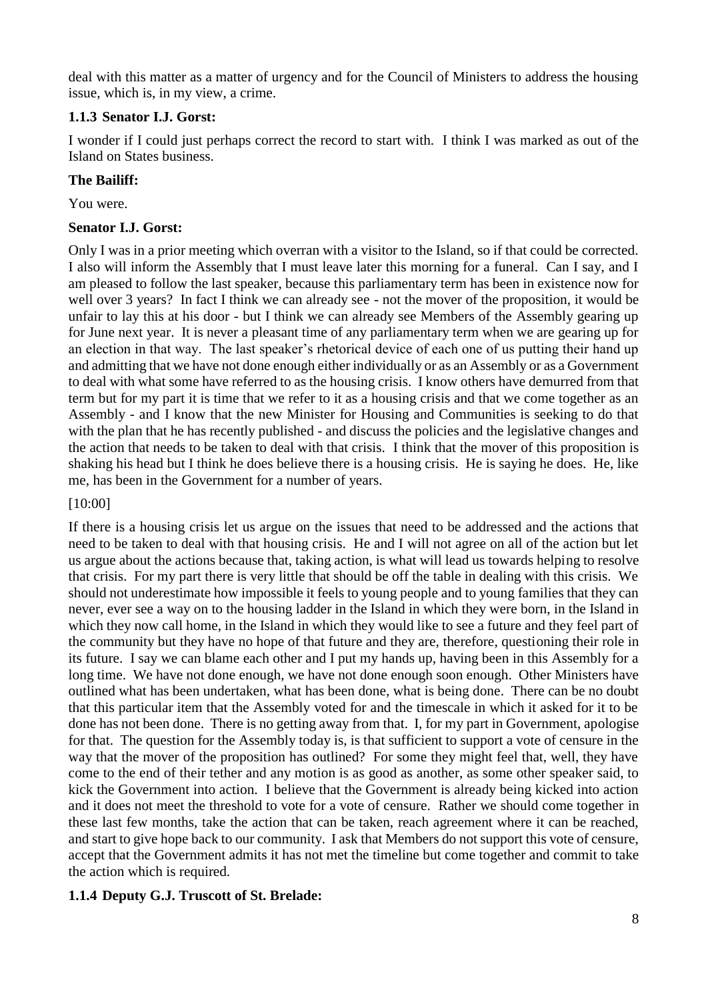deal with this matter as a matter of urgency and for the Council of Ministers to address the housing issue, which is, in my view, a crime.

### <span id="page-7-0"></span>**1.1.3 Senator I.J. Gorst:**

I wonder if I could just perhaps correct the record to start with. I think I was marked as out of the Island on States business.

### **The Bailiff:**

You were.

### **Senator I.J. Gorst:**

Only I was in a prior meeting which overran with a visitor to the Island, so if that could be corrected. I also will inform the Assembly that I must leave later this morning for a funeral. Can I say, and I am pleased to follow the last speaker, because this parliamentary term has been in existence now for well over 3 years? In fact I think we can already see - not the mover of the proposition, it would be unfair to lay this at his door - but I think we can already see Members of the Assembly gearing up for June next year. It is never a pleasant time of any parliamentary term when we are gearing up for an election in that way. The last speaker's rhetorical device of each one of us putting their hand up and admitting that we have not done enough either individually or as an Assembly or as a Government to deal with what some have referred to as the housing crisis. I know others have demurred from that term but for my part it is time that we refer to it as a housing crisis and that we come together as an Assembly - and I know that the new Minister for Housing and Communities is seeking to do that with the plan that he has recently published - and discuss the policies and the legislative changes and the action that needs to be taken to deal with that crisis. I think that the mover of this proposition is shaking his head but I think he does believe there is a housing crisis. He is saying he does. He, like me, has been in the Government for a number of years.

### [10:00]

If there is a housing crisis let us argue on the issues that need to be addressed and the actions that need to be taken to deal with that housing crisis. He and I will not agree on all of the action but let us argue about the actions because that, taking action, is what will lead us towards helping to resolve that crisis. For my part there is very little that should be off the table in dealing with this crisis. We should not underestimate how impossible it feels to young people and to young families that they can never, ever see a way on to the housing ladder in the Island in which they were born, in the Island in which they now call home, in the Island in which they would like to see a future and they feel part of the community but they have no hope of that future and they are, therefore, questioning their role in its future. I say we can blame each other and I put my hands up, having been in this Assembly for a long time. We have not done enough, we have not done enough soon enough. Other Ministers have outlined what has been undertaken, what has been done, what is being done. There can be no doubt that this particular item that the Assembly voted for and the timescale in which it asked for it to be done has not been done. There is no getting away from that. I, for my part in Government, apologise for that. The question for the Assembly today is, is that sufficient to support a vote of censure in the way that the mover of the proposition has outlined? For some they might feel that, well, they have come to the end of their tether and any motion is as good as another, as some other speaker said, to kick the Government into action. I believe that the Government is already being kicked into action and it does not meet the threshold to vote for a vote of censure. Rather we should come together in these last few months, take the action that can be taken, reach agreement where it can be reached, and start to give hope back to our community. I ask that Members do not support this vote of censure, accept that the Government admits it has not met the timeline but come together and commit to take the action which is required.

### <span id="page-7-1"></span>**1.1.4 Deputy G.J. Truscott of St. Brelade:**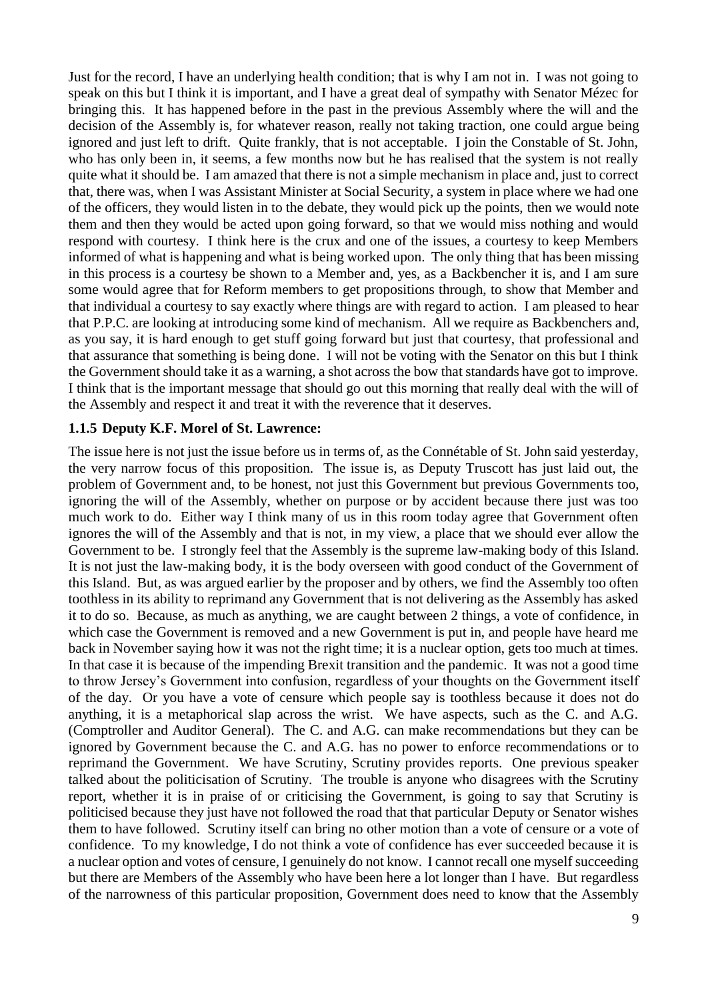Just for the record, I have an underlying health condition; that is why I am not in. I was not going to speak on this but I think it is important, and I have a great deal of sympathy with Senator Mézec for bringing this. It has happened before in the past in the previous Assembly where the will and the decision of the Assembly is, for whatever reason, really not taking traction, one could argue being ignored and just left to drift. Quite frankly, that is not acceptable. I join the Constable of St. John, who has only been in, it seems, a few months now but he has realised that the system is not really quite what it should be. I am amazed that there is not a simple mechanism in place and, just to correct that, there was, when I was Assistant Minister at Social Security, a system in place where we had one of the officers, they would listen in to the debate, they would pick up the points, then we would note them and then they would be acted upon going forward, so that we would miss nothing and would respond with courtesy. I think here is the crux and one of the issues, a courtesy to keep Members informed of what is happening and what is being worked upon. The only thing that has been missing in this process is a courtesy be shown to a Member and, yes, as a Backbencher it is, and I am sure some would agree that for Reform members to get propositions through, to show that Member and that individual a courtesy to say exactly where things are with regard to action. I am pleased to hear that P.P.C. are looking at introducing some kind of mechanism. All we require as Backbenchers and, as you say, it is hard enough to get stuff going forward but just that courtesy, that professional and that assurance that something is being done. I will not be voting with the Senator on this but I think the Government should take it as a warning, a shot across the bow that standards have got to improve. I think that is the important message that should go out this morning that really deal with the will of the Assembly and respect it and treat it with the reverence that it deserves.

#### <span id="page-8-0"></span>**1.1.5 Deputy K.F. Morel of St. Lawrence:**

The issue here is not just the issue before us in terms of, as the Connétable of St. John said yesterday, the very narrow focus of this proposition. The issue is, as Deputy Truscott has just laid out, the problem of Government and, to be honest, not just this Government but previous Governments too, ignoring the will of the Assembly, whether on purpose or by accident because there just was too much work to do. Either way I think many of us in this room today agree that Government often ignores the will of the Assembly and that is not, in my view, a place that we should ever allow the Government to be. I strongly feel that the Assembly is the supreme law-making body of this Island. It is not just the law-making body, it is the body overseen with good conduct of the Government of this Island. But, as was argued earlier by the proposer and by others, we find the Assembly too often toothless in its ability to reprimand any Government that is not delivering as the Assembly has asked it to do so. Because, as much as anything, we are caught between 2 things, a vote of confidence, in which case the Government is removed and a new Government is put in, and people have heard me back in November saying how it was not the right time; it is a nuclear option, gets too much at times. In that case it is because of the impending Brexit transition and the pandemic. It was not a good time to throw Jersey's Government into confusion, regardless of your thoughts on the Government itself of the day. Or you have a vote of censure which people say is toothless because it does not do anything, it is a metaphorical slap across the wrist. We have aspects, such as the C. and A.G. (Comptroller and Auditor General). The C. and A.G. can make recommendations but they can be ignored by Government because the C. and A.G. has no power to enforce recommendations or to reprimand the Government. We have Scrutiny, Scrutiny provides reports. One previous speaker talked about the politicisation of Scrutiny. The trouble is anyone who disagrees with the Scrutiny report, whether it is in praise of or criticising the Government, is going to say that Scrutiny is politicised because they just have not followed the road that that particular Deputy or Senator wishes them to have followed. Scrutiny itself can bring no other motion than a vote of censure or a vote of confidence. To my knowledge, I do not think a vote of confidence has ever succeeded because it is a nuclear option and votes of censure, I genuinely do not know. I cannot recall one myself succeeding but there are Members of the Assembly who have been here a lot longer than I have. But regardless of the narrowness of this particular proposition, Government does need to know that the Assembly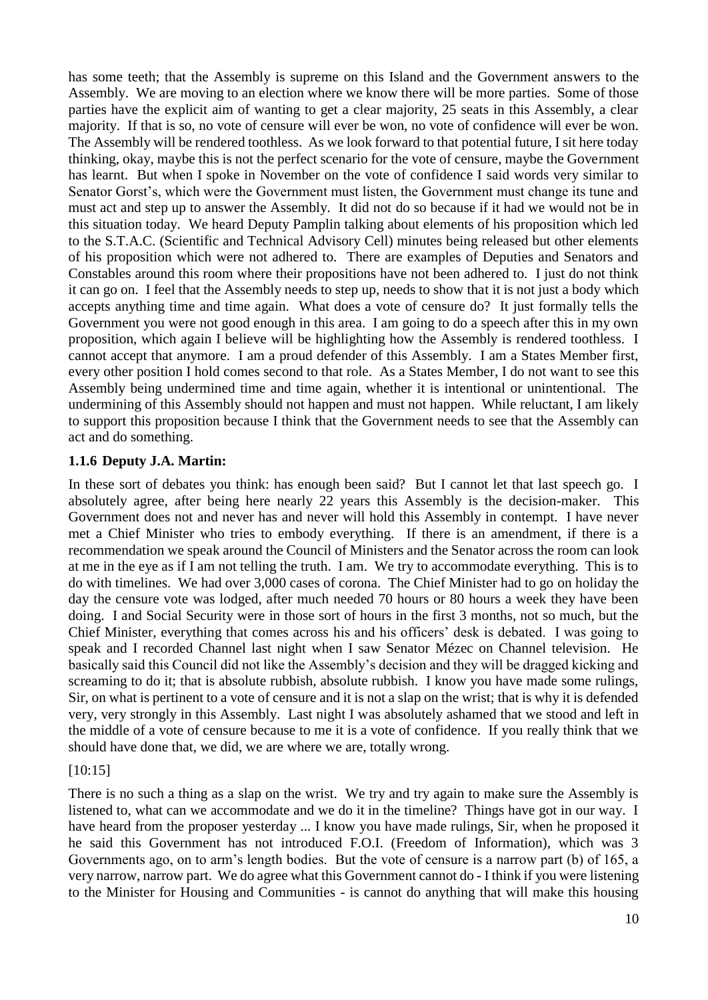has some teeth; that the Assembly is supreme on this Island and the Government answers to the Assembly. We are moving to an election where we know there will be more parties. Some of those parties have the explicit aim of wanting to get a clear majority, 25 seats in this Assembly, a clear majority. If that is so, no vote of censure will ever be won, no vote of confidence will ever be won. The Assembly will be rendered toothless. As we look forward to that potential future, I sit here today thinking, okay, maybe this is not the perfect scenario for the vote of censure, maybe the Government has learnt. But when I spoke in November on the vote of confidence I said words very similar to Senator Gorst's, which were the Government must listen, the Government must change its tune and must act and step up to answer the Assembly. It did not do so because if it had we would not be in this situation today. We heard Deputy Pamplin talking about elements of his proposition which led to the S.T.A.C. (Scientific and Technical Advisory Cell) minutes being released but other elements of his proposition which were not adhered to. There are examples of Deputies and Senators and Constables around this room where their propositions have not been adhered to. I just do not think it can go on. I feel that the Assembly needs to step up, needs to show that it is not just a body which accepts anything time and time again. What does a vote of censure do? It just formally tells the Government you were not good enough in this area. I am going to do a speech after this in my own proposition, which again I believe will be highlighting how the Assembly is rendered toothless. I cannot accept that anymore. I am a proud defender of this Assembly. I am a States Member first, every other position I hold comes second to that role. As a States Member, I do not want to see this Assembly being undermined time and time again, whether it is intentional or unintentional. The undermining of this Assembly should not happen and must not happen. While reluctant, I am likely to support this proposition because I think that the Government needs to see that the Assembly can act and do something.

#### <span id="page-9-0"></span>**1.1.6 Deputy J.A. Martin:**

In these sort of debates you think: has enough been said? But I cannot let that last speech go. I absolutely agree, after being here nearly 22 years this Assembly is the decision-maker. This Government does not and never has and never will hold this Assembly in contempt. I have never met a Chief Minister who tries to embody everything. If there is an amendment, if there is a recommendation we speak around the Council of Ministers and the Senator across the room can look at me in the eye as if I am not telling the truth. I am. We try to accommodate everything. This is to do with timelines. We had over 3,000 cases of corona. The Chief Minister had to go on holiday the day the censure vote was lodged, after much needed 70 hours or 80 hours a week they have been doing. I and Social Security were in those sort of hours in the first 3 months, not so much, but the Chief Minister, everything that comes across his and his officers' desk is debated. I was going to speak and I recorded Channel last night when I saw Senator Mézec on Channel television. He basically said this Council did not like the Assembly's decision and they will be dragged kicking and screaming to do it; that is absolute rubbish, absolute rubbish. I know you have made some rulings, Sir, on what is pertinent to a vote of censure and it is not a slap on the wrist; that is why it is defended very, very strongly in this Assembly. Last night I was absolutely ashamed that we stood and left in the middle of a vote of censure because to me it is a vote of confidence. If you really think that we should have done that, we did, we are where we are, totally wrong.

### [10:15]

There is no such a thing as a slap on the wrist. We try and try again to make sure the Assembly is listened to, what can we accommodate and we do it in the timeline? Things have got in our way. I have heard from the proposer yesterday ... I know you have made rulings, Sir, when he proposed it he said this Government has not introduced F.O.I. (Freedom of Information), which was 3 Governments ago, on to arm's length bodies. But the vote of censure is a narrow part (b) of 165, a very narrow, narrow part. We do agree what this Government cannot do - I think if you were listening to the Minister for Housing and Communities - is cannot do anything that will make this housing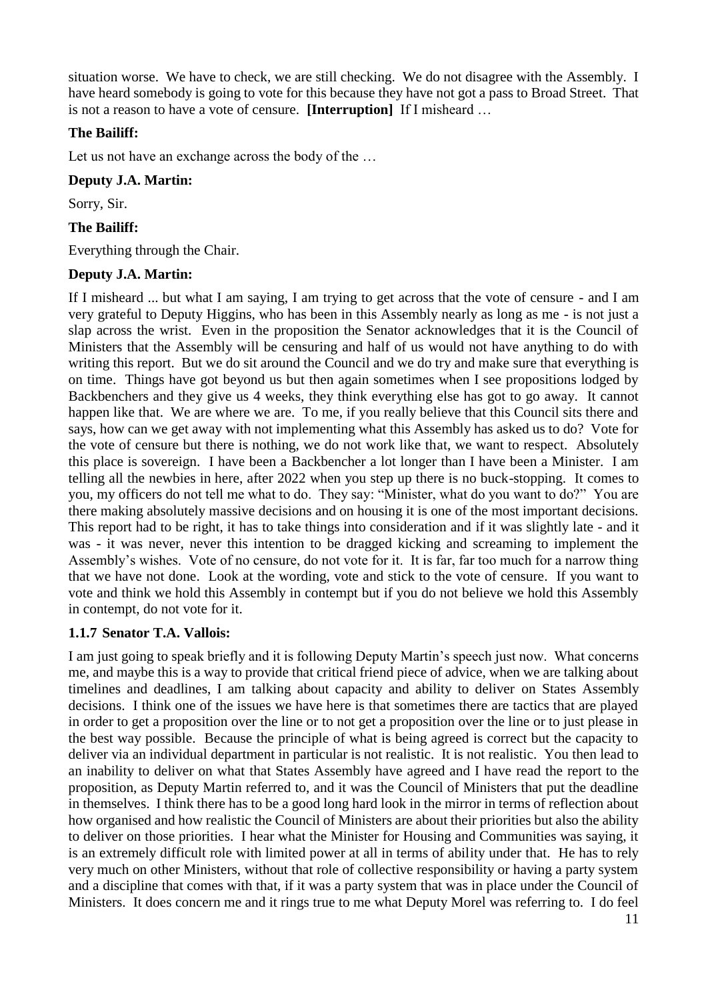situation worse. We have to check, we are still checking. We do not disagree with the Assembly. I have heard somebody is going to vote for this because they have not got a pass to Broad Street. That is not a reason to have a vote of censure. **[Interruption]** If I misheard …

### **The Bailiff:**

Let us not have an exchange across the body of the …

### **Deputy J.A. Martin:**

Sorry, Sir.

### **The Bailiff:**

Everything through the Chair.

### **Deputy J.A. Martin:**

If I misheard ... but what I am saying, I am trying to get across that the vote of censure - and I am very grateful to Deputy Higgins, who has been in this Assembly nearly as long as me - is not just a slap across the wrist. Even in the proposition the Senator acknowledges that it is the Council of Ministers that the Assembly will be censuring and half of us would not have anything to do with writing this report. But we do sit around the Council and we do try and make sure that everything is on time. Things have got beyond us but then again sometimes when I see propositions lodged by Backbenchers and they give us 4 weeks, they think everything else has got to go away. It cannot happen like that. We are where we are. To me, if you really believe that this Council sits there and says, how can we get away with not implementing what this Assembly has asked us to do? Vote for the vote of censure but there is nothing, we do not work like that, we want to respect. Absolutely this place is sovereign. I have been a Backbencher a lot longer than I have been a Minister. I am telling all the newbies in here, after 2022 when you step up there is no buck-stopping. It comes to you, my officers do not tell me what to do. They say: "Minister, what do you want to do?" You are there making absolutely massive decisions and on housing it is one of the most important decisions. This report had to be right, it has to take things into consideration and if it was slightly late - and it was - it was never, never this intention to be dragged kicking and screaming to implement the Assembly's wishes. Vote of no censure, do not vote for it. It is far, far too much for a narrow thing that we have not done. Look at the wording, vote and stick to the vote of censure. If you want to vote and think we hold this Assembly in contempt but if you do not believe we hold this Assembly in contempt, do not vote for it.

### <span id="page-10-0"></span>**1.1.7 Senator T.A. Vallois:**

I am just going to speak briefly and it is following Deputy Martin's speech just now. What concerns me, and maybe this is a way to provide that critical friend piece of advice, when we are talking about timelines and deadlines, I am talking about capacity and ability to deliver on States Assembly decisions. I think one of the issues we have here is that sometimes there are tactics that are played in order to get a proposition over the line or to not get a proposition over the line or to just please in the best way possible. Because the principle of what is being agreed is correct but the capacity to deliver via an individual department in particular is not realistic. It is not realistic. You then lead to an inability to deliver on what that States Assembly have agreed and I have read the report to the proposition, as Deputy Martin referred to, and it was the Council of Ministers that put the deadline in themselves. I think there has to be a good long hard look in the mirror in terms of reflection about how organised and how realistic the Council of Ministers are about their priorities but also the ability to deliver on those priorities. I hear what the Minister for Housing and Communities was saying, it is an extremely difficult role with limited power at all in terms of ability under that. He has to rely very much on other Ministers, without that role of collective responsibility or having a party system and a discipline that comes with that, if it was a party system that was in place under the Council of Ministers. It does concern me and it rings true to me what Deputy Morel was referring to. I do feel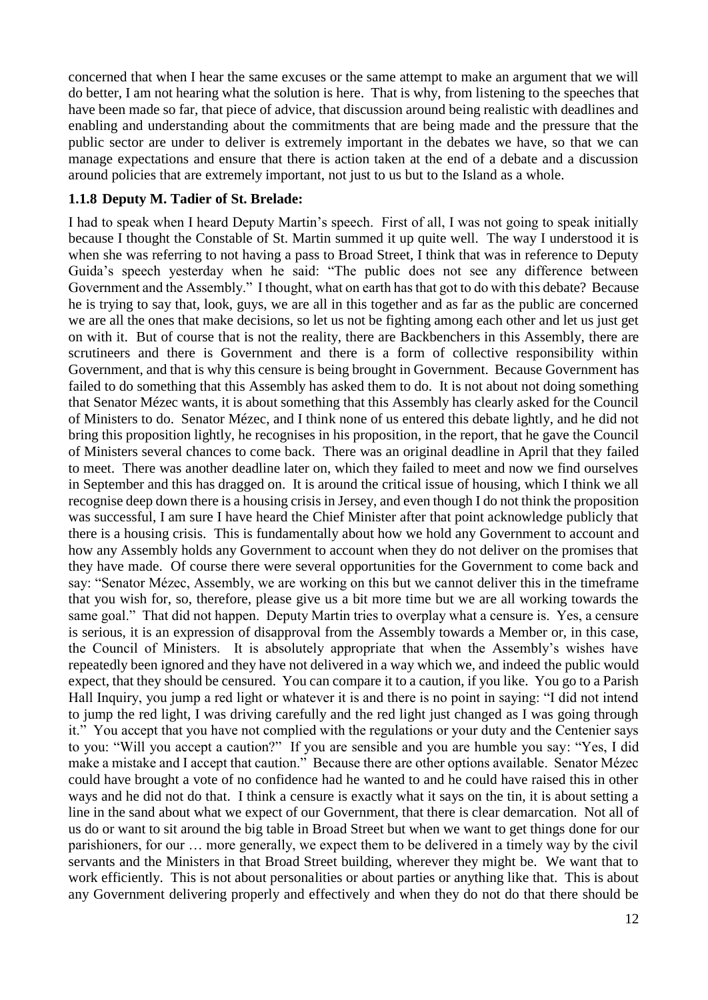concerned that when I hear the same excuses or the same attempt to make an argument that we will do better, I am not hearing what the solution is here. That is why, from listening to the speeches that have been made so far, that piece of advice, that discussion around being realistic with deadlines and enabling and understanding about the commitments that are being made and the pressure that the public sector are under to deliver is extremely important in the debates we have, so that we can manage expectations and ensure that there is action taken at the end of a debate and a discussion around policies that are extremely important, not just to us but to the Island as a whole.

#### <span id="page-11-0"></span>**1.1.8 Deputy M. Tadier of St. Brelade:**

I had to speak when I heard Deputy Martin's speech. First of all, I was not going to speak initially because I thought the Constable of St. Martin summed it up quite well. The way I understood it is when she was referring to not having a pass to Broad Street, I think that was in reference to Deputy Guida's speech yesterday when he said: "The public does not see any difference between Government and the Assembly." I thought, what on earth has that got to do with this debate? Because he is trying to say that, look, guys, we are all in this together and as far as the public are concerned we are all the ones that make decisions, so let us not be fighting among each other and let us just get on with it. But of course that is not the reality, there are Backbenchers in this Assembly, there are scrutineers and there is Government and there is a form of collective responsibility within Government, and that is why this censure is being brought in Government. Because Government has failed to do something that this Assembly has asked them to do. It is not about not doing something that Senator Mézec wants, it is about something that this Assembly has clearly asked for the Council of Ministers to do. Senator Mézec, and I think none of us entered this debate lightly, and he did not bring this proposition lightly, he recognises in his proposition, in the report, that he gave the Council of Ministers several chances to come back. There was an original deadline in April that they failed to meet. There was another deadline later on, which they failed to meet and now we find ourselves in September and this has dragged on. It is around the critical issue of housing, which I think we all recognise deep down there is a housing crisis in Jersey, and even though I do not think the proposition was successful, I am sure I have heard the Chief Minister after that point acknowledge publicly that there is a housing crisis. This is fundamentally about how we hold any Government to account and how any Assembly holds any Government to account when they do not deliver on the promises that they have made. Of course there were several opportunities for the Government to come back and say: "Senator Mézec, Assembly, we are working on this but we cannot deliver this in the timeframe that you wish for, so, therefore, please give us a bit more time but we are all working towards the same goal." That did not happen. Deputy Martin tries to overplay what a censure is. Yes, a censure is serious, it is an expression of disapproval from the Assembly towards a Member or, in this case, the Council of Ministers. It is absolutely appropriate that when the Assembly's wishes have repeatedly been ignored and they have not delivered in a way which we, and indeed the public would expect, that they should be censured. You can compare it to a caution, if you like. You go to a Parish Hall Inquiry, you jump a red light or whatever it is and there is no point in saying: "I did not intend to jump the red light, I was driving carefully and the red light just changed as I was going through it." You accept that you have not complied with the regulations or your duty and the Centenier says to you: "Will you accept a caution?" If you are sensible and you are humble you say: "Yes, I did make a mistake and I accept that caution." Because there are other options available. Senator Mézec could have brought a vote of no confidence had he wanted to and he could have raised this in other ways and he did not do that. I think a censure is exactly what it says on the tin, it is about setting a line in the sand about what we expect of our Government, that there is clear demarcation. Not all of us do or want to sit around the big table in Broad Street but when we want to get things done for our parishioners, for our … more generally, we expect them to be delivered in a timely way by the civil servants and the Ministers in that Broad Street building, wherever they might be. We want that to work efficiently. This is not about personalities or about parties or anything like that. This is about any Government delivering properly and effectively and when they do not do that there should be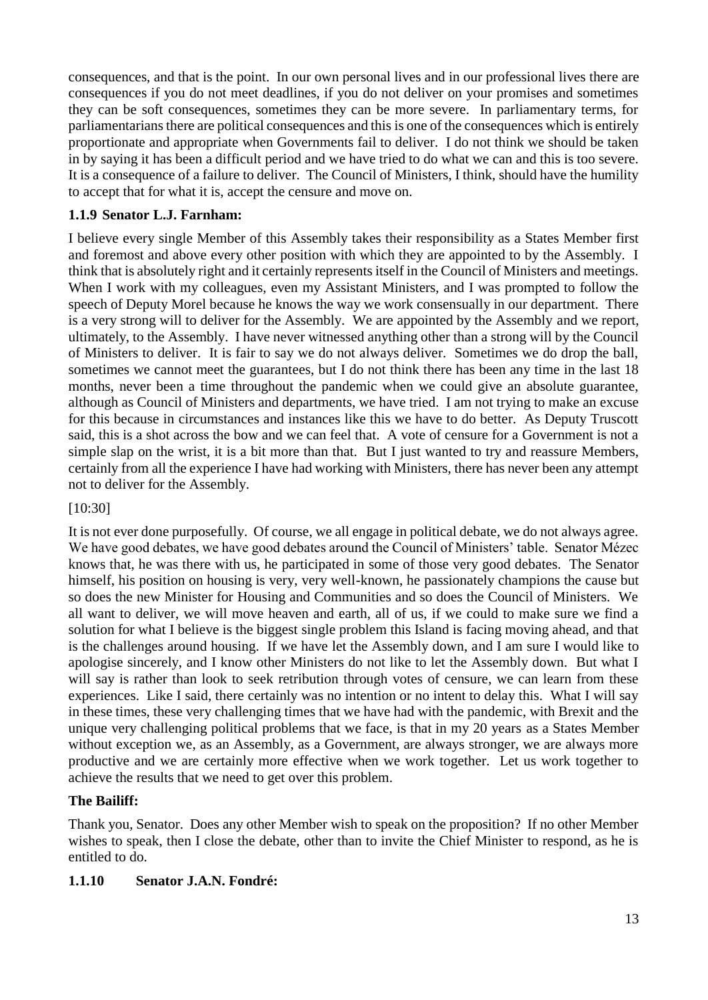consequences, and that is the point. In our own personal lives and in our professional lives there are consequences if you do not meet deadlines, if you do not deliver on your promises and sometimes they can be soft consequences, sometimes they can be more severe. In parliamentary terms, for parliamentarians there are political consequences and this is one of the consequences which is entirely proportionate and appropriate when Governments fail to deliver. I do not think we should be taken in by saying it has been a difficult period and we have tried to do what we can and this is too severe. It is a consequence of a failure to deliver. The Council of Ministers, I think, should have the humility to accept that for what it is, accept the censure and move on.

## <span id="page-12-0"></span>**1.1.9 Senator L.J. Farnham:**

I believe every single Member of this Assembly takes their responsibility as a States Member first and foremost and above every other position with which they are appointed to by the Assembly. I think that is absolutely right and it certainly represents itself in the Council of Ministers and meetings. When I work with my colleagues, even my Assistant Ministers, and I was prompted to follow the speech of Deputy Morel because he knows the way we work consensually in our department. There is a very strong will to deliver for the Assembly. We are appointed by the Assembly and we report, ultimately, to the Assembly. I have never witnessed anything other than a strong will by the Council of Ministers to deliver. It is fair to say we do not always deliver. Sometimes we do drop the ball, sometimes we cannot meet the guarantees, but I do not think there has been any time in the last 18 months, never been a time throughout the pandemic when we could give an absolute guarantee, although as Council of Ministers and departments, we have tried. I am not trying to make an excuse for this because in circumstances and instances like this we have to do better. As Deputy Truscott said, this is a shot across the bow and we can feel that. A vote of censure for a Government is not a simple slap on the wrist, it is a bit more than that. But I just wanted to try and reassure Members, certainly from all the experience I have had working with Ministers, there has never been any attempt not to deliver for the Assembly.

[10:30]

It is not ever done purposefully. Of course, we all engage in political debate, we do not always agree. We have good debates, we have good debates around the Council of Ministers' table. Senator Mézec knows that, he was there with us, he participated in some of those very good debates. The Senator himself, his position on housing is very, very well-known, he passionately champions the cause but so does the new Minister for Housing and Communities and so does the Council of Ministers. We all want to deliver, we will move heaven and earth, all of us, if we could to make sure we find a solution for what I believe is the biggest single problem this Island is facing moving ahead, and that is the challenges around housing. If we have let the Assembly down, and I am sure I would like to apologise sincerely, and I know other Ministers do not like to let the Assembly down. But what I will say is rather than look to seek retribution through votes of censure, we can learn from these experiences. Like I said, there certainly was no intention or no intent to delay this. What I will say in these times, these very challenging times that we have had with the pandemic, with Brexit and the unique very challenging political problems that we face, is that in my 20 years as a States Member without exception we, as an Assembly, as a Government, are always stronger, we are always more productive and we are certainly more effective when we work together. Let us work together to achieve the results that we need to get over this problem.

### **The Bailiff:**

Thank you, Senator. Does any other Member wish to speak on the proposition? If no other Member wishes to speak, then I close the debate, other than to invite the Chief Minister to respond, as he is entitled to do.

### <span id="page-12-1"></span>**1.1.10 Senator J.A.N. Fondré:**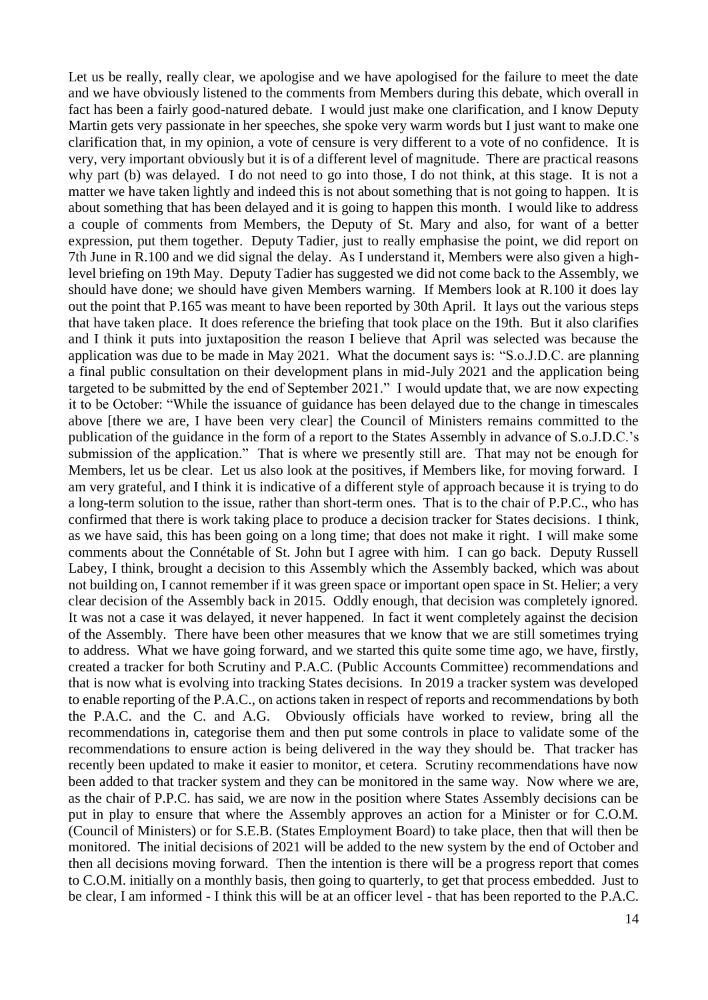Let us be really, really clear, we apologise and we have apologised for the failure to meet the date and we have obviously listened to the comments from Members during this debate, which overall in fact has been a fairly good-natured debate. I would just make one clarification, and I know Deputy Martin gets very passionate in her speeches, she spoke very warm words but I just want to make one clarification that, in my opinion, a vote of censure is very different to a vote of no confidence. It is very, very important obviously but it is of a different level of magnitude. There are practical reasons why part (b) was delayed. I do not need to go into those, I do not think, at this stage. It is not a matter we have taken lightly and indeed this is not about something that is not going to happen. It is about something that has been delayed and it is going to happen this month. I would like to address a couple of comments from Members, the Deputy of St. Mary and also, for want of a better expression, put them together. Deputy Tadier, just to really emphasise the point, we did report on 7th June in R.100 and we did signal the delay. As I understand it, Members were also given a highlevel briefing on 19th May. Deputy Tadier has suggested we did not come back to the Assembly, we should have done; we should have given Members warning. If Members look at R.100 it does lay out the point that P.165 was meant to have been reported by 30th April. It lays out the various steps that have taken place. It does reference the briefing that took place on the 19th. But it also clarifies and I think it puts into juxtaposition the reason I believe that April was selected was because the application was due to be made in May 2021. What the document says is: "S.o.J.D.C. are planning a final public consultation on their development plans in mid-July 2021 and the application being targeted to be submitted by the end of September 2021." I would update that, we are now expecting it to be October: "While the issuance of guidance has been delayed due to the change in timescales above [there we are, I have been very clear] the Council of Ministers remains committed to the publication of the guidance in the form of a report to the States Assembly in advance of S.o.J.D.C.'s submission of the application." That is where we presently still are. That may not be enough for Members, let us be clear. Let us also look at the positives, if Members like, for moving forward. I am very grateful, and I think it is indicative of a different style of approach because it is trying to do a long-term solution to the issue, rather than short-term ones. That is to the chair of P.P.C., who has confirmed that there is work taking place to produce a decision tracker for States decisions. I think, as we have said, this has been going on a long time; that does not make it right. I will make some comments about the Connétable of St. John but I agree with him. I can go back. Deputy Russell Labey, I think, brought a decision to this Assembly which the Assembly backed, which was about not building on, I cannot remember if it was green space or important open space in St. Helier; a very clear decision of the Assembly back in 2015. Oddly enough, that decision was completely ignored. It was not a case it was delayed, it never happened. In fact it went completely against the decision of the Assembly. There have been other measures that we know that we are still sometimes trying to address. What we have going forward, and we started this quite some time ago, we have, firstly, created a tracker for both Scrutiny and P.A.C. (Public Accounts Committee) recommendations and that is now what is evolving into tracking States decisions. In 2019 a tracker system was developed to enable reporting of the P.A.C., on actions taken in respect of reports and recommendations by both the P.A.C. and the C. and A.G. Obviously officials have worked to review, bring all the recommendations in, categorise them and then put some controls in place to validate some of the recommendations to ensure action is being delivered in the way they should be. That tracker has recently been updated to make it easier to monitor, et cetera. Scrutiny recommendations have now been added to that tracker system and they can be monitored in the same way. Now where we are, as the chair of P.P.C. has said, we are now in the position where States Assembly decisions can be put in play to ensure that where the Assembly approves an action for a Minister or for C.O.M. (Council of Ministers) or for S.E.B. (States Employment Board) to take place, then that will then be monitored. The initial decisions of 2021 will be added to the new system by the end of October and then all decisions moving forward. Then the intention is there will be a progress report that comes to C.O.M. initially on a monthly basis, then going to quarterly, to get that process embedded. Just to be clear, I am informed - I think this will be at an officer level - that has been reported to the P.A.C.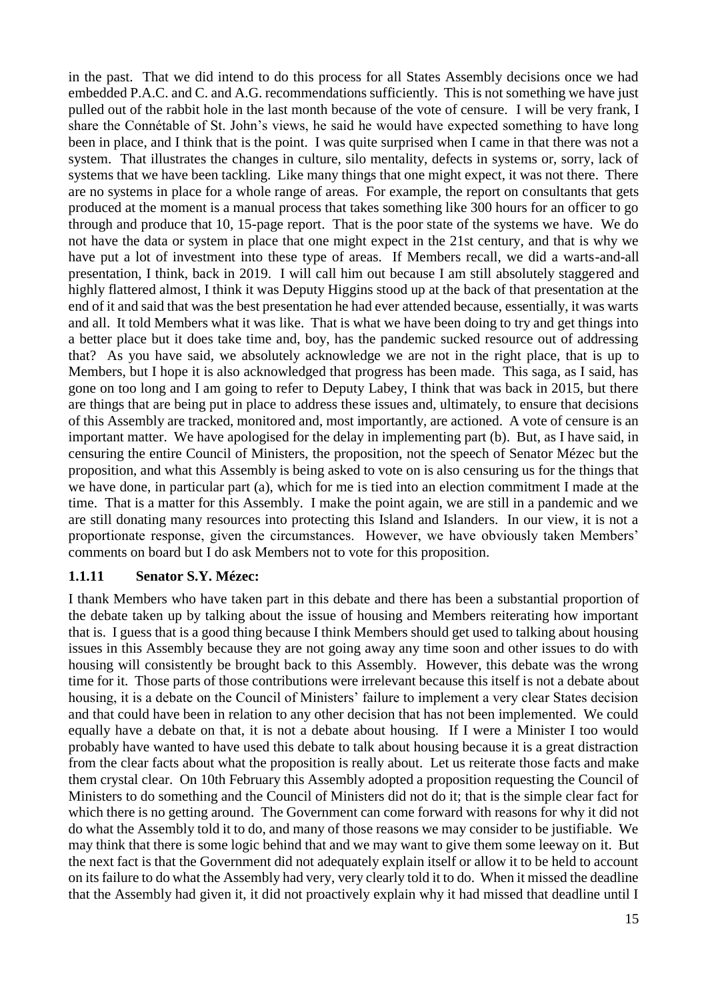in the past. That we did intend to do this process for all States Assembly decisions once we had embedded P.A.C. and C. and A.G. recommendations sufficiently. This is not something we have just pulled out of the rabbit hole in the last month because of the vote of censure. I will be very frank, I share the Connétable of St. John's views, he said he would have expected something to have long been in place, and I think that is the point. I was quite surprised when I came in that there was not a system. That illustrates the changes in culture, silo mentality, defects in systems or, sorry, lack of systems that we have been tackling. Like many things that one might expect, it was not there. There are no systems in place for a whole range of areas. For example, the report on consultants that gets produced at the moment is a manual process that takes something like 300 hours for an officer to go through and produce that 10, 15-page report. That is the poor state of the systems we have. We do not have the data or system in place that one might expect in the 21st century, and that is why we have put a lot of investment into these type of areas. If Members recall, we did a warts-and-all presentation, I think, back in 2019. I will call him out because I am still absolutely staggered and highly flattered almost, I think it was Deputy Higgins stood up at the back of that presentation at the end of it and said that was the best presentation he had ever attended because, essentially, it was warts and all. It told Members what it was like. That is what we have been doing to try and get things into a better place but it does take time and, boy, has the pandemic sucked resource out of addressing that? As you have said, we absolutely acknowledge we are not in the right place, that is up to Members, but I hope it is also acknowledged that progress has been made. This saga, as I said, has gone on too long and I am going to refer to Deputy Labey, I think that was back in 2015, but there are things that are being put in place to address these issues and, ultimately, to ensure that decisions of this Assembly are tracked, monitored and, most importantly, are actioned. A vote of censure is an important matter. We have apologised for the delay in implementing part (b). But, as I have said, in censuring the entire Council of Ministers, the proposition, not the speech of Senator Mézec but the proposition, and what this Assembly is being asked to vote on is also censuring us for the things that we have done, in particular part (a), which for me is tied into an election commitment I made at the time. That is a matter for this Assembly. I make the point again, we are still in a pandemic and we are still donating many resources into protecting this Island and Islanders. In our view, it is not a proportionate response, given the circumstances. However, we have obviously taken Members' comments on board but I do ask Members not to vote for this proposition.

#### <span id="page-14-0"></span>**1.1.11 Senator S.Y. Mézec:**

I thank Members who have taken part in this debate and there has been a substantial proportion of the debate taken up by talking about the issue of housing and Members reiterating how important that is. I guess that is a good thing because I think Members should get used to talking about housing issues in this Assembly because they are not going away any time soon and other issues to do with housing will consistently be brought back to this Assembly. However, this debate was the wrong time for it. Those parts of those contributions were irrelevant because this itself is not a debate about housing, it is a debate on the Council of Ministers' failure to implement a very clear States decision and that could have been in relation to any other decision that has not been implemented. We could equally have a debate on that, it is not a debate about housing. If I were a Minister I too would probably have wanted to have used this debate to talk about housing because it is a great distraction from the clear facts about what the proposition is really about. Let us reiterate those facts and make them crystal clear. On 10th February this Assembly adopted a proposition requesting the Council of Ministers to do something and the Council of Ministers did not do it; that is the simple clear fact for which there is no getting around. The Government can come forward with reasons for why it did not do what the Assembly told it to do, and many of those reasons we may consider to be justifiable. We may think that there is some logic behind that and we may want to give them some leeway on it. But the next fact is that the Government did not adequately explain itself or allow it to be held to account on its failure to do what the Assembly had very, very clearly told it to do. When it missed the deadline that the Assembly had given it, it did not proactively explain why it had missed that deadline until I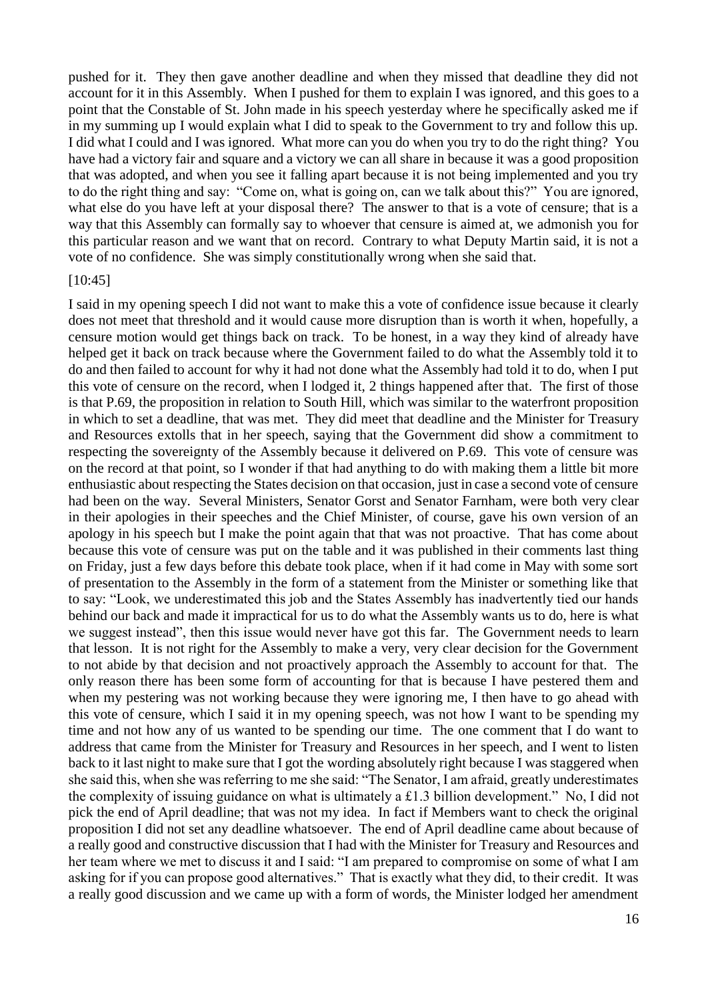pushed for it. They then gave another deadline and when they missed that deadline they did not account for it in this Assembly. When I pushed for them to explain I was ignored, and this goes to a point that the Constable of St. John made in his speech yesterday where he specifically asked me if in my summing up I would explain what I did to speak to the Government to try and follow this up. I did what I could and I was ignored. What more can you do when you try to do the right thing? You have had a victory fair and square and a victory we can all share in because it was a good proposition that was adopted, and when you see it falling apart because it is not being implemented and you try to do the right thing and say: "Come on, what is going on, can we talk about this?" You are ignored, what else do you have left at your disposal there? The answer to that is a vote of censure; that is a way that this Assembly can formally say to whoever that censure is aimed at, we admonish you for this particular reason and we want that on record. Contrary to what Deputy Martin said, it is not a vote of no confidence. She was simply constitutionally wrong when she said that.

#### [10:45]

I said in my opening speech I did not want to make this a vote of confidence issue because it clearly does not meet that threshold and it would cause more disruption than is worth it when, hopefully, a censure motion would get things back on track. To be honest, in a way they kind of already have helped get it back on track because where the Government failed to do what the Assembly told it to do and then failed to account for why it had not done what the Assembly had told it to do, when I put this vote of censure on the record, when I lodged it, 2 things happened after that. The first of those is that P.69, the proposition in relation to South Hill, which was similar to the waterfront proposition in which to set a deadline, that was met. They did meet that deadline and the Minister for Treasury and Resources extolls that in her speech, saying that the Government did show a commitment to respecting the sovereignty of the Assembly because it delivered on P.69. This vote of censure was on the record at that point, so I wonder if that had anything to do with making them a little bit more enthusiastic about respecting the States decision on that occasion, just in case a second vote of censure had been on the way. Several Ministers, Senator Gorst and Senator Farnham, were both very clear in their apologies in their speeches and the Chief Minister, of course, gave his own version of an apology in his speech but I make the point again that that was not proactive. That has come about because this vote of censure was put on the table and it was published in their comments last thing on Friday, just a few days before this debate took place, when if it had come in May with some sort of presentation to the Assembly in the form of a statement from the Minister or something like that to say: "Look, we underestimated this job and the States Assembly has inadvertently tied our hands behind our back and made it impractical for us to do what the Assembly wants us to do, here is what we suggest instead", then this issue would never have got this far. The Government needs to learn that lesson. It is not right for the Assembly to make a very, very clear decision for the Government to not abide by that decision and not proactively approach the Assembly to account for that. The only reason there has been some form of accounting for that is because I have pestered them and when my pestering was not working because they were ignoring me, I then have to go ahead with this vote of censure, which I said it in my opening speech, was not how I want to be spending my time and not how any of us wanted to be spending our time. The one comment that I do want to address that came from the Minister for Treasury and Resources in her speech, and I went to listen back to it last night to make sure that I got the wording absolutely right because I was staggered when she said this, when she was referring to me she said: "The Senator, I am afraid, greatly underestimates the complexity of issuing guidance on what is ultimately a £1.3 billion development." No, I did not pick the end of April deadline; that was not my idea. In fact if Members want to check the original proposition I did not set any deadline whatsoever. The end of April deadline came about because of a really good and constructive discussion that I had with the Minister for Treasury and Resources and her team where we met to discuss it and I said: "I am prepared to compromise on some of what I am asking for if you can propose good alternatives." That is exactly what they did, to their credit. It was a really good discussion and we came up with a form of words, the Minister lodged her amendment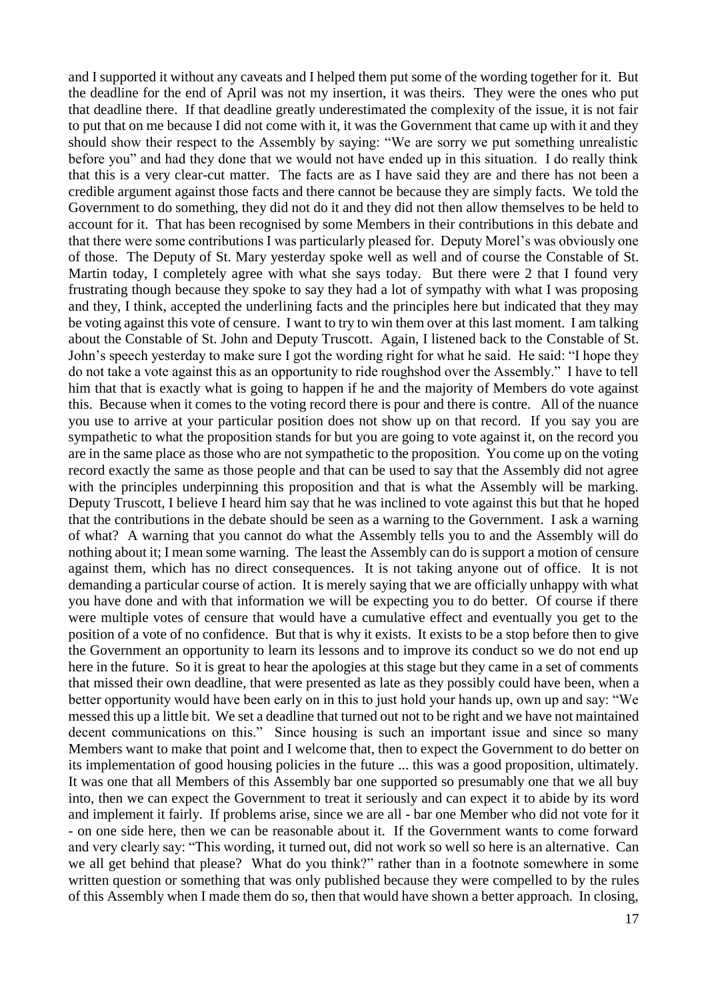and I supported it without any caveats and I helped them put some of the wording together for it. But the deadline for the end of April was not my insertion, it was theirs. They were the ones who put that deadline there. If that deadline greatly underestimated the complexity of the issue, it is not fair to put that on me because I did not come with it, it was the Government that came up with it and they should show their respect to the Assembly by saying: "We are sorry we put something unrealistic before you" and had they done that we would not have ended up in this situation. I do really think that this is a very clear-cut matter. The facts are as I have said they are and there has not been a credible argument against those facts and there cannot be because they are simply facts. We told the Government to do something, they did not do it and they did not then allow themselves to be held to account for it. That has been recognised by some Members in their contributions in this debate and that there were some contributions I was particularly pleased for. Deputy Morel's was obviously one of those. The Deputy of St. Mary yesterday spoke well as well and of course the Constable of St. Martin today, I completely agree with what she says today. But there were 2 that I found very frustrating though because they spoke to say they had a lot of sympathy with what I was proposing and they, I think, accepted the underlining facts and the principles here but indicated that they may be voting against this vote of censure. I want to try to win them over at this last moment. I am talking about the Constable of St. John and Deputy Truscott. Again, I listened back to the Constable of St. John's speech yesterday to make sure I got the wording right for what he said. He said: "I hope they do not take a vote against this as an opportunity to ride roughshod over the Assembly." I have to tell him that that is exactly what is going to happen if he and the majority of Members do vote against this. Because when it comes to the voting record there is pour and there is contre. All of the nuance you use to arrive at your particular position does not show up on that record. If you say you are sympathetic to what the proposition stands for but you are going to vote against it, on the record you are in the same place as those who are not sympathetic to the proposition. You come up on the voting record exactly the same as those people and that can be used to say that the Assembly did not agree with the principles underpinning this proposition and that is what the Assembly will be marking. Deputy Truscott, I believe I heard him say that he was inclined to vote against this but that he hoped that the contributions in the debate should be seen as a warning to the Government. I ask a warning of what? A warning that you cannot do what the Assembly tells you to and the Assembly will do nothing about it; I mean some warning. The least the Assembly can do is support a motion of censure against them, which has no direct consequences. It is not taking anyone out of office. It is not demanding a particular course of action. It is merely saying that we are officially unhappy with what you have done and with that information we will be expecting you to do better. Of course if there were multiple votes of censure that would have a cumulative effect and eventually you get to the position of a vote of no confidence. But that is why it exists. It exists to be a stop before then to give the Government an opportunity to learn its lessons and to improve its conduct so we do not end up here in the future. So it is great to hear the apologies at this stage but they came in a set of comments that missed their own deadline, that were presented as late as they possibly could have been, when a better opportunity would have been early on in this to just hold your hands up, own up and say: "We messed this up a little bit. We set a deadline that turned out not to be right and we have not maintained decent communications on this." Since housing is such an important issue and since so many Members want to make that point and I welcome that, then to expect the Government to do better on its implementation of good housing policies in the future ... this was a good proposition, ultimately. It was one that all Members of this Assembly bar one supported so presumably one that we all buy into, then we can expect the Government to treat it seriously and can expect it to abide by its word and implement it fairly. If problems arise, since we are all - bar one Member who did not vote for it - on one side here, then we can be reasonable about it. If the Government wants to come forward and very clearly say: "This wording, it turned out, did not work so well so here is an alternative. Can we all get behind that please? What do you think?" rather than in a footnote somewhere in some written question or something that was only published because they were compelled to by the rules of this Assembly when I made them do so, then that would have shown a better approach. In closing,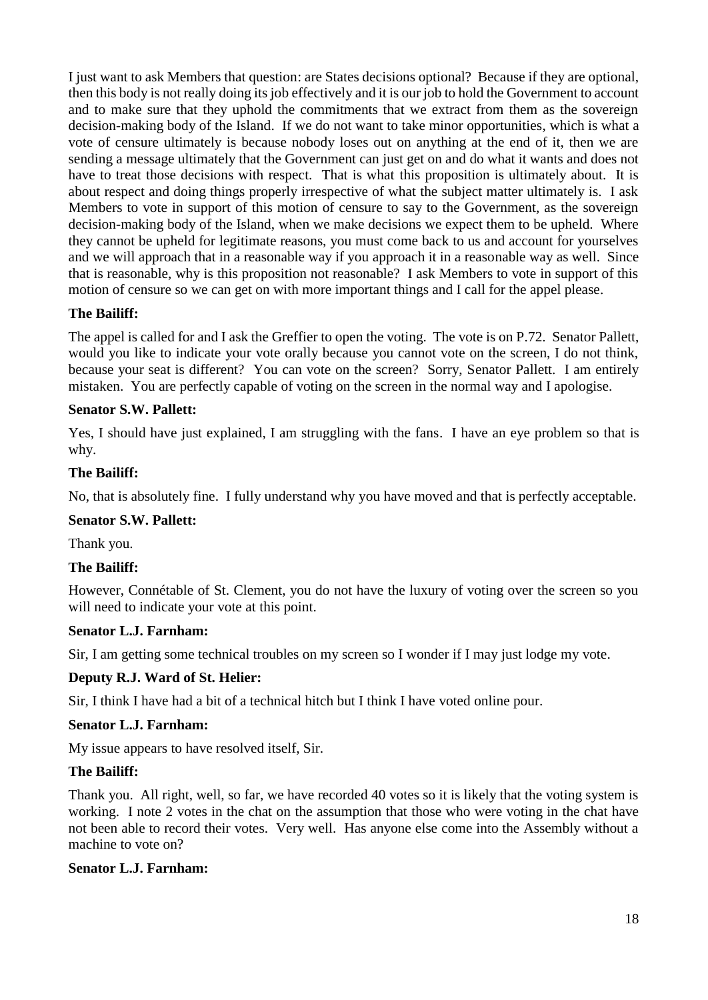I just want to ask Members that question: are States decisions optional? Because if they are optional, then this body is not really doing its job effectively and it is our job to hold the Government to account and to make sure that they uphold the commitments that we extract from them as the sovereign decision-making body of the Island. If we do not want to take minor opportunities, which is what a vote of censure ultimately is because nobody loses out on anything at the end of it, then we are sending a message ultimately that the Government can just get on and do what it wants and does not have to treat those decisions with respect. That is what this proposition is ultimately about. It is about respect and doing things properly irrespective of what the subject matter ultimately is. I ask Members to vote in support of this motion of censure to say to the Government, as the sovereign decision-making body of the Island, when we make decisions we expect them to be upheld. Where they cannot be upheld for legitimate reasons, you must come back to us and account for yourselves and we will approach that in a reasonable way if you approach it in a reasonable way as well. Since that is reasonable, why is this proposition not reasonable? I ask Members to vote in support of this motion of censure so we can get on with more important things and I call for the appel please.

### **The Bailiff:**

The appel is called for and I ask the Greffier to open the voting. The vote is on P.72. Senator Pallett, would you like to indicate your vote orally because you cannot vote on the screen, I do not think, because your seat is different? You can vote on the screen? Sorry, Senator Pallett. I am entirely mistaken. You are perfectly capable of voting on the screen in the normal way and I apologise.

### **Senator S.W. Pallett:**

Yes, I should have just explained, I am struggling with the fans. I have an eye problem so that is why.

### **The Bailiff:**

No, that is absolutely fine. I fully understand why you have moved and that is perfectly acceptable.

### **Senator S.W. Pallett:**

Thank you.

### **The Bailiff:**

However, Connétable of St. Clement, you do not have the luxury of voting over the screen so you will need to indicate your vote at this point.

### **Senator L.J. Farnham:**

Sir, I am getting some technical troubles on my screen so I wonder if I may just lodge my vote.

### **Deputy R.J. Ward of St. Helier:**

Sir, I think I have had a bit of a technical hitch but I think I have voted online pour.

#### **Senator L.J. Farnham:**

My issue appears to have resolved itself, Sir.

### **The Bailiff:**

Thank you. All right, well, so far, we have recorded 40 votes so it is likely that the voting system is working. I note 2 votes in the chat on the assumption that those who were voting in the chat have not been able to record their votes. Very well. Has anyone else come into the Assembly without a machine to vote on?

### **Senator L.J. Farnham:**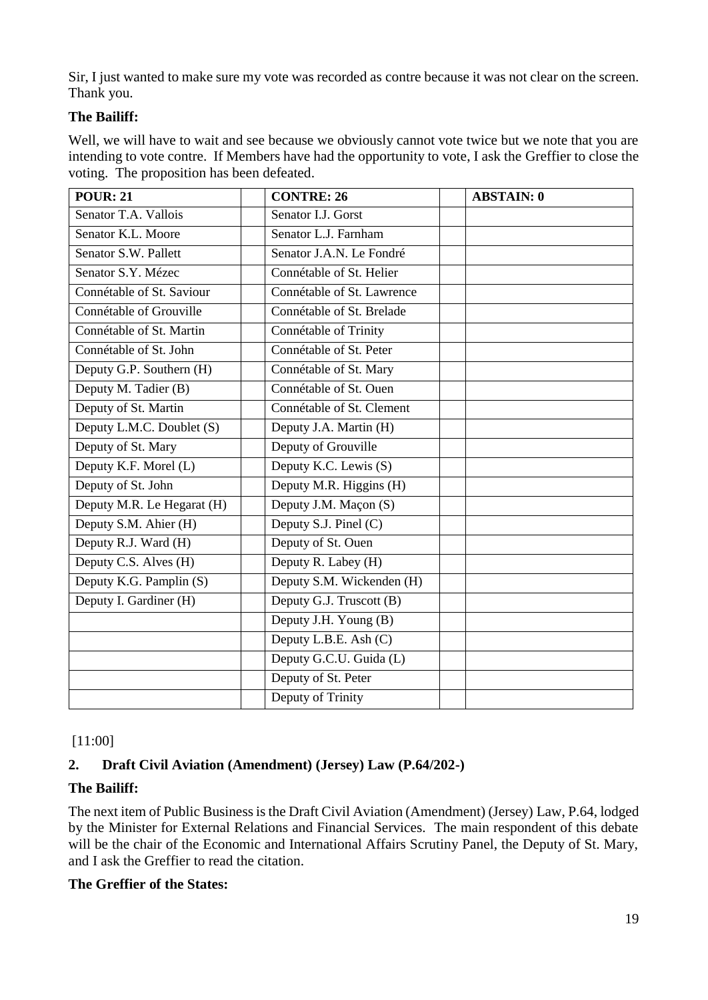Sir, I just wanted to make sure my vote was recorded as contre because it was not clear on the screen. Thank you.

# **The Bailiff:**

Well, we will have to wait and see because we obviously cannot vote twice but we note that you are intending to vote contre. If Members have had the opportunity to vote, I ask the Greffier to close the voting. The proposition has been defeated.

| <b>POUR: 21</b>            | <b>CONTRE: 26</b>          | <b>ABSTAIN: 0</b> |
|----------------------------|----------------------------|-------------------|
| Senator T.A. Vallois       | Senator I.J. Gorst         |                   |
| Senator K.L. Moore         | Senator L.J. Farnham       |                   |
| Senator S.W. Pallett       | Senator J.A.N. Le Fondré   |                   |
| Senator S.Y. Mézec         | Connétable of St. Helier   |                   |
| Connétable of St. Saviour  | Connétable of St. Lawrence |                   |
| Connétable of Grouville    | Connétable of St. Brelade  |                   |
| Connétable of St. Martin   | Connétable of Trinity      |                   |
| Connétable of St. John     | Connétable of St. Peter    |                   |
| Deputy G.P. Southern (H)   | Connétable of St. Mary     |                   |
| Deputy M. Tadier (B)       | Connétable of St. Ouen     |                   |
| Deputy of St. Martin       | Connétable of St. Clement  |                   |
| Deputy L.M.C. Doublet (S)  | Deputy J.A. Martin (H)     |                   |
| Deputy of St. Mary         | Deputy of Grouville        |                   |
| Deputy K.F. Morel (L)      | Deputy K.C. Lewis (S)      |                   |
| Deputy of St. John         | Deputy M.R. Higgins (H)    |                   |
| Deputy M.R. Le Hegarat (H) | Deputy J.M. Maçon (S)      |                   |
| Deputy S.M. Ahier (H)      | Deputy S.J. Pinel (C)      |                   |
| Deputy R.J. Ward (H)       | Deputy of St. Ouen         |                   |
| Deputy C.S. Alves (H)      | Deputy R. Labey (H)        |                   |
| Deputy K.G. Pamplin (S)    | Deputy S.M. Wickenden (H)  |                   |
| Deputy I. Gardiner (H)     | Deputy G.J. Truscott (B)   |                   |
|                            | Deputy J.H. Young (B)      |                   |
|                            | Deputy L.B.E. Ash (C)      |                   |
|                            | Deputy G.C.U. Guida (L)    |                   |
|                            | Deputy of St. Peter        |                   |
|                            | Deputy of Trinity          |                   |

### [11:00]

### <span id="page-18-0"></span>**2. Draft Civil Aviation (Amendment) (Jersey) Law (P.64/202-)**

### **The Bailiff:**

The next item of Public Business is the Draft Civil Aviation (Amendment) (Jersey) Law, P.64, lodged by the Minister for External Relations and Financial Services. The main respondent of this debate will be the chair of the Economic and International Affairs Scrutiny Panel, the Deputy of St. Mary, and I ask the Greffier to read the citation.

### **The Greffier of the States:**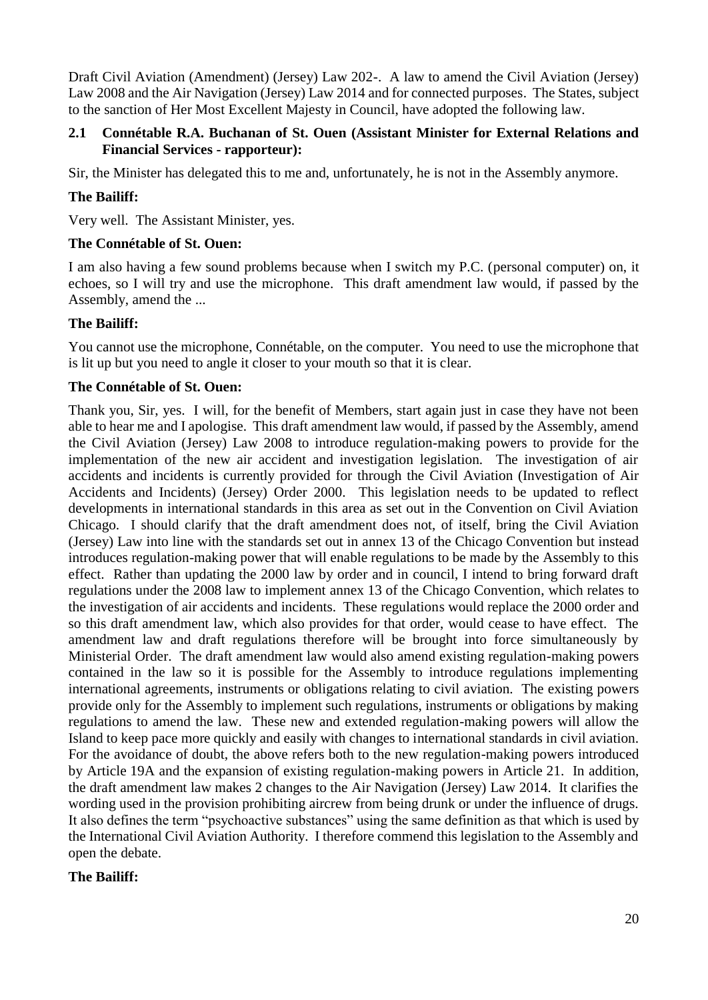Draft Civil Aviation (Amendment) (Jersey) Law 202-. A law to amend the Civil Aviation (Jersey) Law 2008 and the Air Navigation (Jersey) Law 2014 and for connected purposes. The States, subject to the sanction of Her Most Excellent Majesty in Council, have adopted the following law.

### <span id="page-19-0"></span>**2.1 Connétable R.A. Buchanan of St. Ouen (Assistant Minister for External Relations and Financial Services - rapporteur):**

Sir, the Minister has delegated this to me and, unfortunately, he is not in the Assembly anymore.

### **The Bailiff:**

Very well. The Assistant Minister, yes.

#### **The Connétable of St. Ouen:**

I am also having a few sound problems because when I switch my P.C. (personal computer) on, it echoes, so I will try and use the microphone. This draft amendment law would, if passed by the Assembly, amend the ...

#### **The Bailiff:**

You cannot use the microphone, Connétable, on the computer. You need to use the microphone that is lit up but you need to angle it closer to your mouth so that it is clear.

#### **The Connétable of St. Ouen:**

Thank you, Sir, yes. I will, for the benefit of Members, start again just in case they have not been able to hear me and I apologise. This draft amendment law would, if passed by the Assembly, amend the Civil Aviation (Jersey) Law 2008 to introduce regulation-making powers to provide for the implementation of the new air accident and investigation legislation. The investigation of air accidents and incidents is currently provided for through the Civil Aviation (Investigation of Air Accidents and Incidents) (Jersey) Order 2000. This legislation needs to be updated to reflect developments in international standards in this area as set out in the Convention on Civil Aviation Chicago. I should clarify that the draft amendment does not, of itself, bring the Civil Aviation (Jersey) Law into line with the standards set out in annex 13 of the Chicago Convention but instead introduces regulation-making power that will enable regulations to be made by the Assembly to this effect. Rather than updating the 2000 law by order and in council, I intend to bring forward draft regulations under the 2008 law to implement annex 13 of the Chicago Convention, which relates to the investigation of air accidents and incidents. These regulations would replace the 2000 order and so this draft amendment law, which also provides for that order, would cease to have effect. The amendment law and draft regulations therefore will be brought into force simultaneously by Ministerial Order. The draft amendment law would also amend existing regulation-making powers contained in the law so it is possible for the Assembly to introduce regulations implementing international agreements, instruments or obligations relating to civil aviation. The existing powers provide only for the Assembly to implement such regulations, instruments or obligations by making regulations to amend the law. These new and extended regulation-making powers will allow the Island to keep pace more quickly and easily with changes to international standards in civil aviation. For the avoidance of doubt, the above refers both to the new regulation-making powers introduced by Article 19A and the expansion of existing regulation-making powers in Article 21. In addition, the draft amendment law makes 2 changes to the Air Navigation (Jersey) Law 2014. It clarifies the wording used in the provision prohibiting aircrew from being drunk or under the influence of drugs. It also defines the term "psychoactive substances" using the same definition as that which is used by the International Civil Aviation Authority. I therefore commend this legislation to the Assembly and open the debate.

#### **The Bailiff:**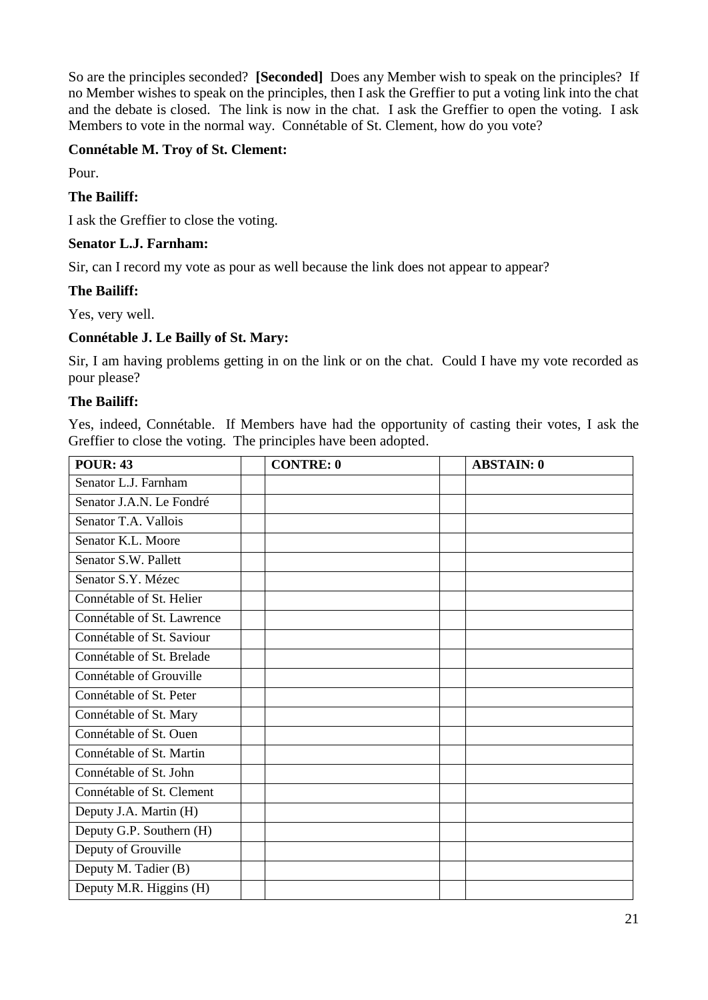So are the principles seconded? **[Seconded]** Does any Member wish to speak on the principles? If no Member wishes to speak on the principles, then I ask the Greffier to put a voting link into the chat and the debate is closed. The link is now in the chat. I ask the Greffier to open the voting. I ask Members to vote in the normal way. Connétable of St. Clement, how do you vote?

### **Connétable M. Troy of St. Clement:**

Pour.

#### **The Bailiff:**

I ask the Greffier to close the voting.

#### **Senator L.J. Farnham:**

Sir, can I record my vote as pour as well because the link does not appear to appear?

#### **The Bailiff:**

Yes, very well.

### **Connétable J. Le Bailly of St. Mary:**

Sir, I am having problems getting in on the link or on the chat. Could I have my vote recorded as pour please?

#### **The Bailiff:**

Yes, indeed, Connétable. If Members have had the opportunity of casting their votes, I ask the Greffier to close the voting. The principles have been adopted.

| <b>POUR: 43</b>            | <b>CONTRE: 0</b> | <b>ABSTAIN: 0</b> |
|----------------------------|------------------|-------------------|
| Senator L.J. Farnham       |                  |                   |
| Senator J.A.N. Le Fondré   |                  |                   |
| Senator T.A. Vallois       |                  |                   |
| Senator K.L. Moore         |                  |                   |
| Senator S.W. Pallett       |                  |                   |
| Senator S.Y. Mézec         |                  |                   |
| Connétable of St. Helier   |                  |                   |
| Connétable of St. Lawrence |                  |                   |
| Connétable of St. Saviour  |                  |                   |
| Connétable of St. Brelade  |                  |                   |
| Connétable of Grouville    |                  |                   |
| Connétable of St. Peter    |                  |                   |
| Connétable of St. Mary     |                  |                   |
| Connétable of St. Ouen     |                  |                   |
| Connétable of St. Martin   |                  |                   |
| Connétable of St. John     |                  |                   |
| Connétable of St. Clement  |                  |                   |
| Deputy J.A. Martin (H)     |                  |                   |
| Deputy G.P. Southern (H)   |                  |                   |
| Deputy of Grouville        |                  |                   |
| Deputy M. Tadier (B)       |                  |                   |
| Deputy M.R. Higgins (H)    |                  |                   |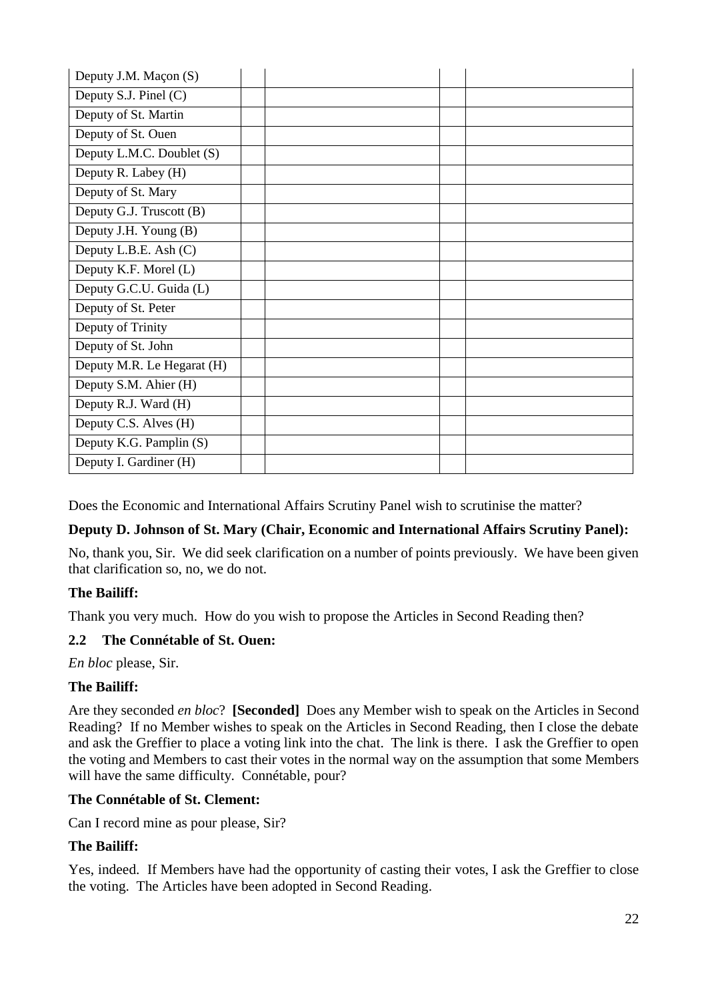| Deputy J.M. Maçon (S)      |  |  |
|----------------------------|--|--|
| Deputy S.J. Pinel (C)      |  |  |
| Deputy of St. Martin       |  |  |
| Deputy of St. Ouen         |  |  |
| Deputy L.M.C. Doublet (S)  |  |  |
| Deputy R. Labey (H)        |  |  |
| Deputy of St. Mary         |  |  |
| Deputy G.J. Truscott (B)   |  |  |
| Deputy J.H. Young (B)      |  |  |
| Deputy L.B.E. Ash (C)      |  |  |
| Deputy K.F. Morel (L)      |  |  |
| Deputy G.C.U. Guida (L)    |  |  |
| Deputy of St. Peter        |  |  |
| Deputy of Trinity          |  |  |
| Deputy of St. John         |  |  |
| Deputy M.R. Le Hegarat (H) |  |  |
| Deputy S.M. Ahier (H)      |  |  |
| Deputy R.J. Ward (H)       |  |  |
| Deputy C.S. Alves (H)      |  |  |
| Deputy K.G. Pamplin (S)    |  |  |
| Deputy I. Gardiner (H)     |  |  |

Does the Economic and International Affairs Scrutiny Panel wish to scrutinise the matter?

### **Deputy D. Johnson of St. Mary (Chair, Economic and International Affairs Scrutiny Panel):**

No, thank you, Sir. We did seek clarification on a number of points previously. We have been given that clarification so, no, we do not.

### **The Bailiff:**

Thank you very much. How do you wish to propose the Articles in Second Reading then?

### <span id="page-21-0"></span>**2.2 The Connétable of St. Ouen:**

*En bloc* please, Sir.

### **The Bailiff:**

Are they seconded *en bloc*? **[Seconded]** Does any Member wish to speak on the Articles in Second Reading? If no Member wishes to speak on the Articles in Second Reading, then I close the debate and ask the Greffier to place a voting link into the chat. The link is there. I ask the Greffier to open the voting and Members to cast their votes in the normal way on the assumption that some Members will have the same difficulty. Connétable, pour?

### **The Connétable of St. Clement:**

Can I record mine as pour please, Sir?

### **The Bailiff:**

Yes, indeed. If Members have had the opportunity of casting their votes, I ask the Greffier to close the voting. The Articles have been adopted in Second Reading.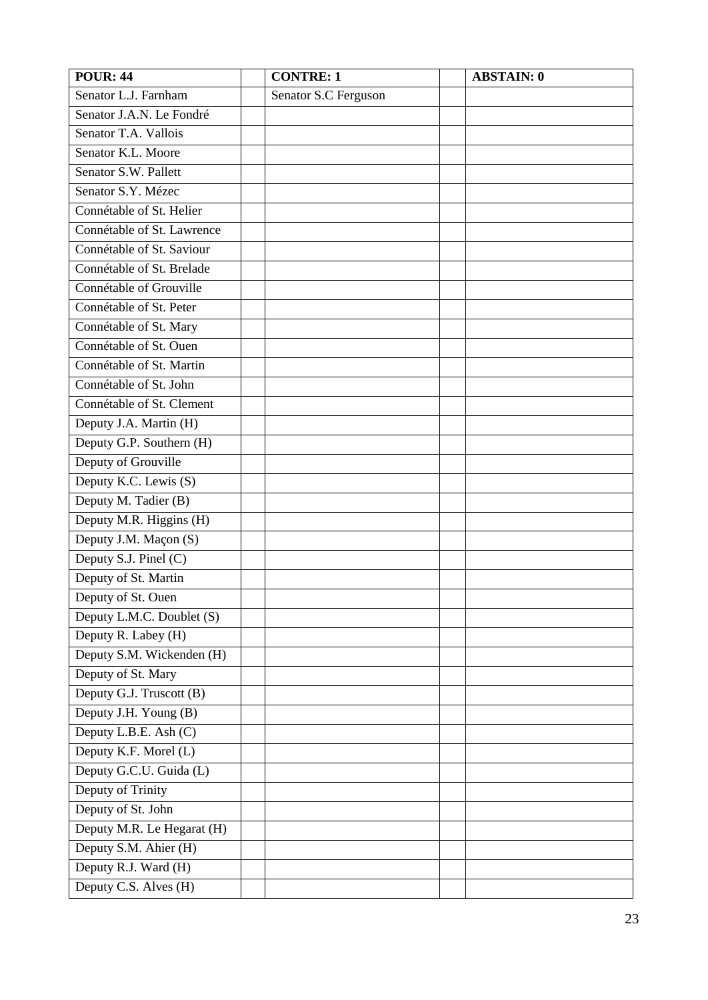| <b>POUR: 44</b>            | <b>CONTRE: 1</b>     | <b>ABSTAIN: 0</b> |
|----------------------------|----------------------|-------------------|
| Senator L.J. Farnham       | Senator S.C Ferguson |                   |
| Senator J.A.N. Le Fondré   |                      |                   |
| Senator T.A. Vallois       |                      |                   |
| Senator K.L. Moore         |                      |                   |
| Senator S.W. Pallett       |                      |                   |
| Senator S.Y. Mézec         |                      |                   |
| Connétable of St. Helier   |                      |                   |
| Connétable of St. Lawrence |                      |                   |
| Connétable of St. Saviour  |                      |                   |
| Connétable of St. Brelade  |                      |                   |
| Connétable of Grouville    |                      |                   |
| Connétable of St. Peter    |                      |                   |
| Connétable of St. Mary     |                      |                   |
| Connétable of St. Ouen     |                      |                   |
| Connétable of St. Martin   |                      |                   |
| Connétable of St. John     |                      |                   |
| Connétable of St. Clement  |                      |                   |
| Deputy J.A. Martin (H)     |                      |                   |
| Deputy G.P. Southern (H)   |                      |                   |
| Deputy of Grouville        |                      |                   |
| Deputy K.C. Lewis (S)      |                      |                   |
| Deputy M. Tadier (B)       |                      |                   |
| Deputy M.R. Higgins (H)    |                      |                   |
| Deputy J.M. Maçon (S)      |                      |                   |
| Deputy S.J. Pinel (C)      |                      |                   |
| Deputy of St. Martin       |                      |                   |
| Deputy of St. Ouen         |                      |                   |
| Deputy L.M.C. Doublet (S)  |                      |                   |
| Deputy R. Labey (H)        |                      |                   |
| Deputy S.M. Wickenden (H)  |                      |                   |
| Deputy of St. Mary         |                      |                   |
| Deputy G.J. Truscott (B)   |                      |                   |
| Deputy J.H. Young (B)      |                      |                   |
| Deputy L.B.E. Ash (C)      |                      |                   |
| Deputy K.F. Morel (L)      |                      |                   |
| Deputy G.C.U. Guida (L)    |                      |                   |
| Deputy of Trinity          |                      |                   |
| Deputy of St. John         |                      |                   |
| Deputy M.R. Le Hegarat (H) |                      |                   |
| Deputy S.M. Ahier (H)      |                      |                   |
| Deputy R.J. Ward (H)       |                      |                   |
| Deputy C.S. Alves (H)      |                      |                   |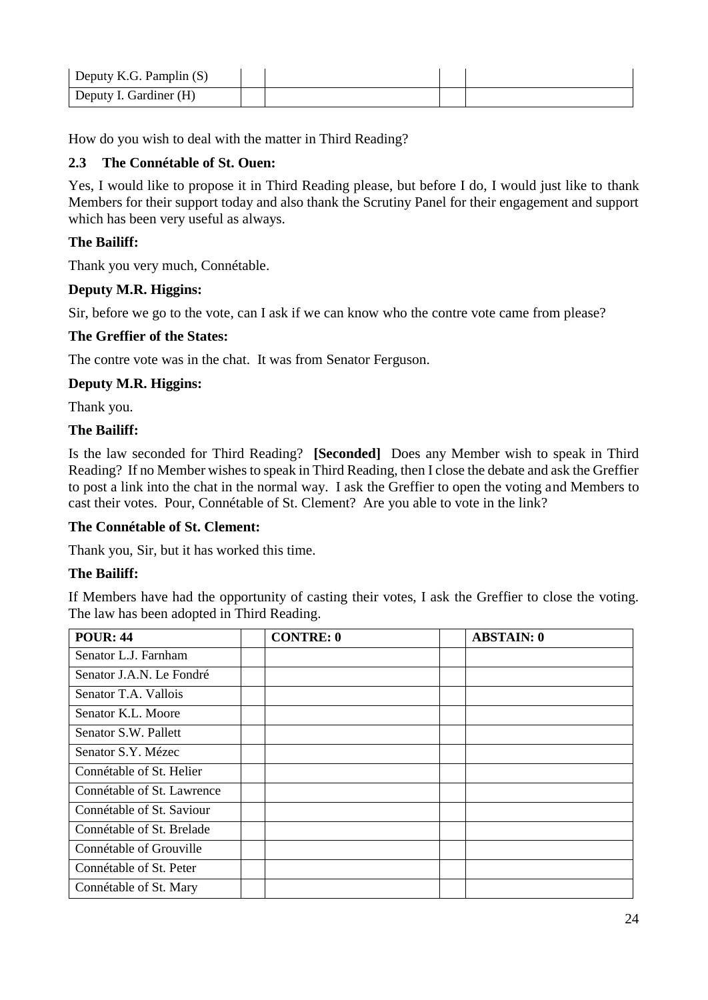| Deputy K.G. Pamplin $(S)$ |  |  |
|---------------------------|--|--|
| Deputy I. Gardiner (H)    |  |  |

How do you wish to deal with the matter in Third Reading?

### <span id="page-23-0"></span>**2.3 The Connétable of St. Ouen:**

Yes, I would like to propose it in Third Reading please, but before I do, I would just like to thank Members for their support today and also thank the Scrutiny Panel for their engagement and support which has been very useful as always.

### **The Bailiff:**

Thank you very much, Connétable.

#### **Deputy M.R. Higgins:**

Sir, before we go to the vote, can I ask if we can know who the contre vote came from please?

#### **The Greffier of the States:**

The contre vote was in the chat. It was from Senator Ferguson.

#### **Deputy M.R. Higgins:**

Thank you.

#### **The Bailiff:**

Is the law seconded for Third Reading? **[Seconded]** Does any Member wish to speak in Third Reading? If no Member wishes to speak in Third Reading, then I close the debate and ask the Greffier to post a link into the chat in the normal way. I ask the Greffier to open the voting and Members to cast their votes. Pour, Connétable of St. Clement? Are you able to vote in the link?

#### **The Connétable of St. Clement:**

Thank you, Sir, but it has worked this time.

### **The Bailiff:**

If Members have had the opportunity of casting their votes, I ask the Greffier to close the voting. The law has been adopted in Third Reading.

| <b>POUR: 44</b>            | <b>CONTRE: 0</b> | <b>ABSTAIN: 0</b> |
|----------------------------|------------------|-------------------|
| Senator L.J. Farnham       |                  |                   |
| Senator J.A.N. Le Fondré   |                  |                   |
| Senator T.A. Vallois       |                  |                   |
| Senator K.L. Moore         |                  |                   |
| Senator S.W. Pallett       |                  |                   |
| Senator S.Y. Mézec         |                  |                   |
| Connétable of St. Helier   |                  |                   |
| Connétable of St. Lawrence |                  |                   |
| Connétable of St. Saviour  |                  |                   |
| Connétable of St. Brelade  |                  |                   |
| Connétable of Grouville    |                  |                   |
| Connétable of St. Peter    |                  |                   |
| Connétable of St. Mary     |                  |                   |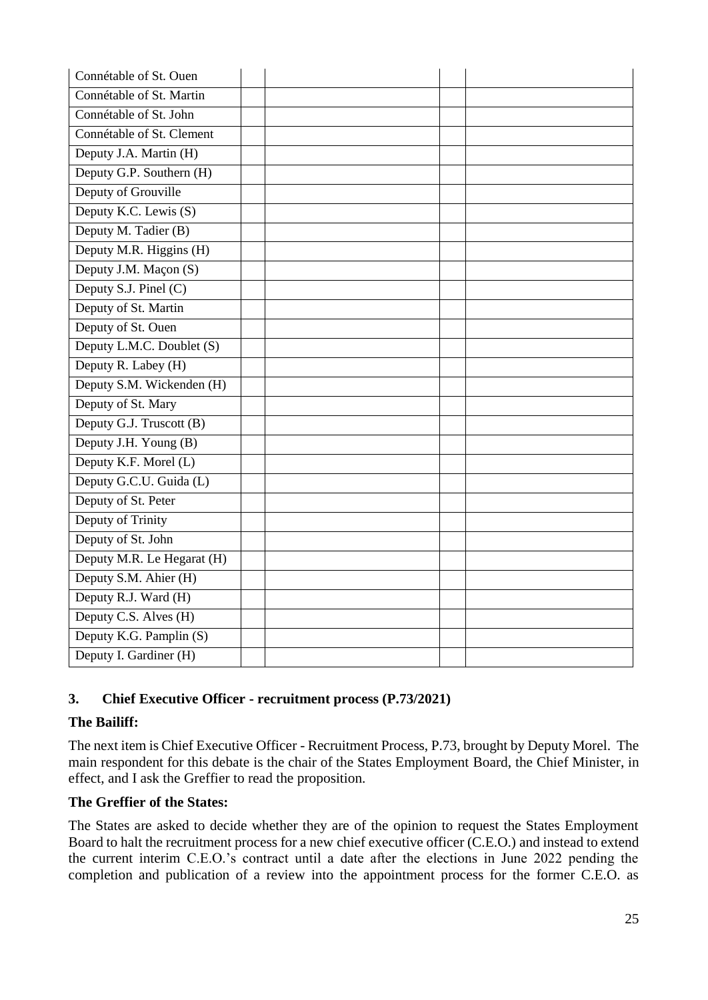| Connétable of St. Ouen     |  |
|----------------------------|--|
| Connétable of St. Martin   |  |
| Connétable of St. John     |  |
| Connétable of St. Clement  |  |
| Deputy J.A. Martin (H)     |  |
| Deputy G.P. Southern (H)   |  |
| Deputy of Grouville        |  |
| Deputy K.C. Lewis (S)      |  |
| Deputy M. Tadier (B)       |  |
| Deputy M.R. Higgins (H)    |  |
| Deputy J.M. Maçon (S)      |  |
| Deputy S.J. Pinel (C)      |  |
| Deputy of St. Martin       |  |
| Deputy of St. Ouen         |  |
| Deputy L.M.C. Doublet (S)  |  |
| Deputy R. Labey (H)        |  |
| Deputy S.M. Wickenden (H)  |  |
| Deputy of St. Mary         |  |
| Deputy G.J. Truscott (B)   |  |
| Deputy J.H. Young (B)      |  |
| Deputy K.F. Morel (L)      |  |
| Deputy G.C.U. Guida (L)    |  |
| Deputy of St. Peter        |  |
| Deputy of Trinity          |  |
| Deputy of St. John         |  |
| Deputy M.R. Le Hegarat (H) |  |
| Deputy S.M. Ahier (H)      |  |
| Deputy R.J. Ward (H)       |  |
| Deputy C.S. Alves (H)      |  |
| Deputy K.G. Pamplin (S)    |  |
| Deputy I. Gardiner (H)     |  |

### <span id="page-24-0"></span>**3. Chief Executive Officer - recruitment process (P.73/2021)**

### **The Bailiff:**

The next item is Chief Executive Officer - Recruitment Process, P.73, brought by Deputy Morel. The main respondent for this debate is the chair of the States Employment Board, the Chief Minister, in effect, and I ask the Greffier to read the proposition.

### **The Greffier of the States:**

The States are asked to decide whether they are of the opinion to request the States Employment Board to halt the recruitment process for a new chief executive officer (C.E.O.) and instead to extend the current interim C.E.O.'s contract until a date after the elections in June 2022 pending the completion and publication of a review into the appointment process for the former C.E.O. as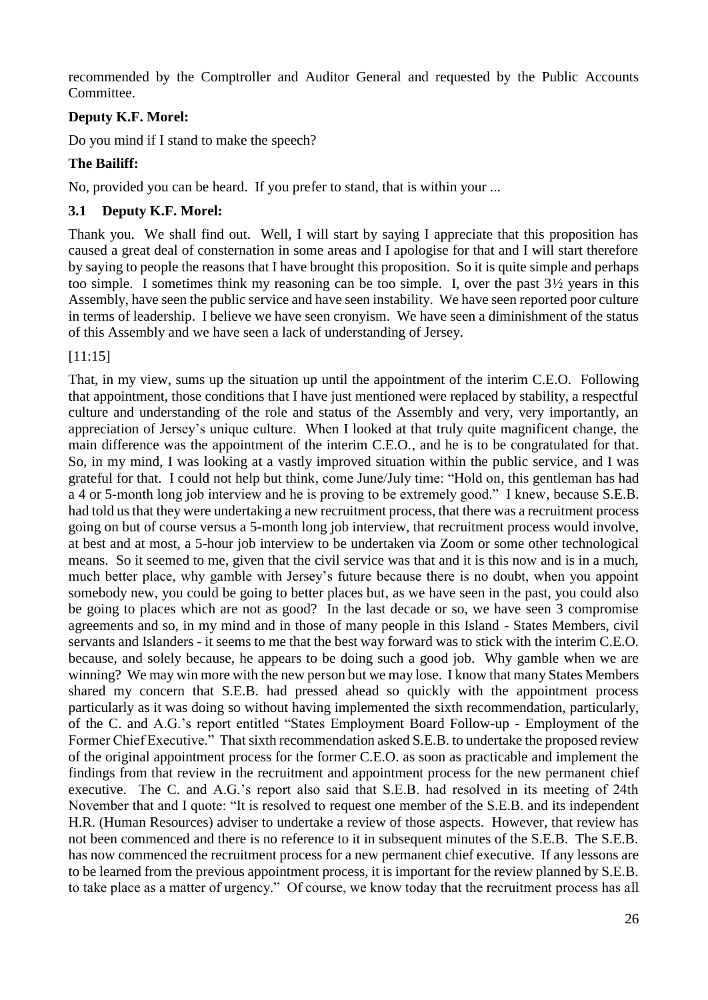recommended by the Comptroller and Auditor General and requested by the Public Accounts Committee.

### **Deputy K.F. Morel:**

Do you mind if I stand to make the speech?

### **The Bailiff:**

No, provided you can be heard. If you prefer to stand, that is within your ...

### <span id="page-25-0"></span>**3.1 Deputy K.F. Morel:**

Thank you. We shall find out. Well, I will start by saying I appreciate that this proposition has caused a great deal of consternation in some areas and I apologise for that and I will start therefore by saying to people the reasons that I have brought this proposition. So it is quite simple and perhaps too simple. I sometimes think my reasoning can be too simple. I, over the past 3½ years in this Assembly, have seen the public service and have seen instability. We have seen reported poor culture in terms of leadership. I believe we have seen cronyism. We have seen a diminishment of the status of this Assembly and we have seen a lack of understanding of Jersey.

### [11:15]

That, in my view, sums up the situation up until the appointment of the interim C.E.O. Following that appointment, those conditions that I have just mentioned were replaced by stability, a respectful culture and understanding of the role and status of the Assembly and very, very importantly, an appreciation of Jersey's unique culture. When I looked at that truly quite magnificent change, the main difference was the appointment of the interim C.E.O., and he is to be congratulated for that. So, in my mind, I was looking at a vastly improved situation within the public service, and I was grateful for that. I could not help but think, come June/July time: "Hold on, this gentleman has had a 4 or 5-month long job interview and he is proving to be extremely good." I knew, because S.E.B. had told us that they were undertaking a new recruitment process, that there was a recruitment process going on but of course versus a 5-month long job interview, that recruitment process would involve, at best and at most, a 5-hour job interview to be undertaken via Zoom or some other technological means. So it seemed to me, given that the civil service was that and it is this now and is in a much, much better place, why gamble with Jersey's future because there is no doubt, when you appoint somebody new, you could be going to better places but, as we have seen in the past, you could also be going to places which are not as good? In the last decade or so, we have seen 3 compromise agreements and so, in my mind and in those of many people in this Island - States Members, civil servants and Islanders - it seems to me that the best way forward was to stick with the interim C.E.O. because, and solely because, he appears to be doing such a good job. Why gamble when we are winning? We may win more with the new person but we may lose. I know that many States Members shared my concern that S.E.B. had pressed ahead so quickly with the appointment process particularly as it was doing so without having implemented the sixth recommendation, particularly, of the C. and A.G.'s report entitled "States Employment Board Follow-up - Employment of the Former Chief Executive." That sixth recommendation asked S.E.B. to undertake the proposed review of the original appointment process for the former C.E.O. as soon as practicable and implement the findings from that review in the recruitment and appointment process for the new permanent chief executive. The C. and A.G.'s report also said that S.E.B. had resolved in its meeting of 24th November that and I quote: "It is resolved to request one member of the S.E.B. and its independent H.R. (Human Resources) adviser to undertake a review of those aspects. However, that review has not been commenced and there is no reference to it in subsequent minutes of the S.E.B. The S.E.B. has now commenced the recruitment process for a new permanent chief executive. If any lessons are to be learned from the previous appointment process, it is important for the review planned by S.E.B. to take place as a matter of urgency." Of course, we know today that the recruitment process has all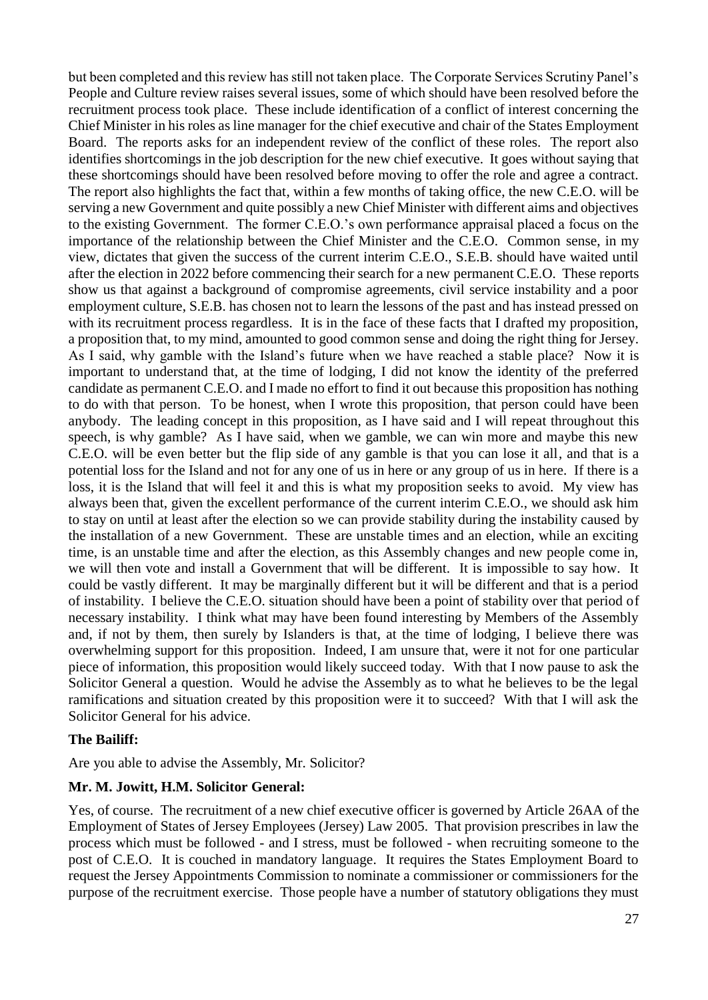but been completed and this review has still not taken place. The Corporate Services Scrutiny Panel's People and Culture review raises several issues, some of which should have been resolved before the recruitment process took place. These include identification of a conflict of interest concerning the Chief Minister in his roles as line manager for the chief executive and chair of the States Employment Board. The reports asks for an independent review of the conflict of these roles. The report also identifies shortcomings in the job description for the new chief executive. It goes without saying that these shortcomings should have been resolved before moving to offer the role and agree a contract. The report also highlights the fact that, within a few months of taking office, the new C.E.O. will be serving a new Government and quite possibly a new Chief Minister with different aims and objectives to the existing Government. The former C.E.O.'s own performance appraisal placed a focus on the importance of the relationship between the Chief Minister and the C.E.O. Common sense, in my view, dictates that given the success of the current interim C.E.O., S.E.B. should have waited until after the election in 2022 before commencing their search for a new permanent C.E.O. These reports show us that against a background of compromise agreements, civil service instability and a poor employment culture, S.E.B. has chosen not to learn the lessons of the past and has instead pressed on with its recruitment process regardless. It is in the face of these facts that I drafted my proposition, a proposition that, to my mind, amounted to good common sense and doing the right thing for Jersey. As I said, why gamble with the Island's future when we have reached a stable place? Now it is important to understand that, at the time of lodging, I did not know the identity of the preferred candidate as permanent C.E.O. and I made no effort to find it out because this proposition has nothing to do with that person. To be honest, when I wrote this proposition, that person could have been anybody. The leading concept in this proposition, as I have said and I will repeat throughout this speech, is why gamble? As I have said, when we gamble, we can win more and maybe this new C.E.O. will be even better but the flip side of any gamble is that you can lose it all, and that is a potential loss for the Island and not for any one of us in here or any group of us in here. If there is a loss, it is the Island that will feel it and this is what my proposition seeks to avoid. My view has always been that, given the excellent performance of the current interim C.E.O., we should ask him to stay on until at least after the election so we can provide stability during the instability caused by the installation of a new Government. These are unstable times and an election, while an exciting time, is an unstable time and after the election, as this Assembly changes and new people come in, we will then vote and install a Government that will be different. It is impossible to say how. It could be vastly different. It may be marginally different but it will be different and that is a period of instability. I believe the C.E.O. situation should have been a point of stability over that period of necessary instability. I think what may have been found interesting by Members of the Assembly and, if not by them, then surely by Islanders is that, at the time of lodging, I believe there was overwhelming support for this proposition. Indeed, I am unsure that, were it not for one particular piece of information, this proposition would likely succeed today. With that I now pause to ask the Solicitor General a question. Would he advise the Assembly as to what he believes to be the legal ramifications and situation created by this proposition were it to succeed? With that I will ask the Solicitor General for his advice.

### **The Bailiff:**

Are you able to advise the Assembly, Mr. Solicitor?

#### <span id="page-26-0"></span>**Mr. M. Jowitt, H.M. Solicitor General:**

Yes, of course. The recruitment of a new chief executive officer is governed by Article 26AA of the Employment of States of Jersey Employees (Jersey) Law 2005. That provision prescribes in law the process which must be followed - and I stress, must be followed - when recruiting someone to the post of C.E.O. It is couched in mandatory language. It requires the States Employment Board to request the Jersey Appointments Commission to nominate a commissioner or commissioners for the purpose of the recruitment exercise. Those people have a number of statutory obligations they must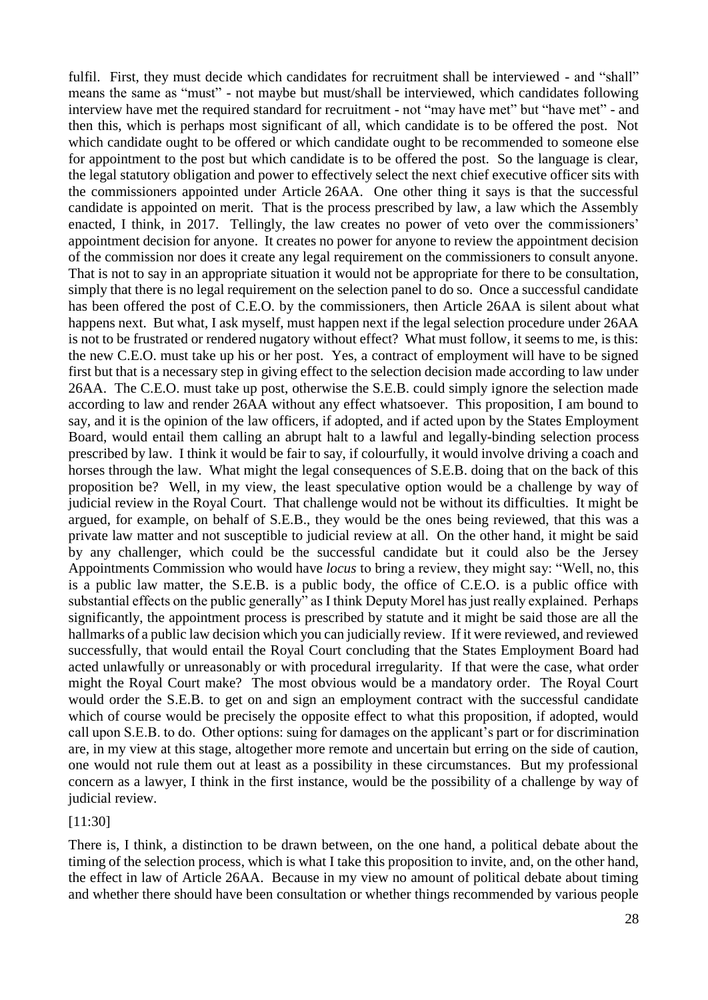fulfil. First, they must decide which candidates for recruitment shall be interviewed - and "shall" means the same as "must" - not maybe but must/shall be interviewed, which candidates following interview have met the required standard for recruitment - not "may have met" but "have met" - and then this, which is perhaps most significant of all, which candidate is to be offered the post. Not which candidate ought to be offered or which candidate ought to be recommended to someone else for appointment to the post but which candidate is to be offered the post. So the language is clear, the legal statutory obligation and power to effectively select the next chief executive officer sits with the commissioners appointed under Article 26AA. One other thing it says is that the successful candidate is appointed on merit. That is the process prescribed by law, a law which the Assembly enacted, I think, in 2017. Tellingly, the law creates no power of veto over the commissioners' appointment decision for anyone. It creates no power for anyone to review the appointment decision of the commission nor does it create any legal requirement on the commissioners to consult anyone. That is not to say in an appropriate situation it would not be appropriate for there to be consultation, simply that there is no legal requirement on the selection panel to do so. Once a successful candidate has been offered the post of C.E.O. by the commissioners, then Article 26AA is silent about what happens next. But what, I ask myself, must happen next if the legal selection procedure under 26AA is not to be frustrated or rendered nugatory without effect? What must follow, it seems to me, is this: the new C.E.O. must take up his or her post. Yes, a contract of employment will have to be signed first but that is a necessary step in giving effect to the selection decision made according to law under 26AA. The C.E.O. must take up post, otherwise the S.E.B. could simply ignore the selection made according to law and render 26AA without any effect whatsoever. This proposition, I am bound to say, and it is the opinion of the law officers, if adopted, and if acted upon by the States Employment Board, would entail them calling an abrupt halt to a lawful and legally-binding selection process prescribed by law. I think it would be fair to say, if colourfully, it would involve driving a coach and horses through the law. What might the legal consequences of S.E.B. doing that on the back of this proposition be? Well, in my view, the least speculative option would be a challenge by way of judicial review in the Royal Court. That challenge would not be without its difficulties. It might be argued, for example, on behalf of S.E.B., they would be the ones being reviewed, that this was a private law matter and not susceptible to judicial review at all. On the other hand, it might be said by any challenger, which could be the successful candidate but it could also be the Jersey Appointments Commission who would have *locus* to bring a review, they might say: "Well, no, this is a public law matter, the S.E.B. is a public body, the office of C.E.O. is a public office with substantial effects on the public generally" as I think Deputy Morel has just really explained. Perhaps significantly, the appointment process is prescribed by statute and it might be said those are all the hallmarks of a public law decision which you can judicially review. If it were reviewed, and reviewed successfully, that would entail the Royal Court concluding that the States Employment Board had acted unlawfully or unreasonably or with procedural irregularity. If that were the case, what order might the Royal Court make? The most obvious would be a mandatory order. The Royal Court would order the S.E.B. to get on and sign an employment contract with the successful candidate which of course would be precisely the opposite effect to what this proposition, if adopted, would call upon S.E.B. to do. Other options: suing for damages on the applicant's part or for discrimination are, in my view at this stage, altogether more remote and uncertain but erring on the side of caution, one would not rule them out at least as a possibility in these circumstances. But my professional concern as a lawyer, I think in the first instance, would be the possibility of a challenge by way of judicial review.

#### [11:30]

There is, I think, a distinction to be drawn between, on the one hand, a political debate about the timing of the selection process, which is what I take this proposition to invite, and, on the other hand, the effect in law of Article 26AA. Because in my view no amount of political debate about timing and whether there should have been consultation or whether things recommended by various people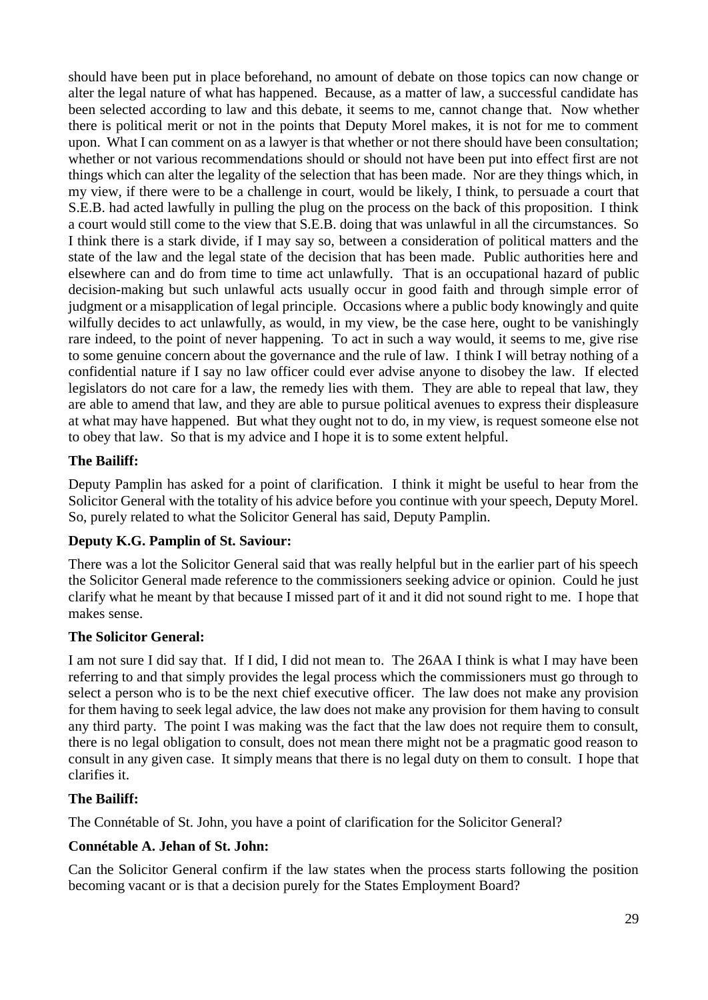should have been put in place beforehand, no amount of debate on those topics can now change or alter the legal nature of what has happened. Because, as a matter of law, a successful candidate has been selected according to law and this debate, it seems to me, cannot change that. Now whether there is political merit or not in the points that Deputy Morel makes, it is not for me to comment upon. What I can comment on as a lawyer is that whether or not there should have been consultation; whether or not various recommendations should or should not have been put into effect first are not things which can alter the legality of the selection that has been made. Nor are they things which, in my view, if there were to be a challenge in court, would be likely, I think, to persuade a court that S.E.B. had acted lawfully in pulling the plug on the process on the back of this proposition. I think a court would still come to the view that S.E.B. doing that was unlawful in all the circumstances. So I think there is a stark divide, if I may say so, between a consideration of political matters and the state of the law and the legal state of the decision that has been made. Public authorities here and elsewhere can and do from time to time act unlawfully. That is an occupational hazard of public decision-making but such unlawful acts usually occur in good faith and through simple error of judgment or a misapplication of legal principle. Occasions where a public body knowingly and quite wilfully decides to act unlawfully, as would, in my view, be the case here, ought to be vanishingly rare indeed, to the point of never happening. To act in such a way would, it seems to me, give rise to some genuine concern about the governance and the rule of law. I think I will betray nothing of a confidential nature if I say no law officer could ever advise anyone to disobey the law. If elected legislators do not care for a law, the remedy lies with them. They are able to repeal that law, they are able to amend that law, and they are able to pursue political avenues to express their displeasure at what may have happened. But what they ought not to do, in my view, is request someone else not to obey that law. So that is my advice and I hope it is to some extent helpful.

### **The Bailiff:**

Deputy Pamplin has asked for a point of clarification. I think it might be useful to hear from the Solicitor General with the totality of his advice before you continue with your speech, Deputy Morel. So, purely related to what the Solicitor General has said, Deputy Pamplin.

### <span id="page-28-0"></span>**Deputy K.G. Pamplin of St. Saviour:**

There was a lot the Solicitor General said that was really helpful but in the earlier part of his speech the Solicitor General made reference to the commissioners seeking advice or opinion. Could he just clarify what he meant by that because I missed part of it and it did not sound right to me. I hope that makes sense.

### **The Solicitor General:**

I am not sure I did say that. If I did, I did not mean to. The 26AA I think is what I may have been referring to and that simply provides the legal process which the commissioners must go through to select a person who is to be the next chief executive officer. The law does not make any provision for them having to seek legal advice, the law does not make any provision for them having to consult any third party. The point I was making was the fact that the law does not require them to consult, there is no legal obligation to consult, does not mean there might not be a pragmatic good reason to consult in any given case. It simply means that there is no legal duty on them to consult. I hope that clarifies it.

### **The Bailiff:**

The Connétable of St. John, you have a point of clarification for the Solicitor General?

### <span id="page-28-1"></span>**Connétable A. Jehan of St. John:**

Can the Solicitor General confirm if the law states when the process starts following the position becoming vacant or is that a decision purely for the States Employment Board?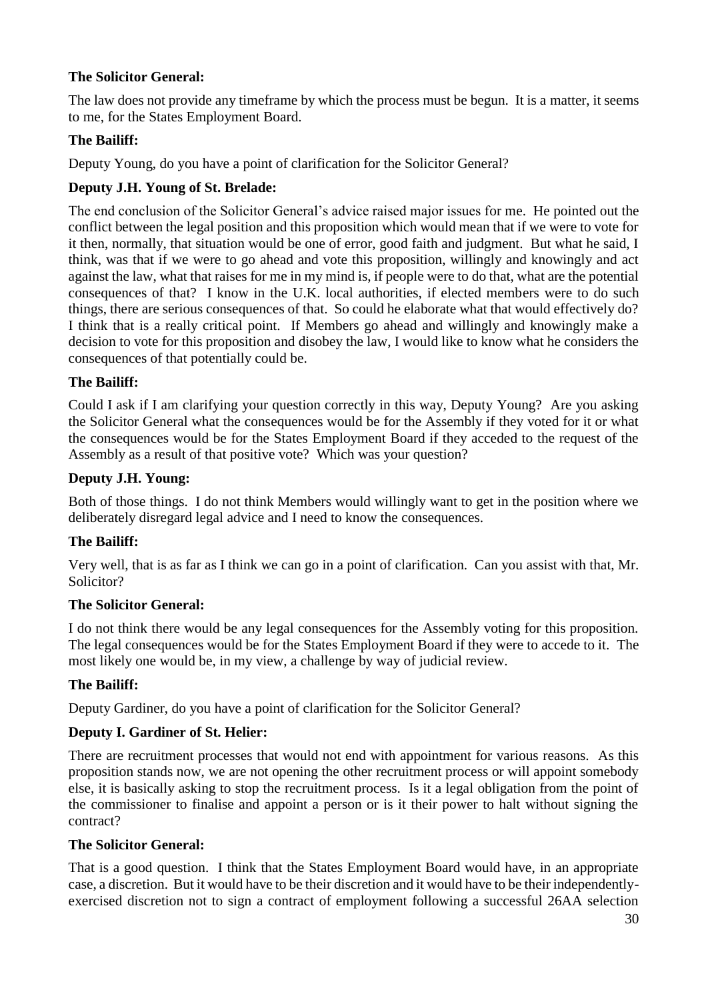### **The Solicitor General:**

The law does not provide any timeframe by which the process must be begun. It is a matter, it seems to me, for the States Employment Board.

### **The Bailiff:**

Deputy Young, do you have a point of clarification for the Solicitor General?

### <span id="page-29-0"></span>**Deputy J.H. Young of St. Brelade:**

The end conclusion of the Solicitor General's advice raised major issues for me. He pointed out the conflict between the legal position and this proposition which would mean that if we were to vote for it then, normally, that situation would be one of error, good faith and judgment. But what he said, I think, was that if we were to go ahead and vote this proposition, willingly and knowingly and act against the law, what that raises for me in my mind is, if people were to do that, what are the potential consequences of that? I know in the U.K. local authorities, if elected members were to do such things, there are serious consequences of that. So could he elaborate what that would effectively do? I think that is a really critical point. If Members go ahead and willingly and knowingly make a decision to vote for this proposition and disobey the law, I would like to know what he considers the consequences of that potentially could be.

### **The Bailiff:**

Could I ask if I am clarifying your question correctly in this way, Deputy Young? Are you asking the Solicitor General what the consequences would be for the Assembly if they voted for it or what the consequences would be for the States Employment Board if they acceded to the request of the Assembly as a result of that positive vote? Which was your question?

### **Deputy J.H. Young:**

Both of those things. I do not think Members would willingly want to get in the position where we deliberately disregard legal advice and I need to know the consequences.

### **The Bailiff:**

Very well, that is as far as I think we can go in a point of clarification. Can you assist with that, Mr. Solicitor?

### **The Solicitor General:**

I do not think there would be any legal consequences for the Assembly voting for this proposition. The legal consequences would be for the States Employment Board if they were to accede to it. The most likely one would be, in my view, a challenge by way of judicial review.

### **The Bailiff:**

Deputy Gardiner, do you have a point of clarification for the Solicitor General?

### <span id="page-29-1"></span>**Deputy I. Gardiner of St. Helier:**

There are recruitment processes that would not end with appointment for various reasons. As this proposition stands now, we are not opening the other recruitment process or will appoint somebody else, it is basically asking to stop the recruitment process. Is it a legal obligation from the point of the commissioner to finalise and appoint a person or is it their power to halt without signing the contract?

### **The Solicitor General:**

That is a good question. I think that the States Employment Board would have, in an appropriate case, a discretion. But it would have to be their discretion and it would have to be their independentlyexercised discretion not to sign a contract of employment following a successful 26AA selection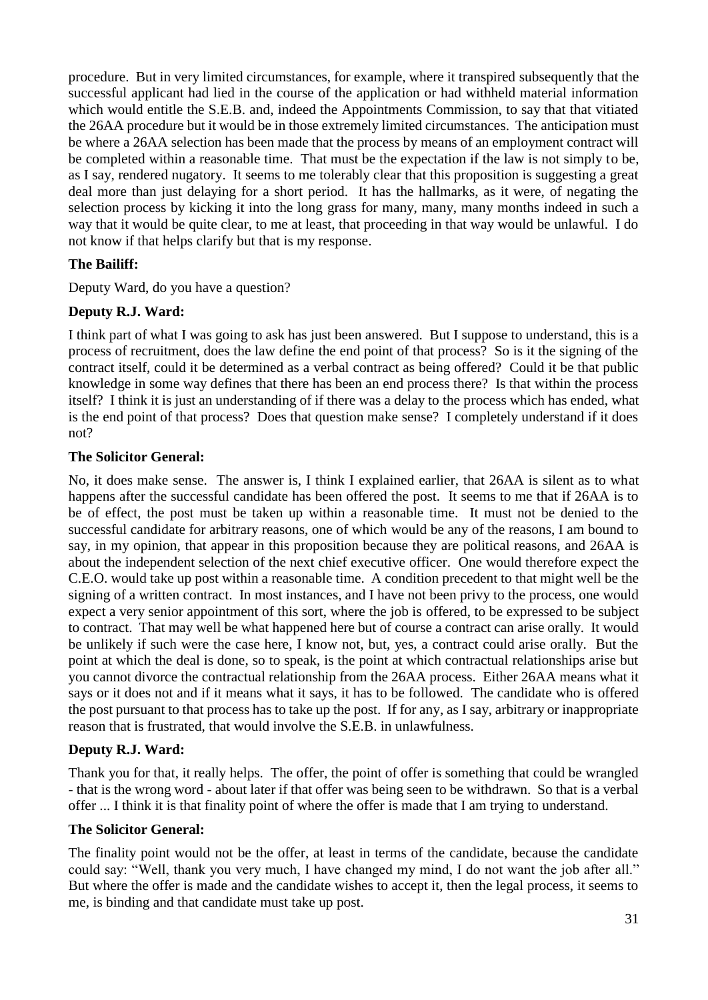procedure. But in very limited circumstances, for example, where it transpired subsequently that the successful applicant had lied in the course of the application or had withheld material information which would entitle the S.E.B. and, indeed the Appointments Commission, to say that that vitiated the 26AA procedure but it would be in those extremely limited circumstances. The anticipation must be where a 26AA selection has been made that the process by means of an employment contract will be completed within a reasonable time. That must be the expectation if the law is not simply to be, as I say, rendered nugatory. It seems to me tolerably clear that this proposition is suggesting a great deal more than just delaying for a short period. It has the hallmarks, as it were, of negating the selection process by kicking it into the long grass for many, many, many months indeed in such a way that it would be quite clear, to me at least, that proceeding in that way would be unlawful. I do not know if that helps clarify but that is my response.

### **The Bailiff:**

Deputy Ward, do you have a question?

### <span id="page-30-0"></span>**Deputy R.J. Ward:**

I think part of what I was going to ask has just been answered. But I suppose to understand, this is a process of recruitment, does the law define the end point of that process? So is it the signing of the contract itself, could it be determined as a verbal contract as being offered? Could it be that public knowledge in some way defines that there has been an end process there? Is that within the process itself? I think it is just an understanding of if there was a delay to the process which has ended, what is the end point of that process? Does that question make sense? I completely understand if it does not?

### **The Solicitor General:**

No, it does make sense. The answer is, I think I explained earlier, that 26AA is silent as to what happens after the successful candidate has been offered the post. It seems to me that if 26AA is to be of effect, the post must be taken up within a reasonable time. It must not be denied to the successful candidate for arbitrary reasons, one of which would be any of the reasons, I am bound to say, in my opinion, that appear in this proposition because they are political reasons, and 26AA is about the independent selection of the next chief executive officer. One would therefore expect the C.E.O. would take up post within a reasonable time. A condition precedent to that might well be the signing of a written contract. In most instances, and I have not been privy to the process, one would expect a very senior appointment of this sort, where the job is offered, to be expressed to be subject to contract. That may well be what happened here but of course a contract can arise orally. It would be unlikely if such were the case here, I know not, but, yes, a contract could arise orally. But the point at which the deal is done, so to speak, is the point at which contractual relationships arise but you cannot divorce the contractual relationship from the 26AA process. Either 26AA means what it says or it does not and if it means what it says, it has to be followed. The candidate who is offered the post pursuant to that process has to take up the post. If for any, as I say, arbitrary or inappropriate reason that is frustrated, that would involve the S.E.B. in unlawfulness.

### **Deputy R.J. Ward:**

Thank you for that, it really helps. The offer, the point of offer is something that could be wrangled - that is the wrong word - about later if that offer was being seen to be withdrawn. So that is a verbal offer ... I think it is that finality point of where the offer is made that I am trying to understand.

### **The Solicitor General:**

The finality point would not be the offer, at least in terms of the candidate, because the candidate could say: "Well, thank you very much, I have changed my mind, I do not want the job after all." But where the offer is made and the candidate wishes to accept it, then the legal process, it seems to me, is binding and that candidate must take up post.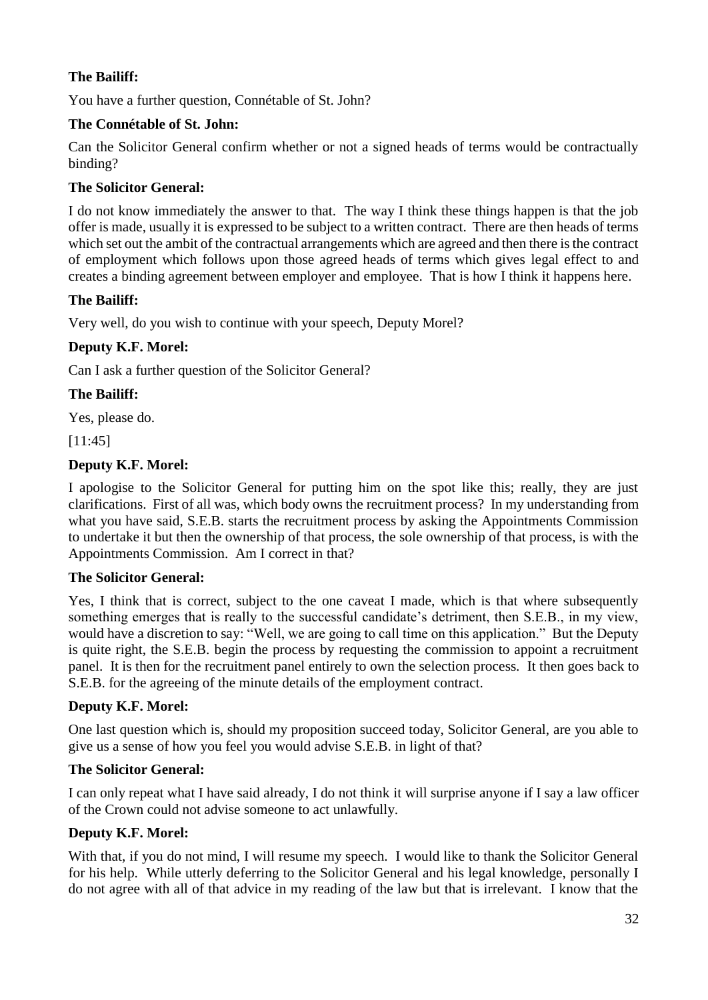### **The Bailiff:**

You have a further question, Connétable of St. John?

### <span id="page-31-0"></span>**The Connétable of St. John:**

Can the Solicitor General confirm whether or not a signed heads of terms would be contractually binding?

### **The Solicitor General:**

I do not know immediately the answer to that. The way I think these things happen is that the job offer is made, usually it is expressed to be subject to a written contract. There are then heads of terms which set out the ambit of the contractual arrangements which are agreed and then there is the contract of employment which follows upon those agreed heads of terms which gives legal effect to and creates a binding agreement between employer and employee. That is how I think it happens here.

### **The Bailiff:**

Very well, do you wish to continue with your speech, Deputy Morel?

# **Deputy K.F. Morel:**

Can I ask a further question of the Solicitor General?

### **The Bailiff:**

Yes, please do.

[11:45]

# <span id="page-31-1"></span>**Deputy K.F. Morel:**

I apologise to the Solicitor General for putting him on the spot like this; really, they are just clarifications. First of all was, which body owns the recruitment process? In my understanding from what you have said, S.E.B. starts the recruitment process by asking the Appointments Commission to undertake it but then the ownership of that process, the sole ownership of that process, is with the Appointments Commission. Am I correct in that?

### **The Solicitor General:**

Yes, I think that is correct, subject to the one caveat I made, which is that where subsequently something emerges that is really to the successful candidate's detriment, then S.E.B., in my view, would have a discretion to say: "Well, we are going to call time on this application." But the Deputy is quite right, the S.E.B. begin the process by requesting the commission to appoint a recruitment panel. It is then for the recruitment panel entirely to own the selection process. It then goes back to S.E.B. for the agreeing of the minute details of the employment contract.

### **Deputy K.F. Morel:**

One last question which is, should my proposition succeed today, Solicitor General, are you able to give us a sense of how you feel you would advise S.E.B. in light of that?

### **The Solicitor General:**

I can only repeat what I have said already, I do not think it will surprise anyone if I say a law officer of the Crown could not advise someone to act unlawfully.

### **Deputy K.F. Morel:**

With that, if you do not mind, I will resume my speech. I would like to thank the Solicitor General for his help. While utterly deferring to the Solicitor General and his legal knowledge, personally I do not agree with all of that advice in my reading of the law but that is irrelevant. I know that the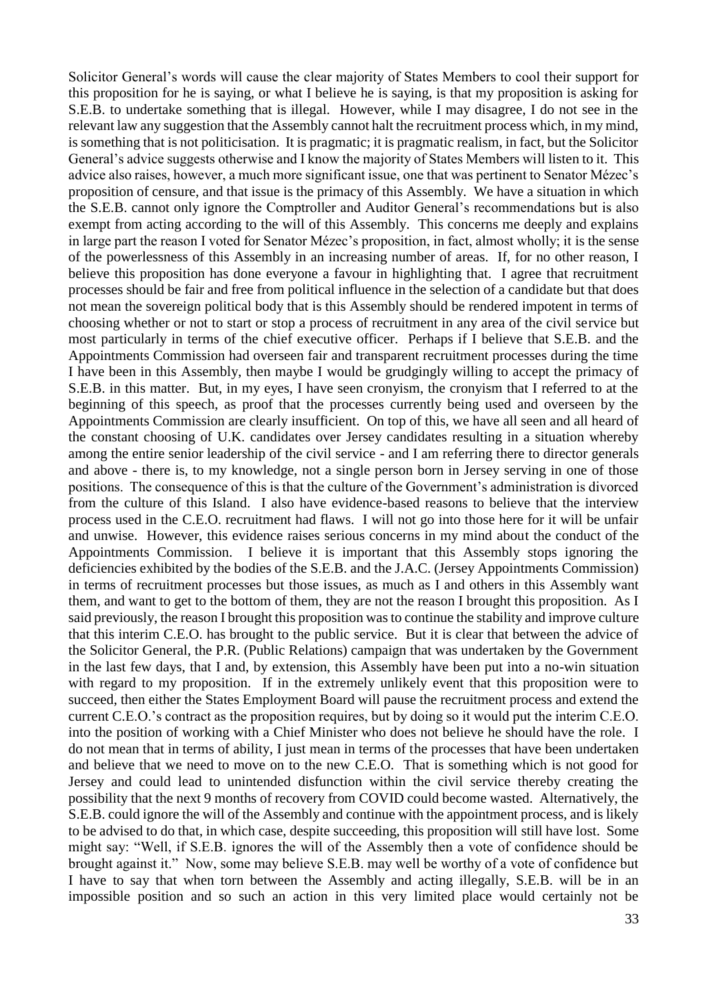Solicitor General's words will cause the clear majority of States Members to cool their support for this proposition for he is saying, or what I believe he is saying, is that my proposition is asking for S.E.B. to undertake something that is illegal. However, while I may disagree, I do not see in the relevant law any suggestion that the Assembly cannot halt the recruitment process which, in my mind, is something that is not politicisation. It is pragmatic; it is pragmatic realism, in fact, but the Solicitor General's advice suggests otherwise and I know the majority of States Members will listen to it. This advice also raises, however, a much more significant issue, one that was pertinent to Senator Mézec's proposition of censure, and that issue is the primacy of this Assembly. We have a situation in which the S.E.B. cannot only ignore the Comptroller and Auditor General's recommendations but is also exempt from acting according to the will of this Assembly. This concerns me deeply and explains in large part the reason I voted for Senator Mézec's proposition, in fact, almost wholly; it is the sense of the powerlessness of this Assembly in an increasing number of areas. If, for no other reason, I believe this proposition has done everyone a favour in highlighting that. I agree that recruitment processes should be fair and free from political influence in the selection of a candidate but that does not mean the sovereign political body that is this Assembly should be rendered impotent in terms of choosing whether or not to start or stop a process of recruitment in any area of the civil service but most particularly in terms of the chief executive officer. Perhaps if I believe that S.E.B. and the Appointments Commission had overseen fair and transparent recruitment processes during the time I have been in this Assembly, then maybe I would be grudgingly willing to accept the primacy of S.E.B. in this matter. But, in my eyes, I have seen cronyism, the cronyism that I referred to at the beginning of this speech, as proof that the processes currently being used and overseen by the Appointments Commission are clearly insufficient. On top of this, we have all seen and all heard of the constant choosing of U.K. candidates over Jersey candidates resulting in a situation whereby among the entire senior leadership of the civil service - and I am referring there to director generals and above - there is, to my knowledge, not a single person born in Jersey serving in one of those positions. The consequence of this is that the culture of the Government's administration is divorced from the culture of this Island. I also have evidence-based reasons to believe that the interview process used in the C.E.O. recruitment had flaws. I will not go into those here for it will be unfair and unwise. However, this evidence raises serious concerns in my mind about the conduct of the Appointments Commission. I believe it is important that this Assembly stops ignoring the deficiencies exhibited by the bodies of the S.E.B. and the J.A.C. (Jersey Appointments Commission) in terms of recruitment processes but those issues, as much as I and others in this Assembly want them, and want to get to the bottom of them, they are not the reason I brought this proposition. As I said previously, the reason I brought this proposition was to continue the stability and improve culture that this interim C.E.O. has brought to the public service. But it is clear that between the advice of the Solicitor General, the P.R. (Public Relations) campaign that was undertaken by the Government in the last few days, that I and, by extension, this Assembly have been put into a no-win situation with regard to my proposition. If in the extremely unlikely event that this proposition were to succeed, then either the States Employment Board will pause the recruitment process and extend the current C.E.O.'s contract as the proposition requires, but by doing so it would put the interim C.E.O. into the position of working with a Chief Minister who does not believe he should have the role. I do not mean that in terms of ability, I just mean in terms of the processes that have been undertaken and believe that we need to move on to the new C.E.O. That is something which is not good for Jersey and could lead to unintended disfunction within the civil service thereby creating the possibility that the next 9 months of recovery from COVID could become wasted. Alternatively, the S.E.B. could ignore the will of the Assembly and continue with the appointment process, and is likely to be advised to do that, in which case, despite succeeding, this proposition will still have lost. Some might say: "Well, if S.E.B. ignores the will of the Assembly then a vote of confidence should be brought against it." Now, some may believe S.E.B. may well be worthy of a vote of confidence but I have to say that when torn between the Assembly and acting illegally, S.E.B. will be in an impossible position and so such an action in this very limited place would certainly not be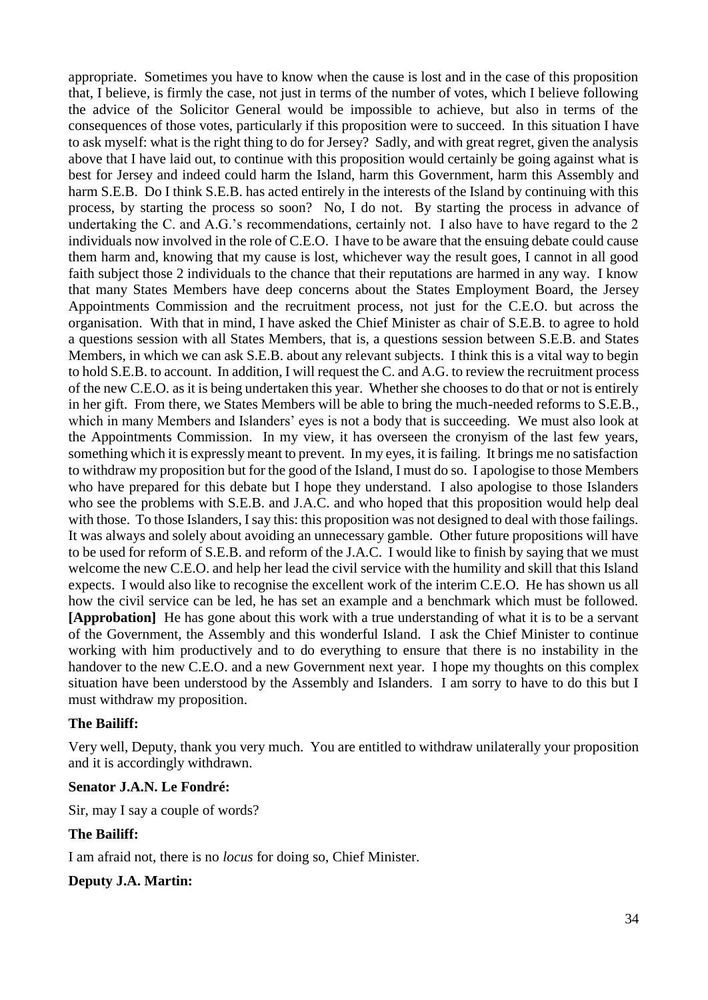appropriate. Sometimes you have to know when the cause is lost and in the case of this proposition that, I believe, is firmly the case, not just in terms of the number of votes, which I believe following the advice of the Solicitor General would be impossible to achieve, but also in terms of the consequences of those votes, particularly if this proposition were to succeed. In this situation I have to ask myself: what is the right thing to do for Jersey? Sadly, and with great regret, given the analysis above that I have laid out, to continue with this proposition would certainly be going against what is best for Jersey and indeed could harm the Island, harm this Government, harm this Assembly and harm S.E.B. Do I think S.E.B. has acted entirely in the interests of the Island by continuing with this process, by starting the process so soon? No, I do not. By starting the process in advance of undertaking the C. and A.G.'s recommendations, certainly not. I also have to have regard to the 2 individuals now involved in the role of C.E.O. I have to be aware that the ensuing debate could cause them harm and, knowing that my cause is lost, whichever way the result goes, I cannot in all good faith subject those 2 individuals to the chance that their reputations are harmed in any way. I know that many States Members have deep concerns about the States Employment Board, the Jersey Appointments Commission and the recruitment process, not just for the C.E.O. but across the organisation. With that in mind, I have asked the Chief Minister as chair of S.E.B. to agree to hold a questions session with all States Members, that is, a questions session between S.E.B. and States Members, in which we can ask S.E.B. about any relevant subjects. I think this is a vital way to begin to hold S.E.B. to account. In addition, I will request the C. and A.G. to review the recruitment process of the new C.E.O. as it is being undertaken this year. Whether she chooses to do that or not is entirely in her gift. From there, we States Members will be able to bring the much-needed reforms to S.E.B., which in many Members and Islanders' eyes is not a body that is succeeding. We must also look at the Appointments Commission. In my view, it has overseen the cronyism of the last few years, something which it is expressly meant to prevent. In my eyes, it is failing. It brings me no satisfaction to withdraw my proposition but for the good of the Island, I must do so. I apologise to those Members who have prepared for this debate but I hope they understand. I also apologise to those Islanders who see the problems with S.E.B. and J.A.C. and who hoped that this proposition would help deal with those. To those Islanders, I say this: this proposition was not designed to deal with those failings. It was always and solely about avoiding an unnecessary gamble. Other future propositions will have to be used for reform of S.E.B. and reform of the J.A.C. I would like to finish by saying that we must welcome the new C.E.O. and help her lead the civil service with the humility and skill that this Island expects. I would also like to recognise the excellent work of the interim C.E.O. He has shown us all how the civil service can be led, he has set an example and a benchmark which must be followed. **[Approbation]** He has gone about this work with a true understanding of what it is to be a servant of the Government, the Assembly and this wonderful Island. I ask the Chief Minister to continue working with him productively and to do everything to ensure that there is no instability in the handover to the new C.E.O. and a new Government next year. I hope my thoughts on this complex situation have been understood by the Assembly and Islanders. I am sorry to have to do this but I must withdraw my proposition.

#### **The Bailiff:**

Very well, Deputy, thank you very much. You are entitled to withdraw unilaterally your proposition and it is accordingly withdrawn.

#### **Senator J.A.N. Le Fondré:**

Sir, may I say a couple of words?

#### **The Bailiff:**

I am afraid not, there is no *locus* for doing so, Chief Minister.

#### **Deputy J.A. Martin:**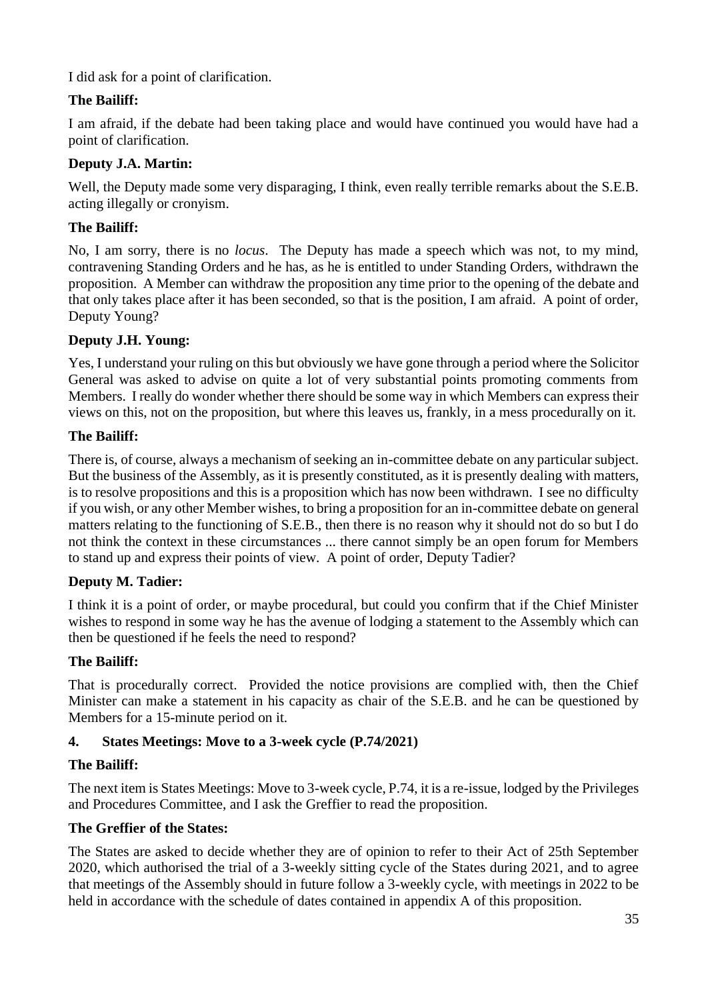I did ask for a point of clarification.

# **The Bailiff:**

I am afraid, if the debate had been taking place and would have continued you would have had a point of clarification.

## **Deputy J.A. Martin:**

Well, the Deputy made some very disparaging, I think, even really terrible remarks about the S.E.B. acting illegally or cronyism.

# **The Bailiff:**

No, I am sorry, there is no *locus*. The Deputy has made a speech which was not, to my mind, contravening Standing Orders and he has, as he is entitled to under Standing Orders, withdrawn the proposition. A Member can withdraw the proposition any time prior to the opening of the debate and that only takes place after it has been seconded, so that is the position, I am afraid. A point of order, Deputy Young?

# **Deputy J.H. Young:**

Yes, I understand your ruling on this but obviously we have gone through a period where the Solicitor General was asked to advise on quite a lot of very substantial points promoting comments from Members. I really do wonder whether there should be some way in which Members can express their views on this, not on the proposition, but where this leaves us, frankly, in a mess procedurally on it.

# **The Bailiff:**

There is, of course, always a mechanism of seeking an in-committee debate on any particular subject. But the business of the Assembly, as it is presently constituted, as it is presently dealing with matters, is to resolve propositions and this is a proposition which has now been withdrawn. I see no difficulty if you wish, or any other Member wishes, to bring a proposition for an in-committee debate on general matters relating to the functioning of S.E.B., then there is no reason why it should not do so but I do not think the context in these circumstances ... there cannot simply be an open forum for Members to stand up and express their points of view. A point of order, Deputy Tadier?

# **Deputy M. Tadier:**

I think it is a point of order, or maybe procedural, but could you confirm that if the Chief Minister wishes to respond in some way he has the avenue of lodging a statement to the Assembly which can then be questioned if he feels the need to respond?

# **The Bailiff:**

That is procedurally correct. Provided the notice provisions are complied with, then the Chief Minister can make a statement in his capacity as chair of the S.E.B. and he can be questioned by Members for a 15-minute period on it.

# <span id="page-34-0"></span>**4. States Meetings: Move to a 3-week cycle (P.74/2021)**

### **The Bailiff:**

The next item is States Meetings: Move to 3-week cycle, P.74, it is a re-issue, lodged by the Privileges and Procedures Committee, and I ask the Greffier to read the proposition.

### **The Greffier of the States:**

The States are asked to decide whether they are of opinion to refer to their Act of 25th September 2020, which authorised the trial of a 3-weekly sitting cycle of the States during 2021, and to agree that meetings of the Assembly should in future follow a 3-weekly cycle, with meetings in 2022 to be held in accordance with the schedule of dates contained in appendix A of this proposition.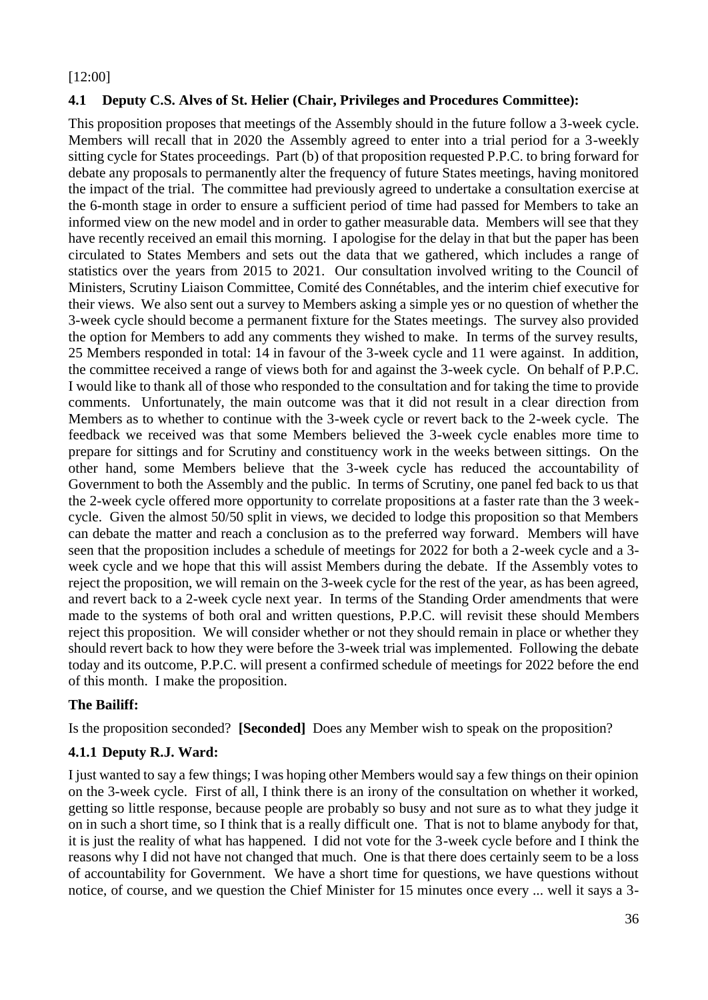#### [12:00]

### <span id="page-35-0"></span>**4.1 Deputy C.S. Alves of St. Helier (Chair, Privileges and Procedures Committee):**

This proposition proposes that meetings of the Assembly should in the future follow a 3-week cycle. Members will recall that in 2020 the Assembly agreed to enter into a trial period for a 3-weekly sitting cycle for States proceedings. Part (b) of that proposition requested P.P.C. to bring forward for debate any proposals to permanently alter the frequency of future States meetings, having monitored the impact of the trial. The committee had previously agreed to undertake a consultation exercise at the 6-month stage in order to ensure a sufficient period of time had passed for Members to take an informed view on the new model and in order to gather measurable data. Members will see that they have recently received an email this morning. I apologise for the delay in that but the paper has been circulated to States Members and sets out the data that we gathered, which includes a range of statistics over the years from 2015 to 2021. Our consultation involved writing to the Council of Ministers, Scrutiny Liaison Committee, Comité des Connétables, and the interim chief executive for their views. We also sent out a survey to Members asking a simple yes or no question of whether the 3-week cycle should become a permanent fixture for the States meetings. The survey also provided the option for Members to add any comments they wished to make. In terms of the survey results, 25 Members responded in total: 14 in favour of the 3-week cycle and 11 were against. In addition, the committee received a range of views both for and against the 3-week cycle. On behalf of P.P.C. I would like to thank all of those who responded to the consultation and for taking the time to provide comments. Unfortunately, the main outcome was that it did not result in a clear direction from Members as to whether to continue with the 3-week cycle or revert back to the 2-week cycle. The feedback we received was that some Members believed the 3-week cycle enables more time to prepare for sittings and for Scrutiny and constituency work in the weeks between sittings. On the other hand, some Members believe that the 3-week cycle has reduced the accountability of Government to both the Assembly and the public. In terms of Scrutiny, one panel fed back to us that the 2-week cycle offered more opportunity to correlate propositions at a faster rate than the 3 weekcycle. Given the almost 50/50 split in views, we decided to lodge this proposition so that Members can debate the matter and reach a conclusion as to the preferred way forward. Members will have seen that the proposition includes a schedule of meetings for 2022 for both a 2-week cycle and a 3 week cycle and we hope that this will assist Members during the debate. If the Assembly votes to reject the proposition, we will remain on the 3-week cycle for the rest of the year, as has been agreed, and revert back to a 2-week cycle next year. In terms of the Standing Order amendments that were made to the systems of both oral and written questions, P.P.C. will revisit these should Members reject this proposition. We will consider whether or not they should remain in place or whether they should revert back to how they were before the 3-week trial was implemented. Following the debate today and its outcome, P.P.C. will present a confirmed schedule of meetings for 2022 before the end of this month. I make the proposition.

### **The Bailiff:**

Is the proposition seconded? **[Seconded]** Does any Member wish to speak on the proposition?

### <span id="page-35-1"></span>**4.1.1 Deputy R.J. Ward:**

I just wanted to say a few things; I was hoping other Members would say a few things on their opinion on the 3-week cycle. First of all, I think there is an irony of the consultation on whether it worked, getting so little response, because people are probably so busy and not sure as to what they judge it on in such a short time, so I think that is a really difficult one. That is not to blame anybody for that, it is just the reality of what has happened. I did not vote for the 3-week cycle before and I think the reasons why I did not have not changed that much. One is that there does certainly seem to be a loss of accountability for Government. We have a short time for questions, we have questions without notice, of course, and we question the Chief Minister for 15 minutes once every ... well it says a 3-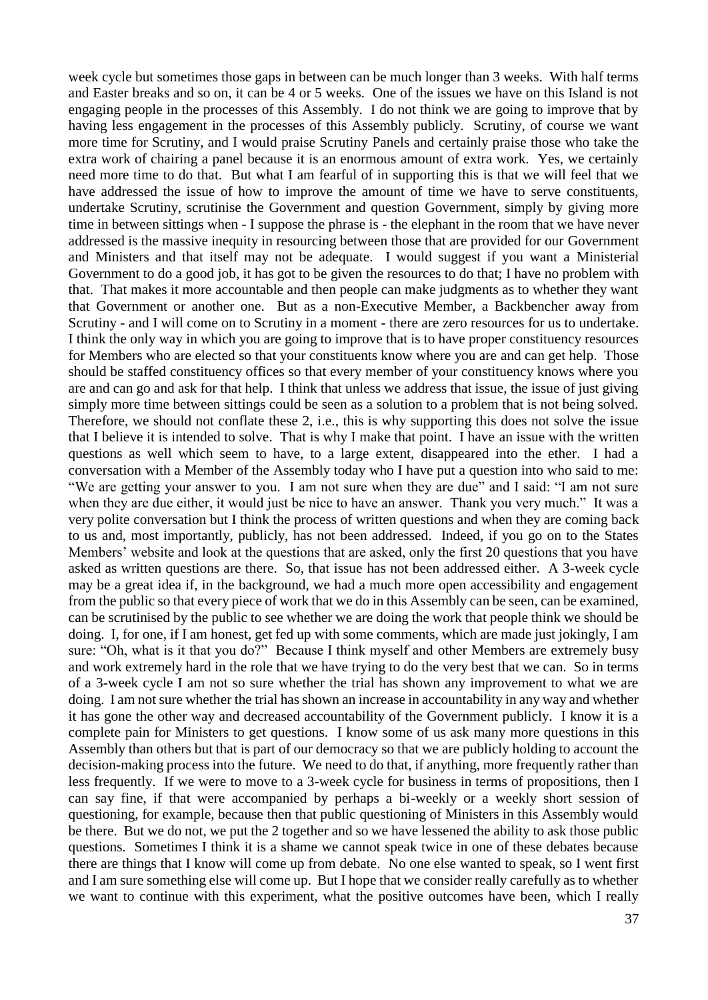week cycle but sometimes those gaps in between can be much longer than 3 weeks. With half terms and Easter breaks and so on, it can be 4 or 5 weeks. One of the issues we have on this Island is not engaging people in the processes of this Assembly. I do not think we are going to improve that by having less engagement in the processes of this Assembly publicly. Scrutiny, of course we want more time for Scrutiny, and I would praise Scrutiny Panels and certainly praise those who take the extra work of chairing a panel because it is an enormous amount of extra work. Yes, we certainly need more time to do that. But what I am fearful of in supporting this is that we will feel that we have addressed the issue of how to improve the amount of time we have to serve constituents, undertake Scrutiny, scrutinise the Government and question Government, simply by giving more time in between sittings when - I suppose the phrase is - the elephant in the room that we have never addressed is the massive inequity in resourcing between those that are provided for our Government and Ministers and that itself may not be adequate. I would suggest if you want a Ministerial Government to do a good job, it has got to be given the resources to do that; I have no problem with that. That makes it more accountable and then people can make judgments as to whether they want that Government or another one. But as a non-Executive Member, a Backbencher away from Scrutiny - and I will come on to Scrutiny in a moment - there are zero resources for us to undertake. I think the only way in which you are going to improve that is to have proper constituency resources for Members who are elected so that your constituents know where you are and can get help. Those should be staffed constituency offices so that every member of your constituency knows where you are and can go and ask for that help. I think that unless we address that issue, the issue of just giving simply more time between sittings could be seen as a solution to a problem that is not being solved. Therefore, we should not conflate these 2, i.e., this is why supporting this does not solve the issue that I believe it is intended to solve. That is why I make that point. I have an issue with the written questions as well which seem to have, to a large extent, disappeared into the ether. I had a conversation with a Member of the Assembly today who I have put a question into who said to me: "We are getting your answer to you. I am not sure when they are due" and I said: "I am not sure when they are due either, it would just be nice to have an answer. Thank you very much." It was a very polite conversation but I think the process of written questions and when they are coming back to us and, most importantly, publicly, has not been addressed. Indeed, if you go on to the States Members' website and look at the questions that are asked, only the first 20 questions that you have asked as written questions are there. So, that issue has not been addressed either. A 3-week cycle may be a great idea if, in the background, we had a much more open accessibility and engagement from the public so that every piece of work that we do in this Assembly can be seen, can be examined, can be scrutinised by the public to see whether we are doing the work that people think we should be doing. I, for one, if I am honest, get fed up with some comments, which are made just jokingly, I am sure: "Oh, what is it that you do?" Because I think myself and other Members are extremely busy and work extremely hard in the role that we have trying to do the very best that we can. So in terms of a 3-week cycle I am not so sure whether the trial has shown any improvement to what we are doing. I am not sure whether the trial has shown an increase in accountability in any way and whether it has gone the other way and decreased accountability of the Government publicly. I know it is a complete pain for Ministers to get questions. I know some of us ask many more questions in this Assembly than others but that is part of our democracy so that we are publicly holding to account the decision-making process into the future. We need to do that, if anything, more frequently rather than less frequently. If we were to move to a 3-week cycle for business in terms of propositions, then I can say fine, if that were accompanied by perhaps a bi-weekly or a weekly short session of questioning, for example, because then that public questioning of Ministers in this Assembly would be there. But we do not, we put the 2 together and so we have lessened the ability to ask those public questions. Sometimes I think it is a shame we cannot speak twice in one of these debates because there are things that I know will come up from debate. No one else wanted to speak, so I went first and I am sure something else will come up. But I hope that we consider really carefully as to whether we want to continue with this experiment, what the positive outcomes have been, which I really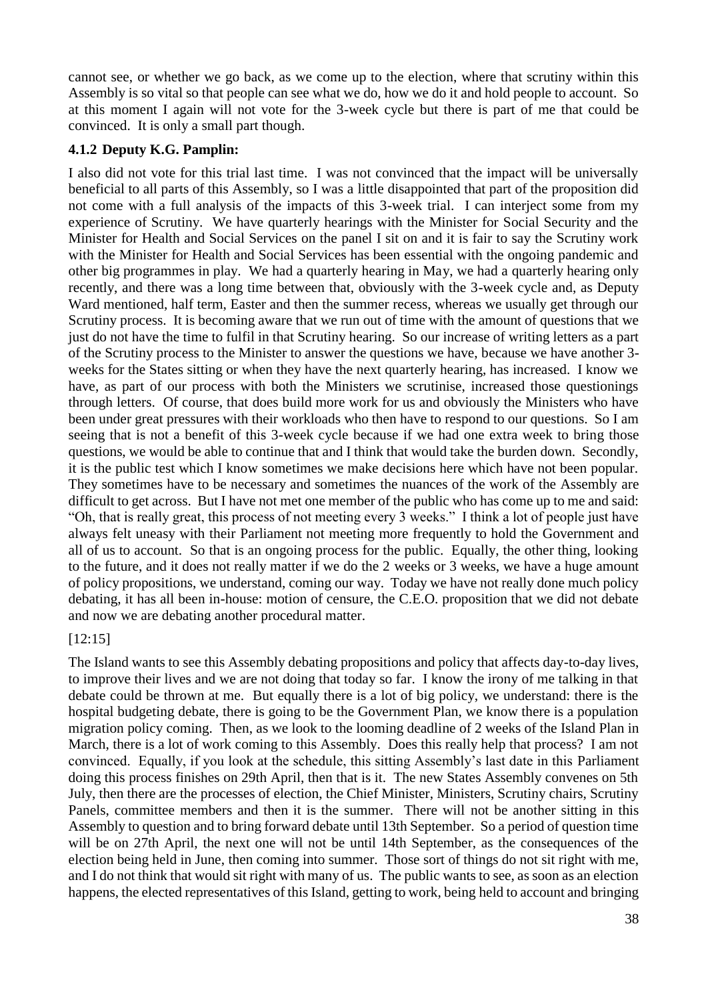cannot see, or whether we go back, as we come up to the election, where that scrutiny within this Assembly is so vital so that people can see what we do, how we do it and hold people to account. So at this moment I again will not vote for the 3-week cycle but there is part of me that could be convinced. It is only a small part though.

#### **4.1.2 Deputy K.G. Pamplin:**

I also did not vote for this trial last time. I was not convinced that the impact will be universally beneficial to all parts of this Assembly, so I was a little disappointed that part of the proposition did not come with a full analysis of the impacts of this 3-week trial. I can interject some from my experience of Scrutiny. We have quarterly hearings with the Minister for Social Security and the Minister for Health and Social Services on the panel I sit on and it is fair to say the Scrutiny work with the Minister for Health and Social Services has been essential with the ongoing pandemic and other big programmes in play. We had a quarterly hearing in May, we had a quarterly hearing only recently, and there was a long time between that, obviously with the 3-week cycle and, as Deputy Ward mentioned, half term, Easter and then the summer recess, whereas we usually get through our Scrutiny process. It is becoming aware that we run out of time with the amount of questions that we just do not have the time to fulfil in that Scrutiny hearing. So our increase of writing letters as a part of the Scrutiny process to the Minister to answer the questions we have, because we have another 3 weeks for the States sitting or when they have the next quarterly hearing, has increased. I know we have, as part of our process with both the Ministers we scrutinise, increased those questionings through letters. Of course, that does build more work for us and obviously the Ministers who have been under great pressures with their workloads who then have to respond to our questions. So I am seeing that is not a benefit of this 3-week cycle because if we had one extra week to bring those questions, we would be able to continue that and I think that would take the burden down. Secondly, it is the public test which I know sometimes we make decisions here which have not been popular. They sometimes have to be necessary and sometimes the nuances of the work of the Assembly are difficult to get across. But I have not met one member of the public who has come up to me and said: "Oh, that is really great, this process of not meeting every 3 weeks." I think a lot of people just have always felt uneasy with their Parliament not meeting more frequently to hold the Government and all of us to account. So that is an ongoing process for the public. Equally, the other thing, looking to the future, and it does not really matter if we do the 2 weeks or 3 weeks, we have a huge amount of policy propositions, we understand, coming our way. Today we have not really done much policy debating, it has all been in-house: motion of censure, the C.E.O. proposition that we did not debate and now we are debating another procedural matter.

#### [12:15]

The Island wants to see this Assembly debating propositions and policy that affects day-to-day lives, to improve their lives and we are not doing that today so far. I know the irony of me talking in that debate could be thrown at me. But equally there is a lot of big policy, we understand: there is the hospital budgeting debate, there is going to be the Government Plan, we know there is a population migration policy coming. Then, as we look to the looming deadline of 2 weeks of the Island Plan in March, there is a lot of work coming to this Assembly. Does this really help that process? I am not convinced. Equally, if you look at the schedule, this sitting Assembly's last date in this Parliament doing this process finishes on 29th April, then that is it. The new States Assembly convenes on 5th July, then there are the processes of election, the Chief Minister, Ministers, Scrutiny chairs, Scrutiny Panels, committee members and then it is the summer. There will not be another sitting in this Assembly to question and to bring forward debate until 13th September. So a period of question time will be on 27th April, the next one will not be until 14th September, as the consequences of the election being held in June, then coming into summer. Those sort of things do not sit right with me, and I do not think that would sit right with many of us. The public wants to see, as soon as an election happens, the elected representatives of this Island, getting to work, being held to account and bringing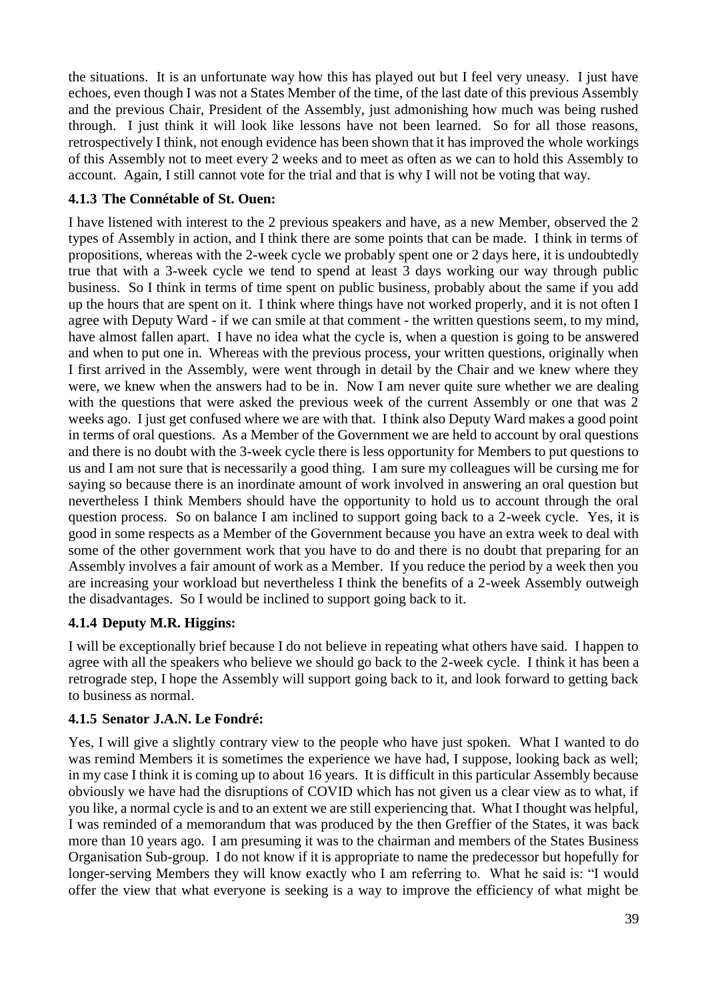the situations. It is an unfortunate way how this has played out but I feel very uneasy. I just have echoes, even though I was not a States Member of the time, of the last date of this previous Assembly and the previous Chair, President of the Assembly, just admonishing how much was being rushed through. I just think it will look like lessons have not been learned. So for all those reasons, retrospectively I think, not enough evidence has been shown that it has improved the whole workings of this Assembly not to meet every 2 weeks and to meet as often as we can to hold this Assembly to account. Again, I still cannot vote for the trial and that is why I will not be voting that way.

## **4.1.3 The Connétable of St. Ouen:**

I have listened with interest to the 2 previous speakers and have, as a new Member, observed the 2 types of Assembly in action, and I think there are some points that can be made. I think in terms of propositions, whereas with the 2-week cycle we probably spent one or 2 days here, it is undoubtedly true that with a 3-week cycle we tend to spend at least 3 days working our way through public business. So I think in terms of time spent on public business, probably about the same if you add up the hours that are spent on it. I think where things have not worked properly, and it is not often I agree with Deputy Ward - if we can smile at that comment - the written questions seem, to my mind, have almost fallen apart. I have no idea what the cycle is, when a question is going to be answered and when to put one in. Whereas with the previous process, your written questions, originally when I first arrived in the Assembly, were went through in detail by the Chair and we knew where they were, we knew when the answers had to be in. Now I am never quite sure whether we are dealing with the questions that were asked the previous week of the current Assembly or one that was 2 weeks ago. I just get confused where we are with that. I think also Deputy Ward makes a good point in terms of oral questions. As a Member of the Government we are held to account by oral questions and there is no doubt with the 3-week cycle there is less opportunity for Members to put questions to us and I am not sure that is necessarily a good thing. I am sure my colleagues will be cursing me for saying so because there is an inordinate amount of work involved in answering an oral question but nevertheless I think Members should have the opportunity to hold us to account through the oral question process. So on balance I am inclined to support going back to a 2-week cycle. Yes, it is good in some respects as a Member of the Government because you have an extra week to deal with some of the other government work that you have to do and there is no doubt that preparing for an Assembly involves a fair amount of work as a Member. If you reduce the period by a week then you are increasing your workload but nevertheless I think the benefits of a 2-week Assembly outweigh the disadvantages. So I would be inclined to support going back to it.

### **4.1.4 Deputy M.R. Higgins:**

I will be exceptionally brief because I do not believe in repeating what others have said. I happen to agree with all the speakers who believe we should go back to the 2-week cycle. I think it has been a retrograde step, I hope the Assembly will support going back to it, and look forward to getting back to business as normal.

### **4.1.5 Senator J.A.N. Le Fondré:**

Yes, I will give a slightly contrary view to the people who have just spoken. What I wanted to do was remind Members it is sometimes the experience we have had, I suppose, looking back as well; in my case I think it is coming up to about 16 years. It is difficult in this particular Assembly because obviously we have had the disruptions of COVID which has not given us a clear view as to what, if you like, a normal cycle is and to an extent we are still experiencing that. What I thought was helpful, I was reminded of a memorandum that was produced by the then Greffier of the States, it was back more than 10 years ago. I am presuming it was to the chairman and members of the States Business Organisation Sub-group. I do not know if it is appropriate to name the predecessor but hopefully for longer-serving Members they will know exactly who I am referring to. What he said is: "I would offer the view that what everyone is seeking is a way to improve the efficiency of what might be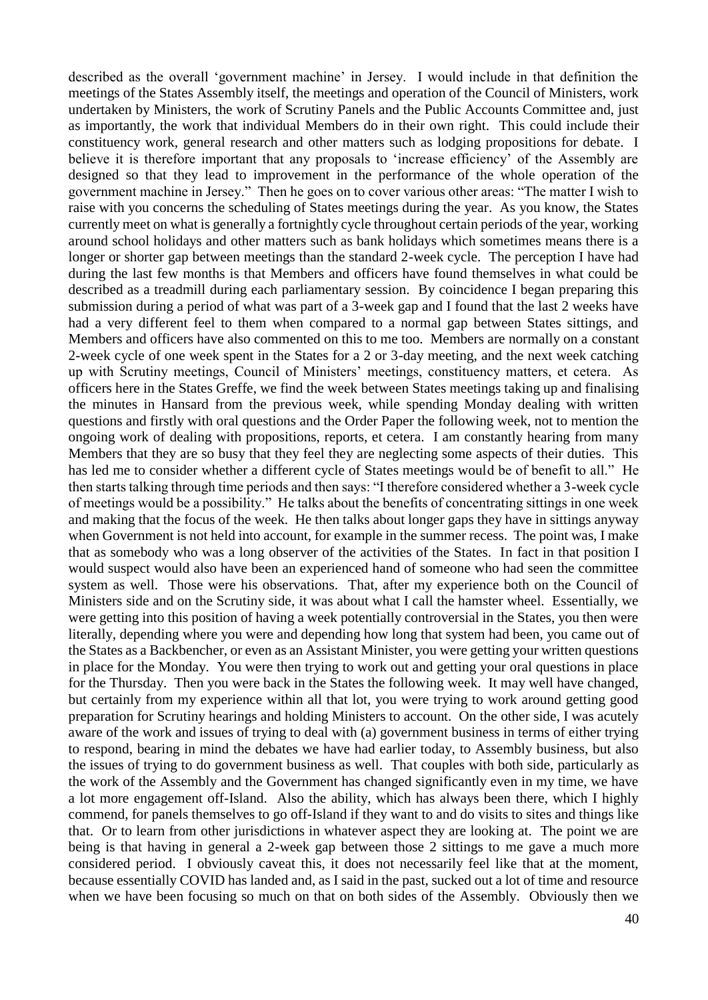described as the overall 'government machine' in Jersey. I would include in that definition the meetings of the States Assembly itself, the meetings and operation of the Council of Ministers, work undertaken by Ministers, the work of Scrutiny Panels and the Public Accounts Committee and, just as importantly, the work that individual Members do in their own right. This could include their constituency work, general research and other matters such as lodging propositions for debate. I believe it is therefore important that any proposals to 'increase efficiency' of the Assembly are designed so that they lead to improvement in the performance of the whole operation of the government machine in Jersey." Then he goes on to cover various other areas: "The matter I wish to raise with you concerns the scheduling of States meetings during the year. As you know, the States currently meet on what is generally a fortnightly cycle throughout certain periods of the year, working around school holidays and other matters such as bank holidays which sometimes means there is a longer or shorter gap between meetings than the standard 2-week cycle. The perception I have had during the last few months is that Members and officers have found themselves in what could be described as a treadmill during each parliamentary session. By coincidence I began preparing this submission during a period of what was part of a 3-week gap and I found that the last 2 weeks have had a very different feel to them when compared to a normal gap between States sittings, and Members and officers have also commented on this to me too. Members are normally on a constant 2-week cycle of one week spent in the States for a 2 or 3-day meeting, and the next week catching up with Scrutiny meetings, Council of Ministers' meetings, constituency matters, et cetera. As officers here in the States Greffe, we find the week between States meetings taking up and finalising the minutes in Hansard from the previous week, while spending Monday dealing with written questions and firstly with oral questions and the Order Paper the following week, not to mention the ongoing work of dealing with propositions, reports, et cetera. I am constantly hearing from many Members that they are so busy that they feel they are neglecting some aspects of their duties. This has led me to consider whether a different cycle of States meetings would be of benefit to all." He then starts talking through time periods and then says: "I therefore considered whether a 3-week cycle of meetings would be a possibility." He talks about the benefits of concentrating sittings in one week and making that the focus of the week. He then talks about longer gaps they have in sittings anyway when Government is not held into account, for example in the summer recess. The point was, I make that as somebody who was a long observer of the activities of the States. In fact in that position I would suspect would also have been an experienced hand of someone who had seen the committee system as well. Those were his observations. That, after my experience both on the Council of Ministers side and on the Scrutiny side, it was about what I call the hamster wheel. Essentially, we were getting into this position of having a week potentially controversial in the States, you then were literally, depending where you were and depending how long that system had been, you came out of the States as a Backbencher, or even as an Assistant Minister, you were getting your written questions in place for the Monday. You were then trying to work out and getting your oral questions in place for the Thursday. Then you were back in the States the following week. It may well have changed, but certainly from my experience within all that lot, you were trying to work around getting good preparation for Scrutiny hearings and holding Ministers to account. On the other side, I was acutely aware of the work and issues of trying to deal with (a) government business in terms of either trying to respond, bearing in mind the debates we have had earlier today, to Assembly business, but also the issues of trying to do government business as well. That couples with both side, particularly as the work of the Assembly and the Government has changed significantly even in my time, we have a lot more engagement off-Island. Also the ability, which has always been there, which I highly commend, for panels themselves to go off-Island if they want to and do visits to sites and things like that. Or to learn from other jurisdictions in whatever aspect they are looking at. The point we are being is that having in general a 2-week gap between those 2 sittings to me gave a much more considered period. I obviously caveat this, it does not necessarily feel like that at the moment, because essentially COVID has landed and, as I said in the past, sucked out a lot of time and resource when we have been focusing so much on that on both sides of the Assembly. Obviously then we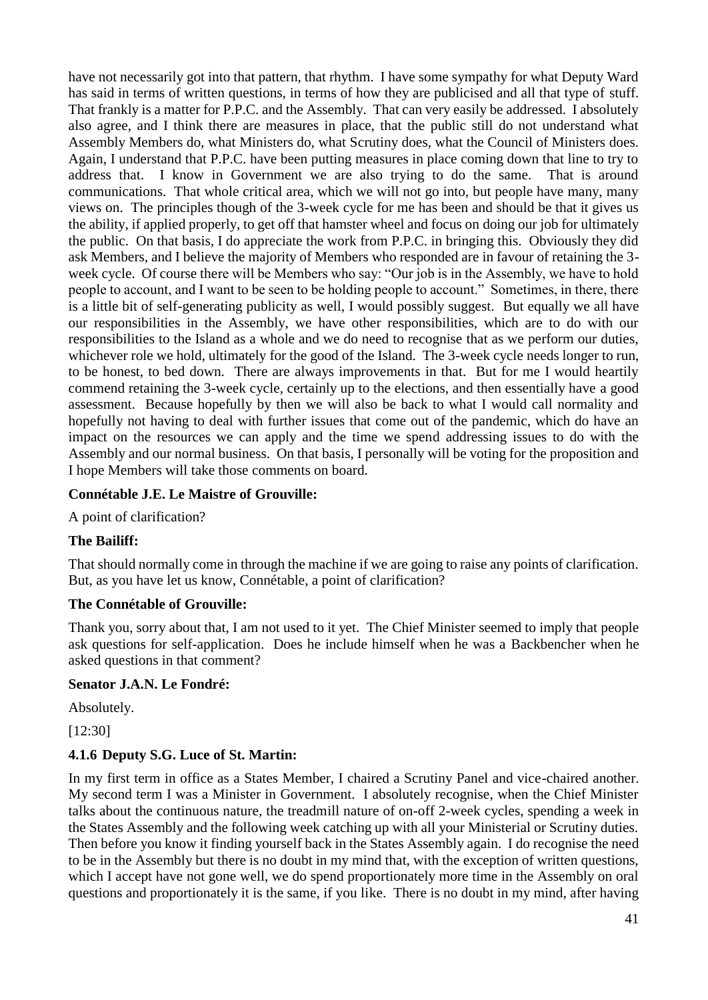have not necessarily got into that pattern, that rhythm. I have some sympathy for what Deputy Ward has said in terms of written questions, in terms of how they are publicised and all that type of stuff. That frankly is a matter for P.P.C. and the Assembly. That can very easily be addressed. I absolutely also agree, and I think there are measures in place, that the public still do not understand what Assembly Members do, what Ministers do, what Scrutiny does, what the Council of Ministers does. Again, I understand that P.P.C. have been putting measures in place coming down that line to try to address that. I know in Government we are also trying to do the same. That is around communications. That whole critical area, which we will not go into, but people have many, many views on. The principles though of the 3-week cycle for me has been and should be that it gives us the ability, if applied properly, to get off that hamster wheel and focus on doing our job for ultimately the public. On that basis, I do appreciate the work from P.P.C. in bringing this. Obviously they did ask Members, and I believe the majority of Members who responded are in favour of retaining the 3 week cycle. Of course there will be Members who say: "Our job is in the Assembly, we have to hold people to account, and I want to be seen to be holding people to account." Sometimes, in there, there is a little bit of self-generating publicity as well, I would possibly suggest. But equally we all have our responsibilities in the Assembly, we have other responsibilities, which are to do with our responsibilities to the Island as a whole and we do need to recognise that as we perform our duties, whichever role we hold, ultimately for the good of the Island. The 3-week cycle needs longer to run, to be honest, to bed down. There are always improvements in that. But for me I would heartily commend retaining the 3-week cycle, certainly up to the elections, and then essentially have a good assessment. Because hopefully by then we will also be back to what I would call normality and hopefully not having to deal with further issues that come out of the pandemic, which do have an impact on the resources we can apply and the time we spend addressing issues to do with the Assembly and our normal business. On that basis, I personally will be voting for the proposition and I hope Members will take those comments on board.

### **Connétable J.E. Le Maistre of Grouville:**

A point of clarification?

### **The Bailiff:**

That should normally come in through the machine if we are going to raise any points of clarification. But, as you have let us know, Connétable, a point of clarification?

### **The Connétable of Grouville:**

Thank you, sorry about that, I am not used to it yet. The Chief Minister seemed to imply that people ask questions for self-application. Does he include himself when he was a Backbencher when he asked questions in that comment?

#### **Senator J.A.N. Le Fondré:**

Absolutely.

[12:30]

### **4.1.6 Deputy S.G. Luce of St. Martin:**

In my first term in office as a States Member, I chaired a Scrutiny Panel and vice-chaired another. My second term I was a Minister in Government. I absolutely recognise, when the Chief Minister talks about the continuous nature, the treadmill nature of on-off 2-week cycles, spending a week in the States Assembly and the following week catching up with all your Ministerial or Scrutiny duties. Then before you know it finding yourself back in the States Assembly again. I do recognise the need to be in the Assembly but there is no doubt in my mind that, with the exception of written questions, which I accept have not gone well, we do spend proportionately more time in the Assembly on oral questions and proportionately it is the same, if you like. There is no doubt in my mind, after having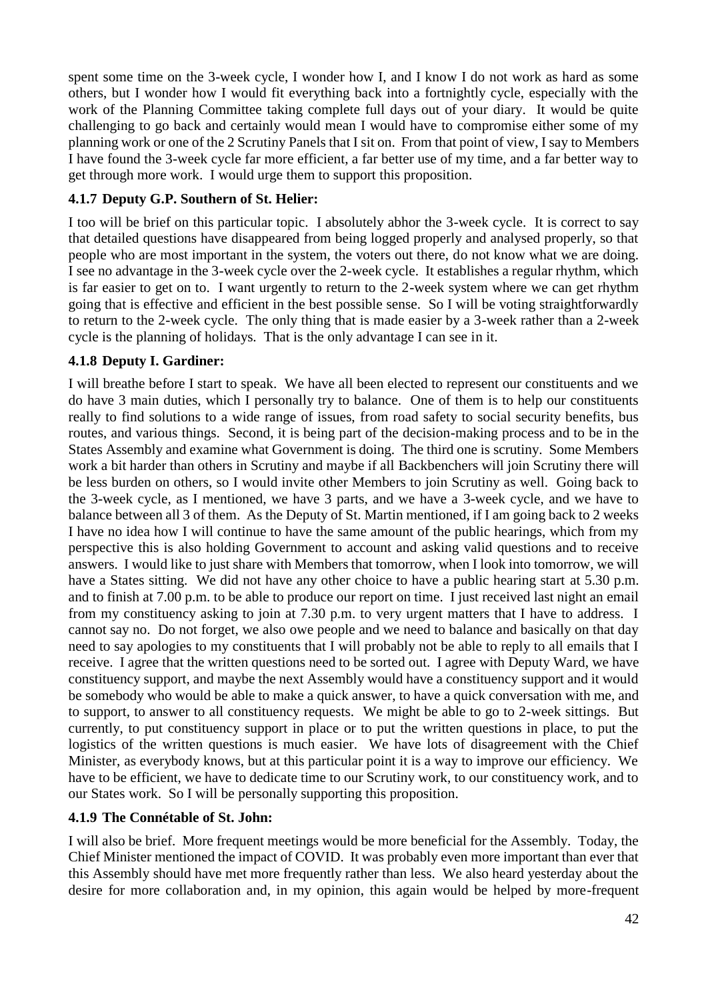spent some time on the 3-week cycle, I wonder how I, and I know I do not work as hard as some others, but I wonder how I would fit everything back into a fortnightly cycle, especially with the work of the Planning Committee taking complete full days out of your diary. It would be quite challenging to go back and certainly would mean I would have to compromise either some of my planning work or one of the 2 Scrutiny Panels that I sit on. From that point of view, I say to Members I have found the 3-week cycle far more efficient, a far better use of my time, and a far better way to get through more work. I would urge them to support this proposition.

## **4.1.7 Deputy G.P. Southern of St. Helier:**

I too will be brief on this particular topic. I absolutely abhor the 3-week cycle. It is correct to say that detailed questions have disappeared from being logged properly and analysed properly, so that people who are most important in the system, the voters out there, do not know what we are doing. I see no advantage in the 3-week cycle over the 2-week cycle. It establishes a regular rhythm, which is far easier to get on to. I want urgently to return to the 2-week system where we can get rhythm going that is effective and efficient in the best possible sense. So I will be voting straightforwardly to return to the 2-week cycle. The only thing that is made easier by a 3-week rather than a 2-week cycle is the planning of holidays. That is the only advantage I can see in it.

## **4.1.8 Deputy I. Gardiner:**

I will breathe before I start to speak. We have all been elected to represent our constituents and we do have 3 main duties, which I personally try to balance. One of them is to help our constituents really to find solutions to a wide range of issues, from road safety to social security benefits, bus routes, and various things. Second, it is being part of the decision-making process and to be in the States Assembly and examine what Government is doing. The third one is scrutiny. Some Members work a bit harder than others in Scrutiny and maybe if all Backbenchers will join Scrutiny there will be less burden on others, so I would invite other Members to join Scrutiny as well. Going back to the 3-week cycle, as I mentioned, we have 3 parts, and we have a 3-week cycle, and we have to balance between all 3 of them. As the Deputy of St. Martin mentioned, if I am going back to 2 weeks I have no idea how I will continue to have the same amount of the public hearings, which from my perspective this is also holding Government to account and asking valid questions and to receive answers. I would like to just share with Members that tomorrow, when I look into tomorrow, we will have a States sitting. We did not have any other choice to have a public hearing start at 5.30 p.m. and to finish at 7.00 p.m. to be able to produce our report on time. I just received last night an email from my constituency asking to join at 7.30 p.m. to very urgent matters that I have to address. I cannot say no. Do not forget, we also owe people and we need to balance and basically on that day need to say apologies to my constituents that I will probably not be able to reply to all emails that I receive. I agree that the written questions need to be sorted out. I agree with Deputy Ward, we have constituency support, and maybe the next Assembly would have a constituency support and it would be somebody who would be able to make a quick answer, to have a quick conversation with me, and to support, to answer to all constituency requests. We might be able to go to 2-week sittings. But currently, to put constituency support in place or to put the written questions in place, to put the logistics of the written questions is much easier. We have lots of disagreement with the Chief Minister, as everybody knows, but at this particular point it is a way to improve our efficiency. We have to be efficient, we have to dedicate time to our Scrutiny work, to our constituency work, and to our States work. So I will be personally supporting this proposition.

### **4.1.9 The Connétable of St. John:**

I will also be brief. More frequent meetings would be more beneficial for the Assembly. Today, the Chief Minister mentioned the impact of COVID. It was probably even more important than ever that this Assembly should have met more frequently rather than less. We also heard yesterday about the desire for more collaboration and, in my opinion, this again would be helped by more-frequent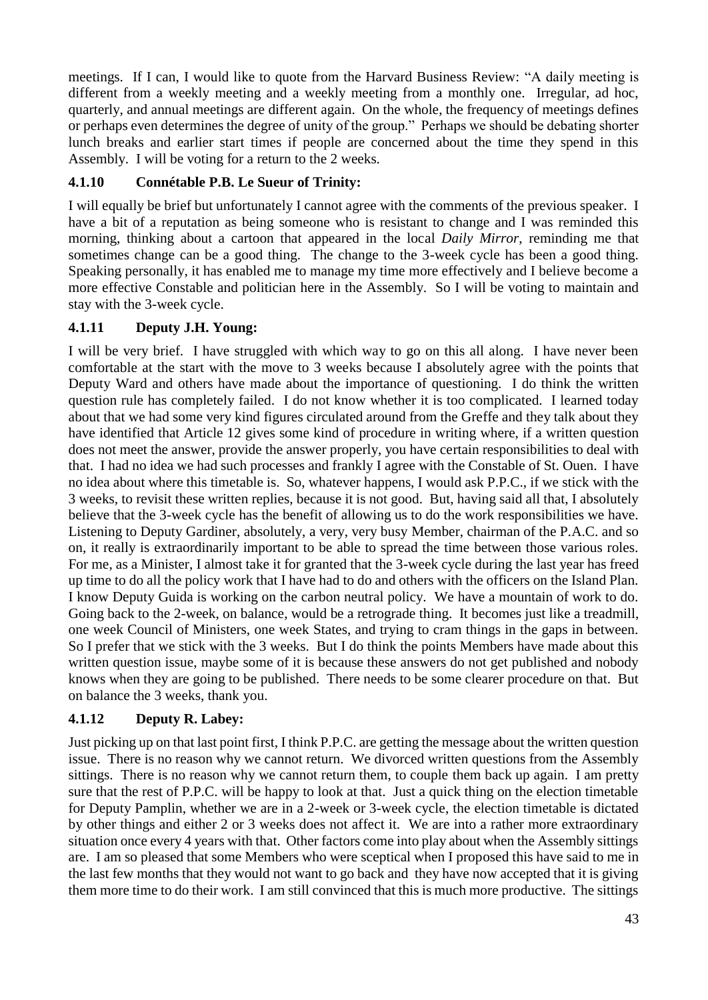meetings. If I can, I would like to quote from the Harvard Business Review: "A daily meeting is different from a weekly meeting and a weekly meeting from a monthly one. Irregular, ad hoc, quarterly, and annual meetings are different again. On the whole, the frequency of meetings defines or perhaps even determines the degree of unity of the group." Perhaps we should be debating shorter lunch breaks and earlier start times if people are concerned about the time they spend in this Assembly. I will be voting for a return to the 2 weeks.

# **4.1.10 Connétable P.B. Le Sueur of Trinity:**

I will equally be brief but unfortunately I cannot agree with the comments of the previous speaker. I have a bit of a reputation as being someone who is resistant to change and I was reminded this morning, thinking about a cartoon that appeared in the local *Daily Mirror*, reminding me that sometimes change can be a good thing. The change to the 3-week cycle has been a good thing. Speaking personally, it has enabled me to manage my time more effectively and I believe become a more effective Constable and politician here in the Assembly. So I will be voting to maintain and stay with the 3-week cycle.

# **4.1.11 Deputy J.H. Young:**

I will be very brief. I have struggled with which way to go on this all along. I have never been comfortable at the start with the move to 3 weeks because I absolutely agree with the points that Deputy Ward and others have made about the importance of questioning. I do think the written question rule has completely failed. I do not know whether it is too complicated. I learned today about that we had some very kind figures circulated around from the Greffe and they talk about they have identified that Article 12 gives some kind of procedure in writing where, if a written question does not meet the answer, provide the answer properly, you have certain responsibilities to deal with that. I had no idea we had such processes and frankly I agree with the Constable of St. Ouen. I have no idea about where this timetable is. So, whatever happens, I would ask P.P.C., if we stick with the 3 weeks, to revisit these written replies, because it is not good. But, having said all that, I absolutely believe that the 3-week cycle has the benefit of allowing us to do the work responsibilities we have. Listening to Deputy Gardiner, absolutely, a very, very busy Member, chairman of the P.A.C. and so on, it really is extraordinarily important to be able to spread the time between those various roles. For me, as a Minister, I almost take it for granted that the 3-week cycle during the last year has freed up time to do all the policy work that I have had to do and others with the officers on the Island Plan. I know Deputy Guida is working on the carbon neutral policy. We have a mountain of work to do. Going back to the 2-week, on balance, would be a retrograde thing. It becomes just like a treadmill, one week Council of Ministers, one week States, and trying to cram things in the gaps in between. So I prefer that we stick with the 3 weeks. But I do think the points Members have made about this written question issue, maybe some of it is because these answers do not get published and nobody knows when they are going to be published. There needs to be some clearer procedure on that. But on balance the 3 weeks, thank you.

# **4.1.12 Deputy R. Labey:**

Just picking up on that last point first, I think P.P.C. are getting the message about the written question issue. There is no reason why we cannot return. We divorced written questions from the Assembly sittings. There is no reason why we cannot return them, to couple them back up again. I am pretty sure that the rest of P.P.C. will be happy to look at that. Just a quick thing on the election timetable for Deputy Pamplin, whether we are in a 2-week or 3-week cycle, the election timetable is dictated by other things and either 2 or 3 weeks does not affect it. We are into a rather more extraordinary situation once every 4 years with that. Other factors come into play about when the Assembly sittings are. I am so pleased that some Members who were sceptical when I proposed this have said to me in the last few months that they would not want to go back and they have now accepted that it is giving them more time to do their work. I am still convinced that this is much more productive. The sittings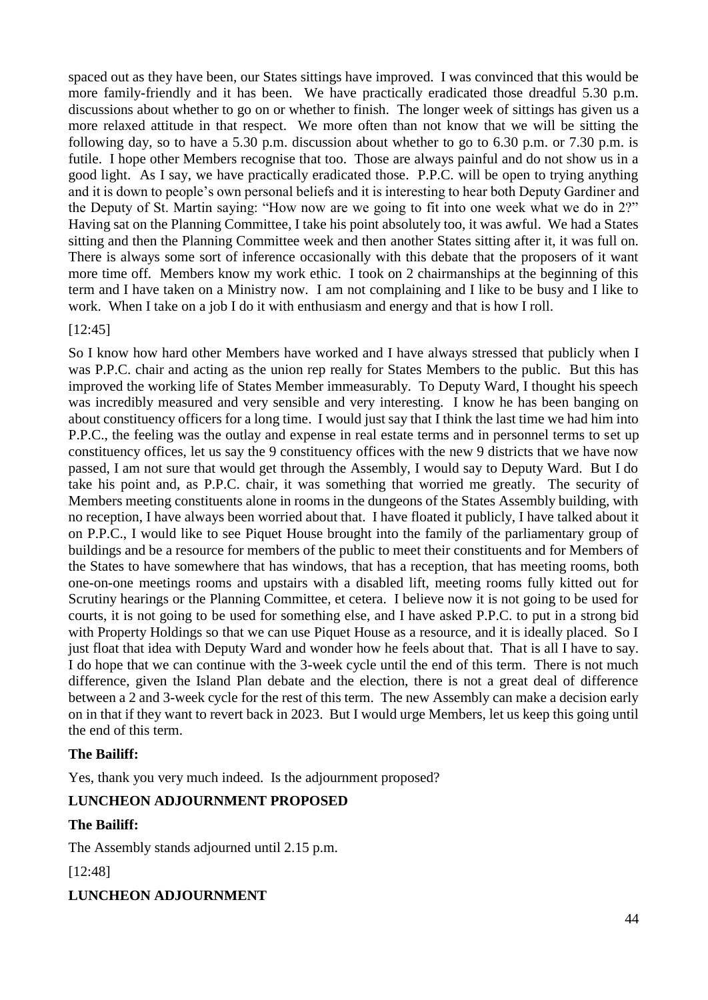spaced out as they have been, our States sittings have improved. I was convinced that this would be more family-friendly and it has been. We have practically eradicated those dreadful 5.30 p.m. discussions about whether to go on or whether to finish. The longer week of sittings has given us a more relaxed attitude in that respect. We more often than not know that we will be sitting the following day, so to have a 5.30 p.m. discussion about whether to go to 6.30 p.m. or 7.30 p.m. is futile. I hope other Members recognise that too. Those are always painful and do not show us in a good light. As I say, we have practically eradicated those. P.P.C. will be open to trying anything and it is down to people's own personal beliefs and it is interesting to hear both Deputy Gardiner and the Deputy of St. Martin saying: "How now are we going to fit into one week what we do in 2?" Having sat on the Planning Committee, I take his point absolutely too, it was awful. We had a States sitting and then the Planning Committee week and then another States sitting after it, it was full on. There is always some sort of inference occasionally with this debate that the proposers of it want more time off. Members know my work ethic. I took on 2 chairmanships at the beginning of this term and I have taken on a Ministry now. I am not complaining and I like to be busy and I like to work. When I take on a job I do it with enthusiasm and energy and that is how I roll.

#### [12:45]

So I know how hard other Members have worked and I have always stressed that publicly when I was P.P.C. chair and acting as the union rep really for States Members to the public. But this has improved the working life of States Member immeasurably. To Deputy Ward, I thought his speech was incredibly measured and very sensible and very interesting. I know he has been banging on about constituency officers for a long time. I would just say that I think the last time we had him into P.P.C., the feeling was the outlay and expense in real estate terms and in personnel terms to set up constituency offices, let us say the 9 constituency offices with the new 9 districts that we have now passed, I am not sure that would get through the Assembly, I would say to Deputy Ward. But I do take his point and, as P.P.C. chair, it was something that worried me greatly. The security of Members meeting constituents alone in rooms in the dungeons of the States Assembly building, with no reception, I have always been worried about that. I have floated it publicly, I have talked about it on P.P.C., I would like to see Piquet House brought into the family of the parliamentary group of buildings and be a resource for members of the public to meet their constituents and for Members of the States to have somewhere that has windows, that has a reception, that has meeting rooms, both one-on-one meetings rooms and upstairs with a disabled lift, meeting rooms fully kitted out for Scrutiny hearings or the Planning Committee, et cetera. I believe now it is not going to be used for courts, it is not going to be used for something else, and I have asked P.P.C. to put in a strong bid with Property Holdings so that we can use Piquet House as a resource, and it is ideally placed. So I just float that idea with Deputy Ward and wonder how he feels about that. That is all I have to say. I do hope that we can continue with the 3-week cycle until the end of this term. There is not much difference, given the Island Plan debate and the election, there is not a great deal of difference between a 2 and 3-week cycle for the rest of this term. The new Assembly can make a decision early on in that if they want to revert back in 2023. But I would urge Members, let us keep this going until the end of this term.

### **The Bailiff:**

Yes, thank you very much indeed. Is the adjournment proposed?

### **LUNCHEON ADJOURNMENT PROPOSED**

### **The Bailiff:**

The Assembly stands adjourned until 2.15 p.m.

[12:48]

**LUNCHEON ADJOURNMENT**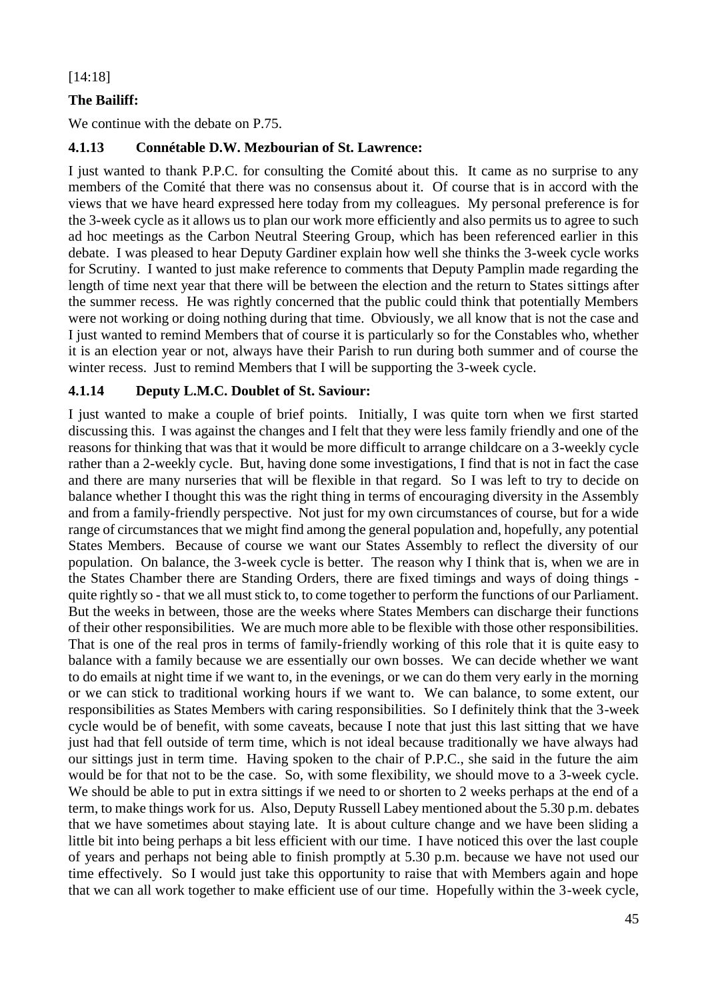#### [14:18]

## **The Bailiff:**

We continue with the debate on P.75.

### **4.1.13 Connétable D.W. Mezbourian of St. Lawrence:**

I just wanted to thank P.P.C. for consulting the Comité about this. It came as no surprise to any members of the Comité that there was no consensus about it. Of course that is in accord with the views that we have heard expressed here today from my colleagues. My personal preference is for the 3-week cycle as it allows us to plan our work more efficiently and also permits us to agree to such ad hoc meetings as the Carbon Neutral Steering Group, which has been referenced earlier in this debate. I was pleased to hear Deputy Gardiner explain how well she thinks the 3-week cycle works for Scrutiny. I wanted to just make reference to comments that Deputy Pamplin made regarding the length of time next year that there will be between the election and the return to States sittings after the summer recess. He was rightly concerned that the public could think that potentially Members were not working or doing nothing during that time. Obviously, we all know that is not the case and I just wanted to remind Members that of course it is particularly so for the Constables who, whether it is an election year or not, always have their Parish to run during both summer and of course the winter recess. Just to remind Members that I will be supporting the 3-week cycle.

### **4.1.14 Deputy L.M.C. Doublet of St. Saviour:**

I just wanted to make a couple of brief points. Initially, I was quite torn when we first started discussing this. I was against the changes and I felt that they were less family friendly and one of the reasons for thinking that was that it would be more difficult to arrange childcare on a 3-weekly cycle rather than a 2-weekly cycle. But, having done some investigations, I find that is not in fact the case and there are many nurseries that will be flexible in that regard. So I was left to try to decide on balance whether I thought this was the right thing in terms of encouraging diversity in the Assembly and from a family-friendly perspective. Not just for my own circumstances of course, but for a wide range of circumstances that we might find among the general population and, hopefully, any potential States Members. Because of course we want our States Assembly to reflect the diversity of our population. On balance, the 3-week cycle is better. The reason why I think that is, when we are in the States Chamber there are Standing Orders, there are fixed timings and ways of doing things quite rightly so - that we all must stick to, to come together to perform the functions of our Parliament. But the weeks in between, those are the weeks where States Members can discharge their functions of their other responsibilities. We are much more able to be flexible with those other responsibilities. That is one of the real pros in terms of family-friendly working of this role that it is quite easy to balance with a family because we are essentially our own bosses. We can decide whether we want to do emails at night time if we want to, in the evenings, or we can do them very early in the morning or we can stick to traditional working hours if we want to. We can balance, to some extent, our responsibilities as States Members with caring responsibilities. So I definitely think that the 3-week cycle would be of benefit, with some caveats, because I note that just this last sitting that we have just had that fell outside of term time, which is not ideal because traditionally we have always had our sittings just in term time. Having spoken to the chair of P.P.C., she said in the future the aim would be for that not to be the case. So, with some flexibility, we should move to a 3-week cycle. We should be able to put in extra sittings if we need to or shorten to 2 weeks perhaps at the end of a term, to make things work for us. Also, Deputy Russell Labey mentioned about the 5.30 p.m. debates that we have sometimes about staying late. It is about culture change and we have been sliding a little bit into being perhaps a bit less efficient with our time. I have noticed this over the last couple of years and perhaps not being able to finish promptly at 5.30 p.m. because we have not used our time effectively. So I would just take this opportunity to raise that with Members again and hope that we can all work together to make efficient use of our time. Hopefully within the 3-week cycle,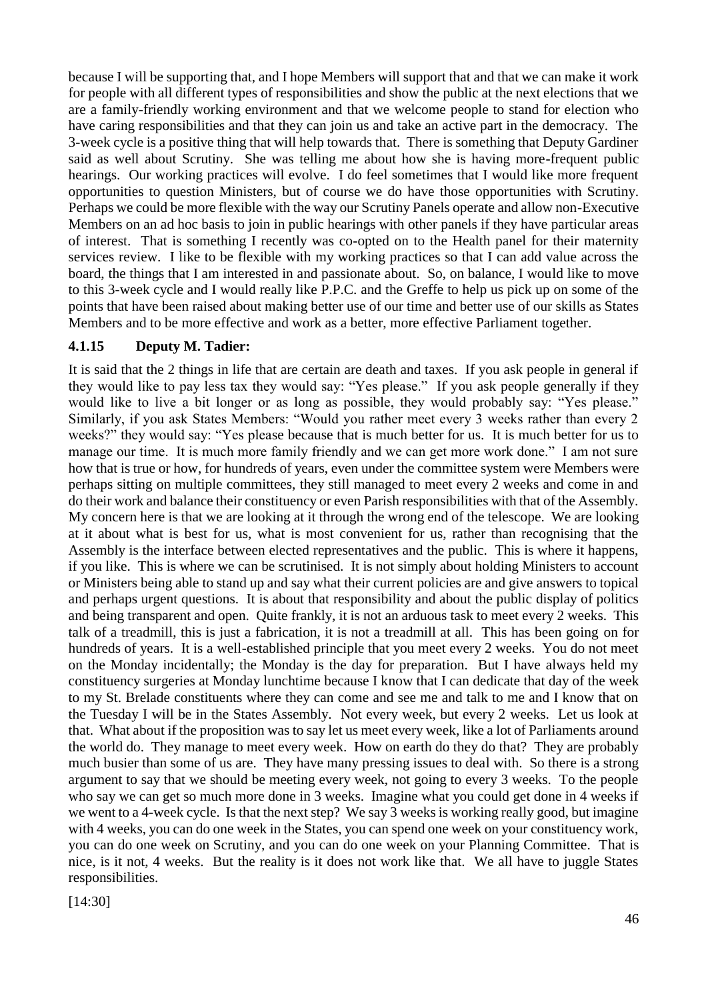because I will be supporting that, and I hope Members will support that and that we can make it work for people with all different types of responsibilities and show the public at the next elections that we are a family-friendly working environment and that we welcome people to stand for election who have caring responsibilities and that they can join us and take an active part in the democracy. The 3-week cycle is a positive thing that will help towards that. There is something that Deputy Gardiner said as well about Scrutiny. She was telling me about how she is having more-frequent public hearings. Our working practices will evolve. I do feel sometimes that I would like more frequent opportunities to question Ministers, but of course we do have those opportunities with Scrutiny. Perhaps we could be more flexible with the way our Scrutiny Panels operate and allow non-Executive Members on an ad hoc basis to join in public hearings with other panels if they have particular areas of interest. That is something I recently was co-opted on to the Health panel for their maternity services review. I like to be flexible with my working practices so that I can add value across the board, the things that I am interested in and passionate about. So, on balance, I would like to move to this 3-week cycle and I would really like P.P.C. and the Greffe to help us pick up on some of the points that have been raised about making better use of our time and better use of our skills as States Members and to be more effective and work as a better, more effective Parliament together.

#### **4.1.15 Deputy M. Tadier:**

It is said that the 2 things in life that are certain are death and taxes. If you ask people in general if they would like to pay less tax they would say: "Yes please." If you ask people generally if they would like to live a bit longer or as long as possible, they would probably say: "Yes please." Similarly, if you ask States Members: "Would you rather meet every 3 weeks rather than every 2 weeks?" they would say: "Yes please because that is much better for us. It is much better for us to manage our time. It is much more family friendly and we can get more work done." I am not sure how that is true or how, for hundreds of years, even under the committee system were Members were perhaps sitting on multiple committees, they still managed to meet every 2 weeks and come in and do their work and balance their constituency or even Parish responsibilities with that of the Assembly. My concern here is that we are looking at it through the wrong end of the telescope. We are looking at it about what is best for us, what is most convenient for us, rather than recognising that the Assembly is the interface between elected representatives and the public. This is where it happens, if you like. This is where we can be scrutinised. It is not simply about holding Ministers to account or Ministers being able to stand up and say what their current policies are and give answers to topical and perhaps urgent questions. It is about that responsibility and about the public display of politics and being transparent and open. Quite frankly, it is not an arduous task to meet every 2 weeks. This talk of a treadmill, this is just a fabrication, it is not a treadmill at all. This has been going on for hundreds of years. It is a well-established principle that you meet every 2 weeks. You do not meet on the Monday incidentally; the Monday is the day for preparation. But I have always held my constituency surgeries at Monday lunchtime because I know that I can dedicate that day of the week to my St. Brelade constituents where they can come and see me and talk to me and I know that on the Tuesday I will be in the States Assembly. Not every week, but every 2 weeks. Let us look at that. What about if the proposition was to say let us meet every week, like a lot of Parliaments around the world do. They manage to meet every week. How on earth do they do that? They are probably much busier than some of us are. They have many pressing issues to deal with. So there is a strong argument to say that we should be meeting every week, not going to every 3 weeks. To the people who say we can get so much more done in 3 weeks. Imagine what you could get done in 4 weeks if we went to a 4-week cycle. Is that the next step? We say 3 weeks is working really good, but imagine with 4 weeks, you can do one week in the States, you can spend one week on your constituency work, you can do one week on Scrutiny, and you can do one week on your Planning Committee. That is nice, is it not, 4 weeks. But the reality is it does not work like that. We all have to juggle States responsibilities.

[14:30]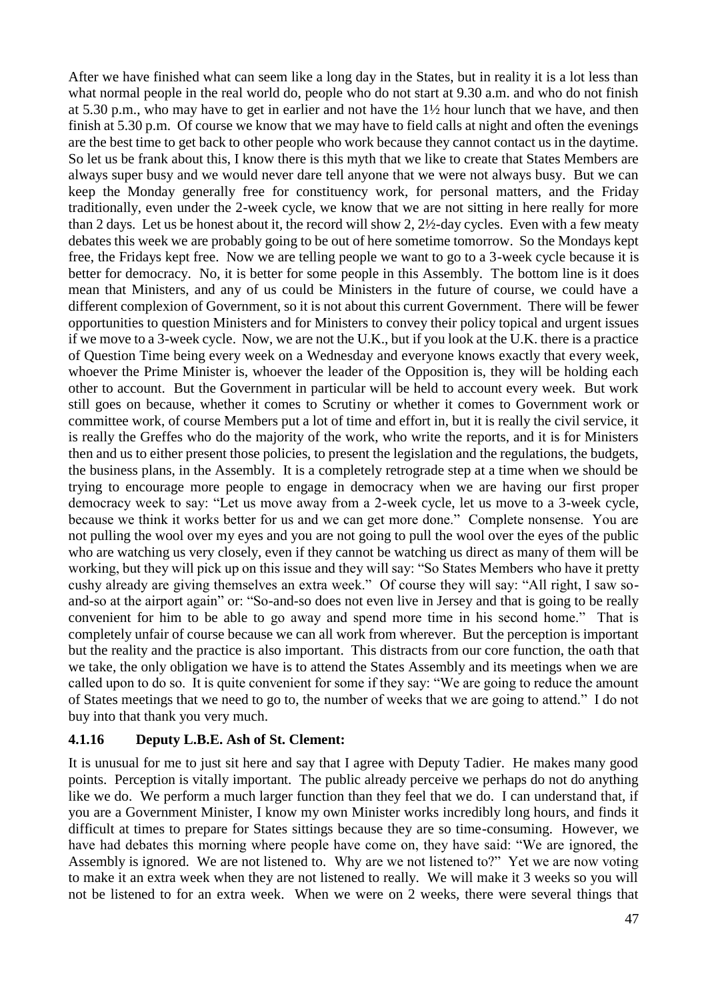After we have finished what can seem like a long day in the States, but in reality it is a lot less than what normal people in the real world do, people who do not start at 9.30 a.m. and who do not finish at 5.30 p.m., who may have to get in earlier and not have the 1½ hour lunch that we have, and then finish at 5.30 p.m. Of course we know that we may have to field calls at night and often the evenings are the best time to get back to other people who work because they cannot contact us in the daytime. So let us be frank about this, I know there is this myth that we like to create that States Members are always super busy and we would never dare tell anyone that we were not always busy. But we can keep the Monday generally free for constituency work, for personal matters, and the Friday traditionally, even under the 2-week cycle, we know that we are not sitting in here really for more than 2 days. Let us be honest about it, the record will show 2, 2½-day cycles. Even with a few meaty debates this week we are probably going to be out of here sometime tomorrow. So the Mondays kept free, the Fridays kept free. Now we are telling people we want to go to a 3-week cycle because it is better for democracy. No, it is better for some people in this Assembly. The bottom line is it does mean that Ministers, and any of us could be Ministers in the future of course, we could have a different complexion of Government, so it is not about this current Government. There will be fewer opportunities to question Ministers and for Ministers to convey their policy topical and urgent issues if we move to a 3-week cycle. Now, we are not the U.K., but if you look at the U.K. there is a practice of Question Time being every week on a Wednesday and everyone knows exactly that every week, whoever the Prime Minister is, whoever the leader of the Opposition is, they will be holding each other to account. But the Government in particular will be held to account every week. But work still goes on because, whether it comes to Scrutiny or whether it comes to Government work or committee work, of course Members put a lot of time and effort in, but it is really the civil service, it is really the Greffes who do the majority of the work, who write the reports, and it is for Ministers then and us to either present those policies, to present the legislation and the regulations, the budgets, the business plans, in the Assembly. It is a completely retrograde step at a time when we should be trying to encourage more people to engage in democracy when we are having our first proper democracy week to say: "Let us move away from a 2-week cycle, let us move to a 3-week cycle, because we think it works better for us and we can get more done." Complete nonsense. You are not pulling the wool over my eyes and you are not going to pull the wool over the eyes of the public who are watching us very closely, even if they cannot be watching us direct as many of them will be working, but they will pick up on this issue and they will say: "So States Members who have it pretty cushy already are giving themselves an extra week." Of course they will say: "All right, I saw soand-so at the airport again" or: "So-and-so does not even live in Jersey and that is going to be really convenient for him to be able to go away and spend more time in his second home." That is completely unfair of course because we can all work from wherever. But the perception is important but the reality and the practice is also important. This distracts from our core function, the oath that we take, the only obligation we have is to attend the States Assembly and its meetings when we are called upon to do so. It is quite convenient for some if they say: "We are going to reduce the amount of States meetings that we need to go to, the number of weeks that we are going to attend." I do not buy into that thank you very much.

### **4.1.16 Deputy L.B.E. Ash of St. Clement:**

It is unusual for me to just sit here and say that I agree with Deputy Tadier. He makes many good points. Perception is vitally important. The public already perceive we perhaps do not do anything like we do. We perform a much larger function than they feel that we do. I can understand that, if you are a Government Minister, I know my own Minister works incredibly long hours, and finds it difficult at times to prepare for States sittings because they are so time-consuming. However, we have had debates this morning where people have come on, they have said: "We are ignored, the Assembly is ignored. We are not listened to. Why are we not listened to?" Yet we are now voting to make it an extra week when they are not listened to really. We will make it 3 weeks so you will not be listened to for an extra week. When we were on 2 weeks, there were several things that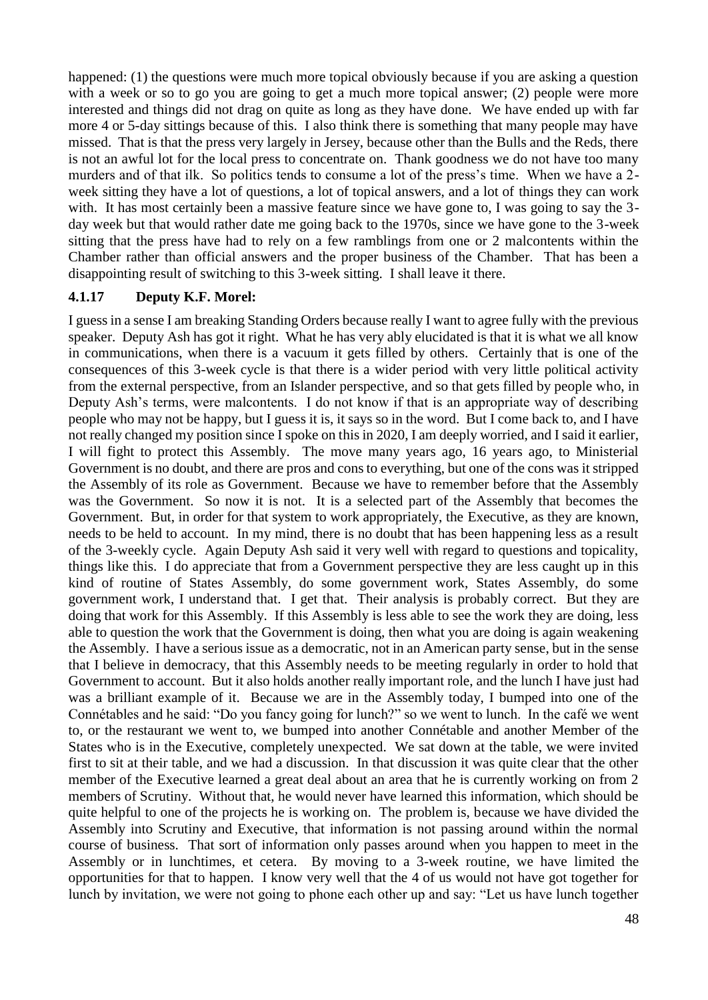happened: (1) the questions were much more topical obviously because if you are asking a question with a week or so to go you are going to get a much more topical answer; (2) people were more interested and things did not drag on quite as long as they have done. We have ended up with far more 4 or 5-day sittings because of this. I also think there is something that many people may have missed. That is that the press very largely in Jersey, because other than the Bulls and the Reds, there is not an awful lot for the local press to concentrate on. Thank goodness we do not have too many murders and of that ilk. So politics tends to consume a lot of the press's time. When we have a 2 week sitting they have a lot of questions, a lot of topical answers, and a lot of things they can work with. It has most certainly been a massive feature since we have gone to, I was going to say the 3day week but that would rather date me going back to the 1970s, since we have gone to the 3-week sitting that the press have had to rely on a few ramblings from one or 2 malcontents within the Chamber rather than official answers and the proper business of the Chamber. That has been a disappointing result of switching to this 3-week sitting. I shall leave it there.

#### **4.1.17 Deputy K.F. Morel:**

I guess in a sense I am breaking Standing Orders because really I want to agree fully with the previous speaker. Deputy Ash has got it right. What he has very ably elucidated is that it is what we all know in communications, when there is a vacuum it gets filled by others. Certainly that is one of the consequences of this 3-week cycle is that there is a wider period with very little political activity from the external perspective, from an Islander perspective, and so that gets filled by people who, in Deputy Ash's terms, were malcontents. I do not know if that is an appropriate way of describing people who may not be happy, but I guess it is, it says so in the word. But I come back to, and I have not really changed my position since I spoke on this in 2020, I am deeply worried, and I said it earlier, I will fight to protect this Assembly. The move many years ago, 16 years ago, to Ministerial Government is no doubt, and there are pros and cons to everything, but one of the cons was it stripped the Assembly of its role as Government. Because we have to remember before that the Assembly was the Government. So now it is not. It is a selected part of the Assembly that becomes the Government. But, in order for that system to work appropriately, the Executive, as they are known, needs to be held to account. In my mind, there is no doubt that has been happening less as a result of the 3-weekly cycle. Again Deputy Ash said it very well with regard to questions and topicality, things like this. I do appreciate that from a Government perspective they are less caught up in this kind of routine of States Assembly, do some government work, States Assembly, do some government work, I understand that. I get that. Their analysis is probably correct. But they are doing that work for this Assembly. If this Assembly is less able to see the work they are doing, less able to question the work that the Government is doing, then what you are doing is again weakening the Assembly. I have a serious issue as a democratic, not in an American party sense, but in the sense that I believe in democracy, that this Assembly needs to be meeting regularly in order to hold that Government to account. But it also holds another really important role, and the lunch I have just had was a brilliant example of it. Because we are in the Assembly today, I bumped into one of the Connétables and he said: "Do you fancy going for lunch?" so we went to lunch. In the café we went to, or the restaurant we went to, we bumped into another Connétable and another Member of the States who is in the Executive, completely unexpected. We sat down at the table, we were invited first to sit at their table, and we had a discussion. In that discussion it was quite clear that the other member of the Executive learned a great deal about an area that he is currently working on from 2 members of Scrutiny. Without that, he would never have learned this information, which should be quite helpful to one of the projects he is working on. The problem is, because we have divided the Assembly into Scrutiny and Executive, that information is not passing around within the normal course of business. That sort of information only passes around when you happen to meet in the Assembly or in lunchtimes, et cetera. By moving to a 3-week routine, we have limited the opportunities for that to happen. I know very well that the 4 of us would not have got together for lunch by invitation, we were not going to phone each other up and say: "Let us have lunch together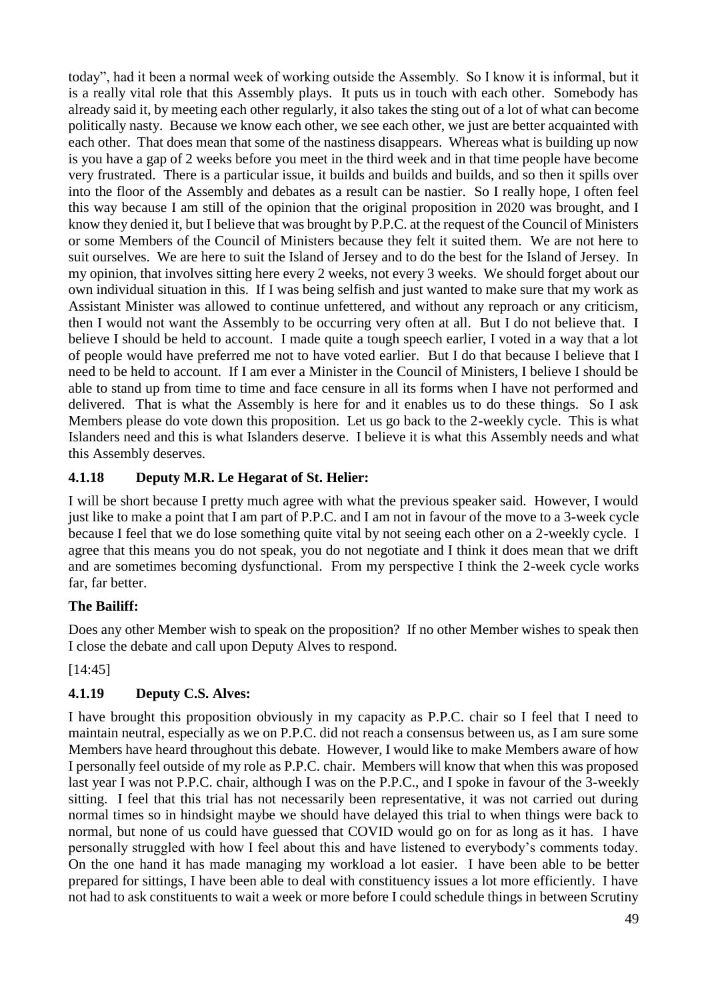today", had it been a normal week of working outside the Assembly. So I know it is informal, but it is a really vital role that this Assembly plays. It puts us in touch with each other. Somebody has already said it, by meeting each other regularly, it also takes the sting out of a lot of what can become politically nasty. Because we know each other, we see each other, we just are better acquainted with each other. That does mean that some of the nastiness disappears. Whereas what is building up now is you have a gap of 2 weeks before you meet in the third week and in that time people have become very frustrated. There is a particular issue, it builds and builds and builds, and so then it spills over into the floor of the Assembly and debates as a result can be nastier. So I really hope, I often feel this way because I am still of the opinion that the original proposition in 2020 was brought, and I know they denied it, but I believe that was brought by P.P.C. at the request of the Council of Ministers or some Members of the Council of Ministers because they felt it suited them. We are not here to suit ourselves. We are here to suit the Island of Jersey and to do the best for the Island of Jersey. In my opinion, that involves sitting here every 2 weeks, not every 3 weeks. We should forget about our own individual situation in this. If I was being selfish and just wanted to make sure that my work as Assistant Minister was allowed to continue unfettered, and without any reproach or any criticism, then I would not want the Assembly to be occurring very often at all. But I do not believe that. I believe I should be held to account. I made quite a tough speech earlier, I voted in a way that a lot of people would have preferred me not to have voted earlier. But I do that because I believe that I need to be held to account. If I am ever a Minister in the Council of Ministers, I believe I should be able to stand up from time to time and face censure in all its forms when I have not performed and delivered. That is what the Assembly is here for and it enables us to do these things. So I ask Members please do vote down this proposition. Let us go back to the 2-weekly cycle. This is what Islanders need and this is what Islanders deserve. I believe it is what this Assembly needs and what this Assembly deserves.

# **4.1.18 Deputy M.R. Le Hegarat of St. Helier:**

I will be short because I pretty much agree with what the previous speaker said. However, I would just like to make a point that I am part of P.P.C. and I am not in favour of the move to a 3-week cycle because I feel that we do lose something quite vital by not seeing each other on a 2-weekly cycle. I agree that this means you do not speak, you do not negotiate and I think it does mean that we drift and are sometimes becoming dysfunctional. From my perspective I think the 2-week cycle works far, far better.

# **The Bailiff:**

Does any other Member wish to speak on the proposition? If no other Member wishes to speak then I close the debate and call upon Deputy Alves to respond.

[14:45]

# **4.1.19 Deputy C.S. Alves:**

I have brought this proposition obviously in my capacity as P.P.C. chair so I feel that I need to maintain neutral, especially as we on P.P.C. did not reach a consensus between us, as I am sure some Members have heard throughout this debate. However, I would like to make Members aware of how I personally feel outside of my role as P.P.C. chair. Members will know that when this was proposed last year I was not P.P.C. chair, although I was on the P.P.C., and I spoke in favour of the 3-weekly sitting. I feel that this trial has not necessarily been representative, it was not carried out during normal times so in hindsight maybe we should have delayed this trial to when things were back to normal, but none of us could have guessed that COVID would go on for as long as it has. I have personally struggled with how I feel about this and have listened to everybody's comments today. On the one hand it has made managing my workload a lot easier. I have been able to be better prepared for sittings, I have been able to deal with constituency issues a lot more efficiently. I have not had to ask constituents to wait a week or more before I could schedule things in between Scrutiny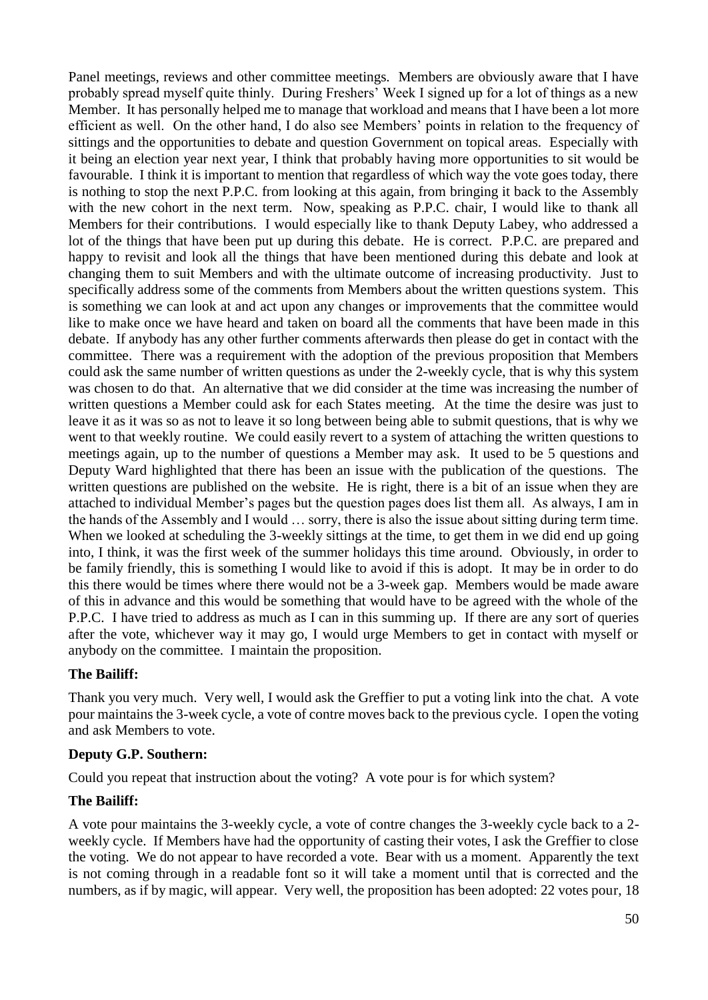Panel meetings, reviews and other committee meetings. Members are obviously aware that I have probably spread myself quite thinly. During Freshers' Week I signed up for a lot of things as a new Member. It has personally helped me to manage that workload and means that I have been a lot more efficient as well. On the other hand, I do also see Members' points in relation to the frequency of sittings and the opportunities to debate and question Government on topical areas. Especially with it being an election year next year, I think that probably having more opportunities to sit would be favourable. I think it is important to mention that regardless of which way the vote goes today, there is nothing to stop the next P.P.C. from looking at this again, from bringing it back to the Assembly with the new cohort in the next term. Now, speaking as P.P.C. chair, I would like to thank all Members for their contributions. I would especially like to thank Deputy Labey, who addressed a lot of the things that have been put up during this debate. He is correct. P.P.C. are prepared and happy to revisit and look all the things that have been mentioned during this debate and look at changing them to suit Members and with the ultimate outcome of increasing productivity. Just to specifically address some of the comments from Members about the written questions system. This is something we can look at and act upon any changes or improvements that the committee would like to make once we have heard and taken on board all the comments that have been made in this debate. If anybody has any other further comments afterwards then please do get in contact with the committee. There was a requirement with the adoption of the previous proposition that Members could ask the same number of written questions as under the 2-weekly cycle, that is why this system was chosen to do that. An alternative that we did consider at the time was increasing the number of written questions a Member could ask for each States meeting. At the time the desire was just to leave it as it was so as not to leave it so long between being able to submit questions, that is why we went to that weekly routine. We could easily revert to a system of attaching the written questions to meetings again, up to the number of questions a Member may ask. It used to be 5 questions and Deputy Ward highlighted that there has been an issue with the publication of the questions. The written questions are published on the website. He is right, there is a bit of an issue when they are attached to individual Member's pages but the question pages does list them all. As always, I am in the hands of the Assembly and I would … sorry, there is also the issue about sitting during term time. When we looked at scheduling the 3-weekly sittings at the time, to get them in we did end up going into, I think, it was the first week of the summer holidays this time around. Obviously, in order to be family friendly, this is something I would like to avoid if this is adopt. It may be in order to do this there would be times where there would not be a 3-week gap. Members would be made aware of this in advance and this would be something that would have to be agreed with the whole of the P.P.C. I have tried to address as much as I can in this summing up. If there are any sort of queries after the vote, whichever way it may go, I would urge Members to get in contact with myself or anybody on the committee. I maintain the proposition.

### **The Bailiff:**

Thank you very much. Very well, I would ask the Greffier to put a voting link into the chat. A vote pour maintains the 3-week cycle, a vote of contre moves back to the previous cycle. I open the voting and ask Members to vote.

### **Deputy G.P. Southern:**

Could you repeat that instruction about the voting? A vote pour is for which system?

### **The Bailiff:**

A vote pour maintains the 3-weekly cycle, a vote of contre changes the 3-weekly cycle back to a 2 weekly cycle. If Members have had the opportunity of casting their votes, I ask the Greffier to close the voting. We do not appear to have recorded a vote. Bear with us a moment. Apparently the text is not coming through in a readable font so it will take a moment until that is corrected and the numbers, as if by magic, will appear. Very well, the proposition has been adopted: 22 votes pour, 18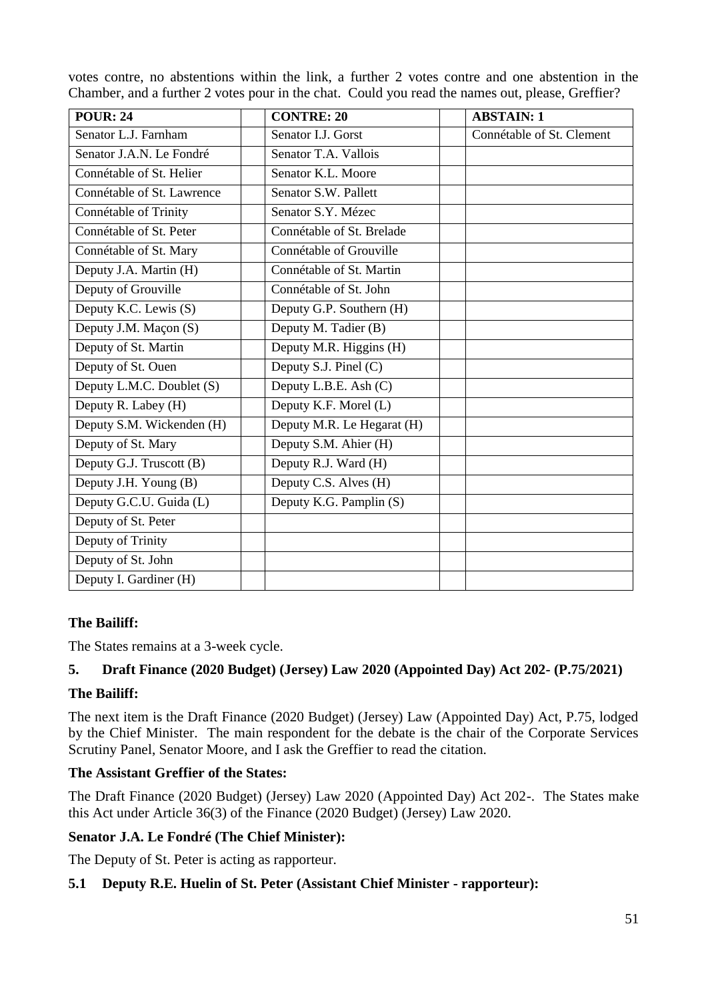|                          |                      | votes contre, no abstentions within the link, a further 2 votes contre and one abstention in the<br>Chamber, and a further 2 votes pour in the chat. Could you read the names out, please, Greffier? |
|--------------------------|----------------------|------------------------------------------------------------------------------------------------------------------------------------------------------------------------------------------------------|
| <b>POUR: 24</b>          | <b>CONTRE: 20</b>    | <b>ABSTAIN: 1</b>                                                                                                                                                                                    |
| Senator L.J. Farnham     | Senator I.J. Gorst   | Connétable of St. Clement                                                                                                                                                                            |
| Senator J.A.N. Le Fondré | Senator T.A. Vallois |                                                                                                                                                                                                      |
| Connétable of St. Helier | Senator K.L. Moore   |                                                                                                                                                                                                      |

votes contre, no abstentions within the link, a further 2 votes contre and one abstention in the

| Connétable of Trinity     | Senator S.Y. Mézec         |  |
|---------------------------|----------------------------|--|
| Connétable of St. Peter   | Connétable of St. Brelade  |  |
| Connétable of St. Mary    | Connétable of Grouville    |  |
| Deputy J.A. Martin (H)    | Connétable of St. Martin   |  |
| Deputy of Grouville       | Connétable of St. John     |  |
| Deputy K.C. Lewis (S)     | Deputy G.P. Southern (H)   |  |
| Deputy J.M. Maçon (S)     | Deputy M. Tadier (B)       |  |
| Deputy of St. Martin      | Deputy M.R. Higgins (H)    |  |
| Deputy of St. Ouen        | Deputy S.J. Pinel (C)      |  |
| Deputy L.M.C. Doublet (S) | Deputy L.B.E. Ash (C)      |  |
| Deputy R. Labey (H)       | Deputy K.F. Morel (L)      |  |
| Deputy S.M. Wickenden (H) | Deputy M.R. Le Hegarat (H) |  |
| Deputy of St. Mary        | Deputy S.M. Ahier (H)      |  |
| Deputy G.J. Truscott (B)  | Deputy R.J. Ward (H)       |  |
| Deputy J.H. Young (B)     | Deputy C.S. Alves (H)      |  |
| Deputy G.C.U. Guida (L)   | Deputy K.G. Pamplin (S)    |  |
| Deputy of St. Peter       |                            |  |
| Deputy of Trinity         |                            |  |
| Deputy of St. John        |                            |  |
| Deputy I. Gardiner (H)    |                            |  |
|                           |                            |  |

# **The Bailiff:**

The States remains at a 3-week cycle.

Connétable of St. Lawrence Senator S.W. Pallett

# **5. Draft Finance (2020 Budget) (Jersey) Law 2020 (Appointed Day) Act 202- (P.75/2021)**

# **The Bailiff:**

The next item is the Draft Finance (2020 Budget) (Jersey) Law (Appointed Day) Act, P.75, lodged by the Chief Minister. The main respondent for the debate is the chair of the Corporate Services Scrutiny Panel, Senator Moore, and I ask the Greffier to read the citation.

# **The Assistant Greffier of the States:**

The Draft Finance (2020 Budget) (Jersey) Law 2020 (Appointed Day) Act 202-. The States make this Act under Article 36(3) of the Finance (2020 Budget) (Jersey) Law 2020.

# **Senator J.A. Le Fondré (The Chief Minister):**

The Deputy of St. Peter is acting as rapporteur.

# **5.1 Deputy R.E. Huelin of St. Peter (Assistant Chief Minister - rapporteur):**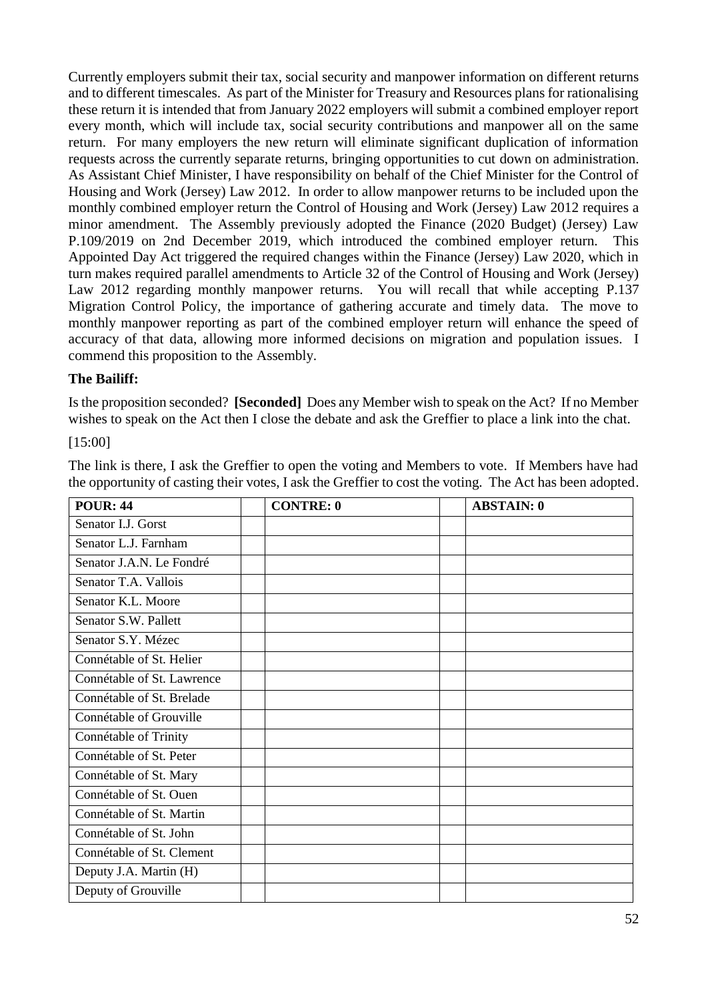Currently employers submit their tax, social security and manpower information on different returns and to different timescales. As part of the Minister for Treasury and Resources plans for rationalising these return it is intended that from January 2022 employers will submit a combined employer report every month, which will include tax, social security contributions and manpower all on the same return. For many employers the new return will eliminate significant duplication of information requests across the currently separate returns, bringing opportunities to cut down on administration. As Assistant Chief Minister, I have responsibility on behalf of the Chief Minister for the Control of Housing and Work (Jersey) Law 2012. In order to allow manpower returns to be included upon the monthly combined employer return the Control of Housing and Work (Jersey) Law 2012 requires a minor amendment. The Assembly previously adopted the Finance (2020 Budget) (Jersey) Law P.109/2019 on 2nd December 2019, which introduced the combined employer return. This Appointed Day Act triggered the required changes within the Finance (Jersey) Law 2020, which in turn makes required parallel amendments to Article 32 of the Control of Housing and Work (Jersey) Law 2012 regarding monthly manpower returns. You will recall that while accepting P.137 Migration Control Policy, the importance of gathering accurate and timely data. The move to monthly manpower reporting as part of the combined employer return will enhance the speed of accuracy of that data, allowing more informed decisions on migration and population issues. I commend this proposition to the Assembly.

## **The Bailiff:**

Is the proposition seconded? **[Seconded]** Does any Member wish to speak on the Act? If no Member wishes to speak on the Act then I close the debate and ask the Greffier to place a link into the chat.

[15:00]

The link is there, I ask the Greffier to open the voting and Members to vote. If Members have had the opportunity of casting their votes, I ask the Greffier to cost the voting. The Act has been adopted.

| <b>POUR: 44</b>            | <b>CONTRE: 0</b> | <b>ABSTAIN: 0</b> |
|----------------------------|------------------|-------------------|
| Senator I.J. Gorst         |                  |                   |
| Senator L.J. Farnham       |                  |                   |
| Senator J.A.N. Le Fondré   |                  |                   |
| Senator T.A. Vallois       |                  |                   |
| Senator K.L. Moore         |                  |                   |
| Senator S.W. Pallett       |                  |                   |
| Senator S.Y. Mézec         |                  |                   |
| Connétable of St. Helier   |                  |                   |
| Connétable of St. Lawrence |                  |                   |
| Connétable of St. Brelade  |                  |                   |
| Connétable of Grouville    |                  |                   |
| Connétable of Trinity      |                  |                   |
| Connétable of St. Peter    |                  |                   |
| Connétable of St. Mary     |                  |                   |
| Connétable of St. Ouen     |                  |                   |
| Connétable of St. Martin   |                  |                   |
| Connétable of St. John     |                  |                   |
| Connétable of St. Clement  |                  |                   |
| Deputy J.A. Martin (H)     |                  |                   |
| Deputy of Grouville        |                  |                   |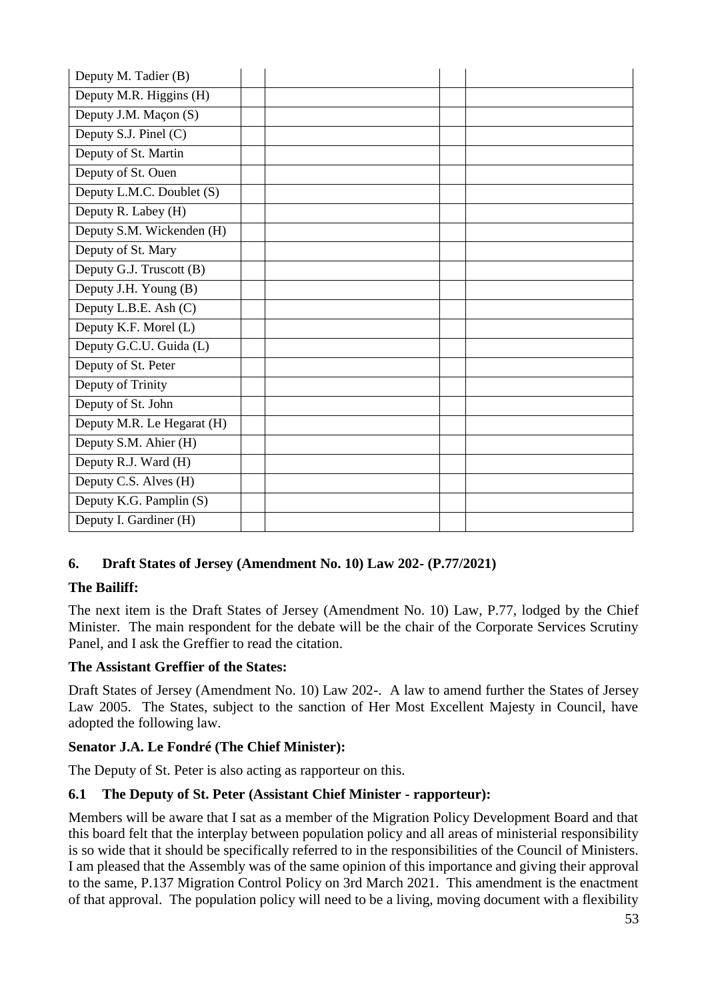| Deputy M. Tadier (B)       |  |
|----------------------------|--|
| Deputy M.R. Higgins (H)    |  |
| Deputy J.M. Maçon (S)      |  |
| Deputy S.J. Pinel (C)      |  |
| Deputy of St. Martin       |  |
| Deputy of St. Ouen         |  |
| Deputy L.M.C. Doublet (S)  |  |
| Deputy R. Labey (H)        |  |
| Deputy S.M. Wickenden (H)  |  |
| Deputy of St. Mary         |  |
| Deputy G.J. Truscott (B)   |  |
| Deputy J.H. Young (B)      |  |
| Deputy L.B.E. Ash (C)      |  |
| Deputy K.F. Morel (L)      |  |
| Deputy G.C.U. Guida (L)    |  |
| Deputy of St. Peter        |  |
| Deputy of Trinity          |  |
| Deputy of St. John         |  |
| Deputy M.R. Le Hegarat (H) |  |
| Deputy S.M. Ahier (H)      |  |
| Deputy R.J. Ward (H)       |  |
| Deputy C.S. Alves (H)      |  |
| Deputy K.G. Pamplin (S)    |  |
| Deputy I. Gardiner (H)     |  |

# **6. Draft States of Jersey (Amendment No. 10) Law 202- (P.77/2021)**

# **The Bailiff:**

The next item is the Draft States of Jersey (Amendment No. 10) Law, P.77, lodged by the Chief Minister. The main respondent for the debate will be the chair of the Corporate Services Scrutiny Panel, and I ask the Greffier to read the citation.

# **The Assistant Greffier of the States:**

Draft States of Jersey (Amendment No. 10) Law 202-. A law to amend further the States of Jersey Law 2005. The States, subject to the sanction of Her Most Excellent Majesty in Council, have adopted the following law.

# **Senator J.A. Le Fondré (The Chief Minister):**

The Deputy of St. Peter is also acting as rapporteur on this.

# **6.1 The Deputy of St. Peter (Assistant Chief Minister - rapporteur):**

Members will be aware that I sat as a member of the Migration Policy Development Board and that this board felt that the interplay between population policy and all areas of ministerial responsibility is so wide that it should be specifically referred to in the responsibilities of the Council of Ministers. I am pleased that the Assembly was of the same opinion of this importance and giving their approval to the same, P.137 Migration Control Policy on 3rd March 2021. This amendment is the enactment of that approval. The population policy will need to be a living, moving document with a flexibility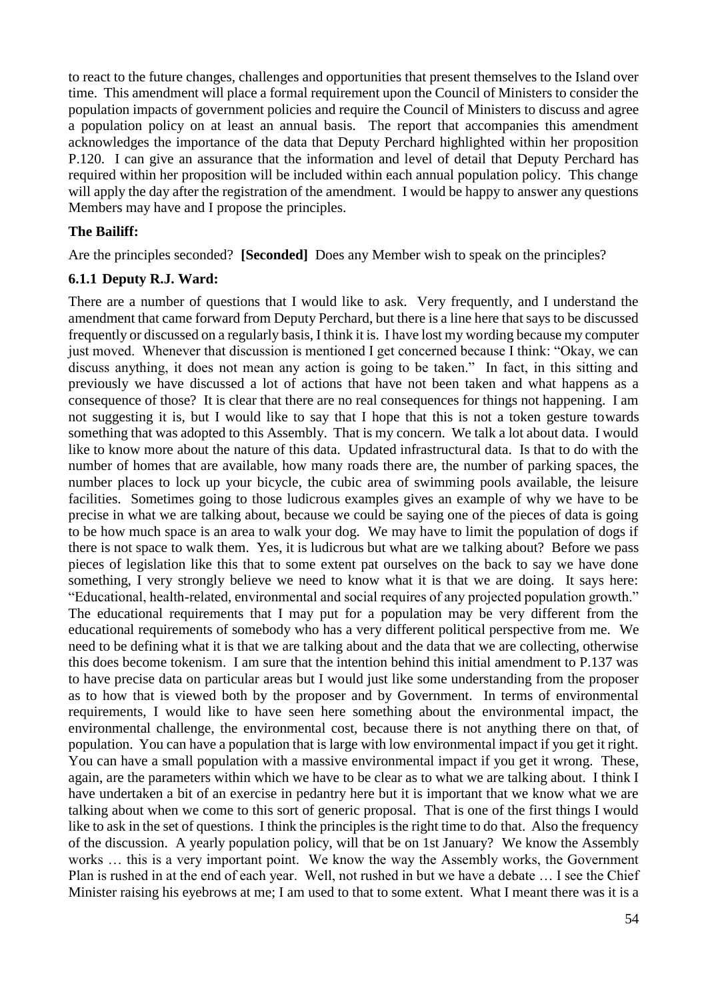to react to the future changes, challenges and opportunities that present themselves to the Island over time. This amendment will place a formal requirement upon the Council of Ministers to consider the population impacts of government policies and require the Council of Ministers to discuss and agree a population policy on at least an annual basis. The report that accompanies this amendment acknowledges the importance of the data that Deputy Perchard highlighted within her proposition P.120. I can give an assurance that the information and level of detail that Deputy Perchard has required within her proposition will be included within each annual population policy. This change will apply the day after the registration of the amendment. I would be happy to answer any questions Members may have and I propose the principles.

#### **The Bailiff:**

Are the principles seconded? **[Seconded]** Does any Member wish to speak on the principles?

#### **6.1.1 Deputy R.J. Ward:**

There are a number of questions that I would like to ask. Very frequently, and I understand the amendment that came forward from Deputy Perchard, but there is a line here that says to be discussed frequently or discussed on a regularly basis, I think it is. I have lost my wording because my computer just moved. Whenever that discussion is mentioned I get concerned because I think: "Okay, we can discuss anything, it does not mean any action is going to be taken." In fact, in this sitting and previously we have discussed a lot of actions that have not been taken and what happens as a consequence of those? It is clear that there are no real consequences for things not happening. I am not suggesting it is, but I would like to say that I hope that this is not a token gesture towards something that was adopted to this Assembly. That is my concern. We talk a lot about data. I would like to know more about the nature of this data. Updated infrastructural data. Is that to do with the number of homes that are available, how many roads there are, the number of parking spaces, the number places to lock up your bicycle, the cubic area of swimming pools available, the leisure facilities. Sometimes going to those ludicrous examples gives an example of why we have to be precise in what we are talking about, because we could be saying one of the pieces of data is going to be how much space is an area to walk your dog. We may have to limit the population of dogs if there is not space to walk them. Yes, it is ludicrous but what are we talking about? Before we pass pieces of legislation like this that to some extent pat ourselves on the back to say we have done something, I very strongly believe we need to know what it is that we are doing. It says here: "Educational, health-related, environmental and social requires of any projected population growth." The educational requirements that I may put for a population may be very different from the educational requirements of somebody who has a very different political perspective from me. We need to be defining what it is that we are talking about and the data that we are collecting, otherwise this does become tokenism. I am sure that the intention behind this initial amendment to P.137 was to have precise data on particular areas but I would just like some understanding from the proposer as to how that is viewed both by the proposer and by Government. In terms of environmental requirements, I would like to have seen here something about the environmental impact, the environmental challenge, the environmental cost, because there is not anything there on that, of population. You can have a population that is large with low environmental impact if you get it right. You can have a small population with a massive environmental impact if you get it wrong. These, again, are the parameters within which we have to be clear as to what we are talking about. I think I have undertaken a bit of an exercise in pedantry here but it is important that we know what we are talking about when we come to this sort of generic proposal. That is one of the first things I would like to ask in the set of questions. I think the principles is the right time to do that. Also the frequency of the discussion. A yearly population policy, will that be on 1st January? We know the Assembly works … this is a very important point. We know the way the Assembly works, the Government Plan is rushed in at the end of each year. Well, not rushed in but we have a debate … I see the Chief Minister raising his eyebrows at me; I am used to that to some extent. What I meant there was it is a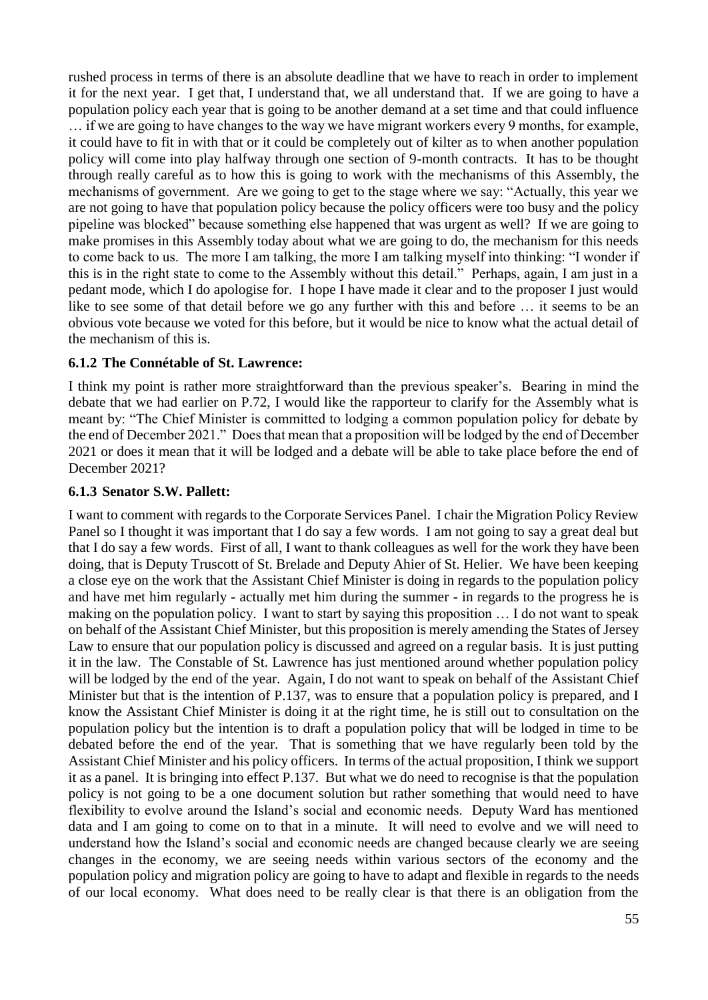rushed process in terms of there is an absolute deadline that we have to reach in order to implement it for the next year. I get that, I understand that, we all understand that. If we are going to have a population policy each year that is going to be another demand at a set time and that could influence … if we are going to have changes to the way we have migrant workers every 9 months, for example, it could have to fit in with that or it could be completely out of kilter as to when another population policy will come into play halfway through one section of 9-month contracts. It has to be thought through really careful as to how this is going to work with the mechanisms of this Assembly, the mechanisms of government. Are we going to get to the stage where we say: "Actually, this year we are not going to have that population policy because the policy officers were too busy and the policy pipeline was blocked" because something else happened that was urgent as well? If we are going to make promises in this Assembly today about what we are going to do, the mechanism for this needs to come back to us. The more I am talking, the more I am talking myself into thinking: "I wonder if this is in the right state to come to the Assembly without this detail." Perhaps, again, I am just in a pedant mode, which I do apologise for. I hope I have made it clear and to the proposer I just would like to see some of that detail before we go any further with this and before … it seems to be an obvious vote because we voted for this before, but it would be nice to know what the actual detail of the mechanism of this is.

### **6.1.2 The Connétable of St. Lawrence:**

I think my point is rather more straightforward than the previous speaker's. Bearing in mind the debate that we had earlier on P.72, I would like the rapporteur to clarify for the Assembly what is meant by: "The Chief Minister is committed to lodging a common population policy for debate by the end of December 2021." Does that mean that a proposition will be lodged by the end of December 2021 or does it mean that it will be lodged and a debate will be able to take place before the end of December 2021?

#### **6.1.3 Senator S.W. Pallett:**

I want to comment with regards to the Corporate Services Panel. I chair the Migration Policy Review Panel so I thought it was important that I do say a few words. I am not going to say a great deal but that I do say a few words. First of all, I want to thank colleagues as well for the work they have been doing, that is Deputy Truscott of St. Brelade and Deputy Ahier of St. Helier. We have been keeping a close eye on the work that the Assistant Chief Minister is doing in regards to the population policy and have met him regularly - actually met him during the summer - in regards to the progress he is making on the population policy. I want to start by saying this proposition … I do not want to speak on behalf of the Assistant Chief Minister, but this proposition is merely amending the States of Jersey Law to ensure that our population policy is discussed and agreed on a regular basis. It is just putting it in the law. The Constable of St. Lawrence has just mentioned around whether population policy will be lodged by the end of the year. Again, I do not want to speak on behalf of the Assistant Chief Minister but that is the intention of P.137, was to ensure that a population policy is prepared, and I know the Assistant Chief Minister is doing it at the right time, he is still out to consultation on the population policy but the intention is to draft a population policy that will be lodged in time to be debated before the end of the year. That is something that we have regularly been told by the Assistant Chief Minister and his policy officers. In terms of the actual proposition, I think we support it as a panel. It is bringing into effect P.137. But what we do need to recognise is that the population policy is not going to be a one document solution but rather something that would need to have flexibility to evolve around the Island's social and economic needs. Deputy Ward has mentioned data and I am going to come on to that in a minute. It will need to evolve and we will need to understand how the Island's social and economic needs are changed because clearly we are seeing changes in the economy, we are seeing needs within various sectors of the economy and the population policy and migration policy are going to have to adapt and flexible in regards to the needs of our local economy. What does need to be really clear is that there is an obligation from the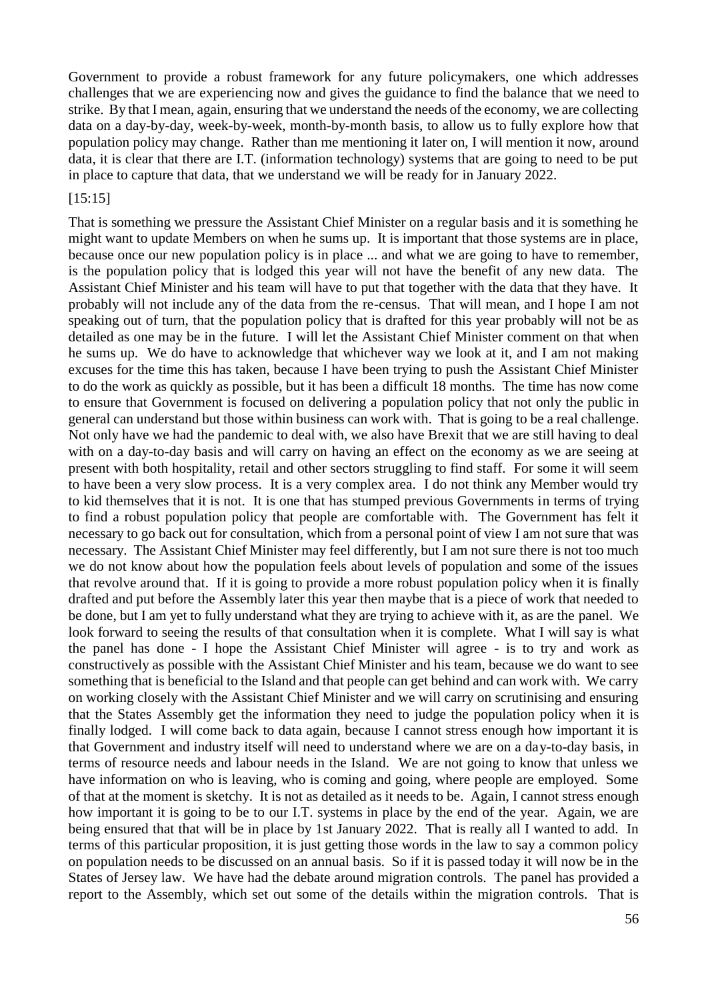Government to provide a robust framework for any future policymakers, one which addresses challenges that we are experiencing now and gives the guidance to find the balance that we need to strike. By that I mean, again, ensuring that we understand the needs of the economy, we are collecting data on a day-by-day, week-by-week, month-by-month basis, to allow us to fully explore how that population policy may change. Rather than me mentioning it later on, I will mention it now, around data, it is clear that there are I.T. (information technology) systems that are going to need to be put in place to capture that data, that we understand we will be ready for in January 2022.

#### [15:15]

That is something we pressure the Assistant Chief Minister on a regular basis and it is something he might want to update Members on when he sums up. It is important that those systems are in place, because once our new population policy is in place ... and what we are going to have to remember, is the population policy that is lodged this year will not have the benefit of any new data. The Assistant Chief Minister and his team will have to put that together with the data that they have. It probably will not include any of the data from the re-census. That will mean, and I hope I am not speaking out of turn, that the population policy that is drafted for this year probably will not be as detailed as one may be in the future. I will let the Assistant Chief Minister comment on that when he sums up. We do have to acknowledge that whichever way we look at it, and I am not making excuses for the time this has taken, because I have been trying to push the Assistant Chief Minister to do the work as quickly as possible, but it has been a difficult 18 months. The time has now come to ensure that Government is focused on delivering a population policy that not only the public in general can understand but those within business can work with. That is going to be a real challenge. Not only have we had the pandemic to deal with, we also have Brexit that we are still having to deal with on a day-to-day basis and will carry on having an effect on the economy as we are seeing at present with both hospitality, retail and other sectors struggling to find staff. For some it will seem to have been a very slow process. It is a very complex area. I do not think any Member would try to kid themselves that it is not. It is one that has stumped previous Governments in terms of trying to find a robust population policy that people are comfortable with. The Government has felt it necessary to go back out for consultation, which from a personal point of view I am not sure that was necessary. The Assistant Chief Minister may feel differently, but I am not sure there is not too much we do not know about how the population feels about levels of population and some of the issues that revolve around that. If it is going to provide a more robust population policy when it is finally drafted and put before the Assembly later this year then maybe that is a piece of work that needed to be done, but I am yet to fully understand what they are trying to achieve with it, as are the panel. We look forward to seeing the results of that consultation when it is complete. What I will say is what the panel has done - I hope the Assistant Chief Minister will agree - is to try and work as constructively as possible with the Assistant Chief Minister and his team, because we do want to see something that is beneficial to the Island and that people can get behind and can work with. We carry on working closely with the Assistant Chief Minister and we will carry on scrutinising and ensuring that the States Assembly get the information they need to judge the population policy when it is finally lodged. I will come back to data again, because I cannot stress enough how important it is that Government and industry itself will need to understand where we are on a day-to-day basis, in terms of resource needs and labour needs in the Island. We are not going to know that unless we have information on who is leaving, who is coming and going, where people are employed. Some of that at the moment is sketchy. It is not as detailed as it needs to be. Again, I cannot stress enough how important it is going to be to our I.T. systems in place by the end of the year. Again, we are being ensured that that will be in place by 1st January 2022. That is really all I wanted to add. In terms of this particular proposition, it is just getting those words in the law to say a common policy on population needs to be discussed on an annual basis. So if it is passed today it will now be in the States of Jersey law. We have had the debate around migration controls. The panel has provided a report to the Assembly, which set out some of the details within the migration controls. That is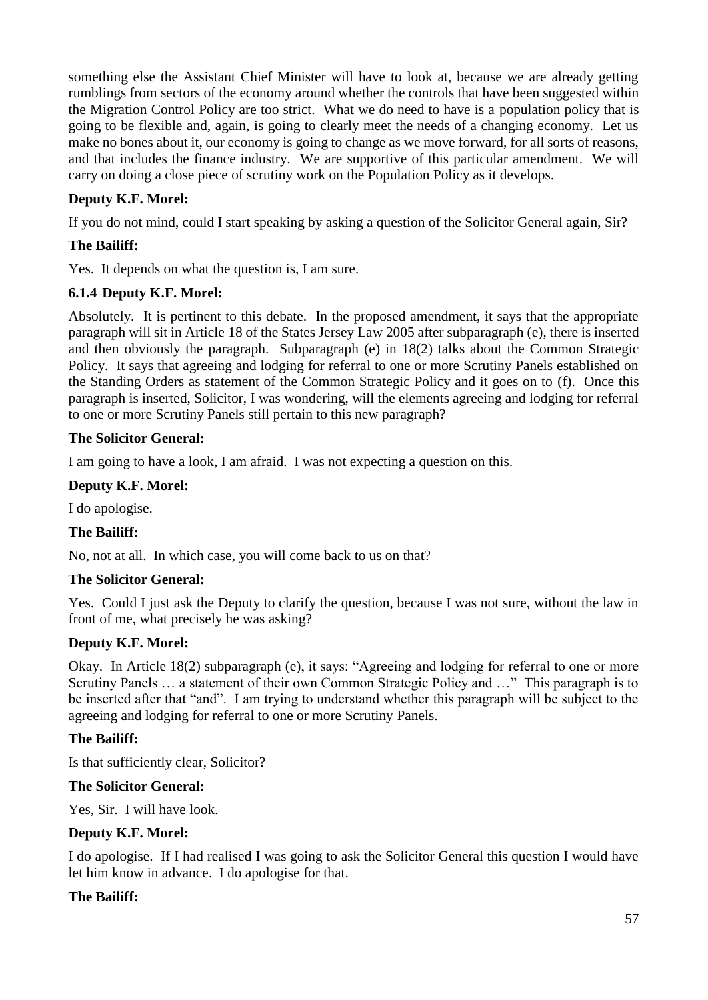something else the Assistant Chief Minister will have to look at, because we are already getting rumblings from sectors of the economy around whether the controls that have been suggested within the Migration Control Policy are too strict. What we do need to have is a population policy that is going to be flexible and, again, is going to clearly meet the needs of a changing economy. Let us make no bones about it, our economy is going to change as we move forward, for all sorts of reasons, and that includes the finance industry. We are supportive of this particular amendment. We will carry on doing a close piece of scrutiny work on the Population Policy as it develops.

# **Deputy K.F. Morel:**

If you do not mind, could I start speaking by asking a question of the Solicitor General again, Sir?

# **The Bailiff:**

Yes. It depends on what the question is, I am sure.

## **6.1.4 Deputy K.F. Morel:**

Absolutely. It is pertinent to this debate. In the proposed amendment, it says that the appropriate paragraph will sit in Article 18 of the States Jersey Law 2005 after subparagraph (e), there is inserted and then obviously the paragraph. Subparagraph (e) in 18(2) talks about the Common Strategic Policy. It says that agreeing and lodging for referral to one or more Scrutiny Panels established on the Standing Orders as statement of the Common Strategic Policy and it goes on to (f). Once this paragraph is inserted, Solicitor, I was wondering, will the elements agreeing and lodging for referral to one or more Scrutiny Panels still pertain to this new paragraph?

## **The Solicitor General:**

I am going to have a look, I am afraid. I was not expecting a question on this.

### **Deputy K.F. Morel:**

I do apologise.

### **The Bailiff:**

No, not at all. In which case, you will come back to us on that?

### **The Solicitor General:**

Yes. Could I just ask the Deputy to clarify the question, because I was not sure, without the law in front of me, what precisely he was asking?

### **Deputy K.F. Morel:**

Okay. In Article 18(2) subparagraph (e), it says: "Agreeing and lodging for referral to one or more Scrutiny Panels … a statement of their own Common Strategic Policy and …" This paragraph is to be inserted after that "and". I am trying to understand whether this paragraph will be subject to the agreeing and lodging for referral to one or more Scrutiny Panels.

### **The Bailiff:**

Is that sufficiently clear, Solicitor?

### **The Solicitor General:**

Yes, Sir. I will have look.

### **Deputy K.F. Morel:**

I do apologise. If I had realised I was going to ask the Solicitor General this question I would have let him know in advance. I do apologise for that.

### **The Bailiff:**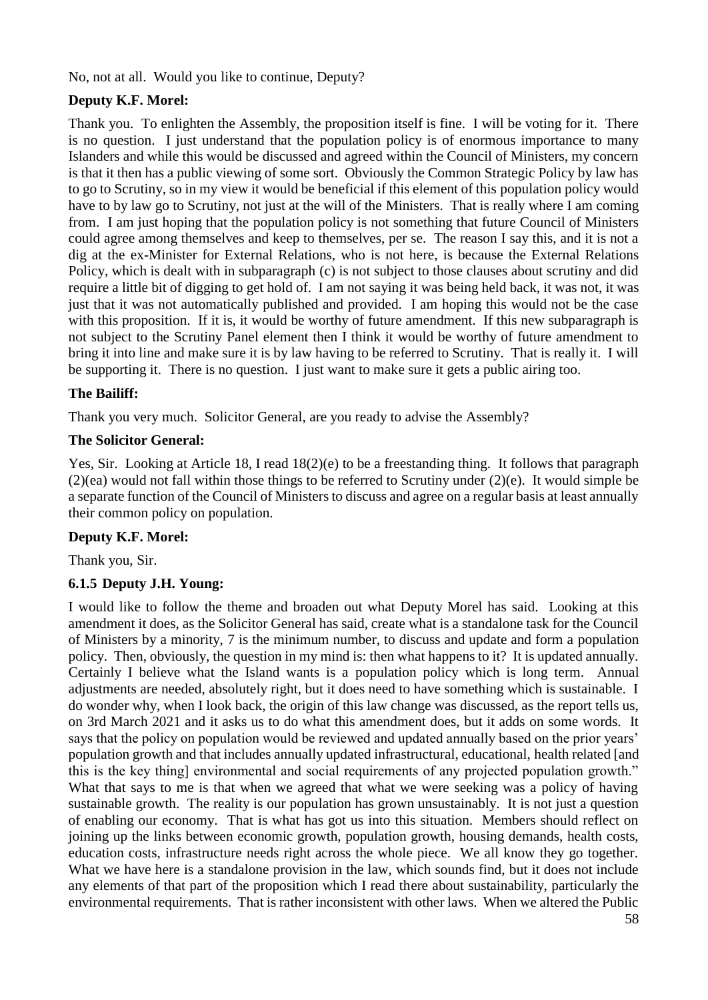No, not at all. Would you like to continue, Deputy?

# **Deputy K.F. Morel:**

Thank you. To enlighten the Assembly, the proposition itself is fine. I will be voting for it. There is no question. I just understand that the population policy is of enormous importance to many Islanders and while this would be discussed and agreed within the Council of Ministers, my concern is that it then has a public viewing of some sort. Obviously the Common Strategic Policy by law has to go to Scrutiny, so in my view it would be beneficial if this element of this population policy would have to by law go to Scrutiny, not just at the will of the Ministers. That is really where I am coming from. I am just hoping that the population policy is not something that future Council of Ministers could agree among themselves and keep to themselves, per se. The reason I say this, and it is not a dig at the ex-Minister for External Relations, who is not here, is because the External Relations Policy, which is dealt with in subparagraph (c) is not subject to those clauses about scrutiny and did require a little bit of digging to get hold of. I am not saying it was being held back, it was not, it was just that it was not automatically published and provided. I am hoping this would not be the case with this proposition. If it is, it would be worthy of future amendment. If this new subparagraph is not subject to the Scrutiny Panel element then I think it would be worthy of future amendment to bring it into line and make sure it is by law having to be referred to Scrutiny. That is really it. I will be supporting it. There is no question. I just want to make sure it gets a public airing too.

### **The Bailiff:**

Thank you very much. Solicitor General, are you ready to advise the Assembly?

### **The Solicitor General:**

Yes, Sir. Looking at Article 18, I read 18(2)(e) to be a freestanding thing. It follows that paragraph (2)(ea) would not fall within those things to be referred to Scrutiny under (2)(e). It would simple be a separate function of the Council of Ministers to discuss and agree on a regular basis at least annually their common policy on population.

### **Deputy K.F. Morel:**

Thank you, Sir.

### **6.1.5 Deputy J.H. Young:**

I would like to follow the theme and broaden out what Deputy Morel has said. Looking at this amendment it does, as the Solicitor General has said, create what is a standalone task for the Council of Ministers by a minority, 7 is the minimum number, to discuss and update and form a population policy. Then, obviously, the question in my mind is: then what happens to it? It is updated annually. Certainly I believe what the Island wants is a population policy which is long term. Annual adjustments are needed, absolutely right, but it does need to have something which is sustainable. I do wonder why, when I look back, the origin of this law change was discussed, as the report tells us, on 3rd March 2021 and it asks us to do what this amendment does, but it adds on some words. It says that the policy on population would be reviewed and updated annually based on the prior years' population growth and that includes annually updated infrastructural, educational, health related [and this is the key thing] environmental and social requirements of any projected population growth." What that says to me is that when we agreed that what we were seeking was a policy of having sustainable growth. The reality is our population has grown unsustainably. It is not just a question of enabling our economy. That is what has got us into this situation. Members should reflect on joining up the links between economic growth, population growth, housing demands, health costs, education costs, infrastructure needs right across the whole piece. We all know they go together. What we have here is a standalone provision in the law, which sounds find, but it does not include any elements of that part of the proposition which I read there about sustainability, particularly the environmental requirements. That is rather inconsistent with other laws. When we altered the Public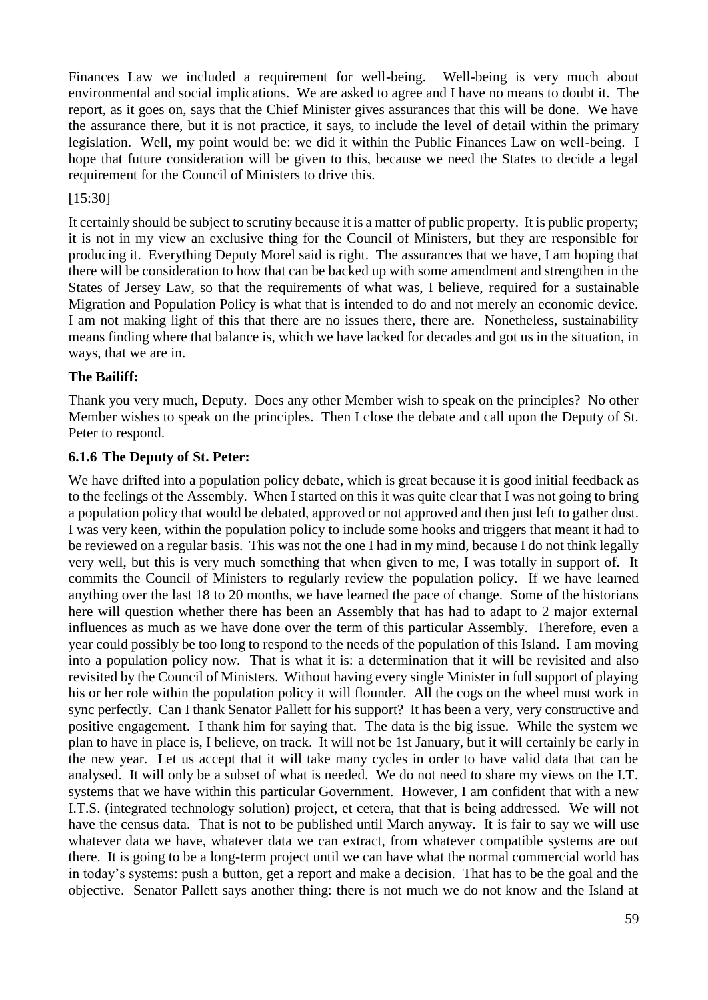Finances Law we included a requirement for well-being. Well-being is very much about environmental and social implications. We are asked to agree and I have no means to doubt it. The report, as it goes on, says that the Chief Minister gives assurances that this will be done. We have the assurance there, but it is not practice, it says, to include the level of detail within the primary legislation. Well, my point would be: we did it within the Public Finances Law on well-being. I hope that future consideration will be given to this, because we need the States to decide a legal requirement for the Council of Ministers to drive this.

#### [15:30]

It certainly should be subject to scrutiny because it is a matter of public property. It is public property; it is not in my view an exclusive thing for the Council of Ministers, but they are responsible for producing it. Everything Deputy Morel said is right. The assurances that we have, I am hoping that there will be consideration to how that can be backed up with some amendment and strengthen in the States of Jersey Law, so that the requirements of what was, I believe, required for a sustainable Migration and Population Policy is what that is intended to do and not merely an economic device. I am not making light of this that there are no issues there, there are. Nonetheless, sustainability means finding where that balance is, which we have lacked for decades and got us in the situation, in ways, that we are in.

### **The Bailiff:**

Thank you very much, Deputy. Does any other Member wish to speak on the principles? No other Member wishes to speak on the principles. Then I close the debate and call upon the Deputy of St. Peter to respond.

#### **6.1.6 The Deputy of St. Peter:**

We have drifted into a population policy debate, which is great because it is good initial feedback as to the feelings of the Assembly. When I started on this it was quite clear that I was not going to bring a population policy that would be debated, approved or not approved and then just left to gather dust. I was very keen, within the population policy to include some hooks and triggers that meant it had to be reviewed on a regular basis. This was not the one I had in my mind, because I do not think legally very well, but this is very much something that when given to me, I was totally in support of. It commits the Council of Ministers to regularly review the population policy. If we have learned anything over the last 18 to 20 months, we have learned the pace of change. Some of the historians here will question whether there has been an Assembly that has had to adapt to 2 major external influences as much as we have done over the term of this particular Assembly. Therefore, even a year could possibly be too long to respond to the needs of the population of this Island. I am moving into a population policy now. That is what it is: a determination that it will be revisited and also revisited by the Council of Ministers. Without having every single Minister in full support of playing his or her role within the population policy it will flounder. All the cogs on the wheel must work in sync perfectly. Can I thank Senator Pallett for his support? It has been a very, very constructive and positive engagement. I thank him for saying that. The data is the big issue. While the system we plan to have in place is, I believe, on track. It will not be 1st January, but it will certainly be early in the new year. Let us accept that it will take many cycles in order to have valid data that can be analysed. It will only be a subset of what is needed. We do not need to share my views on the I.T. systems that we have within this particular Government. However, I am confident that with a new I.T.S. (integrated technology solution) project, et cetera, that that is being addressed. We will not have the census data. That is not to be published until March anyway. It is fair to say we will use whatever data we have, whatever data we can extract, from whatever compatible systems are out there. It is going to be a long-term project until we can have what the normal commercial world has in today's systems: push a button, get a report and make a decision. That has to be the goal and the objective. Senator Pallett says another thing: there is not much we do not know and the Island at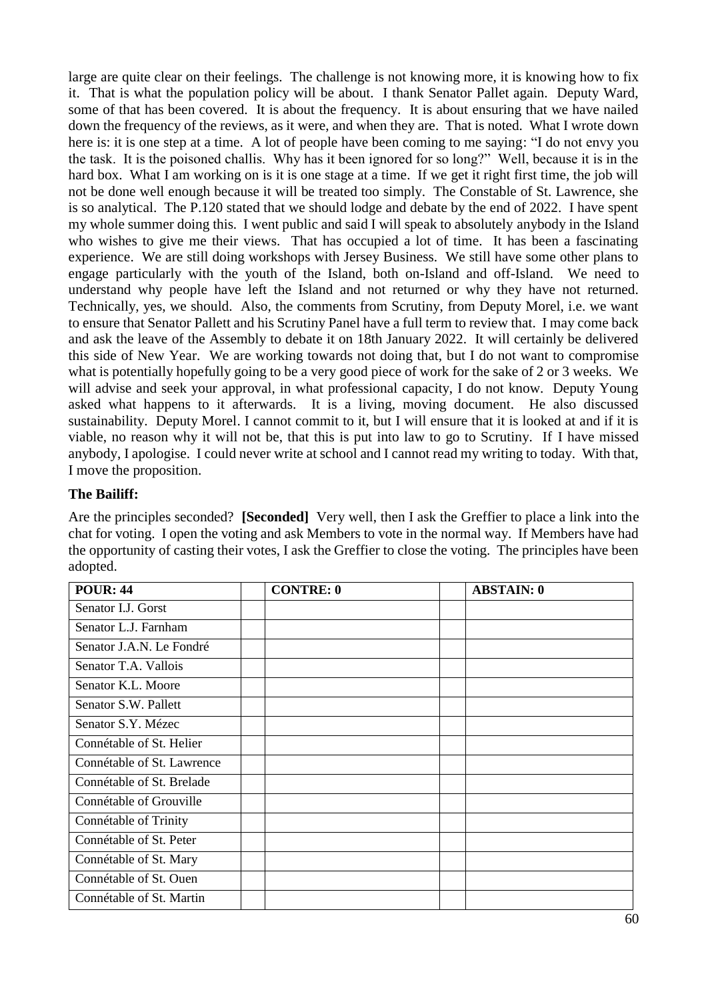large are quite clear on their feelings. The challenge is not knowing more, it is knowing how to fix it. That is what the population policy will be about. I thank Senator Pallet again. Deputy Ward, some of that has been covered. It is about the frequency. It is about ensuring that we have nailed down the frequency of the reviews, as it were, and when they are. That is noted. What I wrote down here is: it is one step at a time. A lot of people have been coming to me saying: "I do not envy you the task. It is the poisoned challis. Why has it been ignored for so long?" Well, because it is in the hard box. What I am working on is it is one stage at a time. If we get it right first time, the job will not be done well enough because it will be treated too simply. The Constable of St. Lawrence, she is so analytical. The P.120 stated that we should lodge and debate by the end of 2022. I have spent my whole summer doing this. I went public and said I will speak to absolutely anybody in the Island who wishes to give me their views. That has occupied a lot of time. It has been a fascinating experience. We are still doing workshops with Jersey Business. We still have some other plans to engage particularly with the youth of the Island, both on-Island and off-Island. We need to understand why people have left the Island and not returned or why they have not returned. Technically, yes, we should. Also, the comments from Scrutiny, from Deputy Morel, i.e. we want to ensure that Senator Pallett and his Scrutiny Panel have a full term to review that. I may come back and ask the leave of the Assembly to debate it on 18th January 2022. It will certainly be delivered this side of New Year. We are working towards not doing that, but I do not want to compromise what is potentially hopefully going to be a very good piece of work for the sake of 2 or 3 weeks. We will advise and seek your approval, in what professional capacity, I do not know. Deputy Young asked what happens to it afterwards. It is a living, moving document. He also discussed sustainability. Deputy Morel. I cannot commit to it, but I will ensure that it is looked at and if it is viable, no reason why it will not be, that this is put into law to go to Scrutiny. If I have missed anybody, I apologise. I could never write at school and I cannot read my writing to today. With that, I move the proposition.

### **The Bailiff:**

Are the principles seconded? **[Seconded]** Very well, then I ask the Greffier to place a link into the chat for voting. I open the voting and ask Members to vote in the normal way. If Members have had the opportunity of casting their votes, I ask the Greffier to close the voting. The principles have been adopted.

| <b>POUR: 44</b>            | <b>CONTRE: 0</b> | <b>ABSTAIN: 0</b> |
|----------------------------|------------------|-------------------|
| Senator I.J. Gorst         |                  |                   |
| Senator L.J. Farnham       |                  |                   |
| Senator J.A.N. Le Fondré   |                  |                   |
| Senator T.A. Vallois       |                  |                   |
| Senator K.L. Moore         |                  |                   |
| Senator S.W. Pallett       |                  |                   |
| Senator S.Y. Mézec         |                  |                   |
| Connétable of St. Helier   |                  |                   |
| Connétable of St. Lawrence |                  |                   |
| Connétable of St. Brelade  |                  |                   |
| Connétable of Grouville    |                  |                   |
| Connétable of Trinity      |                  |                   |
| Connétable of St. Peter    |                  |                   |
| Connétable of St. Mary     |                  |                   |
| Connétable of St. Ouen     |                  |                   |
| Connétable of St. Martin   |                  |                   |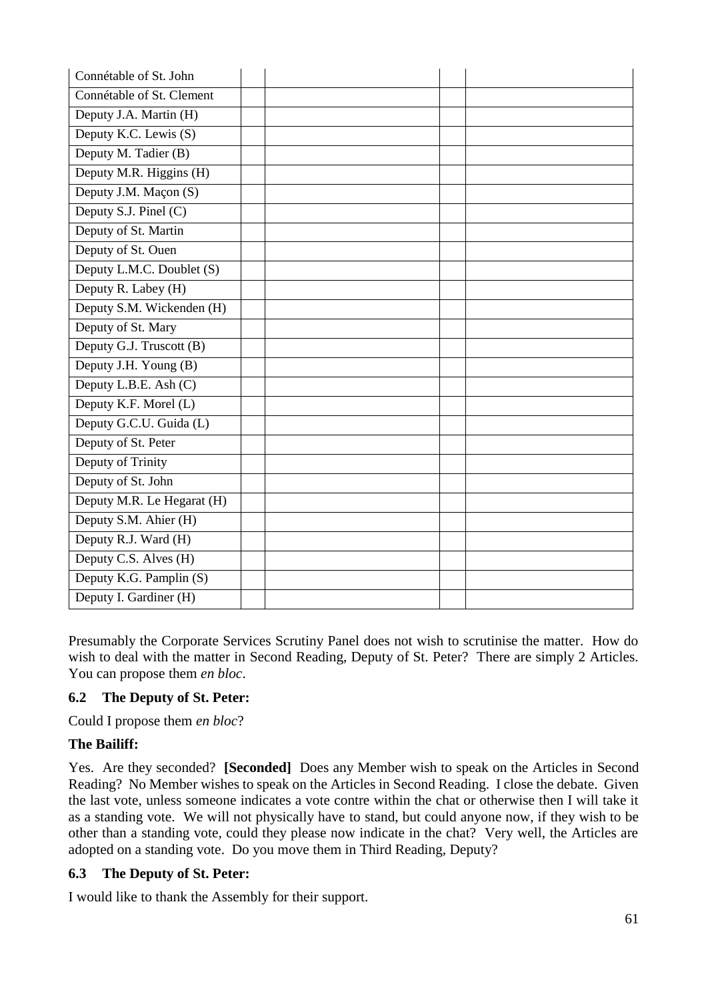| Connétable of St. John     |  |  |
|----------------------------|--|--|
| Connétable of St. Clement  |  |  |
| Deputy J.A. Martin (H)     |  |  |
| Deputy K.C. Lewis (S)      |  |  |
| Deputy M. Tadier (B)       |  |  |
| Deputy M.R. Higgins (H)    |  |  |
| Deputy J.M. Maçon (S)      |  |  |
| Deputy S.J. Pinel (C)      |  |  |
| Deputy of St. Martin       |  |  |
| Deputy of St. Ouen         |  |  |
| Deputy L.M.C. Doublet (S)  |  |  |
| Deputy R. Labey (H)        |  |  |
| Deputy S.M. Wickenden (H)  |  |  |
| Deputy of St. Mary         |  |  |
| Deputy G.J. Truscott (B)   |  |  |
| Deputy J.H. Young (B)      |  |  |
| Deputy L.B.E. Ash (C)      |  |  |
| Deputy K.F. Morel (L)      |  |  |
| Deputy G.C.U. Guida (L)    |  |  |
| Deputy of St. Peter        |  |  |
| Deputy of Trinity          |  |  |
| Deputy of St. John         |  |  |
| Deputy M.R. Le Hegarat (H) |  |  |
| Deputy S.M. Ahier (H)      |  |  |
| Deputy R.J. Ward (H)       |  |  |
| Deputy C.S. Alves (H)      |  |  |
| Deputy K.G. Pamplin (S)    |  |  |
| Deputy I. Gardiner (H)     |  |  |

Presumably the Corporate Services Scrutiny Panel does not wish to scrutinise the matter. How do wish to deal with the matter in Second Reading, Deputy of St. Peter? There are simply 2 Articles. You can propose them *en bloc*.

### **6.2 The Deputy of St. Peter:**

Could I propose them *en bloc*?

### **The Bailiff:**

Yes. Are they seconded? **[Seconded]** Does any Member wish to speak on the Articles in Second Reading? No Member wishes to speak on the Articles in Second Reading. I close the debate. Given the last vote, unless someone indicates a vote contre within the chat or otherwise then I will take it as a standing vote. We will not physically have to stand, but could anyone now, if they wish to be other than a standing vote, could they please now indicate in the chat? Very well, the Articles are adopted on a standing vote. Do you move them in Third Reading, Deputy?

### **6.3 The Deputy of St. Peter:**

I would like to thank the Assembly for their support.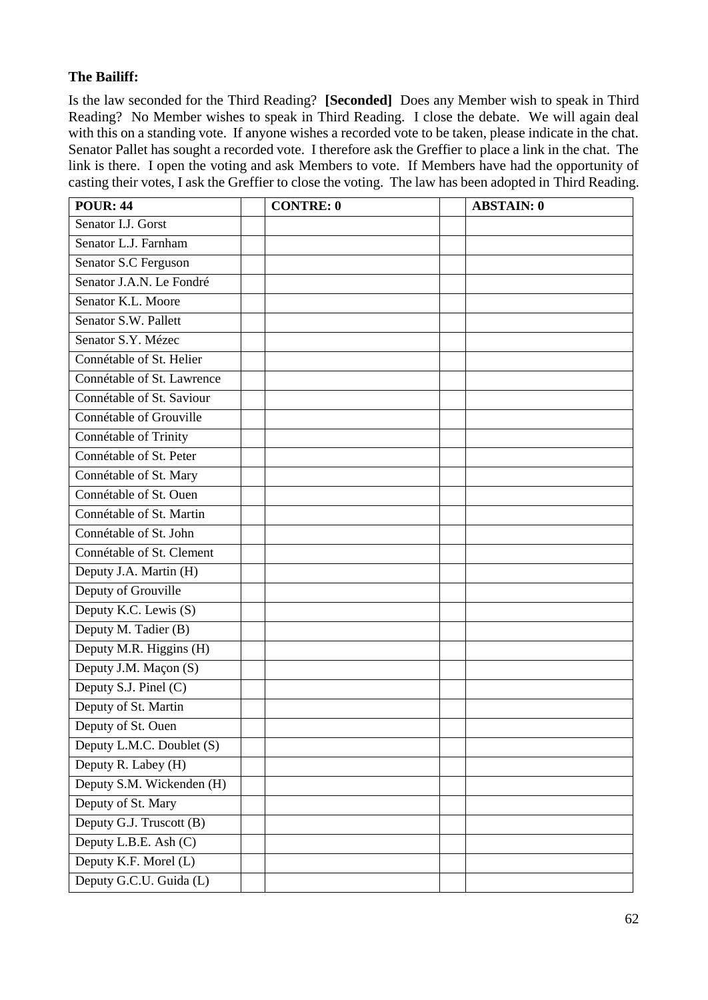## **The Bailiff:**

Is the law seconded for the Third Reading? **[Seconded]** Does any Member wish to speak in Third Reading? No Member wishes to speak in Third Reading. I close the debate. We will again deal with this on a standing vote. If anyone wishes a recorded vote to be taken, please indicate in the chat. Senator Pallet has sought a recorded vote. I therefore ask the Greffier to place a link in the chat. The link is there. I open the voting and ask Members to vote. If Members have had the opportunity of casting their votes, I ask the Greffier to close the voting. The law has been adopted in Third Reading.

| <b>POUR: 44</b>            | <b>CONTRE: 0</b> | <b>ABSTAIN: 0</b> |
|----------------------------|------------------|-------------------|
| Senator I.J. Gorst         |                  |                   |
| Senator L.J. Farnham       |                  |                   |
| Senator S.C Ferguson       |                  |                   |
| Senator J.A.N. Le Fondré   |                  |                   |
| Senator K.L. Moore         |                  |                   |
| Senator S.W. Pallett       |                  |                   |
| Senator S.Y. Mézec         |                  |                   |
| Connétable of St. Helier   |                  |                   |
| Connétable of St. Lawrence |                  |                   |
| Connétable of St. Saviour  |                  |                   |
| Connétable of Grouville    |                  |                   |
| Connétable of Trinity      |                  |                   |
| Connétable of St. Peter    |                  |                   |
| Connétable of St. Mary     |                  |                   |
| Connétable of St. Ouen     |                  |                   |
| Connétable of St. Martin   |                  |                   |
| Connétable of St. John     |                  |                   |
| Connétable of St. Clement  |                  |                   |
| Deputy J.A. Martin (H)     |                  |                   |
| Deputy of Grouville        |                  |                   |
| Deputy K.C. Lewis (S)      |                  |                   |
| Deputy M. Tadier (B)       |                  |                   |
| Deputy M.R. Higgins (H)    |                  |                   |
| Deputy J.M. Maçon (S)      |                  |                   |
| Deputy S.J. Pinel (C)      |                  |                   |
| Deputy of St. Martin       |                  |                   |
| Deputy of St. Ouen         |                  |                   |
| Deputy L.M.C. Doublet (S)  |                  |                   |
| Deputy R. Labey (H)        |                  |                   |
| Deputy S.M. Wickenden (H)  |                  |                   |
| Deputy of St. Mary         |                  |                   |
| Deputy G.J. Truscott (B)   |                  |                   |
| Deputy L.B.E. Ash (C)      |                  |                   |
| Deputy K.F. Morel (L)      |                  |                   |
| Deputy G.C.U. Guida (L)    |                  |                   |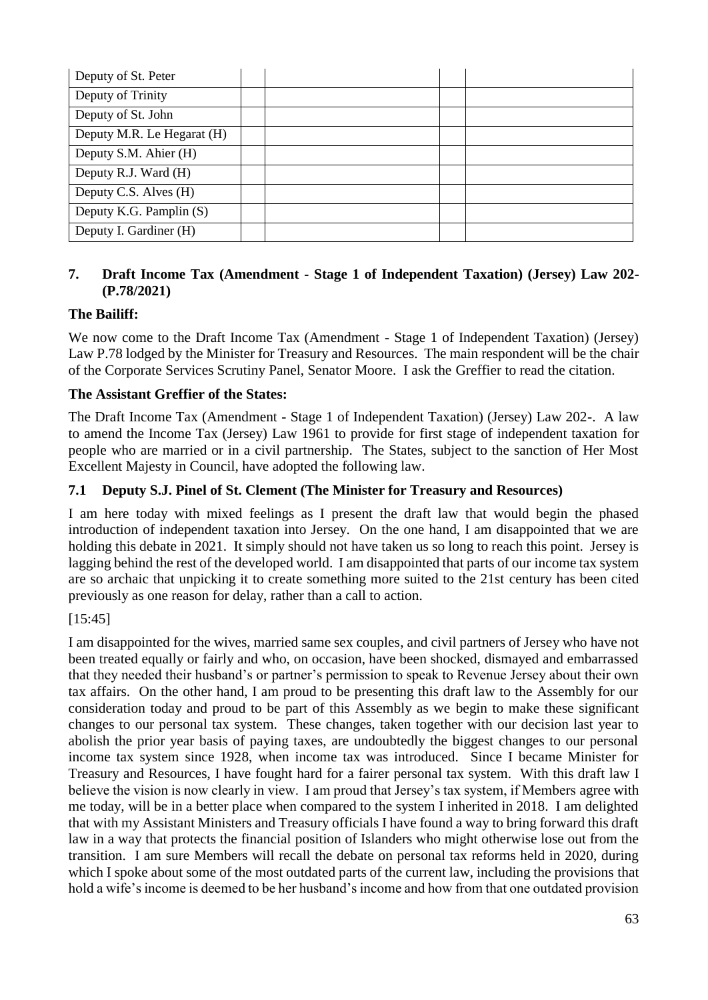| Deputy of St. Peter        |  |  |
|----------------------------|--|--|
| Deputy of Trinity          |  |  |
| Deputy of St. John         |  |  |
| Deputy M.R. Le Hegarat (H) |  |  |
| Deputy S.M. Ahier (H)      |  |  |
| Deputy R.J. Ward (H)       |  |  |
| Deputy C.S. Alves (H)      |  |  |
| Deputy K.G. Pamplin (S)    |  |  |
| Deputy I. Gardiner (H)     |  |  |

### **7. Draft Income Tax (Amendment - Stage 1 of Independent Taxation) (Jersey) Law 202- (P.78/2021)**

# **The Bailiff:**

We now come to the Draft Income Tax (Amendment - Stage 1 of Independent Taxation) (Jersey) Law P.78 lodged by the Minister for Treasury and Resources. The main respondent will be the chair of the Corporate Services Scrutiny Panel, Senator Moore. I ask the Greffier to read the citation.

### **The Assistant Greffier of the States:**

The Draft Income Tax (Amendment - Stage 1 of Independent Taxation) (Jersey) Law 202-. A law to amend the Income Tax (Jersey) Law 1961 to provide for first stage of independent taxation for people who are married or in a civil partnership. The States, subject to the sanction of Her Most Excellent Majesty in Council, have adopted the following law.

### **7.1 Deputy S.J. Pinel of St. Clement (The Minister for Treasury and Resources)**

I am here today with mixed feelings as I present the draft law that would begin the phased introduction of independent taxation into Jersey. On the one hand, I am disappointed that we are holding this debate in 2021. It simply should not have taken us so long to reach this point. Jersey is lagging behind the rest of the developed world. I am disappointed that parts of our income tax system are so archaic that unpicking it to create something more suited to the 21st century has been cited previously as one reason for delay, rather than a call to action.

### [15:45]

I am disappointed for the wives, married same sex couples, and civil partners of Jersey who have not been treated equally or fairly and who, on occasion, have been shocked, dismayed and embarrassed that they needed their husband's or partner's permission to speak to Revenue Jersey about their own tax affairs. On the other hand, I am proud to be presenting this draft law to the Assembly for our consideration today and proud to be part of this Assembly as we begin to make these significant changes to our personal tax system. These changes, taken together with our decision last year to abolish the prior year basis of paying taxes, are undoubtedly the biggest changes to our personal income tax system since 1928, when income tax was introduced. Since I became Minister for Treasury and Resources, I have fought hard for a fairer personal tax system. With this draft law I believe the vision is now clearly in view. I am proud that Jersey's tax system, if Members agree with me today, will be in a better place when compared to the system I inherited in 2018. I am delighted that with my Assistant Ministers and Treasury officials I have found a way to bring forward this draft law in a way that protects the financial position of Islanders who might otherwise lose out from the transition. I am sure Members will recall the debate on personal tax reforms held in 2020, during which I spoke about some of the most outdated parts of the current law, including the provisions that hold a wife's income is deemed to be her husband's income and how from that one outdated provision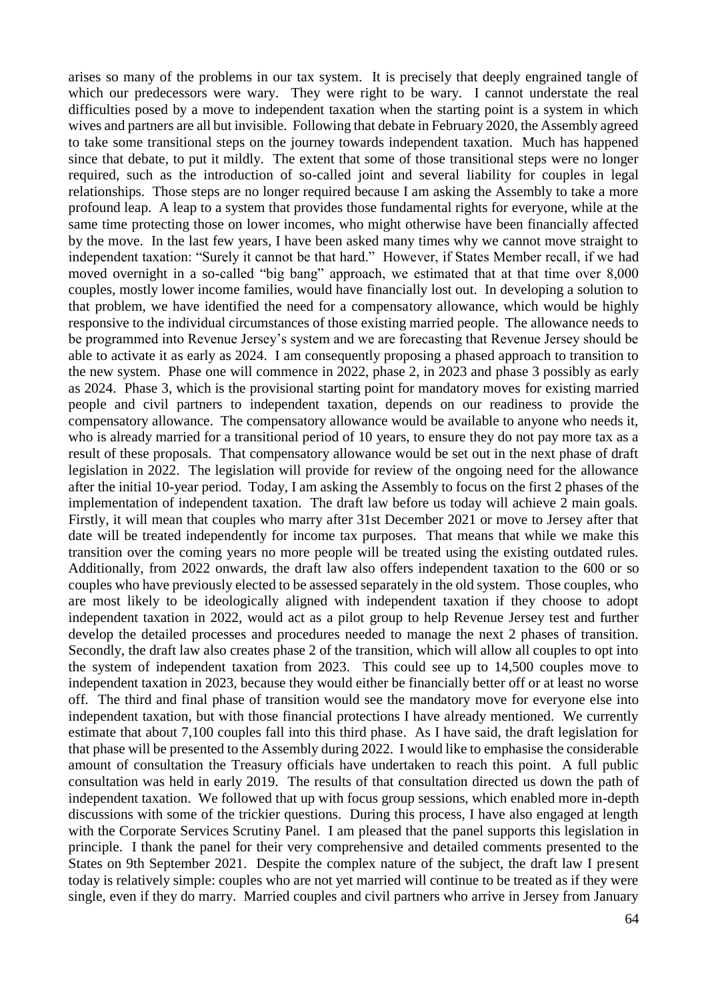arises so many of the problems in our tax system. It is precisely that deeply engrained tangle of which our predecessors were wary. They were right to be wary. I cannot understate the real difficulties posed by a move to independent taxation when the starting point is a system in which wives and partners are all but invisible. Following that debate in February 2020, the Assembly agreed to take some transitional steps on the journey towards independent taxation. Much has happened since that debate, to put it mildly. The extent that some of those transitional steps were no longer required, such as the introduction of so-called joint and several liability for couples in legal relationships. Those steps are no longer required because I am asking the Assembly to take a more profound leap. A leap to a system that provides those fundamental rights for everyone, while at the same time protecting those on lower incomes, who might otherwise have been financially affected by the move. In the last few years, I have been asked many times why we cannot move straight to independent taxation: "Surely it cannot be that hard." However, if States Member recall, if we had moved overnight in a so-called "big bang" approach, we estimated that at that time over 8,000 couples, mostly lower income families, would have financially lost out. In developing a solution to that problem, we have identified the need for a compensatory allowance, which would be highly responsive to the individual circumstances of those existing married people. The allowance needs to be programmed into Revenue Jersey's system and we are forecasting that Revenue Jersey should be able to activate it as early as 2024. I am consequently proposing a phased approach to transition to the new system. Phase one will commence in 2022, phase 2, in 2023 and phase 3 possibly as early as 2024. Phase 3, which is the provisional starting point for mandatory moves for existing married people and civil partners to independent taxation, depends on our readiness to provide the compensatory allowance. The compensatory allowance would be available to anyone who needs it, who is already married for a transitional period of 10 years, to ensure they do not pay more tax as a result of these proposals. That compensatory allowance would be set out in the next phase of draft legislation in 2022. The legislation will provide for review of the ongoing need for the allowance after the initial 10-year period. Today, I am asking the Assembly to focus on the first 2 phases of the implementation of independent taxation. The draft law before us today will achieve 2 main goals. Firstly, it will mean that couples who marry after 31st December 2021 or move to Jersey after that date will be treated independently for income tax purposes. That means that while we make this transition over the coming years no more people will be treated using the existing outdated rules. Additionally, from 2022 onwards, the draft law also offers independent taxation to the 600 or so couples who have previously elected to be assessed separately in the old system. Those couples, who are most likely to be ideologically aligned with independent taxation if they choose to adopt independent taxation in 2022, would act as a pilot group to help Revenue Jersey test and further develop the detailed processes and procedures needed to manage the next 2 phases of transition. Secondly, the draft law also creates phase 2 of the transition, which will allow all couples to opt into the system of independent taxation from 2023. This could see up to 14,500 couples move to independent taxation in 2023, because they would either be financially better off or at least no worse off. The third and final phase of transition would see the mandatory move for everyone else into independent taxation, but with those financial protections I have already mentioned. We currently estimate that about 7,100 couples fall into this third phase. As I have said, the draft legislation for that phase will be presented to the Assembly during 2022. I would like to emphasise the considerable amount of consultation the Treasury officials have undertaken to reach this point. A full public consultation was held in early 2019. The results of that consultation directed us down the path of independent taxation. We followed that up with focus group sessions, which enabled more in-depth discussions with some of the trickier questions. During this process, I have also engaged at length with the Corporate Services Scrutiny Panel. I am pleased that the panel supports this legislation in principle. I thank the panel for their very comprehensive and detailed comments presented to the States on 9th September 2021. Despite the complex nature of the subject, the draft law I present today is relatively simple: couples who are not yet married will continue to be treated as if they were single, even if they do marry. Married couples and civil partners who arrive in Jersey from January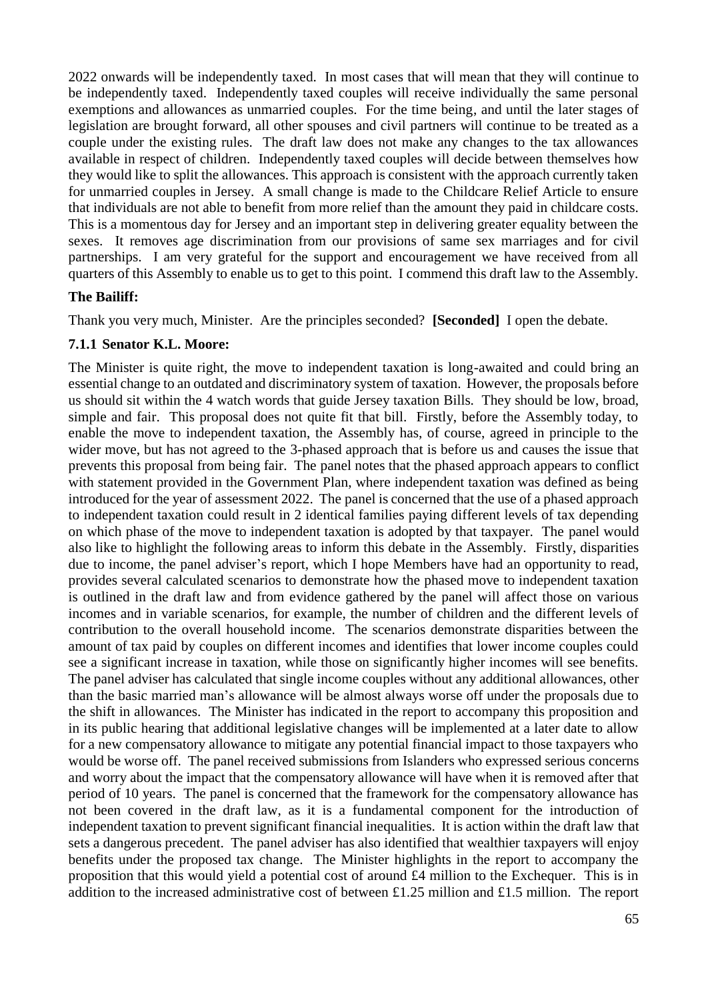2022 onwards will be independently taxed. In most cases that will mean that they will continue to be independently taxed. Independently taxed couples will receive individually the same personal exemptions and allowances as unmarried couples. For the time being, and until the later stages of legislation are brought forward, all other spouses and civil partners will continue to be treated as a couple under the existing rules. The draft law does not make any changes to the tax allowances available in respect of children. Independently taxed couples will decide between themselves how they would like to split the allowances. This approach is consistent with the approach currently taken for unmarried couples in Jersey. A small change is made to the Childcare Relief Article to ensure that individuals are not able to benefit from more relief than the amount they paid in childcare costs. This is a momentous day for Jersey and an important step in delivering greater equality between the sexes. It removes age discrimination from our provisions of same sex marriages and for civil partnerships. I am very grateful for the support and encouragement we have received from all quarters of this Assembly to enable us to get to this point. I commend this draft law to the Assembly.

### **The Bailiff:**

Thank you very much, Minister. Are the principles seconded? **[Seconded]** I open the debate.

#### **7.1.1 Senator K.L. Moore:**

The Minister is quite right, the move to independent taxation is long-awaited and could bring an essential change to an outdated and discriminatory system of taxation. However, the proposals before us should sit within the 4 watch words that guide Jersey taxation Bills. They should be low, broad, simple and fair. This proposal does not quite fit that bill. Firstly, before the Assembly today, to enable the move to independent taxation, the Assembly has, of course, agreed in principle to the wider move, but has not agreed to the 3-phased approach that is before us and causes the issue that prevents this proposal from being fair. The panel notes that the phased approach appears to conflict with statement provided in the Government Plan, where independent taxation was defined as being introduced for the year of assessment 2022. The panel is concerned that the use of a phased approach to independent taxation could result in 2 identical families paying different levels of tax depending on which phase of the move to independent taxation is adopted by that taxpayer. The panel would also like to highlight the following areas to inform this debate in the Assembly. Firstly, disparities due to income, the panel adviser's report, which I hope Members have had an opportunity to read, provides several calculated scenarios to demonstrate how the phased move to independent taxation is outlined in the draft law and from evidence gathered by the panel will affect those on various incomes and in variable scenarios, for example, the number of children and the different levels of contribution to the overall household income. The scenarios demonstrate disparities between the amount of tax paid by couples on different incomes and identifies that lower income couples could see a significant increase in taxation, while those on significantly higher incomes will see benefits. The panel adviser has calculated that single income couples without any additional allowances, other than the basic married man's allowance will be almost always worse off under the proposals due to the shift in allowances. The Minister has indicated in the report to accompany this proposition and in its public hearing that additional legislative changes will be implemented at a later date to allow for a new compensatory allowance to mitigate any potential financial impact to those taxpayers who would be worse off. The panel received submissions from Islanders who expressed serious concerns and worry about the impact that the compensatory allowance will have when it is removed after that period of 10 years. The panel is concerned that the framework for the compensatory allowance has not been covered in the draft law, as it is a fundamental component for the introduction of independent taxation to prevent significant financial inequalities. It is action within the draft law that sets a dangerous precedent. The panel adviser has also identified that wealthier taxpayers will enjoy benefits under the proposed tax change. The Minister highlights in the report to accompany the proposition that this would yield a potential cost of around £4 million to the Exchequer. This is in addition to the increased administrative cost of between £1.25 million and £1.5 million. The report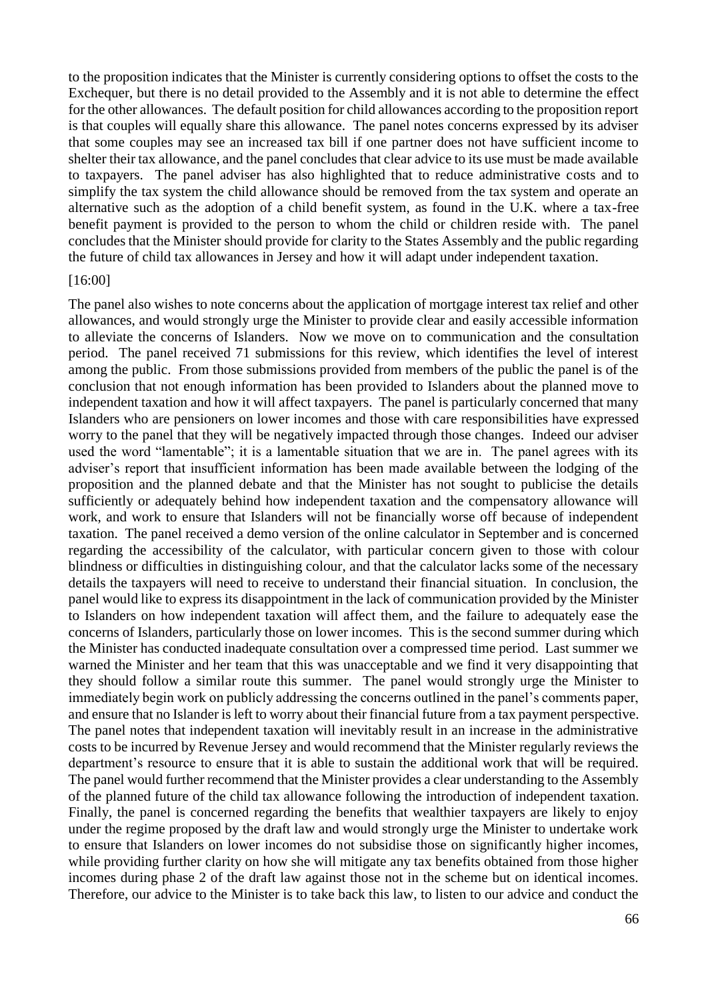to the proposition indicates that the Minister is currently considering options to offset the costs to the Exchequer, but there is no detail provided to the Assembly and it is not able to determine the effect for the other allowances. The default position for child allowances according to the proposition report is that couples will equally share this allowance. The panel notes concerns expressed by its adviser that some couples may see an increased tax bill if one partner does not have sufficient income to shelter their tax allowance, and the panel concludes that clear advice to its use must be made available to taxpayers. The panel adviser has also highlighted that to reduce administrative costs and to simplify the tax system the child allowance should be removed from the tax system and operate an alternative such as the adoption of a child benefit system, as found in the U.K. where a tax-free benefit payment is provided to the person to whom the child or children reside with. The panel concludes that the Minister should provide for clarity to the States Assembly and the public regarding the future of child tax allowances in Jersey and how it will adapt under independent taxation.

#### [16:00]

The panel also wishes to note concerns about the application of mortgage interest tax relief and other allowances, and would strongly urge the Minister to provide clear and easily accessible information to alleviate the concerns of Islanders. Now we move on to communication and the consultation period. The panel received 71 submissions for this review, which identifies the level of interest among the public. From those submissions provided from members of the public the panel is of the conclusion that not enough information has been provided to Islanders about the planned move to independent taxation and how it will affect taxpayers. The panel is particularly concerned that many Islanders who are pensioners on lower incomes and those with care responsibilities have expressed worry to the panel that they will be negatively impacted through those changes. Indeed our adviser used the word "lamentable"; it is a lamentable situation that we are in. The panel agrees with its adviser's report that insufficient information has been made available between the lodging of the proposition and the planned debate and that the Minister has not sought to publicise the details sufficiently or adequately behind how independent taxation and the compensatory allowance will work, and work to ensure that Islanders will not be financially worse off because of independent taxation. The panel received a demo version of the online calculator in September and is concerned regarding the accessibility of the calculator, with particular concern given to those with colour blindness or difficulties in distinguishing colour, and that the calculator lacks some of the necessary details the taxpayers will need to receive to understand their financial situation. In conclusion, the panel would like to express its disappointment in the lack of communication provided by the Minister to Islanders on how independent taxation will affect them, and the failure to adequately ease the concerns of Islanders, particularly those on lower incomes. This is the second summer during which the Minister has conducted inadequate consultation over a compressed time period. Last summer we warned the Minister and her team that this was unacceptable and we find it very disappointing that they should follow a similar route this summer. The panel would strongly urge the Minister to immediately begin work on publicly addressing the concerns outlined in the panel's comments paper, and ensure that no Islander is left to worry about their financial future from a tax payment perspective. The panel notes that independent taxation will inevitably result in an increase in the administrative costs to be incurred by Revenue Jersey and would recommend that the Minister regularly reviews the department's resource to ensure that it is able to sustain the additional work that will be required. The panel would further recommend that the Minister provides a clear understanding to the Assembly of the planned future of the child tax allowance following the introduction of independent taxation. Finally, the panel is concerned regarding the benefits that wealthier taxpayers are likely to enjoy under the regime proposed by the draft law and would strongly urge the Minister to undertake work to ensure that Islanders on lower incomes do not subsidise those on significantly higher incomes, while providing further clarity on how she will mitigate any tax benefits obtained from those higher incomes during phase 2 of the draft law against those not in the scheme but on identical incomes. Therefore, our advice to the Minister is to take back this law, to listen to our advice and conduct the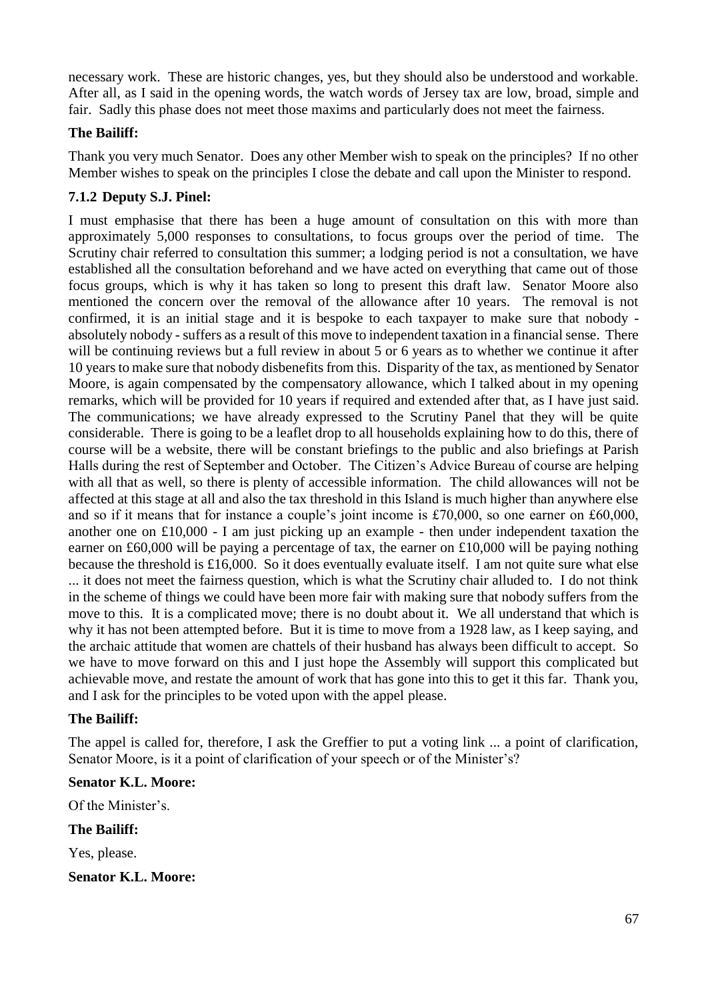necessary work. These are historic changes, yes, but they should also be understood and workable. After all, as I said in the opening words, the watch words of Jersey tax are low, broad, simple and fair. Sadly this phase does not meet those maxims and particularly does not meet the fairness.

### **The Bailiff:**

Thank you very much Senator. Does any other Member wish to speak on the principles? If no other Member wishes to speak on the principles I close the debate and call upon the Minister to respond.

## **7.1.2 Deputy S.J. Pinel:**

I must emphasise that there has been a huge amount of consultation on this with more than approximately 5,000 responses to consultations, to focus groups over the period of time. The Scrutiny chair referred to consultation this summer; a lodging period is not a consultation, we have established all the consultation beforehand and we have acted on everything that came out of those focus groups, which is why it has taken so long to present this draft law. Senator Moore also mentioned the concern over the removal of the allowance after 10 years. The removal is not confirmed, it is an initial stage and it is bespoke to each taxpayer to make sure that nobody absolutely nobody - suffers as a result of this move to independent taxation in a financial sense. There will be continuing reviews but a full review in about 5 or 6 years as to whether we continue it after 10 years to make sure that nobody disbenefits from this. Disparity of the tax, as mentioned by Senator Moore, is again compensated by the compensatory allowance, which I talked about in my opening remarks, which will be provided for 10 years if required and extended after that, as I have just said. The communications; we have already expressed to the Scrutiny Panel that they will be quite considerable. There is going to be a leaflet drop to all households explaining how to do this, there of course will be a website, there will be constant briefings to the public and also briefings at Parish Halls during the rest of September and October. The Citizen's Advice Bureau of course are helping with all that as well, so there is plenty of accessible information. The child allowances will not be affected at this stage at all and also the tax threshold in this Island is much higher than anywhere else and so if it means that for instance a couple's joint income is £70,000, so one earner on £60,000, another one on £10,000 - I am just picking up an example - then under independent taxation the earner on £60,000 will be paying a percentage of tax, the earner on £10,000 will be paying nothing because the threshold is £16,000. So it does eventually evaluate itself. I am not quite sure what else ... it does not meet the fairness question, which is what the Scrutiny chair alluded to. I do not think in the scheme of things we could have been more fair with making sure that nobody suffers from the move to this. It is a complicated move; there is no doubt about it. We all understand that which is why it has not been attempted before. But it is time to move from a 1928 law, as I keep saying, and the archaic attitude that women are chattels of their husband has always been difficult to accept. So we have to move forward on this and I just hope the Assembly will support this complicated but achievable move, and restate the amount of work that has gone into this to get it this far. Thank you,

### **The Bailiff:**

The appel is called for, therefore, I ask the Greffier to put a voting link ... a point of clarification, Senator Moore, is it a point of clarification of your speech or of the Minister's?

and I ask for the principles to be voted upon with the appel please.

#### **Senator K.L. Moore:**

Of the Minister's.

#### **The Bailiff:**

Yes, please.

**Senator K.L. Moore:**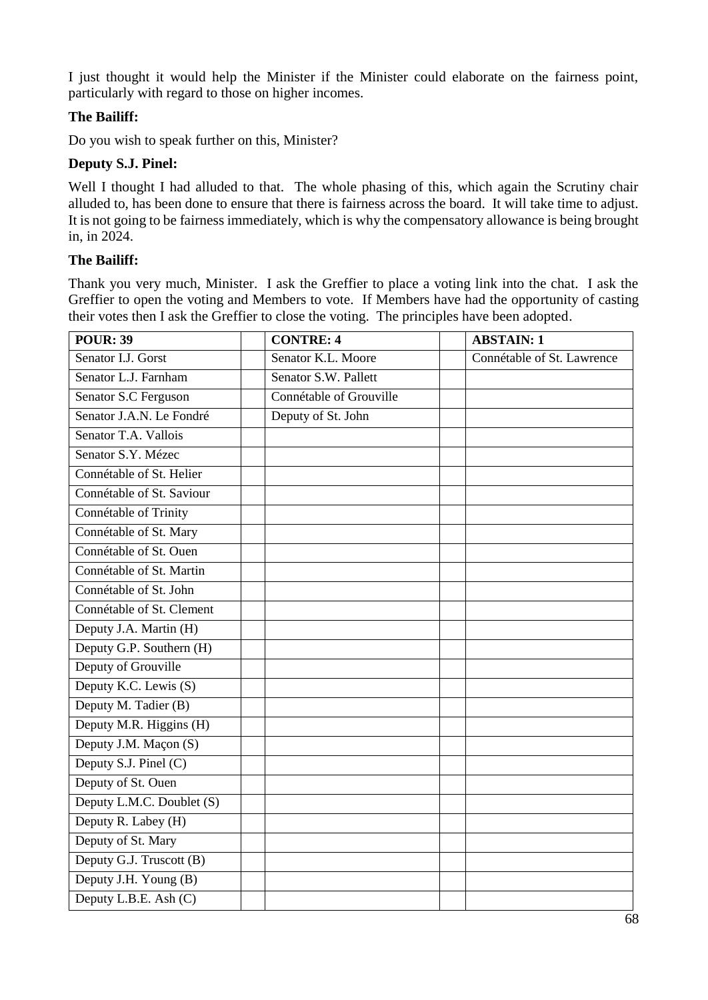I just thought it would help the Minister if the Minister could elaborate on the fairness point, particularly with regard to those on higher incomes.

## **The Bailiff:**

Do you wish to speak further on this, Minister?

### **Deputy S.J. Pinel:**

Well I thought I had alluded to that. The whole phasing of this, which again the Scrutiny chair alluded to, has been done to ensure that there is fairness across the board. It will take time to adjust. It is not going to be fairness immediately, which is why the compensatory allowance is being brought in, in 2024.

### **The Bailiff:**

Thank you very much, Minister. I ask the Greffier to place a voting link into the chat. I ask the Greffier to open the voting and Members to vote. If Members have had the opportunity of casting their votes then I ask the Greffier to close the voting. The principles have been adopted.

| <b>POUR: 39</b>           | <b>CONTRE: 4</b>        | <b>ABSTAIN: 1</b>          |
|---------------------------|-------------------------|----------------------------|
| Senator I.J. Gorst        | Senator K.L. Moore      | Connétable of St. Lawrence |
| Senator L.J. Farnham      | Senator S.W. Pallett    |                            |
| Senator S.C Ferguson      | Connétable of Grouville |                            |
| Senator J.A.N. Le Fondré  | Deputy of St. John      |                            |
| Senator T.A. Vallois      |                         |                            |
| Senator S.Y. Mézec        |                         |                            |
| Connétable of St. Helier  |                         |                            |
| Connétable of St. Saviour |                         |                            |
| Connétable of Trinity     |                         |                            |
| Connétable of St. Mary    |                         |                            |
| Connétable of St. Ouen    |                         |                            |
| Connétable of St. Martin  |                         |                            |
| Connétable of St. John    |                         |                            |
| Connétable of St. Clement |                         |                            |
| Deputy J.A. Martin (H)    |                         |                            |
| Deputy G.P. Southern (H)  |                         |                            |
| Deputy of Grouville       |                         |                            |
| Deputy K.C. Lewis (S)     |                         |                            |
| Deputy M. Tadier (B)      |                         |                            |
| Deputy M.R. Higgins (H)   |                         |                            |
| Deputy J.M. Maçon (S)     |                         |                            |
| Deputy S.J. Pinel (C)     |                         |                            |
| Deputy of St. Ouen        |                         |                            |
| Deputy L.M.C. Doublet (S) |                         |                            |
| Deputy R. Labey (H)       |                         |                            |
| Deputy of St. Mary        |                         |                            |
| Deputy G.J. Truscott (B)  |                         |                            |
| Deputy J.H. Young (B)     |                         |                            |
| Deputy L.B.E. Ash (C)     |                         |                            |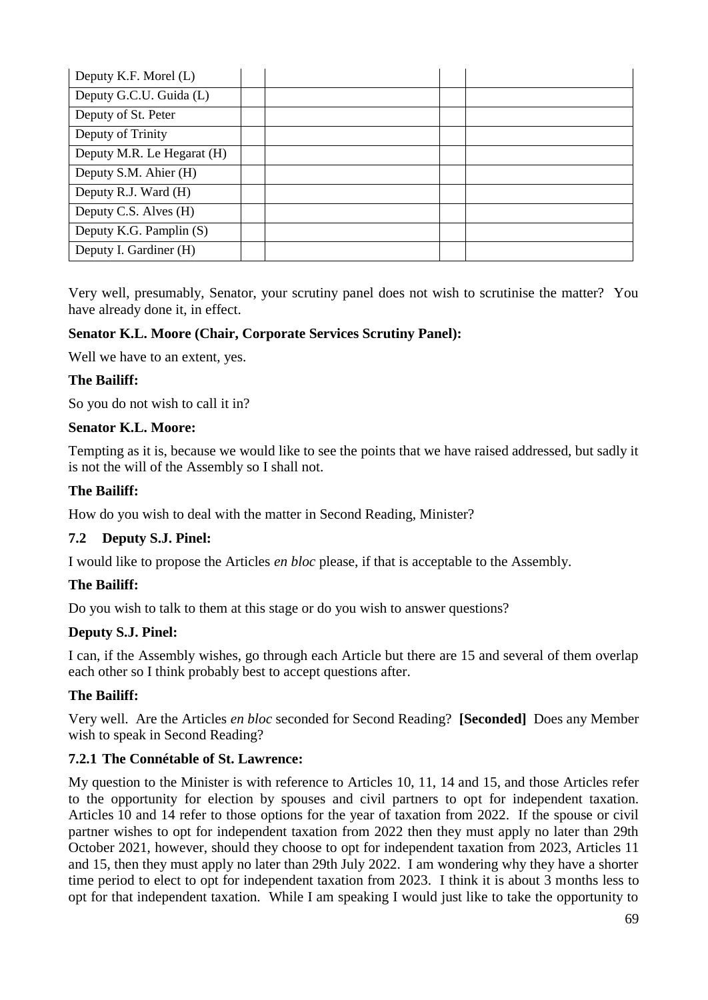| Deputy K.F. Morel (L)      |  |  |
|----------------------------|--|--|
| Deputy G.C.U. Guida (L)    |  |  |
| Deputy of St. Peter        |  |  |
| Deputy of Trinity          |  |  |
| Deputy M.R. Le Hegarat (H) |  |  |
| Deputy S.M. Ahier (H)      |  |  |
| Deputy R.J. Ward (H)       |  |  |
| Deputy C.S. Alves (H)      |  |  |
| Deputy K.G. Pamplin (S)    |  |  |
| Deputy I. Gardiner (H)     |  |  |

Very well, presumably, Senator, your scrutiny panel does not wish to scrutinise the matter? You have already done it, in effect.

### **Senator K.L. Moore (Chair, Corporate Services Scrutiny Panel):**

Well we have to an extent, yes.

#### **The Bailiff:**

So you do not wish to call it in?

#### **Senator K.L. Moore:**

Tempting as it is, because we would like to see the points that we have raised addressed, but sadly it is not the will of the Assembly so I shall not.

#### **The Bailiff:**

How do you wish to deal with the matter in Second Reading, Minister?

### **7.2 Deputy S.J. Pinel:**

I would like to propose the Articles *en bloc* please, if that is acceptable to the Assembly.

#### **The Bailiff:**

Do you wish to talk to them at this stage or do you wish to answer questions?

### **Deputy S.J. Pinel:**

I can, if the Assembly wishes, go through each Article but there are 15 and several of them overlap each other so I think probably best to accept questions after.

### **The Bailiff:**

Very well. Are the Articles *en bloc* seconded for Second Reading? **[Seconded]** Does any Member wish to speak in Second Reading?

### **7.2.1 The Connétable of St. Lawrence:**

My question to the Minister is with reference to Articles 10, 11, 14 and 15, and those Articles refer to the opportunity for election by spouses and civil partners to opt for independent taxation. Articles 10 and 14 refer to those options for the year of taxation from 2022. If the spouse or civil partner wishes to opt for independent taxation from 2022 then they must apply no later than 29th October 2021, however, should they choose to opt for independent taxation from 2023, Articles 11 and 15, then they must apply no later than 29th July 2022. I am wondering why they have a shorter time period to elect to opt for independent taxation from 2023. I think it is about 3 months less to opt for that independent taxation. While I am speaking I would just like to take the opportunity to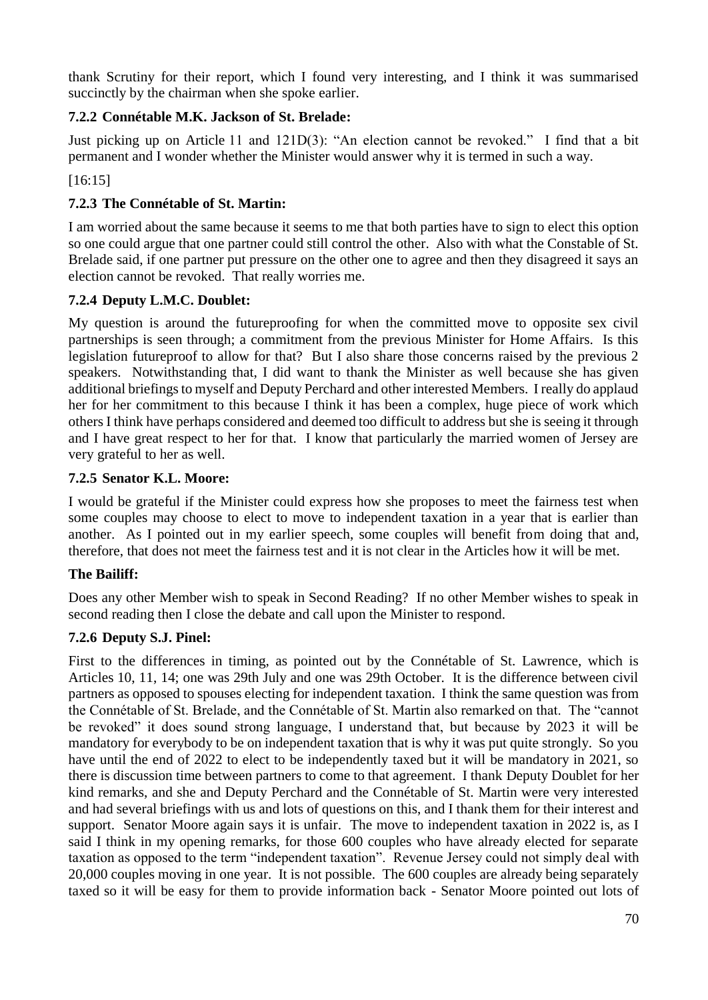thank Scrutiny for their report, which I found very interesting, and I think it was summarised succinctly by the chairman when she spoke earlier.

# **7.2.2 Connétable M.K. Jackson of St. Brelade:**

Just picking up on Article 11 and 121D(3): "An election cannot be revoked." I find that a bit permanent and I wonder whether the Minister would answer why it is termed in such a way.

[16:15]

# **7.2.3 The Connétable of St. Martin:**

I am worried about the same because it seems to me that both parties have to sign to elect this option so one could argue that one partner could still control the other. Also with what the Constable of St. Brelade said, if one partner put pressure on the other one to agree and then they disagreed it says an election cannot be revoked. That really worries me.

# **7.2.4 Deputy L.M.C. Doublet:**

My question is around the futureproofing for when the committed move to opposite sex civil partnerships is seen through; a commitment from the previous Minister for Home Affairs. Is this legislation futureproof to allow for that? But I also share those concerns raised by the previous 2 speakers. Notwithstanding that, I did want to thank the Minister as well because she has given additional briefings to myself and Deputy Perchard and other interested Members. I really do applaud her for her commitment to this because I think it has been a complex, huge piece of work which others I think have perhaps considered and deemed too difficult to address but she is seeing it through and I have great respect to her for that. I know that particularly the married women of Jersey are very grateful to her as well.

# **7.2.5 Senator K.L. Moore:**

I would be grateful if the Minister could express how she proposes to meet the fairness test when some couples may choose to elect to move to independent taxation in a year that is earlier than another. As I pointed out in my earlier speech, some couples will benefit from doing that and, therefore, that does not meet the fairness test and it is not clear in the Articles how it will be met.

# **The Bailiff:**

Does any other Member wish to speak in Second Reading? If no other Member wishes to speak in second reading then I close the debate and call upon the Minister to respond.

# **7.2.6 Deputy S.J. Pinel:**

First to the differences in timing, as pointed out by the Connétable of St. Lawrence, which is Articles 10, 11, 14; one was 29th July and one was 29th October. It is the difference between civil partners as opposed to spouses electing for independent taxation. I think the same question was from the Connétable of St. Brelade, and the Connétable of St. Martin also remarked on that. The "cannot be revoked" it does sound strong language, I understand that, but because by 2023 it will be mandatory for everybody to be on independent taxation that is why it was put quite strongly. So you have until the end of 2022 to elect to be independently taxed but it will be mandatory in 2021, so there is discussion time between partners to come to that agreement. I thank Deputy Doublet for her kind remarks, and she and Deputy Perchard and the Connétable of St. Martin were very interested and had several briefings with us and lots of questions on this, and I thank them for their interest and support. Senator Moore again says it is unfair. The move to independent taxation in 2022 is, as I said I think in my opening remarks, for those 600 couples who have already elected for separate taxation as opposed to the term "independent taxation". Revenue Jersey could not simply deal with 20,000 couples moving in one year. It is not possible. The 600 couples are already being separately taxed so it will be easy for them to provide information back - Senator Moore pointed out lots of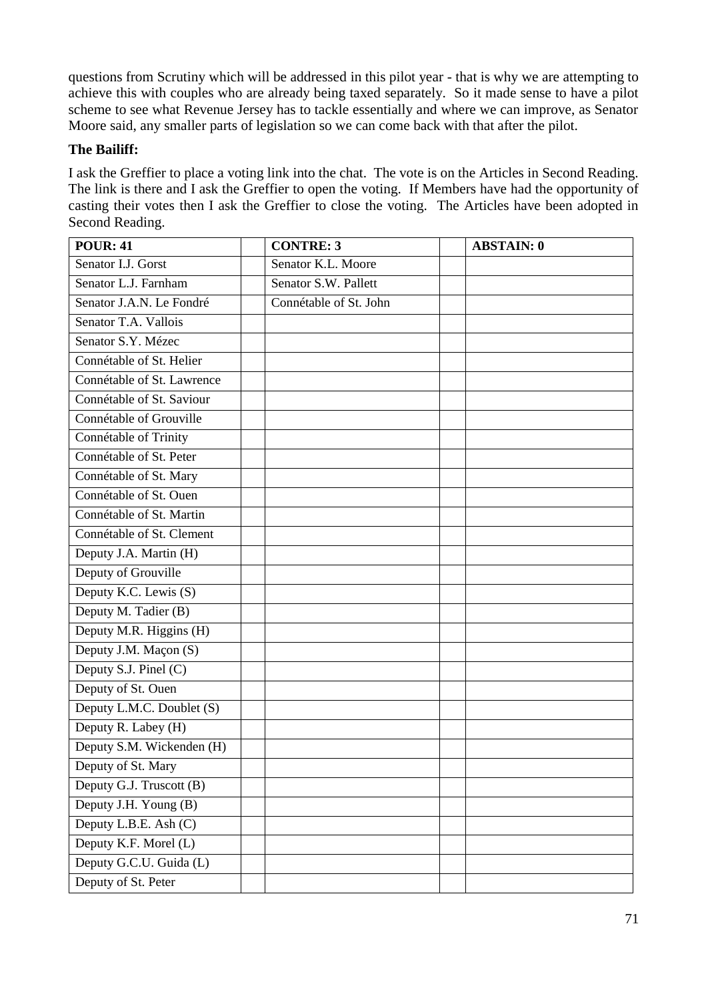questions from Scrutiny which will be addressed in this pilot year - that is why we are attempting to achieve this with couples who are already being taxed separately. So it made sense to have a pilot scheme to see what Revenue Jersey has to tackle essentially and where we can improve, as Senator Moore said, any smaller parts of legislation so we can come back with that after the pilot.

## **The Bailiff:**

I ask the Greffier to place a voting link into the chat. The vote is on the Articles in Second Reading. The link is there and I ask the Greffier to open the voting. If Members have had the opportunity of casting their votes then I ask the Greffier to close the voting. The Articles have been adopted in Second Reading.

| <b>POUR: 41</b>            | <b>CONTRE: 3</b>       | <b>ABSTAIN: 0</b> |
|----------------------------|------------------------|-------------------|
| Senator I.J. Gorst         | Senator K.L. Moore     |                   |
| Senator L.J. Farnham       | Senator S.W. Pallett   |                   |
| Senator J.A.N. Le Fondré   | Connétable of St. John |                   |
| Senator T.A. Vallois       |                        |                   |
| Senator S.Y. Mézec         |                        |                   |
| Connétable of St. Helier   |                        |                   |
| Connétable of St. Lawrence |                        |                   |
| Connétable of St. Saviour  |                        |                   |
| Connétable of Grouville    |                        |                   |
| Connétable of Trinity      |                        |                   |
| Connétable of St. Peter    |                        |                   |
| Connétable of St. Mary     |                        |                   |
| Connétable of St. Ouen     |                        |                   |
| Connétable of St. Martin   |                        |                   |
| Connétable of St. Clement  |                        |                   |
| Deputy J.A. Martin (H)     |                        |                   |
| Deputy of Grouville        |                        |                   |
| Deputy K.C. Lewis (S)      |                        |                   |
| Deputy M. Tadier (B)       |                        |                   |
| Deputy M.R. Higgins (H)    |                        |                   |
| Deputy J.M. Maçon (S)      |                        |                   |
| Deputy S.J. Pinel (C)      |                        |                   |
| Deputy of St. Ouen         |                        |                   |
| Deputy L.M.C. Doublet (S)  |                        |                   |
| Deputy R. Labey (H)        |                        |                   |
| Deputy S.M. Wickenden (H)  |                        |                   |
| Deputy of St. Mary         |                        |                   |
| Deputy G.J. Truscott (B)   |                        |                   |
| Deputy J.H. Young (B)      |                        |                   |
| Deputy L.B.E. Ash (C)      |                        |                   |
| Deputy K.F. Morel (L)      |                        |                   |
| Deputy G.C.U. Guida (L)    |                        |                   |
| Deputy of St. Peter        |                        |                   |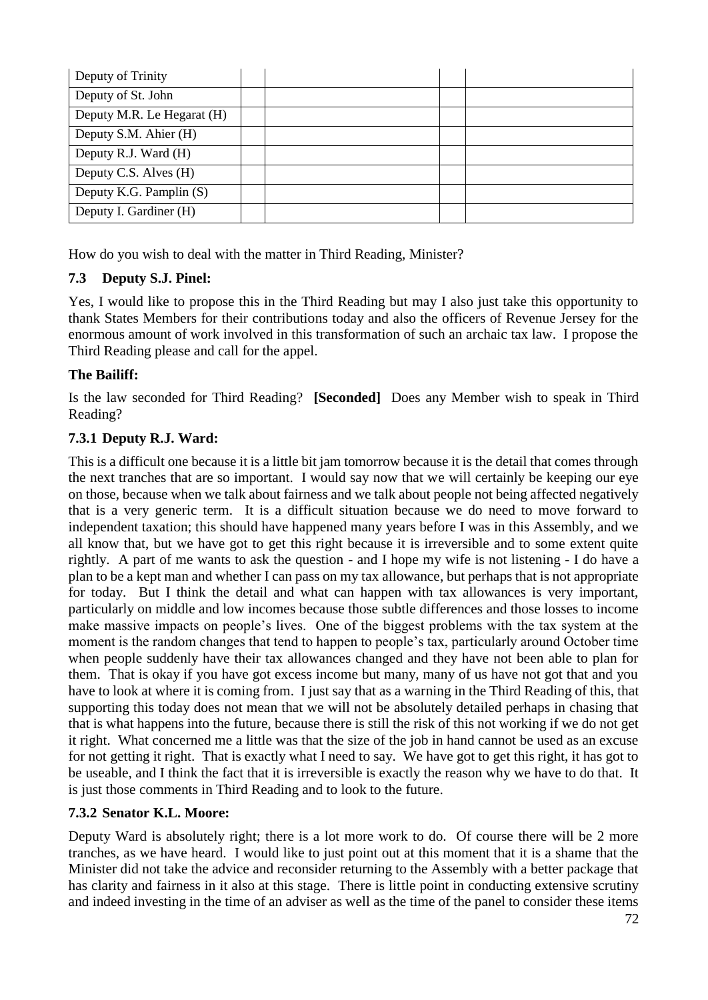| Deputy of Trinity          |  |  |
|----------------------------|--|--|
| Deputy of St. John         |  |  |
| Deputy M.R. Le Hegarat (H) |  |  |
| Deputy S.M. Ahier (H)      |  |  |
| Deputy R.J. Ward (H)       |  |  |
| Deputy C.S. Alves (H)      |  |  |
| Deputy K.G. Pamplin (S)    |  |  |
| Deputy I. Gardiner (H)     |  |  |

How do you wish to deal with the matter in Third Reading, Minister?

# **7.3 Deputy S.J. Pinel:**

Yes, I would like to propose this in the Third Reading but may I also just take this opportunity to thank States Members for their contributions today and also the officers of Revenue Jersey for the enormous amount of work involved in this transformation of such an archaic tax law. I propose the Third Reading please and call for the appel.

# **The Bailiff:**

Is the law seconded for Third Reading? **[Seconded]** Does any Member wish to speak in Third Reading?

# **7.3.1 Deputy R.J. Ward:**

This is a difficult one because it is a little bit jam tomorrow because it is the detail that comes through the next tranches that are so important. I would say now that we will certainly be keeping our eye on those, because when we talk about fairness and we talk about people not being affected negatively that is a very generic term. It is a difficult situation because we do need to move forward to independent taxation; this should have happened many years before I was in this Assembly, and we all know that, but we have got to get this right because it is irreversible and to some extent quite rightly. A part of me wants to ask the question - and I hope my wife is not listening - I do have a plan to be a kept man and whether I can pass on my tax allowance, but perhaps that is not appropriate for today. But I think the detail and what can happen with tax allowances is very important, particularly on middle and low incomes because those subtle differences and those losses to income make massive impacts on people's lives. One of the biggest problems with the tax system at the moment is the random changes that tend to happen to people's tax, particularly around October time when people suddenly have their tax allowances changed and they have not been able to plan for them. That is okay if you have got excess income but many, many of us have not got that and you have to look at where it is coming from. I just say that as a warning in the Third Reading of this, that supporting this today does not mean that we will not be absolutely detailed perhaps in chasing that that is what happens into the future, because there is still the risk of this not working if we do not get it right. What concerned me a little was that the size of the job in hand cannot be used as an excuse for not getting it right. That is exactly what I need to say. We have got to get this right, it has got to be useable, and I think the fact that it is irreversible is exactly the reason why we have to do that. It is just those comments in Third Reading and to look to the future.

# **7.3.2 Senator K.L. Moore:**

Deputy Ward is absolutely right; there is a lot more work to do. Of course there will be 2 more tranches, as we have heard. I would like to just point out at this moment that it is a shame that the Minister did not take the advice and reconsider returning to the Assembly with a better package that has clarity and fairness in it also at this stage. There is little point in conducting extensive scrutiny and indeed investing in the time of an adviser as well as the time of the panel to consider these items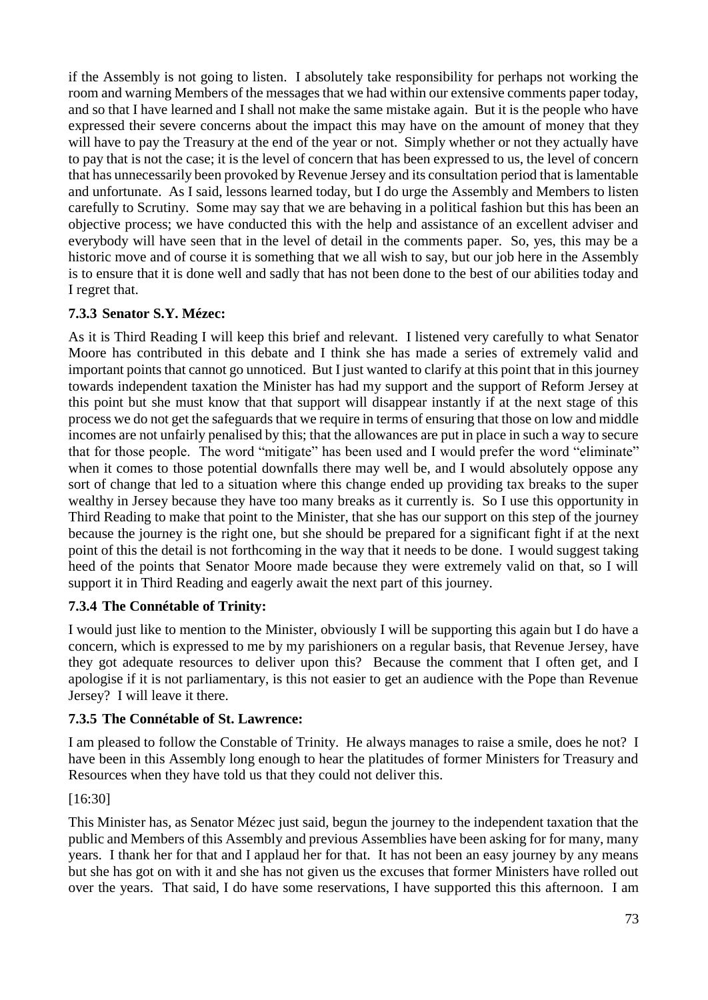if the Assembly is not going to listen. I absolutely take responsibility for perhaps not working the room and warning Members of the messages that we had within our extensive comments paper today, and so that I have learned and I shall not make the same mistake again. But it is the people who have expressed their severe concerns about the impact this may have on the amount of money that they will have to pay the Treasury at the end of the year or not. Simply whether or not they actually have to pay that is not the case; it is the level of concern that has been expressed to us, the level of concern that has unnecessarily been provoked by Revenue Jersey and its consultation period that is lamentable and unfortunate. As I said, lessons learned today, but I do urge the Assembly and Members to listen carefully to Scrutiny. Some may say that we are behaving in a political fashion but this has been an objective process; we have conducted this with the help and assistance of an excellent adviser and everybody will have seen that in the level of detail in the comments paper. So, yes, this may be a historic move and of course it is something that we all wish to say, but our job here in the Assembly is to ensure that it is done well and sadly that has not been done to the best of our abilities today and I regret that.

# **7.3.3 Senator S.Y. Mézec:**

As it is Third Reading I will keep this brief and relevant. I listened very carefully to what Senator Moore has contributed in this debate and I think she has made a series of extremely valid and important points that cannot go unnoticed. But I just wanted to clarify at this point that in this journey towards independent taxation the Minister has had my support and the support of Reform Jersey at this point but she must know that that support will disappear instantly if at the next stage of this process we do not get the safeguards that we require in terms of ensuring that those on low and middle incomes are not unfairly penalised by this; that the allowances are put in place in such a way to secure that for those people. The word "mitigate" has been used and I would prefer the word "eliminate" when it comes to those potential downfalls there may well be, and I would absolutely oppose any sort of change that led to a situation where this change ended up providing tax breaks to the super wealthy in Jersey because they have too many breaks as it currently is. So I use this opportunity in Third Reading to make that point to the Minister, that she has our support on this step of the journey because the journey is the right one, but she should be prepared for a significant fight if at the next point of this the detail is not forthcoming in the way that it needs to be done. I would suggest taking heed of the points that Senator Moore made because they were extremely valid on that, so I will support it in Third Reading and eagerly await the next part of this journey.

# **7.3.4 The Connétable of Trinity:**

I would just like to mention to the Minister, obviously I will be supporting this again but I do have a concern, which is expressed to me by my parishioners on a regular basis, that Revenue Jersey, have they got adequate resources to deliver upon this? Because the comment that I often get, and I apologise if it is not parliamentary, is this not easier to get an audience with the Pope than Revenue Jersey? I will leave it there.

## **7.3.5 The Connétable of St. Lawrence:**

I am pleased to follow the Constable of Trinity. He always manages to raise a smile, does he not? I have been in this Assembly long enough to hear the platitudes of former Ministers for Treasury and Resources when they have told us that they could not deliver this.

## [16:30]

This Minister has, as Senator Mézec just said, begun the journey to the independent taxation that the public and Members of this Assembly and previous Assemblies have been asking for for many, many years. I thank her for that and I applaud her for that. It has not been an easy journey by any means but she has got on with it and she has not given us the excuses that former Ministers have rolled out over the years. That said, I do have some reservations, I have supported this this afternoon. I am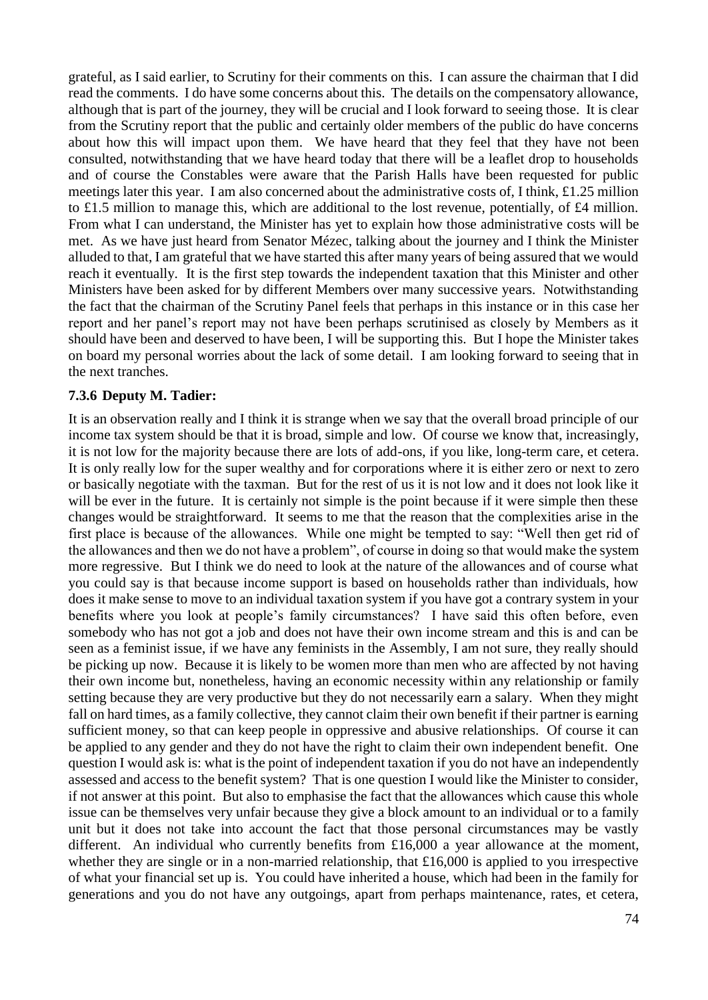grateful, as I said earlier, to Scrutiny for their comments on this. I can assure the chairman that I did read the comments. I do have some concerns about this. The details on the compensatory allowance, although that is part of the journey, they will be crucial and I look forward to seeing those. It is clear from the Scrutiny report that the public and certainly older members of the public do have concerns about how this will impact upon them. We have heard that they feel that they have not been consulted, notwithstanding that we have heard today that there will be a leaflet drop to households and of course the Constables were aware that the Parish Halls have been requested for public meetings later this year. I am also concerned about the administrative costs of, I think, £1.25 million to £1.5 million to manage this, which are additional to the lost revenue, potentially, of £4 million. From what I can understand, the Minister has yet to explain how those administrative costs will be met. As we have just heard from Senator Mézec, talking about the journey and I think the Minister alluded to that, I am grateful that we have started this after many years of being assured that we would reach it eventually. It is the first step towards the independent taxation that this Minister and other Ministers have been asked for by different Members over many successive years. Notwithstanding the fact that the chairman of the Scrutiny Panel feels that perhaps in this instance or in this case her report and her panel's report may not have been perhaps scrutinised as closely by Members as it should have been and deserved to have been, I will be supporting this. But I hope the Minister takes on board my personal worries about the lack of some detail. I am looking forward to seeing that in the next tranches.

#### **7.3.6 Deputy M. Tadier:**

It is an observation really and I think it is strange when we say that the overall broad principle of our income tax system should be that it is broad, simple and low. Of course we know that, increasingly, it is not low for the majority because there are lots of add-ons, if you like, long-term care, et cetera. It is only really low for the super wealthy and for corporations where it is either zero or next to zero or basically negotiate with the taxman. But for the rest of us it is not low and it does not look like it will be ever in the future. It is certainly not simple is the point because if it were simple then these changes would be straightforward. It seems to me that the reason that the complexities arise in the first place is because of the allowances. While one might be tempted to say: "Well then get rid of the allowances and then we do not have a problem", of course in doing so that would make the system more regressive. But I think we do need to look at the nature of the allowances and of course what you could say is that because income support is based on households rather than individuals, how does it make sense to move to an individual taxation system if you have got a contrary system in your benefits where you look at people's family circumstances? I have said this often before, even somebody who has not got a job and does not have their own income stream and this is and can be seen as a feminist issue, if we have any feminists in the Assembly, I am not sure, they really should be picking up now. Because it is likely to be women more than men who are affected by not having their own income but, nonetheless, having an economic necessity within any relationship or family setting because they are very productive but they do not necessarily earn a salary. When they might fall on hard times, as a family collective, they cannot claim their own benefit if their partner is earning sufficient money, so that can keep people in oppressive and abusive relationships. Of course it can be applied to any gender and they do not have the right to claim their own independent benefit. One question I would ask is: what is the point of independent taxation if you do not have an independently assessed and access to the benefit system? That is one question I would like the Minister to consider, if not answer at this point. But also to emphasise the fact that the allowances which cause this whole issue can be themselves very unfair because they give a block amount to an individual or to a family unit but it does not take into account the fact that those personal circumstances may be vastly different. An individual who currently benefits from £16,000 a year allowance at the moment, whether they are single or in a non-married relationship, that £16,000 is applied to you irrespective of what your financial set up is. You could have inherited a house, which had been in the family for generations and you do not have any outgoings, apart from perhaps maintenance, rates, et cetera,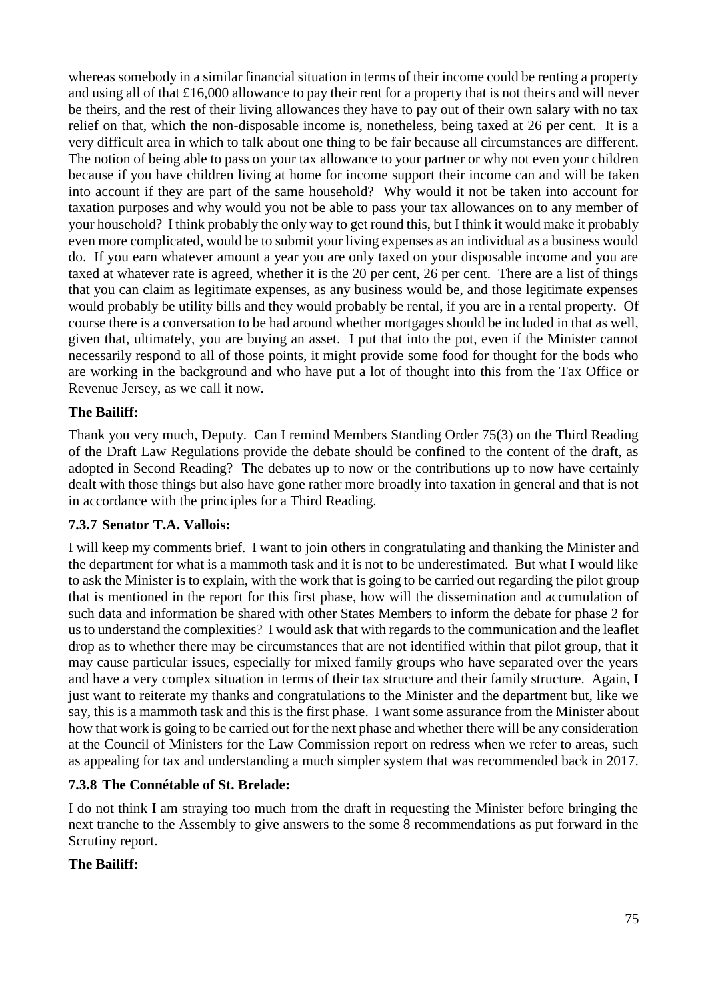whereas somebody in a similar financial situation in terms of their income could be renting a property and using all of that £16,000 allowance to pay their rent for a property that is not theirs and will never be theirs, and the rest of their living allowances they have to pay out of their own salary with no tax relief on that, which the non-disposable income is, nonetheless, being taxed at 26 per cent. It is a very difficult area in which to talk about one thing to be fair because all circumstances are different. The notion of being able to pass on your tax allowance to your partner or why not even your children because if you have children living at home for income support their income can and will be taken into account if they are part of the same household? Why would it not be taken into account for taxation purposes and why would you not be able to pass your tax allowances on to any member of your household? I think probably the only way to get round this, but I think it would make it probably even more complicated, would be to submit your living expenses as an individual as a business would do. If you earn whatever amount a year you are only taxed on your disposable income and you are taxed at whatever rate is agreed, whether it is the 20 per cent, 26 per cent. There are a list of things that you can claim as legitimate expenses, as any business would be, and those legitimate expenses would probably be utility bills and they would probably be rental, if you are in a rental property. Of course there is a conversation to be had around whether mortgages should be included in that as well, given that, ultimately, you are buying an asset. I put that into the pot, even if the Minister cannot necessarily respond to all of those points, it might provide some food for thought for the bods who are working in the background and who have put a lot of thought into this from the Tax Office or Revenue Jersey, as we call it now.

## **The Bailiff:**

Thank you very much, Deputy. Can I remind Members Standing Order 75(3) on the Third Reading of the Draft Law Regulations provide the debate should be confined to the content of the draft, as adopted in Second Reading? The debates up to now or the contributions up to now have certainly dealt with those things but also have gone rather more broadly into taxation in general and that is not in accordance with the principles for a Third Reading.

## **7.3.7 Senator T.A. Vallois:**

I will keep my comments brief. I want to join others in congratulating and thanking the Minister and the department for what is a mammoth task and it is not to be underestimated. But what I would like to ask the Minister is to explain, with the work that is going to be carried out regarding the pilot group that is mentioned in the report for this first phase, how will the dissemination and accumulation of such data and information be shared with other States Members to inform the debate for phase 2 for us to understand the complexities? I would ask that with regards to the communication and the leaflet drop as to whether there may be circumstances that are not identified within that pilot group, that it may cause particular issues, especially for mixed family groups who have separated over the years and have a very complex situation in terms of their tax structure and their family structure. Again, I just want to reiterate my thanks and congratulations to the Minister and the department but, like we say, this is a mammoth task and this is the first phase. I want some assurance from the Minister about how that work is going to be carried out for the next phase and whether there will be any consideration at the Council of Ministers for the Law Commission report on redress when we refer to areas, such as appealing for tax and understanding a much simpler system that was recommended back in 2017.

## **7.3.8 The Connétable of St. Brelade:**

I do not think I am straying too much from the draft in requesting the Minister before bringing the next tranche to the Assembly to give answers to the some 8 recommendations as put forward in the Scrutiny report.

## **The Bailiff:**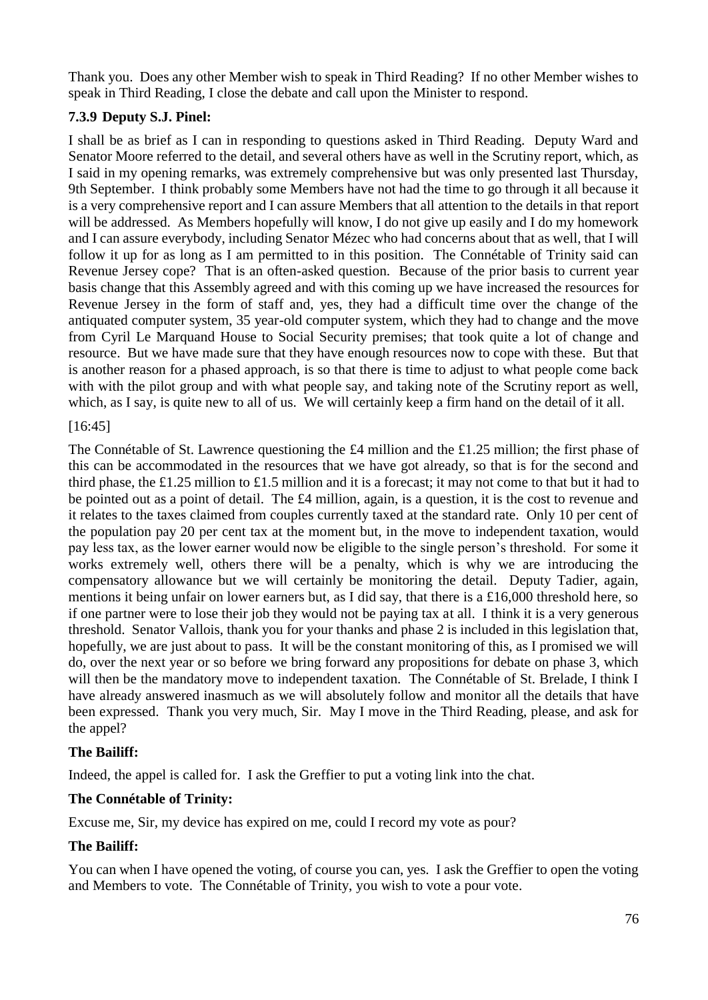Thank you. Does any other Member wish to speak in Third Reading? If no other Member wishes to speak in Third Reading, I close the debate and call upon the Minister to respond.

# **7.3.9 Deputy S.J. Pinel:**

I shall be as brief as I can in responding to questions asked in Third Reading. Deputy Ward and Senator Moore referred to the detail, and several others have as well in the Scrutiny report, which, as I said in my opening remarks, was extremely comprehensive but was only presented last Thursday, 9th September. I think probably some Members have not had the time to go through it all because it is a very comprehensive report and I can assure Members that all attention to the details in that report will be addressed. As Members hopefully will know, I do not give up easily and I do my homework and I can assure everybody, including Senator Mézec who had concerns about that as well, that I will follow it up for as long as I am permitted to in this position. The Connétable of Trinity said can Revenue Jersey cope? That is an often-asked question. Because of the prior basis to current year basis change that this Assembly agreed and with this coming up we have increased the resources for Revenue Jersey in the form of staff and, yes, they had a difficult time over the change of the antiquated computer system, 35 year-old computer system, which they had to change and the move from Cyril Le Marquand House to Social Security premises; that took quite a lot of change and resource. But we have made sure that they have enough resources now to cope with these. But that is another reason for a phased approach, is so that there is time to adjust to what people come back with with the pilot group and with what people say, and taking note of the Scrutiny report as well, which, as I say, is quite new to all of us. We will certainly keep a firm hand on the detail of it all.

# [16:45]

The Connétable of St. Lawrence questioning the £4 million and the £1.25 million; the first phase of this can be accommodated in the resources that we have got already, so that is for the second and third phase, the £1.25 million to £1.5 million and it is a forecast; it may not come to that but it had to be pointed out as a point of detail. The £4 million, again, is a question, it is the cost to revenue and it relates to the taxes claimed from couples currently taxed at the standard rate. Only 10 per cent of the population pay 20 per cent tax at the moment but, in the move to independent taxation, would pay less tax, as the lower earner would now be eligible to the single person's threshold. For some it works extremely well, others there will be a penalty, which is why we are introducing the compensatory allowance but we will certainly be monitoring the detail. Deputy Tadier, again, mentions it being unfair on lower earners but, as I did say, that there is a £16,000 threshold here, so if one partner were to lose their job they would not be paying tax at all. I think it is a very generous threshold. Senator Vallois, thank you for your thanks and phase 2 is included in this legislation that, hopefully, we are just about to pass. It will be the constant monitoring of this, as I promised we will do, over the next year or so before we bring forward any propositions for debate on phase 3, which will then be the mandatory move to independent taxation. The Connétable of St. Brelade, I think I have already answered inasmuch as we will absolutely follow and monitor all the details that have been expressed. Thank you very much, Sir. May I move in the Third Reading, please, and ask for the appel?

# **The Bailiff:**

Indeed, the appel is called for. I ask the Greffier to put a voting link into the chat.

# **The Connétable of Trinity:**

Excuse me, Sir, my device has expired on me, could I record my vote as pour?

# **The Bailiff:**

You can when I have opened the voting, of course you can, yes. I ask the Greffier to open the voting and Members to vote. The Connétable of Trinity, you wish to vote a pour vote.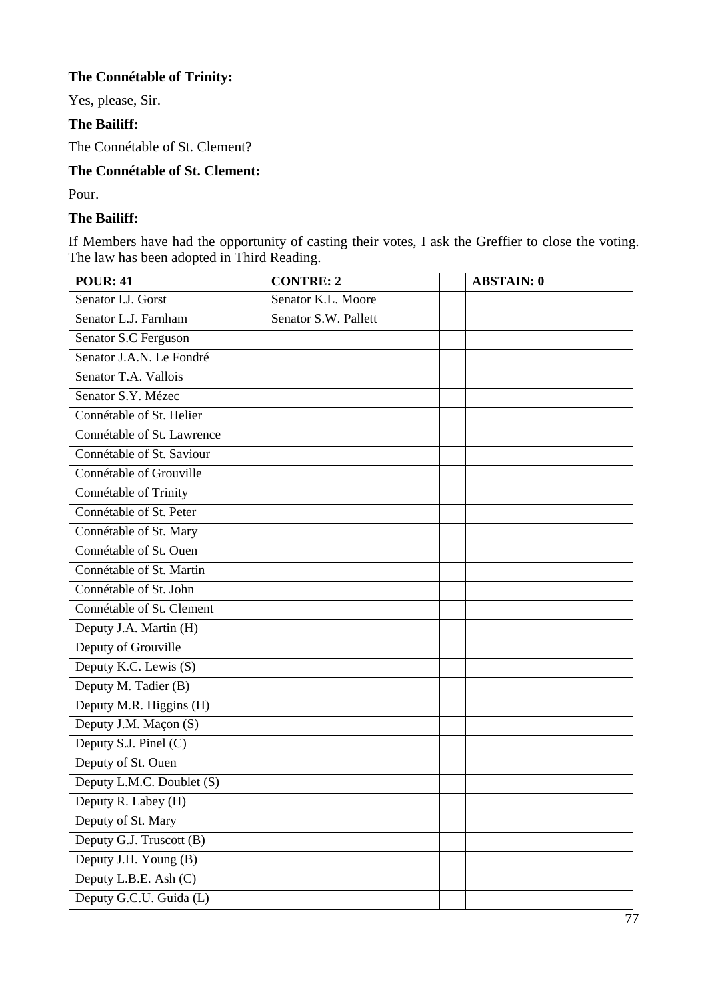# **The Connétable of Trinity:**

Yes, please, Sir.

## **The Bailiff:**

The Connétable of St. Clement?

# **The Connétable of St. Clement:**

Pour.

## **The Bailiff:**

If Members have had the opportunity of casting their votes, I ask the Greffier to close the voting. The law has been adopted in Third Reading.

| <b>POUR: 41</b>            | <b>CONTRE: 2</b>     | <b>ABSTAIN: 0</b> |
|----------------------------|----------------------|-------------------|
| Senator I.J. Gorst         | Senator K.L. Moore   |                   |
| Senator L.J. Farnham       | Senator S.W. Pallett |                   |
| Senator S.C Ferguson       |                      |                   |
| Senator J.A.N. Le Fondré   |                      |                   |
| Senator T.A. Vallois       |                      |                   |
| Senator S.Y. Mézec         |                      |                   |
| Connétable of St. Helier   |                      |                   |
| Connétable of St. Lawrence |                      |                   |
| Connétable of St. Saviour  |                      |                   |
| Connétable of Grouville    |                      |                   |
| Connétable of Trinity      |                      |                   |
| Connétable of St. Peter    |                      |                   |
| Connétable of St. Mary     |                      |                   |
| Connétable of St. Ouen     |                      |                   |
| Connétable of St. Martin   |                      |                   |
| Connétable of St. John     |                      |                   |
| Connétable of St. Clement  |                      |                   |
| Deputy J.A. Martin (H)     |                      |                   |
| Deputy of Grouville        |                      |                   |
| Deputy K.C. Lewis (S)      |                      |                   |
| Deputy M. Tadier (B)       |                      |                   |
| Deputy M.R. Higgins (H)    |                      |                   |
| Deputy J.M. Maçon (S)      |                      |                   |
| Deputy S.J. Pinel (C)      |                      |                   |
| Deputy of St. Ouen         |                      |                   |
| Deputy L.M.C. Doublet (S)  |                      |                   |
| Deputy R. Labey (H)        |                      |                   |
| Deputy of St. Mary         |                      |                   |
| Deputy G.J. Truscott (B)   |                      |                   |
| Deputy J.H. Young (B)      |                      |                   |
| Deputy L.B.E. Ash (C)      |                      |                   |
| Deputy G.C.U. Guida (L)    |                      |                   |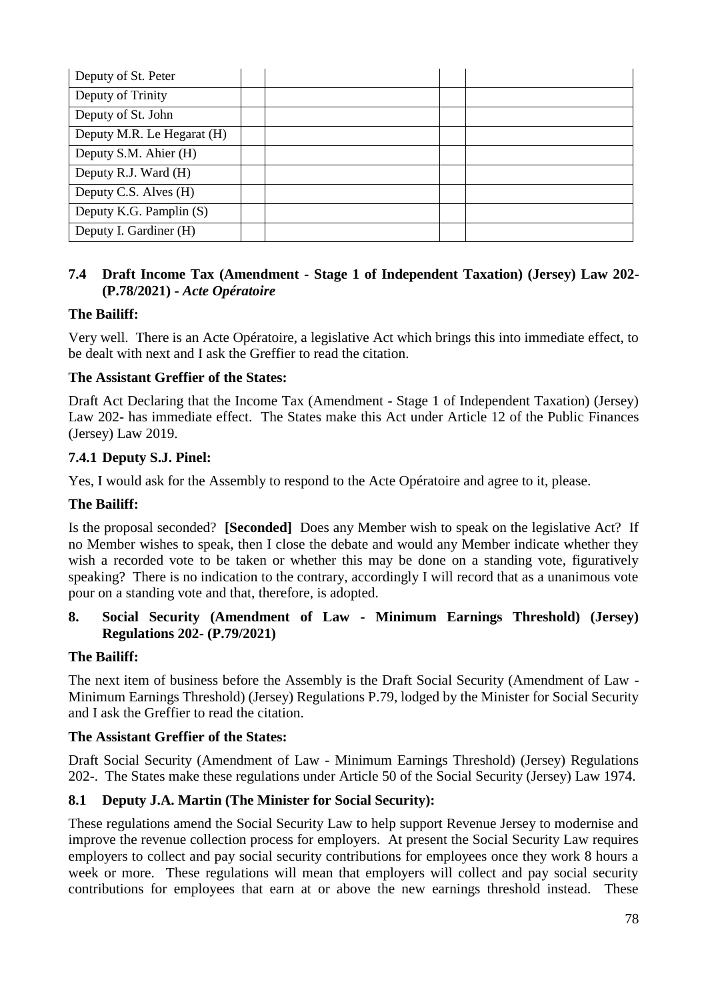| Deputy of St. Peter        |  |  |
|----------------------------|--|--|
| Deputy of Trinity          |  |  |
| Deputy of St. John         |  |  |
| Deputy M.R. Le Hegarat (H) |  |  |
| Deputy S.M. Ahier (H)      |  |  |
| Deputy R.J. Ward (H)       |  |  |
| Deputy C.S. Alves (H)      |  |  |
| Deputy K.G. Pamplin (S)    |  |  |
| Deputy I. Gardiner (H)     |  |  |

## **7.4 Draft Income Tax (Amendment - Stage 1 of Independent Taxation) (Jersey) Law 202- (P.78/2021) -** *Acte Opératoire*

# **The Bailiff:**

Very well. There is an Acte Opératoire, a legislative Act which brings this into immediate effect, to be dealt with next and I ask the Greffier to read the citation.

## **The Assistant Greffier of the States:**

Draft Act Declaring that the Income Tax (Amendment - Stage 1 of Independent Taxation) (Jersey) Law 202- has immediate effect. The States make this Act under Article 12 of the Public Finances (Jersey) Law 2019.

## **7.4.1 Deputy S.J. Pinel:**

Yes, I would ask for the Assembly to respond to the Acte Opératoire and agree to it, please.

## **The Bailiff:**

Is the proposal seconded? **[Seconded]** Does any Member wish to speak on the legislative Act? If no Member wishes to speak, then I close the debate and would any Member indicate whether they wish a recorded vote to be taken or whether this may be done on a standing vote, figuratively speaking? There is no indication to the contrary, accordingly I will record that as a unanimous vote pour on a standing vote and that, therefore, is adopted.

## **8. Social Security (Amendment of Law - Minimum Earnings Threshold) (Jersey) Regulations 202- (P.79/2021)**

## **The Bailiff:**

The next item of business before the Assembly is the Draft Social Security (Amendment of Law - Minimum Earnings Threshold) (Jersey) Regulations P.79, lodged by the Minister for Social Security and I ask the Greffier to read the citation.

## **The Assistant Greffier of the States:**

Draft Social Security (Amendment of Law - Minimum Earnings Threshold) (Jersey) Regulations 202-. The States make these regulations under Article 50 of the Social Security (Jersey) Law 1974.

# **8.1 Deputy J.A. Martin (The Minister for Social Security):**

These regulations amend the Social Security Law to help support Revenue Jersey to modernise and improve the revenue collection process for employers. At present the Social Security Law requires employers to collect and pay social security contributions for employees once they work 8 hours a week or more. These regulations will mean that employers will collect and pay social security contributions for employees that earn at or above the new earnings threshold instead. These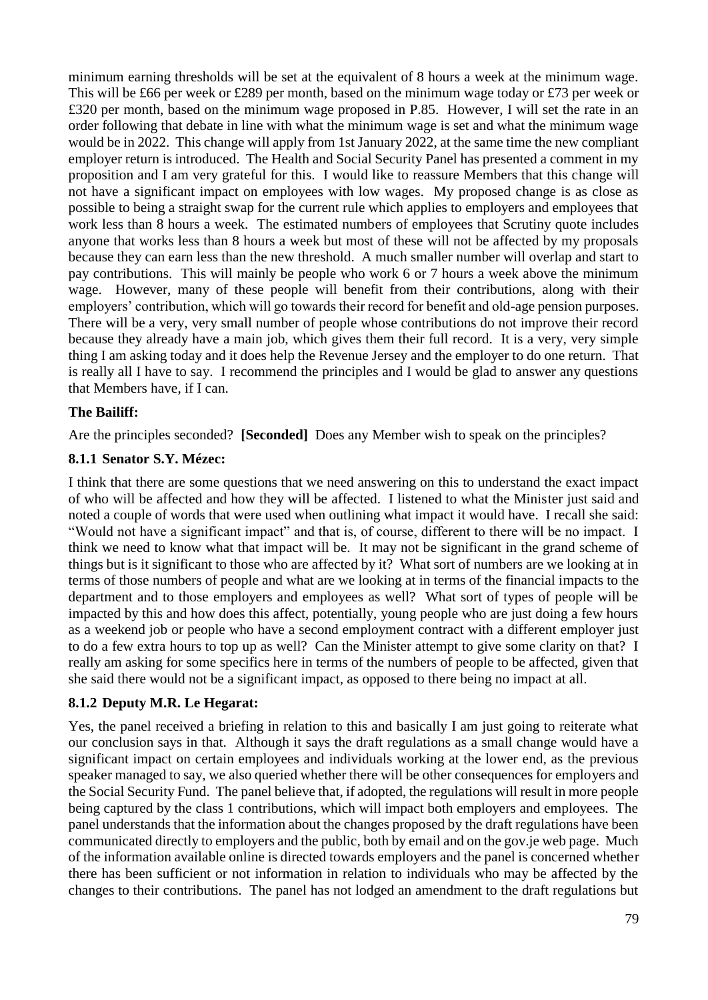minimum earning thresholds will be set at the equivalent of 8 hours a week at the minimum wage. This will be £66 per week or £289 per month, based on the minimum wage today or £73 per week or £320 per month, based on the minimum wage proposed in P.85. However, I will set the rate in an order following that debate in line with what the minimum wage is set and what the minimum wage would be in 2022. This change will apply from 1st January 2022, at the same time the new compliant employer return is introduced. The Health and Social Security Panel has presented a comment in my proposition and I am very grateful for this. I would like to reassure Members that this change will not have a significant impact on employees with low wages. My proposed change is as close as possible to being a straight swap for the current rule which applies to employers and employees that work less than 8 hours a week. The estimated numbers of employees that Scrutiny quote includes anyone that works less than 8 hours a week but most of these will not be affected by my proposals because they can earn less than the new threshold. A much smaller number will overlap and start to pay contributions. This will mainly be people who work 6 or 7 hours a week above the minimum wage. However, many of these people will benefit from their contributions, along with their employers' contribution, which will go towards their record for benefit and old-age pension purposes. There will be a very, very small number of people whose contributions do not improve their record because they already have a main job, which gives them their full record. It is a very, very simple thing I am asking today and it does help the Revenue Jersey and the employer to do one return. That is really all I have to say. I recommend the principles and I would be glad to answer any questions that Members have, if I can.

#### **The Bailiff:**

Are the principles seconded? **[Seconded]** Does any Member wish to speak on the principles?

#### **8.1.1 Senator S.Y. Mézec:**

I think that there are some questions that we need answering on this to understand the exact impact of who will be affected and how they will be affected. I listened to what the Minister just said and noted a couple of words that were used when outlining what impact it would have. I recall she said: "Would not have a significant impact" and that is, of course, different to there will be no impact. I think we need to know what that impact will be. It may not be significant in the grand scheme of things but is it significant to those who are affected by it? What sort of numbers are we looking at in terms of those numbers of people and what are we looking at in terms of the financial impacts to the department and to those employers and employees as well? What sort of types of people will be impacted by this and how does this affect, potentially, young people who are just doing a few hours as a weekend job or people who have a second employment contract with a different employer just to do a few extra hours to top up as well? Can the Minister attempt to give some clarity on that? I really am asking for some specifics here in terms of the numbers of people to be affected, given that she said there would not be a significant impact, as opposed to there being no impact at all.

## **8.1.2 Deputy M.R. Le Hegarat:**

Yes, the panel received a briefing in relation to this and basically I am just going to reiterate what our conclusion says in that. Although it says the draft regulations as a small change would have a significant impact on certain employees and individuals working at the lower end, as the previous speaker managed to say, we also queried whether there will be other consequences for employers and the Social Security Fund. The panel believe that, if adopted, the regulations will result in more people being captured by the class 1 contributions, which will impact both employers and employees. The panel understands that the information about the changes proposed by the draft regulations have been communicated directly to employers and the public, both by email and on the gov.je web page. Much of the information available online is directed towards employers and the panel is concerned whether there has been sufficient or not information in relation to individuals who may be affected by the changes to their contributions. The panel has not lodged an amendment to the draft regulations but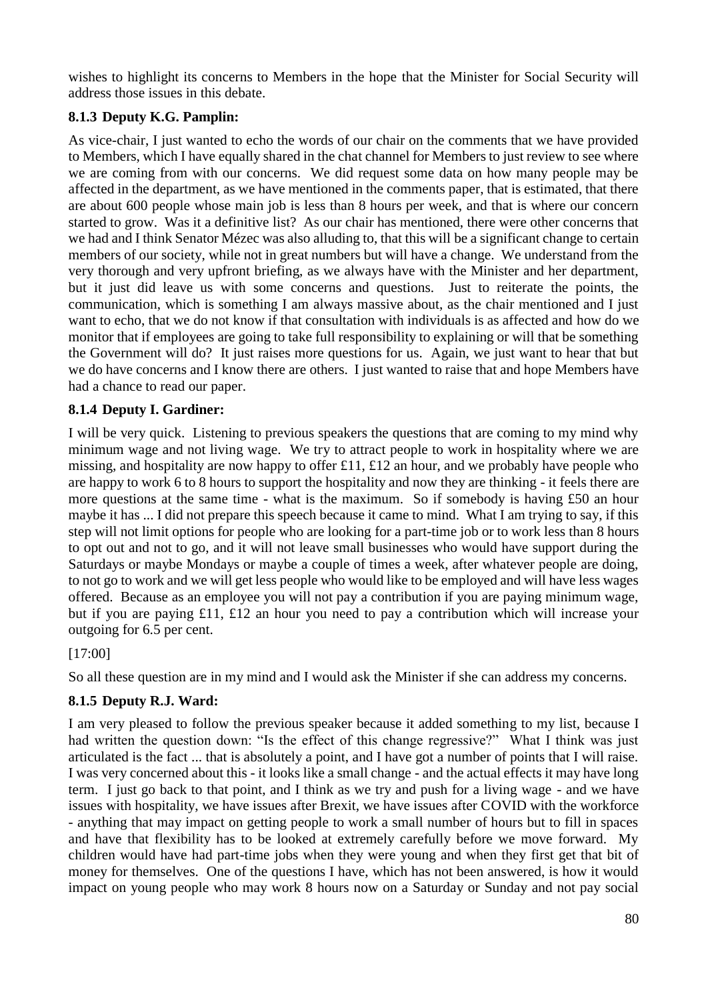wishes to highlight its concerns to Members in the hope that the Minister for Social Security will address those issues in this debate.

# **8.1.3 Deputy K.G. Pamplin:**

As vice-chair, I just wanted to echo the words of our chair on the comments that we have provided to Members, which I have equally shared in the chat channel for Members to just review to see where we are coming from with our concerns. We did request some data on how many people may be affected in the department, as we have mentioned in the comments paper, that is estimated, that there are about 600 people whose main job is less than 8 hours per week, and that is where our concern started to grow. Was it a definitive list? As our chair has mentioned, there were other concerns that we had and I think Senator Mézec was also alluding to, that this will be a significant change to certain members of our society, while not in great numbers but will have a change. We understand from the very thorough and very upfront briefing, as we always have with the Minister and her department, but it just did leave us with some concerns and questions. Just to reiterate the points, the communication, which is something I am always massive about, as the chair mentioned and I just want to echo, that we do not know if that consultation with individuals is as affected and how do we monitor that if employees are going to take full responsibility to explaining or will that be something the Government will do? It just raises more questions for us. Again, we just want to hear that but we do have concerns and I know there are others. I just wanted to raise that and hope Members have had a chance to read our paper.

# **8.1.4 Deputy I. Gardiner:**

I will be very quick. Listening to previous speakers the questions that are coming to my mind why minimum wage and not living wage. We try to attract people to work in hospitality where we are missing, and hospitality are now happy to offer £11, £12 an hour, and we probably have people who are happy to work 6 to 8 hours to support the hospitality and now they are thinking - it feels there are more questions at the same time - what is the maximum. So if somebody is having £50 an hour maybe it has ... I did not prepare this speech because it came to mind. What I am trying to say, if this step will not limit options for people who are looking for a part-time job or to work less than 8 hours to opt out and not to go, and it will not leave small businesses who would have support during the Saturdays or maybe Mondays or maybe a couple of times a week, after whatever people are doing, to not go to work and we will get less people who would like to be employed and will have less wages offered. Because as an employee you will not pay a contribution if you are paying minimum wage, but if you are paying £11, £12 an hour you need to pay a contribution which will increase your outgoing for 6.5 per cent.

[17:00]

So all these question are in my mind and I would ask the Minister if she can address my concerns.

# **8.1.5 Deputy R.J. Ward:**

I am very pleased to follow the previous speaker because it added something to my list, because I had written the question down: "Is the effect of this change regressive?" What I think was just articulated is the fact ... that is absolutely a point, and I have got a number of points that I will raise. I was very concerned about this - it looks like a small change - and the actual effects it may have long term. I just go back to that point, and I think as we try and push for a living wage - and we have issues with hospitality, we have issues after Brexit, we have issues after COVID with the workforce - anything that may impact on getting people to work a small number of hours but to fill in spaces and have that flexibility has to be looked at extremely carefully before we move forward. My children would have had part-time jobs when they were young and when they first get that bit of money for themselves. One of the questions I have, which has not been answered, is how it would impact on young people who may work 8 hours now on a Saturday or Sunday and not pay social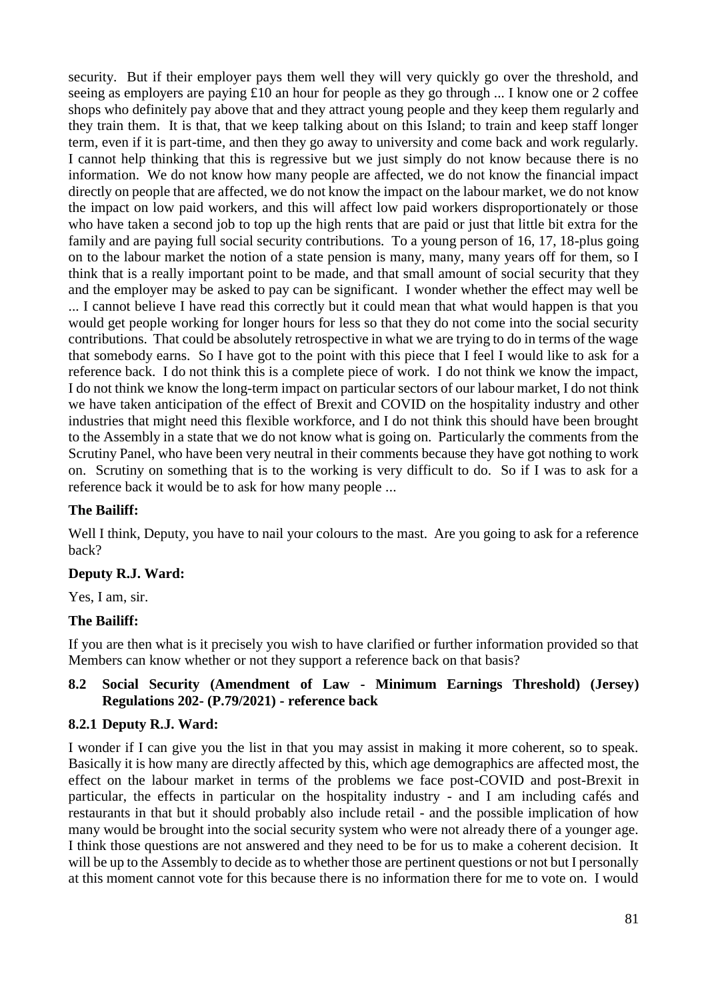security. But if their employer pays them well they will very quickly go over the threshold, and seeing as employers are paying £10 an hour for people as they go through ... I know one or 2 coffee shops who definitely pay above that and they attract young people and they keep them regularly and they train them. It is that, that we keep talking about on this Island; to train and keep staff longer term, even if it is part-time, and then they go away to university and come back and work regularly. I cannot help thinking that this is regressive but we just simply do not know because there is no information. We do not know how many people are affected, we do not know the financial impact directly on people that are affected, we do not know the impact on the labour market, we do not know the impact on low paid workers, and this will affect low paid workers disproportionately or those who have taken a second job to top up the high rents that are paid or just that little bit extra for the family and are paying full social security contributions. To a young person of 16, 17, 18-plus going on to the labour market the notion of a state pension is many, many, many years off for them, so I think that is a really important point to be made, and that small amount of social security that they and the employer may be asked to pay can be significant. I wonder whether the effect may well be ... I cannot believe I have read this correctly but it could mean that what would happen is that you would get people working for longer hours for less so that they do not come into the social security contributions. That could be absolutely retrospective in what we are trying to do in terms of the wage that somebody earns. So I have got to the point with this piece that I feel I would like to ask for a reference back. I do not think this is a complete piece of work. I do not think we know the impact, I do not think we know the long-term impact on particular sectors of our labour market, I do not think we have taken anticipation of the effect of Brexit and COVID on the hospitality industry and other industries that might need this flexible workforce, and I do not think this should have been brought to the Assembly in a state that we do not know what is going on. Particularly the comments from the Scrutiny Panel, who have been very neutral in their comments because they have got nothing to work on. Scrutiny on something that is to the working is very difficult to do. So if I was to ask for a reference back it would be to ask for how many people ...

## **The Bailiff:**

Well I think, Deputy, you have to nail your colours to the mast. Are you going to ask for a reference back?

#### **Deputy R.J. Ward:**

Yes, I am, sir.

## **The Bailiff:**

If you are then what is it precisely you wish to have clarified or further information provided so that Members can know whether or not they support a reference back on that basis?

#### **8.2 Social Security (Amendment of Law - Minimum Earnings Threshold) (Jersey) Regulations 202- (P.79/2021) - reference back**

#### **8.2.1 Deputy R.J. Ward:**

I wonder if I can give you the list in that you may assist in making it more coherent, so to speak. Basically it is how many are directly affected by this, which age demographics are affected most, the effect on the labour market in terms of the problems we face post-COVID and post-Brexit in particular, the effects in particular on the hospitality industry - and I am including cafés and restaurants in that but it should probably also include retail - and the possible implication of how many would be brought into the social security system who were not already there of a younger age. I think those questions are not answered and they need to be for us to make a coherent decision. It will be up to the Assembly to decide as to whether those are pertinent questions or not but I personally at this moment cannot vote for this because there is no information there for me to vote on. I would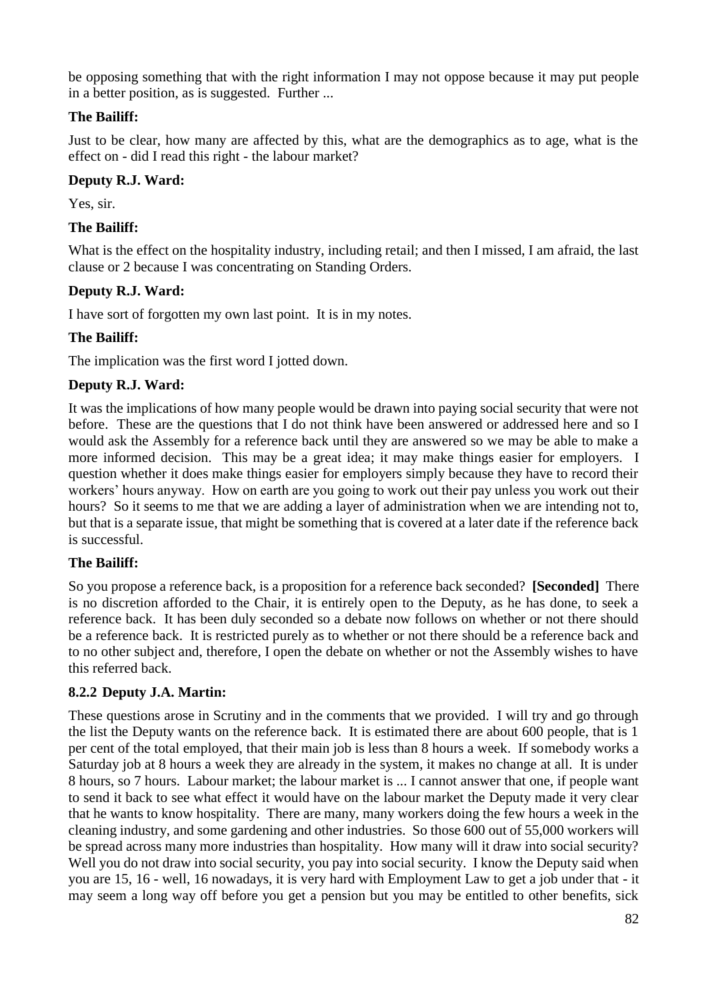be opposing something that with the right information I may not oppose because it may put people in a better position, as is suggested. Further ...

## **The Bailiff:**

Just to be clear, how many are affected by this, what are the demographics as to age, what is the effect on - did I read this right - the labour market?

## **Deputy R.J. Ward:**

Yes, sir.

## **The Bailiff:**

What is the effect on the hospitality industry, including retail; and then I missed, I am afraid, the last clause or 2 because I was concentrating on Standing Orders.

## **Deputy R.J. Ward:**

I have sort of forgotten my own last point. It is in my notes.

## **The Bailiff:**

The implication was the first word I jotted down.

## **Deputy R.J. Ward:**

It was the implications of how many people would be drawn into paying social security that were not before. These are the questions that I do not think have been answered or addressed here and so I would ask the Assembly for a reference back until they are answered so we may be able to make a more informed decision. This may be a great idea; it may make things easier for employers. I question whether it does make things easier for employers simply because they have to record their workers' hours anyway. How on earth are you going to work out their pay unless you work out their hours? So it seems to me that we are adding a layer of administration when we are intending not to, but that is a separate issue, that might be something that is covered at a later date if the reference back is successful.

## **The Bailiff:**

So you propose a reference back, is a proposition for a reference back seconded? **[Seconded]** There is no discretion afforded to the Chair, it is entirely open to the Deputy, as he has done, to seek a reference back. It has been duly seconded so a debate now follows on whether or not there should be a reference back. It is restricted purely as to whether or not there should be a reference back and to no other subject and, therefore, I open the debate on whether or not the Assembly wishes to have this referred back.

## **8.2.2 Deputy J.A. Martin:**

These questions arose in Scrutiny and in the comments that we provided. I will try and go through the list the Deputy wants on the reference back. It is estimated there are about 600 people, that is 1 per cent of the total employed, that their main job is less than 8 hours a week. If somebody works a Saturday job at 8 hours a week they are already in the system, it makes no change at all. It is under 8 hours, so 7 hours. Labour market; the labour market is ... I cannot answer that one, if people want to send it back to see what effect it would have on the labour market the Deputy made it very clear that he wants to know hospitality. There are many, many workers doing the few hours a week in the cleaning industry, and some gardening and other industries. So those 600 out of 55,000 workers will be spread across many more industries than hospitality. How many will it draw into social security? Well you do not draw into social security, you pay into social security. I know the Deputy said when you are 15, 16 - well, 16 nowadays, it is very hard with Employment Law to get a job under that - it may seem a long way off before you get a pension but you may be entitled to other benefits, sick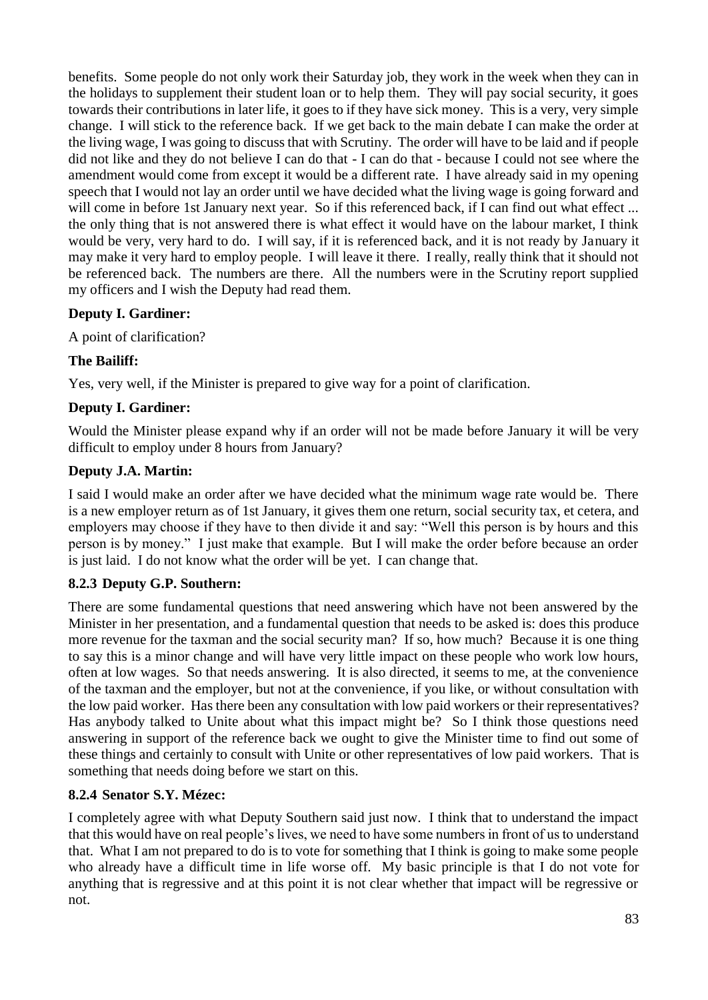benefits. Some people do not only work their Saturday job, they work in the week when they can in the holidays to supplement their student loan or to help them. They will pay social security, it goes towards their contributions in later life, it goes to if they have sick money. This is a very, very simple change. I will stick to the reference back. If we get back to the main debate I can make the order at the living wage, I was going to discuss that with Scrutiny. The order will have to be laid and if people did not like and they do not believe I can do that - I can do that - because I could not see where the amendment would come from except it would be a different rate. I have already said in my opening speech that I would not lay an order until we have decided what the living wage is going forward and will come in before 1st January next year. So if this referenced back, if I can find out what effect ... the only thing that is not answered there is what effect it would have on the labour market, I think would be very, very hard to do. I will say, if it is referenced back, and it is not ready by January it may make it very hard to employ people. I will leave it there. I really, really think that it should not be referenced back. The numbers are there. All the numbers were in the Scrutiny report supplied my officers and I wish the Deputy had read them.

## **Deputy I. Gardiner:**

A point of clarification?

# **The Bailiff:**

Yes, very well, if the Minister is prepared to give way for a point of clarification.

## **Deputy I. Gardiner:**

Would the Minister please expand why if an order will not be made before January it will be very difficult to employ under 8 hours from January?

## **Deputy J.A. Martin:**

I said I would make an order after we have decided what the minimum wage rate would be. There is a new employer return as of 1st January, it gives them one return, social security tax, et cetera, and employers may choose if they have to then divide it and say: "Well this person is by hours and this person is by money." I just make that example. But I will make the order before because an order is just laid. I do not know what the order will be yet. I can change that.

# **8.2.3 Deputy G.P. Southern:**

There are some fundamental questions that need answering which have not been answered by the Minister in her presentation, and a fundamental question that needs to be asked is: does this produce more revenue for the taxman and the social security man? If so, how much? Because it is one thing to say this is a minor change and will have very little impact on these people who work low hours, often at low wages. So that needs answering. It is also directed, it seems to me, at the convenience of the taxman and the employer, but not at the convenience, if you like, or without consultation with the low paid worker. Has there been any consultation with low paid workers or their representatives? Has anybody talked to Unite about what this impact might be? So I think those questions need answering in support of the reference back we ought to give the Minister time to find out some of these things and certainly to consult with Unite or other representatives of low paid workers. That is something that needs doing before we start on this.

## **8.2.4 Senator S.Y. Mézec:**

I completely agree with what Deputy Southern said just now. I think that to understand the impact that this would have on real people's lives, we need to have some numbers in front of us to understand that. What I am not prepared to do is to vote for something that I think is going to make some people who already have a difficult time in life worse off. My basic principle is that I do not vote for anything that is regressive and at this point it is not clear whether that impact will be regressive or not.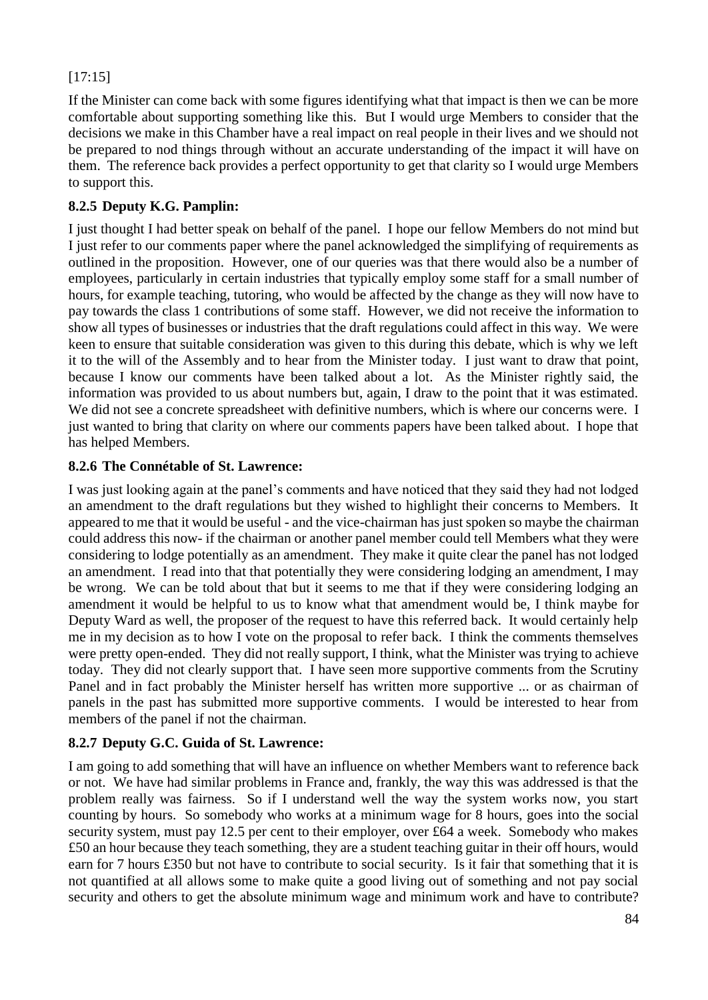# [17:15]

If the Minister can come back with some figures identifying what that impact is then we can be more comfortable about supporting something like this. But I would urge Members to consider that the decisions we make in this Chamber have a real impact on real people in their lives and we should not be prepared to nod things through without an accurate understanding of the impact it will have on them. The reference back provides a perfect opportunity to get that clarity so I would urge Members to support this.

## **8.2.5 Deputy K.G. Pamplin:**

I just thought I had better speak on behalf of the panel. I hope our fellow Members do not mind but I just refer to our comments paper where the panel acknowledged the simplifying of requirements as outlined in the proposition. However, one of our queries was that there would also be a number of employees, particularly in certain industries that typically employ some staff for a small number of hours, for example teaching, tutoring, who would be affected by the change as they will now have to pay towards the class 1 contributions of some staff. However, we did not receive the information to show all types of businesses or industries that the draft regulations could affect in this way. We were keen to ensure that suitable consideration was given to this during this debate, which is why we left it to the will of the Assembly and to hear from the Minister today. I just want to draw that point, because I know our comments have been talked about a lot. As the Minister rightly said, the information was provided to us about numbers but, again, I draw to the point that it was estimated. We did not see a concrete spreadsheet with definitive numbers, which is where our concerns were. I just wanted to bring that clarity on where our comments papers have been talked about. I hope that has helped Members.

## **8.2.6 The Connétable of St. Lawrence:**

I was just looking again at the panel's comments and have noticed that they said they had not lodged an amendment to the draft regulations but they wished to highlight their concerns to Members. It appeared to me that it would be useful - and the vice-chairman has just spoken so maybe the chairman could address this now- if the chairman or another panel member could tell Members what they were considering to lodge potentially as an amendment. They make it quite clear the panel has not lodged an amendment. I read into that that potentially they were considering lodging an amendment, I may be wrong. We can be told about that but it seems to me that if they were considering lodging an amendment it would be helpful to us to know what that amendment would be, I think maybe for Deputy Ward as well, the proposer of the request to have this referred back. It would certainly help me in my decision as to how I vote on the proposal to refer back. I think the comments themselves were pretty open-ended. They did not really support, I think, what the Minister was trying to achieve today. They did not clearly support that. I have seen more supportive comments from the Scrutiny Panel and in fact probably the Minister herself has written more supportive ... or as chairman of panels in the past has submitted more supportive comments. I would be interested to hear from members of the panel if not the chairman.

# **8.2.7 Deputy G.C. Guida of St. Lawrence:**

I am going to add something that will have an influence on whether Members want to reference back or not. We have had similar problems in France and, frankly, the way this was addressed is that the problem really was fairness. So if I understand well the way the system works now, you start counting by hours. So somebody who works at a minimum wage for 8 hours, goes into the social security system, must pay 12.5 per cent to their employer, over £64 a week. Somebody who makes £50 an hour because they teach something, they are a student teaching guitar in their off hours, would earn for 7 hours £350 but not have to contribute to social security. Is it fair that something that it is not quantified at all allows some to make quite a good living out of something and not pay social security and others to get the absolute minimum wage and minimum work and have to contribute?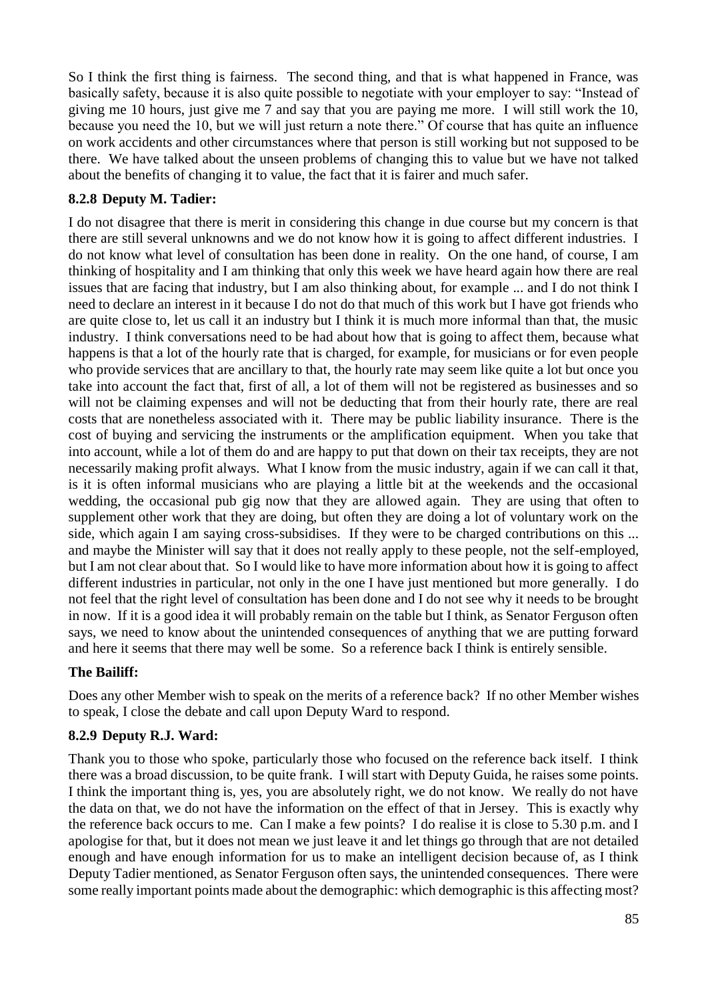So I think the first thing is fairness. The second thing, and that is what happened in France, was basically safety, because it is also quite possible to negotiate with your employer to say: "Instead of giving me 10 hours, just give me 7 and say that you are paying me more. I will still work the 10, because you need the 10, but we will just return a note there." Of course that has quite an influence on work accidents and other circumstances where that person is still working but not supposed to be there. We have talked about the unseen problems of changing this to value but we have not talked about the benefits of changing it to value, the fact that it is fairer and much safer.

# **8.2.8 Deputy M. Tadier:**

I do not disagree that there is merit in considering this change in due course but my concern is that there are still several unknowns and we do not know how it is going to affect different industries. I do not know what level of consultation has been done in reality. On the one hand, of course, I am thinking of hospitality and I am thinking that only this week we have heard again how there are real issues that are facing that industry, but I am also thinking about, for example ... and I do not think I need to declare an interest in it because I do not do that much of this work but I have got friends who are quite close to, let us call it an industry but I think it is much more informal than that, the music industry. I think conversations need to be had about how that is going to affect them, because what happens is that a lot of the hourly rate that is charged, for example, for musicians or for even people who provide services that are ancillary to that, the hourly rate may seem like quite a lot but once you take into account the fact that, first of all, a lot of them will not be registered as businesses and so will not be claiming expenses and will not be deducting that from their hourly rate, there are real costs that are nonetheless associated with it. There may be public liability insurance. There is the cost of buying and servicing the instruments or the amplification equipment. When you take that into account, while a lot of them do and are happy to put that down on their tax receipts, they are not necessarily making profit always. What I know from the music industry, again if we can call it that, is it is often informal musicians who are playing a little bit at the weekends and the occasional wedding, the occasional pub gig now that they are allowed again. They are using that often to supplement other work that they are doing, but often they are doing a lot of voluntary work on the side, which again I am saying cross-subsidises. If they were to be charged contributions on this ... and maybe the Minister will say that it does not really apply to these people, not the self-employed, but I am not clear about that. So I would like to have more information about how it is going to affect different industries in particular, not only in the one I have just mentioned but more generally. I do not feel that the right level of consultation has been done and I do not see why it needs to be brought in now. If it is a good idea it will probably remain on the table but I think, as Senator Ferguson often says, we need to know about the unintended consequences of anything that we are putting forward and here it seems that there may well be some. So a reference back I think is entirely sensible.

## **The Bailiff:**

Does any other Member wish to speak on the merits of a reference back? If no other Member wishes to speak, I close the debate and call upon Deputy Ward to respond.

## **8.2.9 Deputy R.J. Ward:**

Thank you to those who spoke, particularly those who focused on the reference back itself. I think there was a broad discussion, to be quite frank. I will start with Deputy Guida, he raises some points. I think the important thing is, yes, you are absolutely right, we do not know. We really do not have the data on that, we do not have the information on the effect of that in Jersey. This is exactly why the reference back occurs to me. Can I make a few points? I do realise it is close to 5.30 p.m. and I apologise for that, but it does not mean we just leave it and let things go through that are not detailed enough and have enough information for us to make an intelligent decision because of, as I think Deputy Tadier mentioned, as Senator Ferguson often says, the unintended consequences. There were some really important points made about the demographic: which demographic is this affecting most?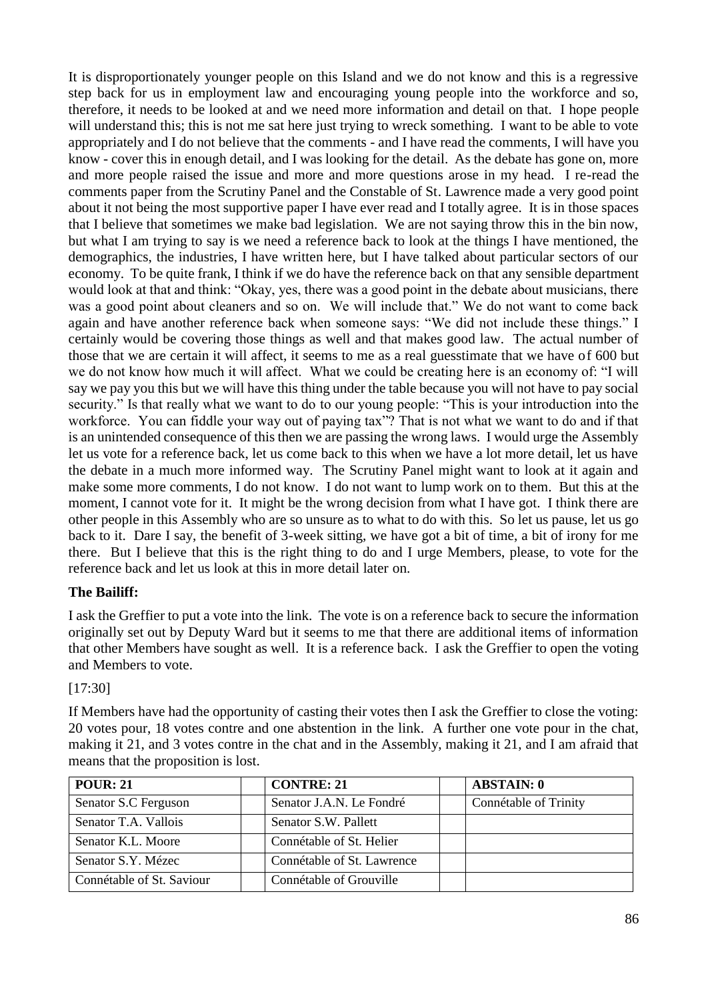It is disproportionately younger people on this Island and we do not know and this is a regressive step back for us in employment law and encouraging young people into the workforce and so, therefore, it needs to be looked at and we need more information and detail on that. I hope people will understand this; this is not me sat here just trying to wreck something. I want to be able to vote appropriately and I do not believe that the comments - and I have read the comments, I will have you know - cover this in enough detail, and I was looking for the detail. As the debate has gone on, more and more people raised the issue and more and more questions arose in my head. I re-read the comments paper from the Scrutiny Panel and the Constable of St. Lawrence made a very good point about it not being the most supportive paper I have ever read and I totally agree. It is in those spaces that I believe that sometimes we make bad legislation. We are not saying throw this in the bin now, but what I am trying to say is we need a reference back to look at the things I have mentioned, the demographics, the industries, I have written here, but I have talked about particular sectors of our economy. To be quite frank, I think if we do have the reference back on that any sensible department would look at that and think: "Okay, yes, there was a good point in the debate about musicians, there was a good point about cleaners and so on. We will include that." We do not want to come back again and have another reference back when someone says: "We did not include these things." I certainly would be covering those things as well and that makes good law. The actual number of those that we are certain it will affect, it seems to me as a real guesstimate that we have of 600 but we do not know how much it will affect. What we could be creating here is an economy of: "I will say we pay you this but we will have this thing under the table because you will not have to pay social security." Is that really what we want to do to our young people: "This is your introduction into the workforce. You can fiddle your way out of paying tax"? That is not what we want to do and if that is an unintended consequence of this then we are passing the wrong laws. I would urge the Assembly let us vote for a reference back, let us come back to this when we have a lot more detail, let us have the debate in a much more informed way. The Scrutiny Panel might want to look at it again and make some more comments, I do not know. I do not want to lump work on to them. But this at the moment, I cannot vote for it. It might be the wrong decision from what I have got. I think there are other people in this Assembly who are so unsure as to what to do with this. So let us pause, let us go back to it. Dare I say, the benefit of 3-week sitting, we have got a bit of time, a bit of irony for me there. But I believe that this is the right thing to do and I urge Members, please, to vote for the reference back and let us look at this in more detail later on.

## **The Bailiff:**

I ask the Greffier to put a vote into the link. The vote is on a reference back to secure the information originally set out by Deputy Ward but it seems to me that there are additional items of information that other Members have sought as well. It is a reference back. I ask the Greffier to open the voting and Members to vote.

#### [17:30]

If Members have had the opportunity of casting their votes then I ask the Greffier to close the voting: 20 votes pour, 18 votes contre and one abstention in the link. A further one vote pour in the chat, making it 21, and 3 votes contre in the chat and in the Assembly, making it 21, and I am afraid that means that the proposition is lost.

| <b>POUR: 21</b>           | <b>CONTRE: 21</b>          | <b>ABSTAIN: 0</b>     |
|---------------------------|----------------------------|-----------------------|
| Senator S.C Ferguson      | Senator J.A.N. Le Fondré   | Connétable of Trinity |
| Senator T.A. Vallois      | Senator S.W. Pallett       |                       |
| Senator K.L. Moore        | Connétable of St. Helier   |                       |
| Senator S.Y. Mézec        | Connétable of St. Lawrence |                       |
| Connétable of St. Saviour | Connétable of Grouville    |                       |